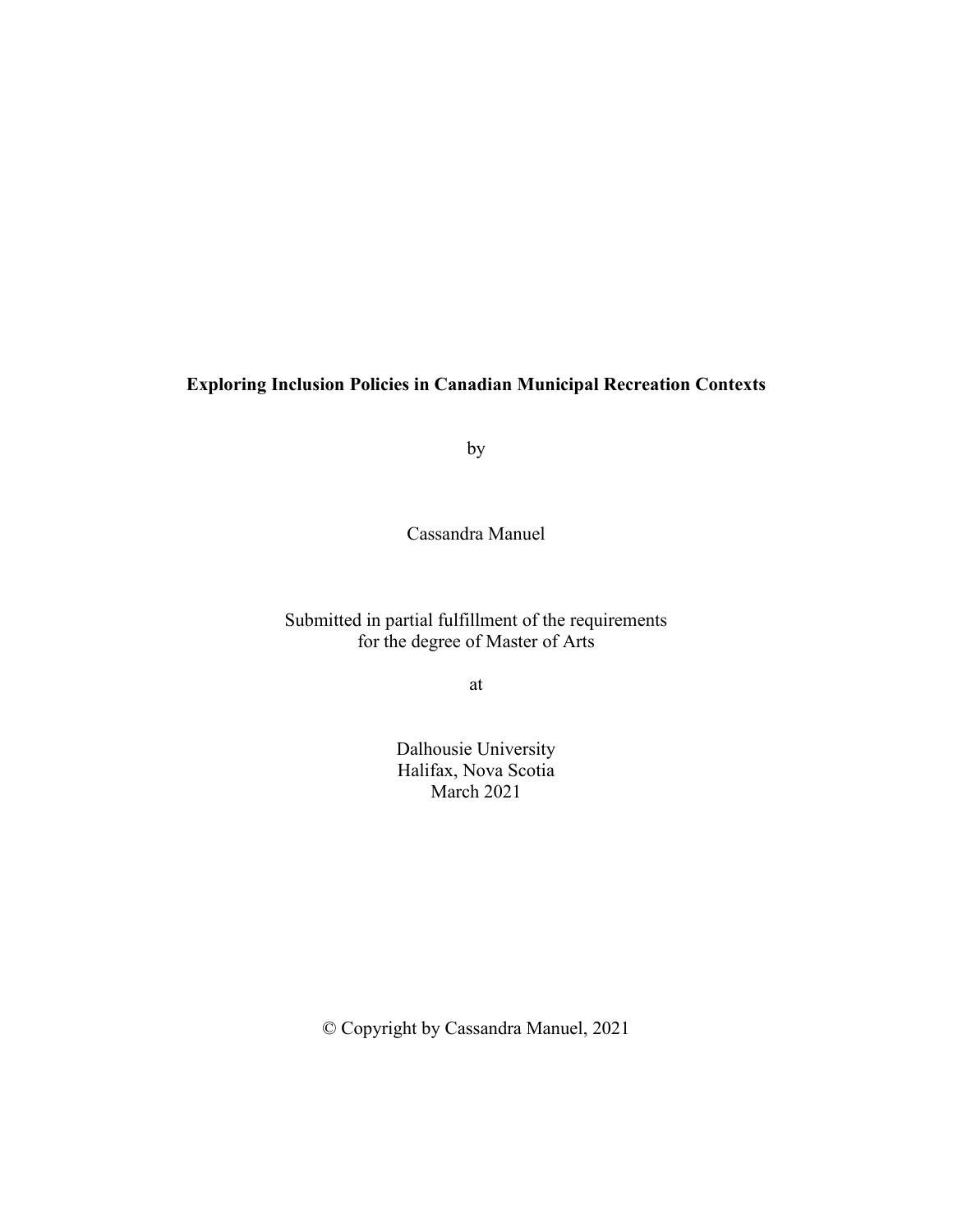## **Exploring Inclusion Policies in Canadian Municipal Recreation Contexts**

by

Cassandra Manuel

# Submitted in partial fulfillment of the requirements for the degree of Master of Arts

at

Dalhousie University Halifax, Nova Scotia March 2021

© Copyright by Cassandra Manuel, 2021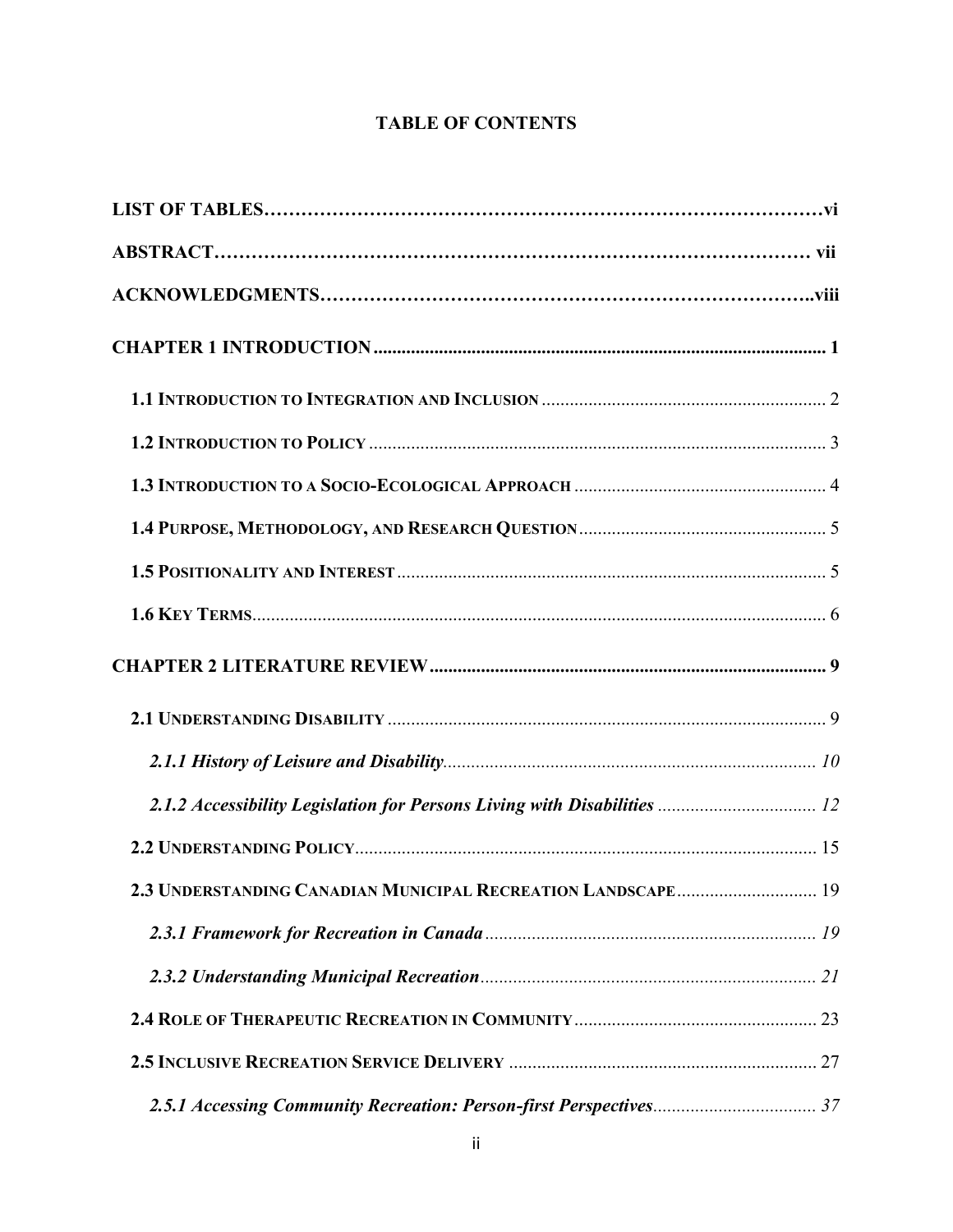# **TABLE OF CONTENTS**

| 2.3 UNDERSTANDING CANADIAN MUNICIPAL RECREATION LANDSCAPE 19 |  |
|--------------------------------------------------------------|--|
|                                                              |  |
|                                                              |  |
|                                                              |  |
|                                                              |  |
|                                                              |  |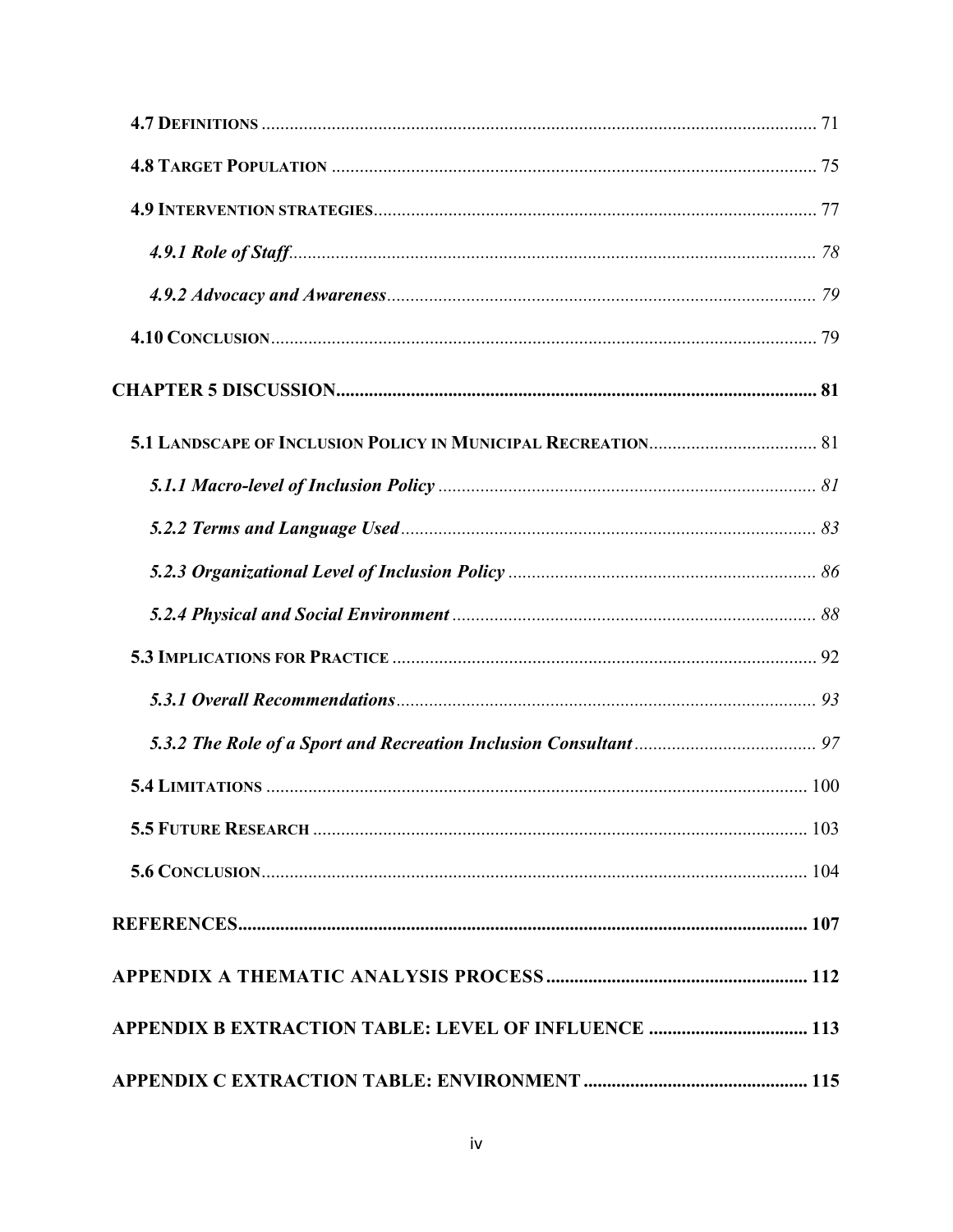| APPENDIX B EXTRACTION TABLE: LEVEL OF INFLUENCE  113 |  |
|------------------------------------------------------|--|
|                                                      |  |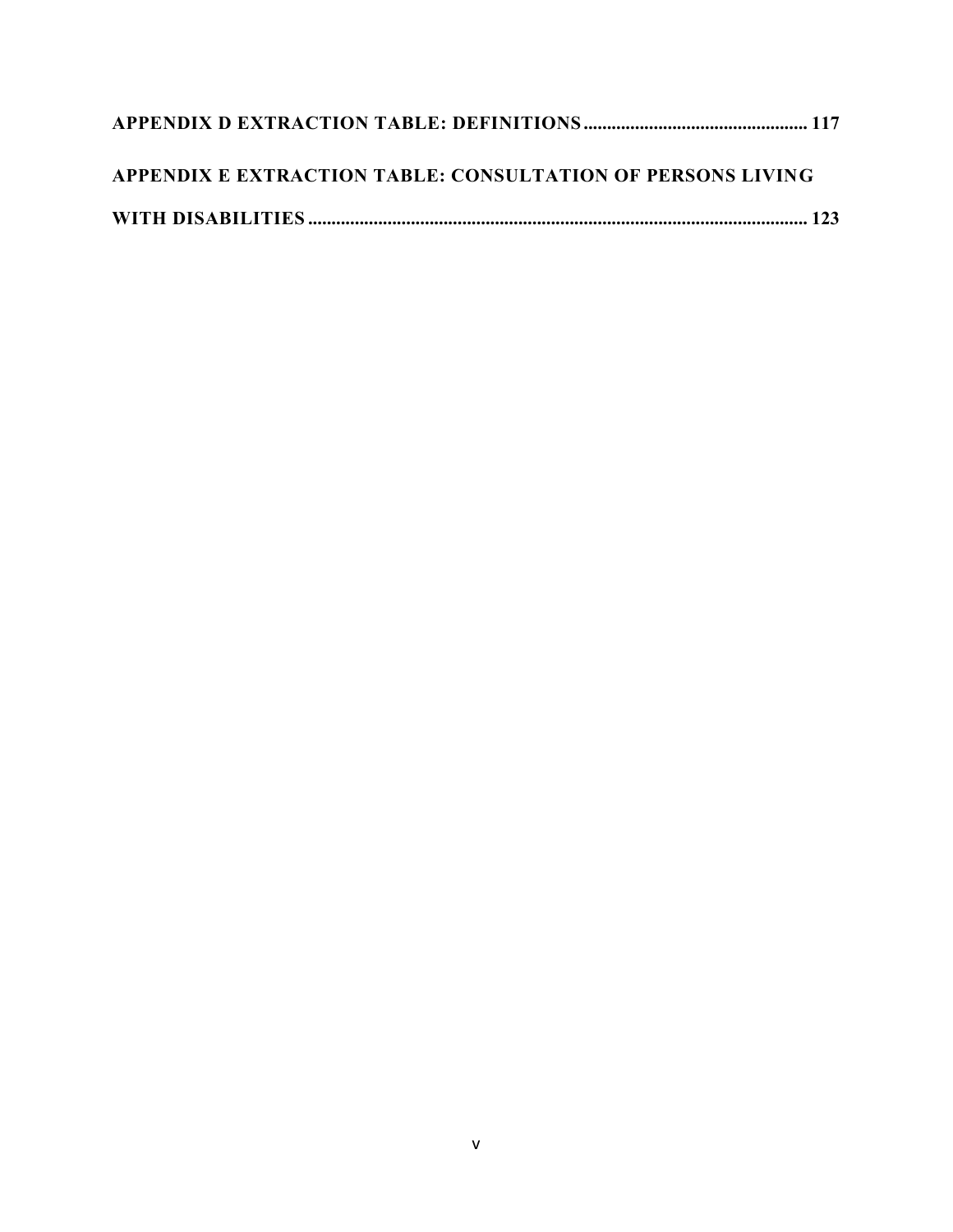| APPENDIX E EXTRACTION TABLE: CONSULTATION OF PERSONS LIVING |  |
|-------------------------------------------------------------|--|
|                                                             |  |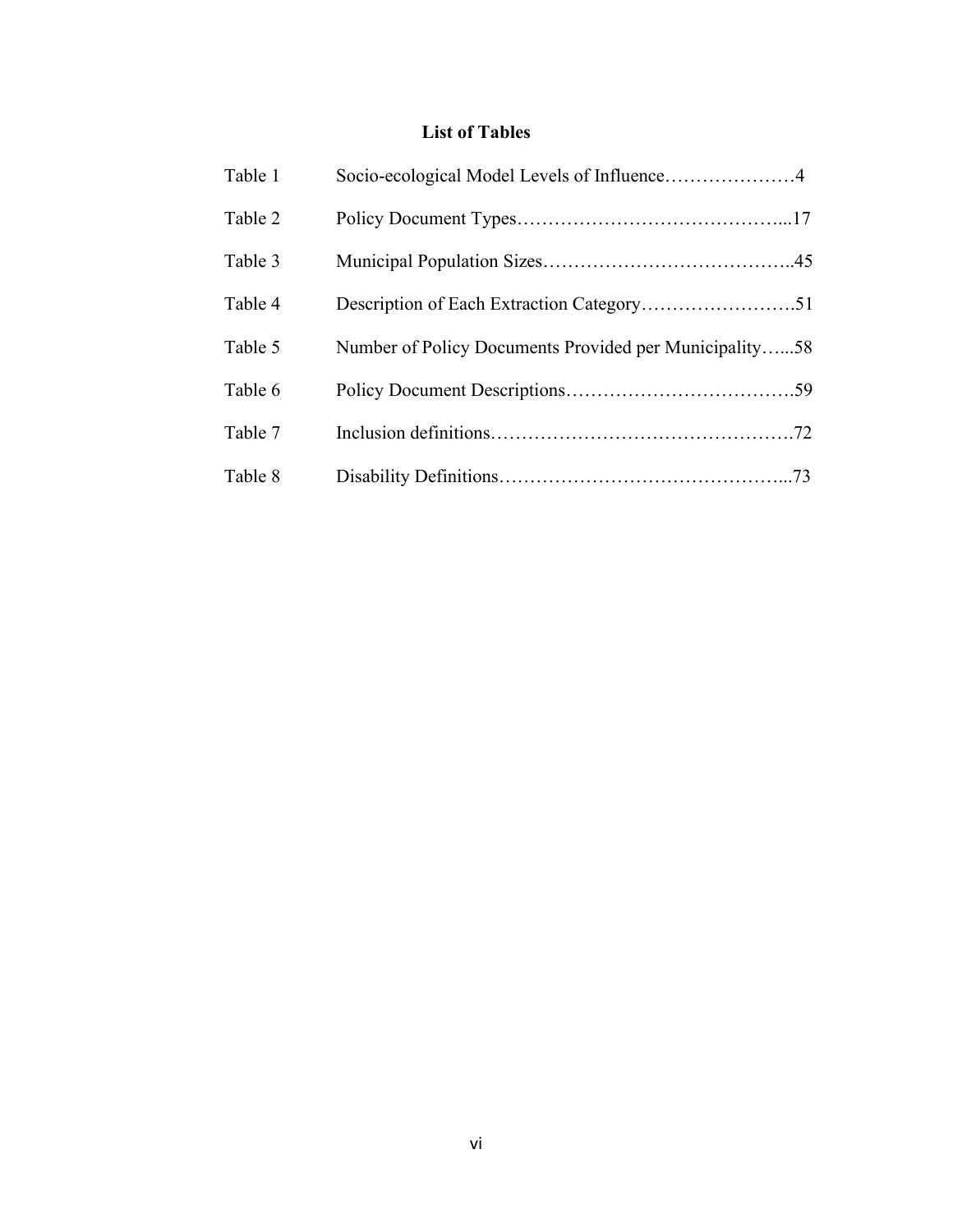# **List of Tables**

| Table 1 | Socio-ecological Model Levels of Influence4            |  |
|---------|--------------------------------------------------------|--|
| Table 2 |                                                        |  |
| Table 3 |                                                        |  |
| Table 4 |                                                        |  |
| Table 5 | Number of Policy Documents Provided per Municipality58 |  |
| Table 6 |                                                        |  |
| Table 7 |                                                        |  |
| Table 8 |                                                        |  |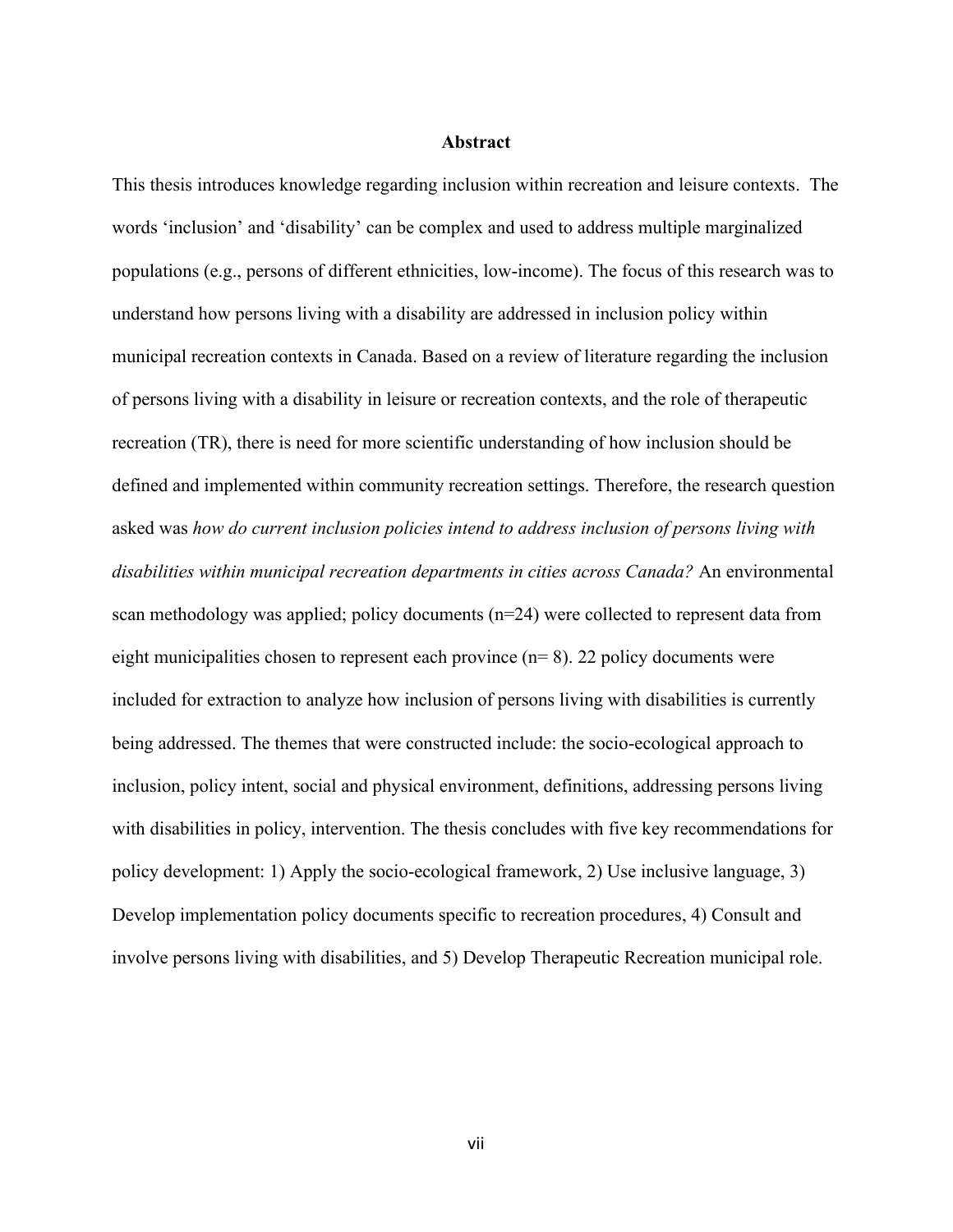#### **Abstract**

This thesis introduces knowledge regarding inclusion within recreation and leisure contexts. The words 'inclusion' and 'disability' can be complex and used to address multiple marginalized populations (e.g., persons of different ethnicities, low-income). The focus of this research was to understand how persons living with a disability are addressed in inclusion policy within municipal recreation contexts in Canada. Based on a review of literature regarding the inclusion of persons living with a disability in leisure or recreation contexts, and the role of therapeutic recreation (TR), there is need for more scientific understanding of how inclusion should be defined and implemented within community recreation settings. Therefore, the research question asked was *how do current inclusion policies intend to address inclusion of persons living with disabilities within municipal recreation departments in cities across Canada?* An environmental scan methodology was applied; policy documents (n=24) were collected to represent data from eight municipalities chosen to represent each province  $(n= 8)$ . 22 policy documents were included for extraction to analyze how inclusion of persons living with disabilities is currently being addressed. The themes that were constructed include: the socio-ecological approach to inclusion, policy intent, social and physical environment, definitions, addressing persons living with disabilities in policy, intervention. The thesis concludes with five key recommendations for policy development: 1) Apply the socio-ecological framework, 2) Use inclusive language, 3) Develop implementation policy documents specific to recreation procedures, 4) Consult and involve persons living with disabilities, and 5) Develop Therapeutic Recreation municipal role.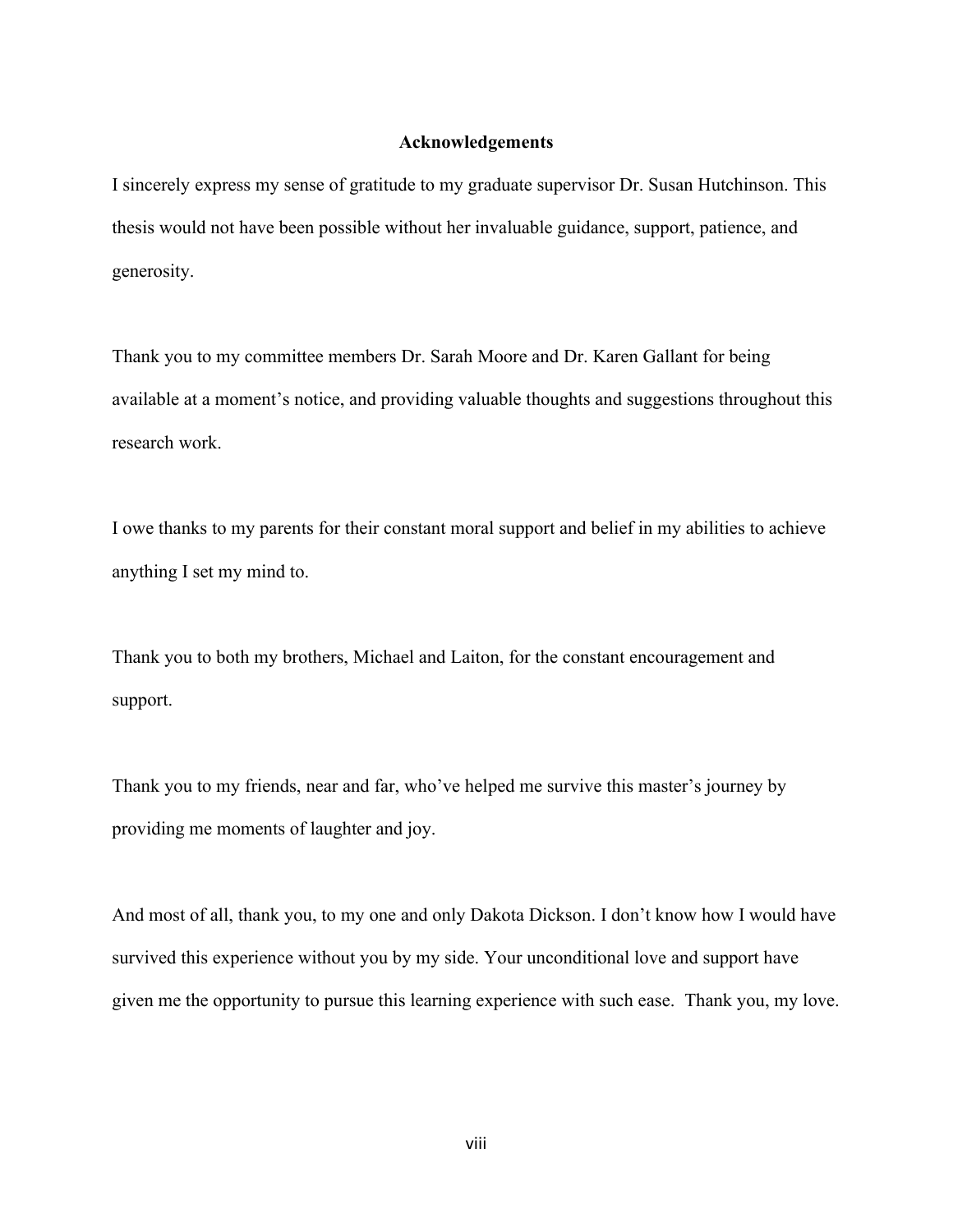#### **Acknowledgements**

I sincerely express my sense of gratitude to my graduate supervisor Dr. Susan Hutchinson. This thesis would not have been possible without her invaluable guidance, support, patience, and generosity.

Thank you to my committee members Dr. Sarah Moore and Dr. Karen Gallant for being available at a moment's notice, and providing valuable thoughts and suggestions throughout this research work.

I owe thanks to my parents for their constant moral support and belief in my abilities to achieve anything I set my mind to.

Thank you to both my brothers, Michael and Laiton, for the constant encouragement and support.

Thank you to my friends, near and far, who've helped me survive this master's journey by providing me moments of laughter and joy.

And most of all, thank you, to my one and only Dakota Dickson. I don't know how I would have survived this experience without you by my side. Your unconditional love and support have given me the opportunity to pursue this learning experience with such ease. Thank you, my love.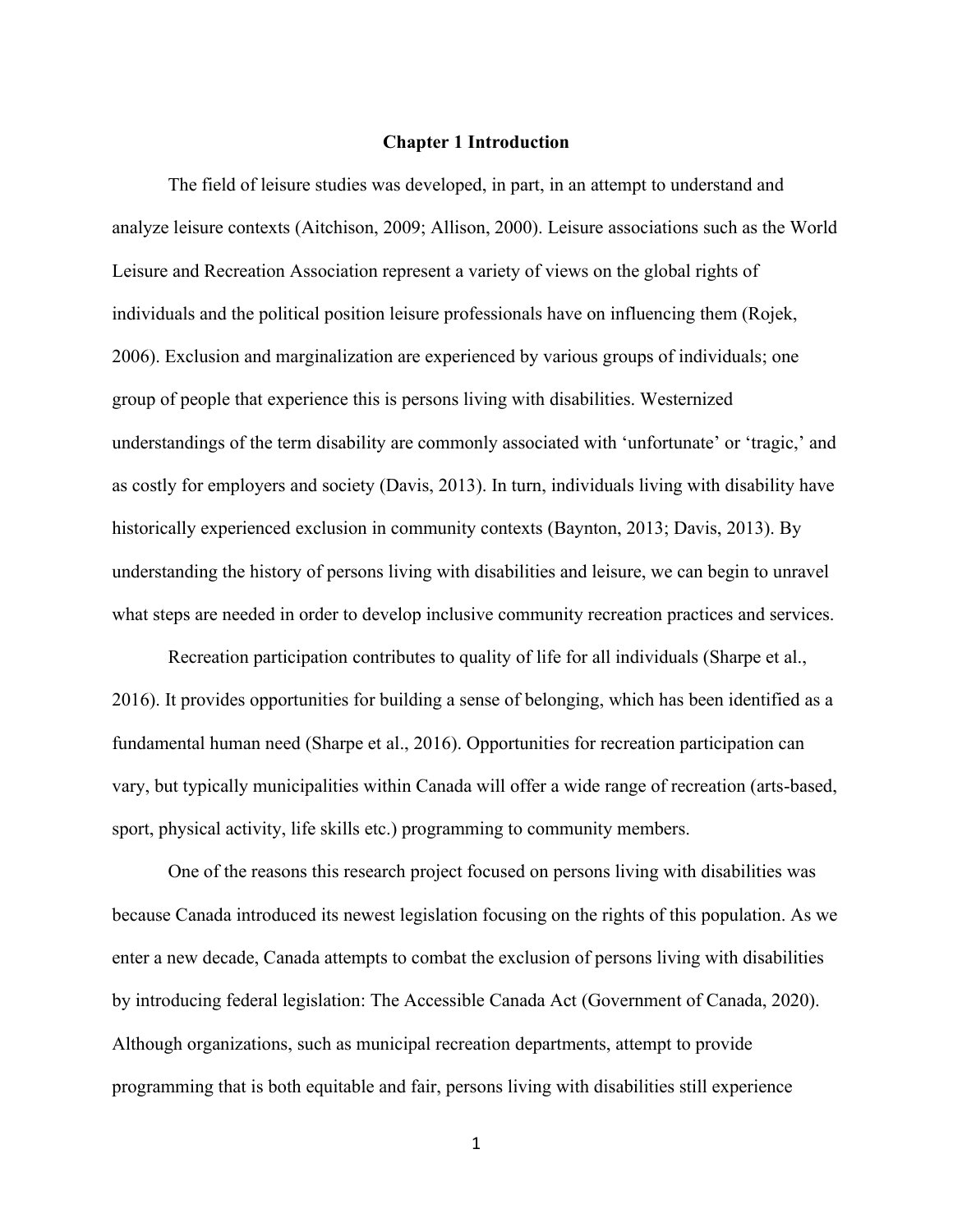#### **Chapter 1 Introduction**

<span id="page-8-0"></span>The field of leisure studies was developed, in part, in an attempt to understand and analyze leisure contexts (Aitchison, 2009; Allison, 2000). Leisure associations such as the World Leisure and Recreation Association represent a variety of views on the global rights of individuals and the political position leisure professionals have on influencing them (Rojek, 2006). Exclusion and marginalization are experienced by various groups of individuals; one group of people that experience this is persons living with disabilities. Westernized understandings of the term disability are commonly associated with 'unfortunate' or 'tragic,' and as costly for employers and society (Davis, 2013). In turn, individuals living with disability have historically experienced exclusion in community contexts (Baynton, 2013; Davis, 2013). By understanding the history of persons living with disabilities and leisure, we can begin to unravel what steps are needed in order to develop inclusive community recreation practices and services.

Recreation participation contributes to quality of life for all individuals (Sharpe et al., 2016). It provides opportunities for building a sense of belonging, which has been identified as a fundamental human need (Sharpe et al., 2016). Opportunities for recreation participation can vary, but typically municipalities within Canada will offer a wide range of recreation (arts-based, sport, physical activity, life skills etc.) programming to community members.

One of the reasons this research project focused on persons living with disabilities was because Canada introduced its newest legislation focusing on the rights of this population. As we enter a new decade, Canada attempts to combat the exclusion of persons living with disabilities by introducing federal legislation: The Accessible Canada Act (Government of Canada, 2020). Although organizations, such as municipal recreation departments, attempt to provide programming that is both equitable and fair, persons living with disabilities still experience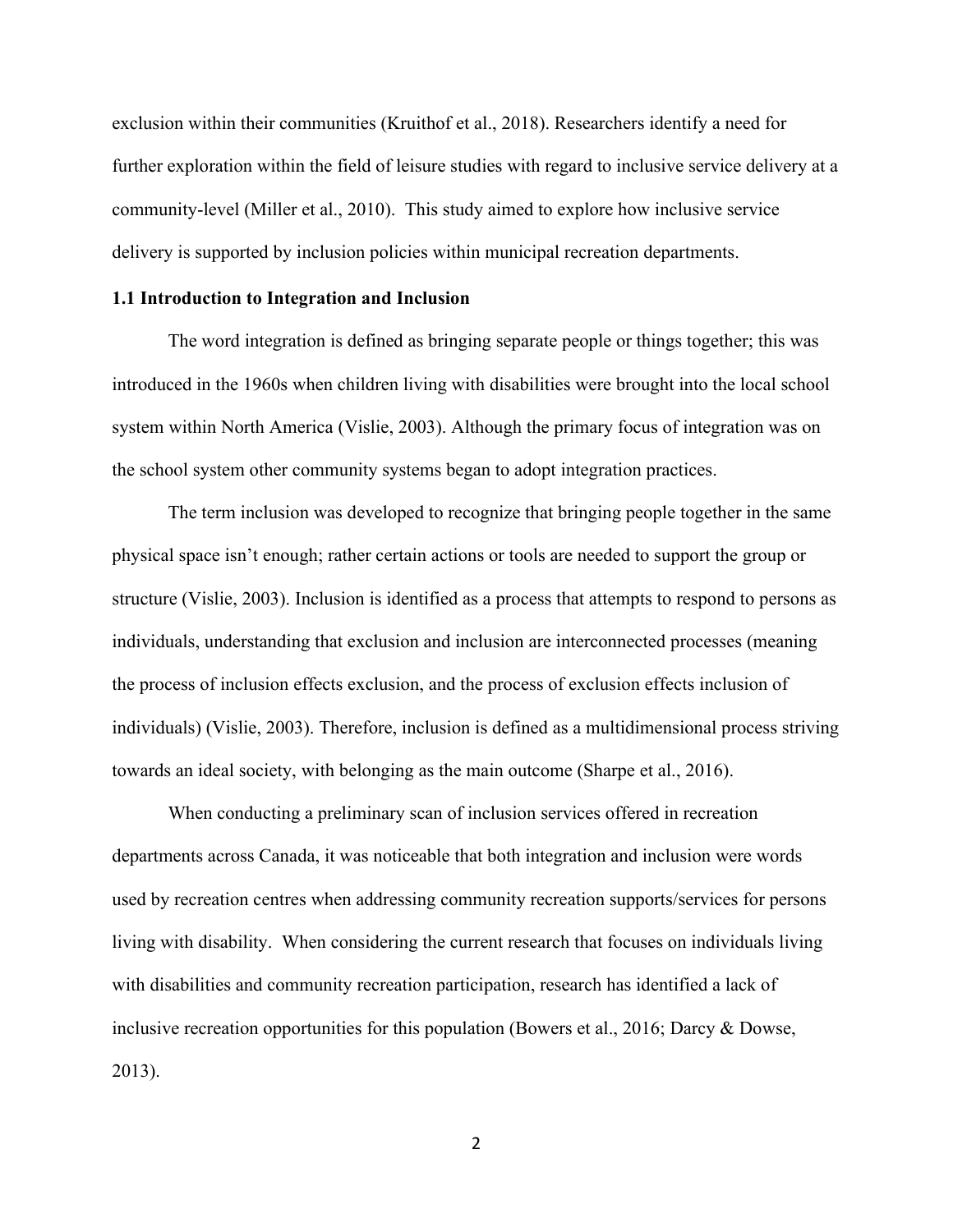exclusion within their communities (Kruithof et al., 2018). Researchers identify a need for further exploration within the field of leisure studies with regard to inclusive service delivery at a community-level (Miller et al., 2010). This study aimed to explore how inclusive service delivery is supported by inclusion policies within municipal recreation departments.

### <span id="page-9-0"></span>**1.1 Introduction to Integration and Inclusion**

The word integration is defined as bringing separate people or things together; this was introduced in the 1960s when children living with disabilities were brought into the local school system within North America (Vislie, 2003). Although the primary focus of integration was on the school system other community systems began to adopt integration practices.

The term inclusion was developed to recognize that bringing people together in the same physical space isn't enough; rather certain actions or tools are needed to support the group or structure (Vislie, 2003). Inclusion is identified as a process that attempts to respond to persons as individuals, understanding that exclusion and inclusion are interconnected processes (meaning the process of inclusion effects exclusion, and the process of exclusion effects inclusion of individuals) (Vislie, 2003). Therefore, inclusion is defined as a multidimensional process striving towards an ideal society, with belonging as the main outcome (Sharpe et al., 2016).

When conducting a preliminary scan of inclusion services offered in recreation departments across Canada, it was noticeable that both integration and inclusion were words used by recreation centres when addressing community recreation supports/services for persons living with disability. When considering the current research that focuses on individuals living with disabilities and community recreation participation, research has identified a lack of inclusive recreation opportunities for this population (Bowers et al., 2016; Darcy & Dowse, 2013).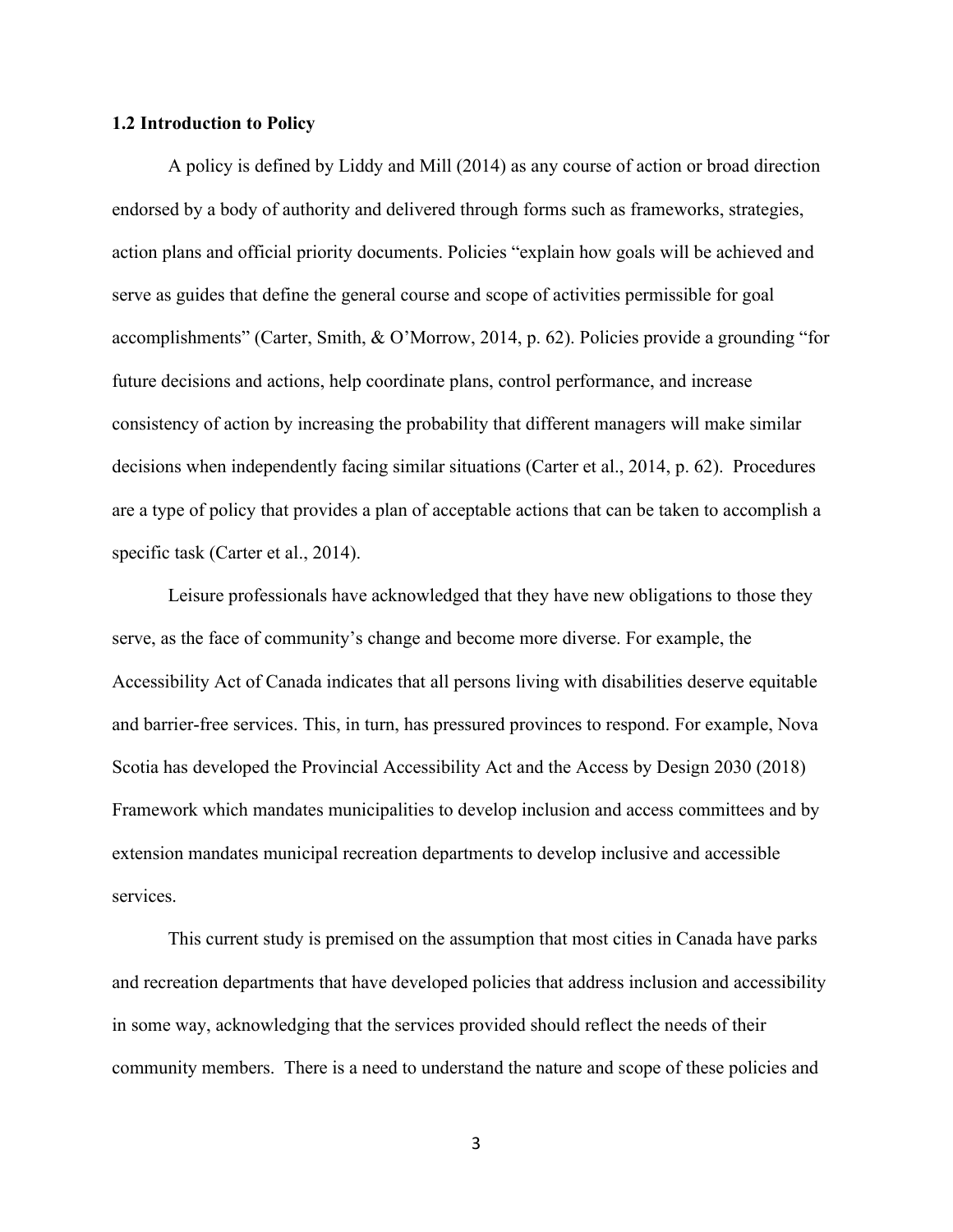#### <span id="page-10-0"></span>**1.2 Introduction to Policy**

A policy is defined by Liddy and Mill (2014) as any course of action or broad direction endorsed by a body of authority and delivered through forms such as frameworks, strategies, action plans and official priority documents. Policies "explain how goals will be achieved and serve as guides that define the general course and scope of activities permissible for goal accomplishments" (Carter, Smith, & O'Morrow, 2014, p. 62). Policies provide a grounding "for future decisions and actions, help coordinate plans, control performance, and increase consistency of action by increasing the probability that different managers will make similar decisions when independently facing similar situations (Carter et al., 2014, p. 62). Procedures are a type of policy that provides a plan of acceptable actions that can be taken to accomplish a specific task (Carter et al., 2014).

Leisure professionals have acknowledged that they have new obligations to those they serve, as the face of community's change and become more diverse. For example, the Accessibility Act of Canada indicates that all persons living with disabilities deserve equitable and barrier-free services. This, in turn, has pressured provinces to respond. For example, Nova Scotia has developed the Provincial Accessibility Act and the Access by Design 2030 (2018) Framework which mandates municipalities to develop inclusion and access committees and by extension mandates municipal recreation departments to develop inclusive and accessible services.

This current study is premised on the assumption that most cities in Canada have parks and recreation departments that have developed policies that address inclusion and accessibility in some way, acknowledging that the services provided should reflect the needs of their community members. There is a need to understand the nature and scope of these policies and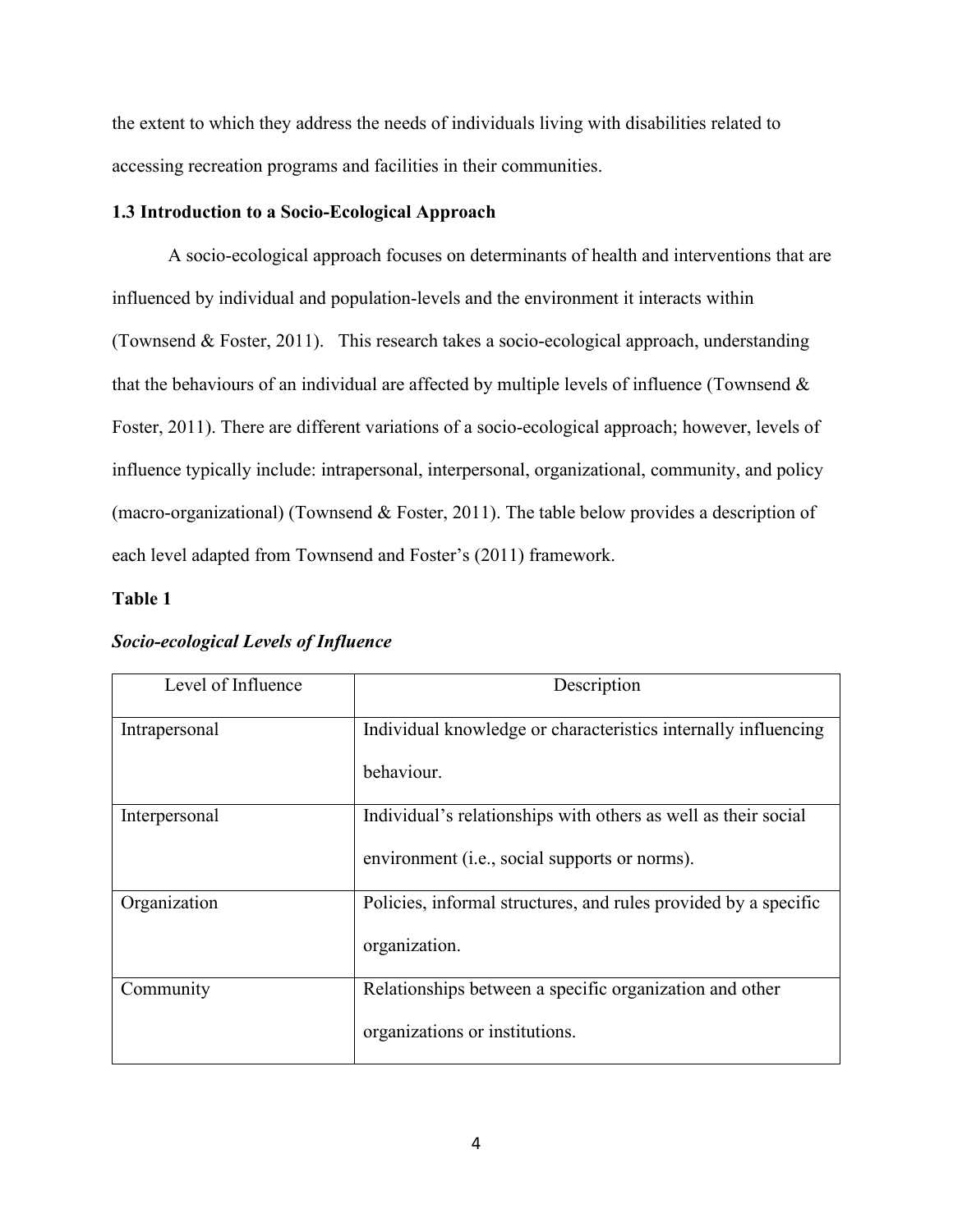the extent to which they address the needs of individuals living with disabilities related to accessing recreation programs and facilities in their communities.

#### <span id="page-11-0"></span>**1.3 Introduction to a Socio-Ecological Approach**

A socio-ecological approach focuses on determinants of health and interventions that are influenced by individual and population-levels and the environment it interacts within (Townsend & Foster, 2011). This research takes a socio-ecological approach, understanding that the behaviours of an individual are affected by multiple levels of influence (Townsend & Foster, 2011). There are different variations of a socio-ecological approach; however, levels of influence typically include: intrapersonal, interpersonal, organizational, community, and policy (macro-organizational) (Townsend & Foster, 2011). The table below provides a description of each level adapted from Townsend and Foster's (2011) framework.

#### **Table 1**

| Level of Influence | Description                                                     |
|--------------------|-----------------------------------------------------------------|
| Intrapersonal      | Individual knowledge or characteristics internally influencing  |
|                    | behaviour.                                                      |
| Interpersonal      | Individual's relationships with others as well as their social  |
|                    | environment (i.e., social supports or norms).                   |
| Organization       | Policies, informal structures, and rules provided by a specific |
|                    | organization.                                                   |
| Community          | Relationships between a specific organization and other         |
|                    | organizations or institutions.                                  |

#### *Socio-ecological Levels of Influence*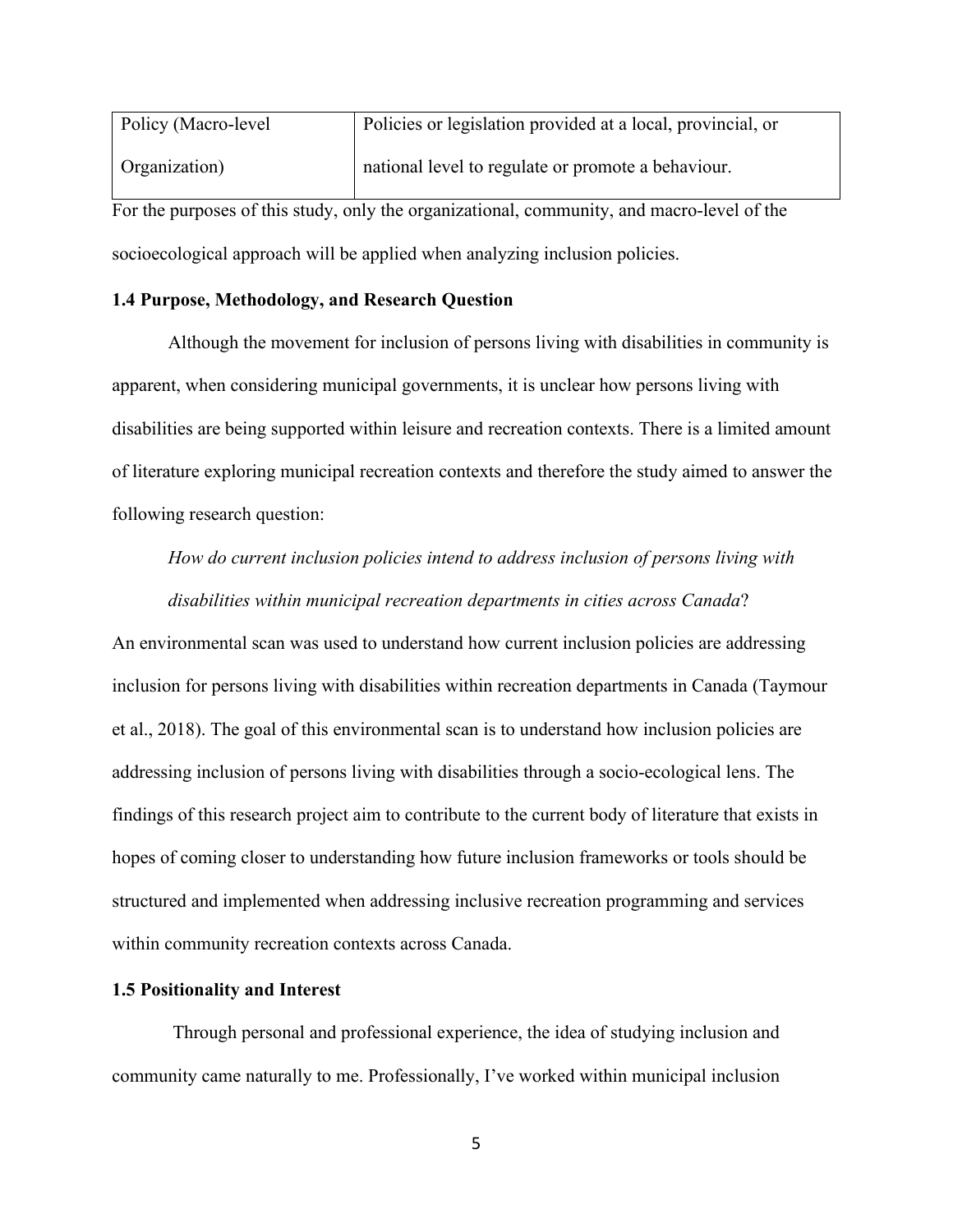| Policy (Macro-level                                                                        | Policies or legislation provided at a local, provincial, or |  |
|--------------------------------------------------------------------------------------------|-------------------------------------------------------------|--|
| Organization)                                                                              | national level to regulate or promote a behaviour.          |  |
| For the purposes of this study, only the organizational, community, and macro-level of the |                                                             |  |
| socioecological approach will be applied when analyzing inclusion policies.                |                                                             |  |

#### <span id="page-12-0"></span>**1.4 Purpose, Methodology, and Research Question**

Although the movement for inclusion of persons living with disabilities in community is apparent, when considering municipal governments, it is unclear how persons living with disabilities are being supported within leisure and recreation contexts. There is a limited amount of literature exploring municipal recreation contexts and therefore the study aimed to answer the following research question:

# *How do current inclusion policies intend to address inclusion of persons living with*

*disabilities within municipal recreation departments in cities across Canada*?

An environmental scan was used to understand how current inclusion policies are addressing inclusion for persons living with disabilities within recreation departments in Canada (Taymour et al., 2018). The goal of this environmental scan is to understand how inclusion policies are addressing inclusion of persons living with disabilities through a socio-ecological lens. The findings of this research project aim to contribute to the current body of literature that exists in hopes of coming closer to understanding how future inclusion frameworks or tools should be structured and implemented when addressing inclusive recreation programming and services within community recreation contexts across Canada.

#### <span id="page-12-1"></span>**1.5 Positionality and Interest**

Through personal and professional experience, the idea of studying inclusion and community came naturally to me. Professionally, I've worked within municipal inclusion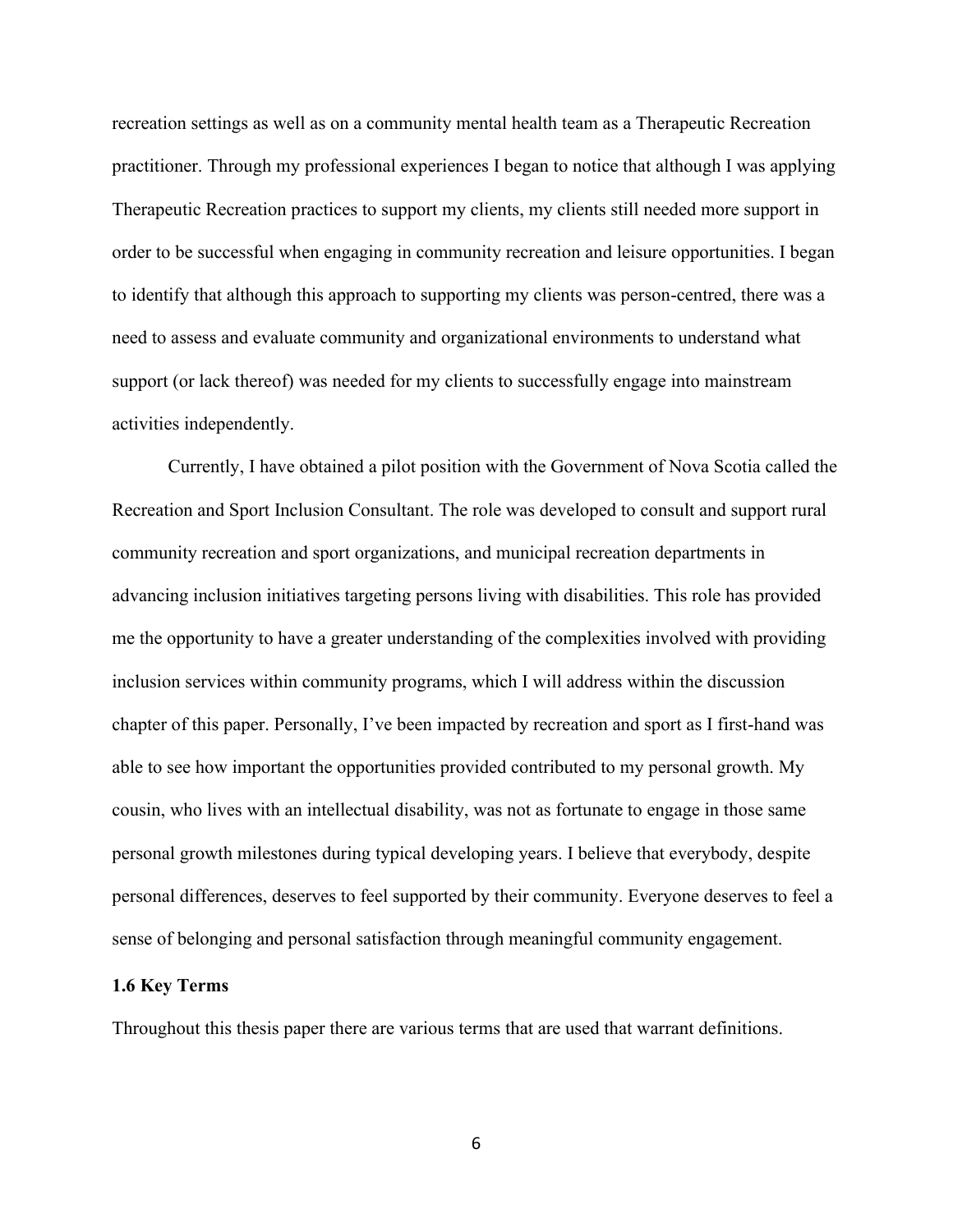recreation settings as well as on a community mental health team as a Therapeutic Recreation practitioner. Through my professional experiences I began to notice that although I was applying Therapeutic Recreation practices to support my clients, my clients still needed more support in order to be successful when engaging in community recreation and leisure opportunities. I began to identify that although this approach to supporting my clients was person-centred, there was a need to assess and evaluate community and organizational environments to understand what support (or lack thereof) was needed for my clients to successfully engage into mainstream activities independently.

Currently, I have obtained a pilot position with the Government of Nova Scotia called the Recreation and Sport Inclusion Consultant. The role was developed to consult and support rural community recreation and sport organizations, and municipal recreation departments in advancing inclusion initiatives targeting persons living with disabilities. This role has provided me the opportunity to have a greater understanding of the complexities involved with providing inclusion services within community programs, which I will address within the discussion chapter of this paper. Personally, I've been impacted by recreation and sport as I first-hand was able to see how important the opportunities provided contributed to my personal growth. My cousin, who lives with an intellectual disability, was not as fortunate to engage in those same personal growth milestones during typical developing years. I believe that everybody, despite personal differences, deserves to feel supported by their community. Everyone deserves to feel a sense of belonging and personal satisfaction through meaningful community engagement.

#### <span id="page-13-0"></span>**1.6 Key Terms**

Throughout this thesis paper there are various terms that are used that warrant definitions.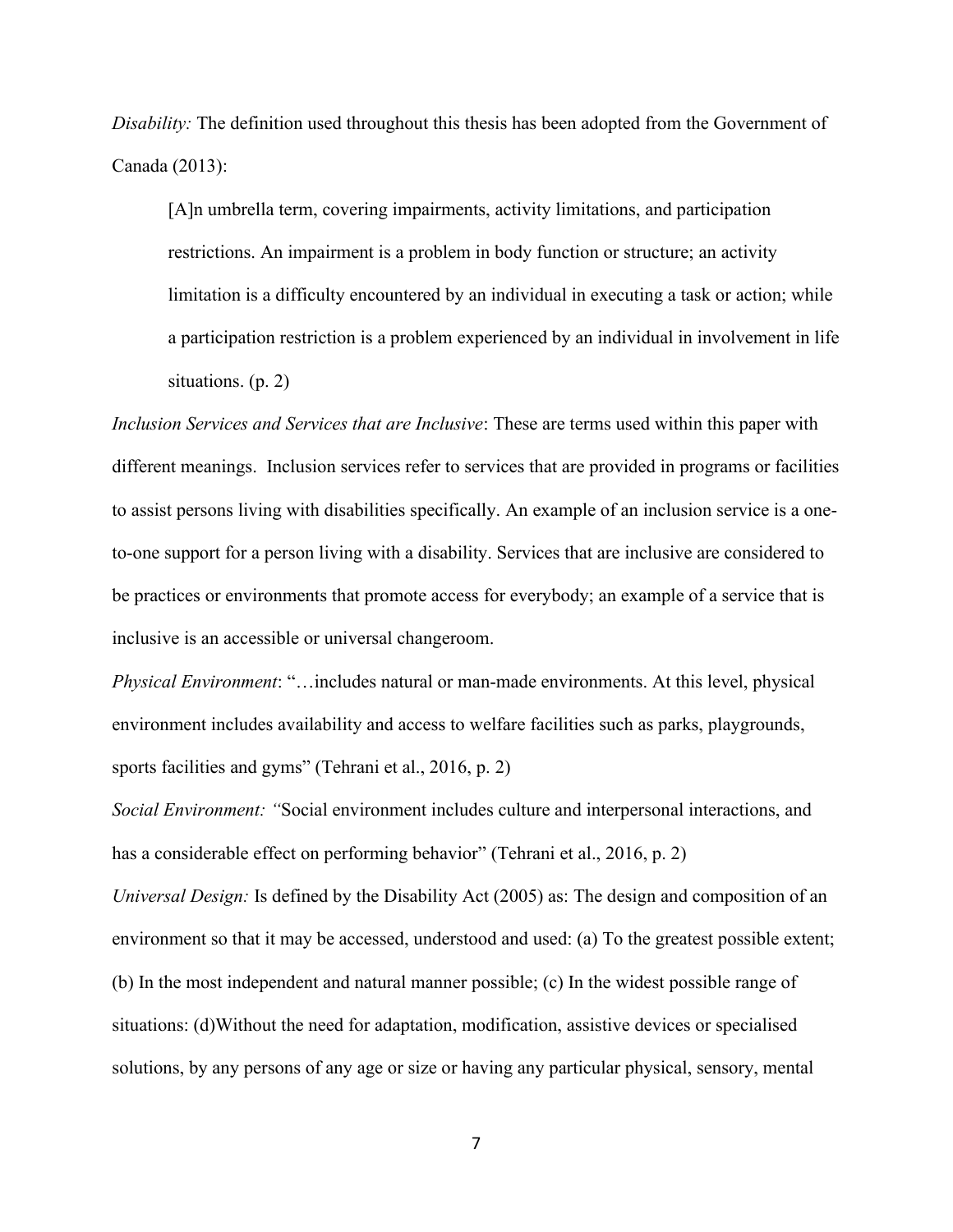*Disability:* The definition used throughout this thesis has been adopted from the Government of Canada (2013):

[A]n umbrella term, covering impairments, activity limitations, and participation restrictions. An impairment is a problem in body function or structure; an activity limitation is a difficulty encountered by an individual in executing a task or action; while a participation restriction is a problem experienced by an individual in involvement in life situations. (p. 2)

*Inclusion Services and Services that are Inclusive*: These are terms used within this paper with different meanings. Inclusion services refer to services that are provided in programs or facilities to assist persons living with disabilities specifically. An example of an inclusion service is a oneto-one support for a person living with a disability. Services that are inclusive are considered to be practices or environments that promote access for everybody; an example of a service that is inclusive is an accessible or universal changeroom.

*Physical Environment*: "…includes natural or man-made environments. At this level, physical environment includes availability and access to welfare facilities such as parks, playgrounds, sports facilities and gyms" (Tehrani et al., 2016, p. 2)

*Social Environment: "*Social environment includes culture and interpersonal interactions, and has a considerable effect on performing behavior" (Tehrani et al., 2016, p. 2)

*Universal Design:* Is defined by the Disability Act (2005) as: The design and composition of an environment so that it may be accessed, understood and used: (a) To the greatest possible extent; (b) In the most independent and natural manner possible; (c) In the widest possible range of situations: (d)Without the need for adaptation, modification, assistive devices or specialised solutions, by any persons of any age or size or having any particular physical, sensory, mental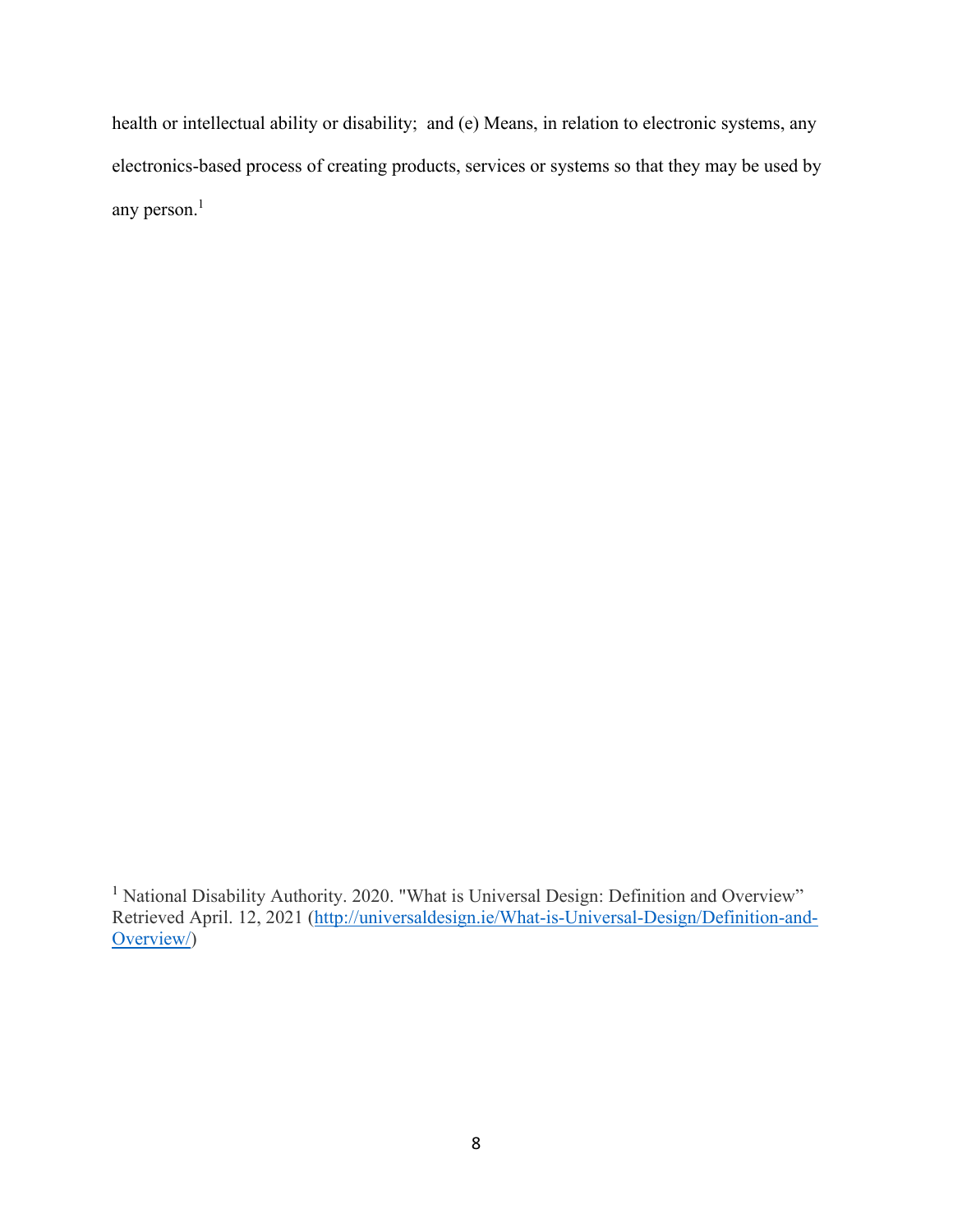health or intellectual ability or disability; and (e) Means, in relation to electronic systems, any electronics-based process of creating products, services or systems so that they may be used by any person.<sup>1</sup>

<sup>1</sup> National Disability Authority. 2020. "What is Universal Design: Definition and Overview" Retrieved April. 12, 2021 [\(http://universaldesign.ie/What-is-Universal-Design/Definition-and-](http://universaldesign.ie/What-is-Universal-Design/Definition-and-Overview/)[Overview/\)](http://universaldesign.ie/What-is-Universal-Design/Definition-and-Overview/)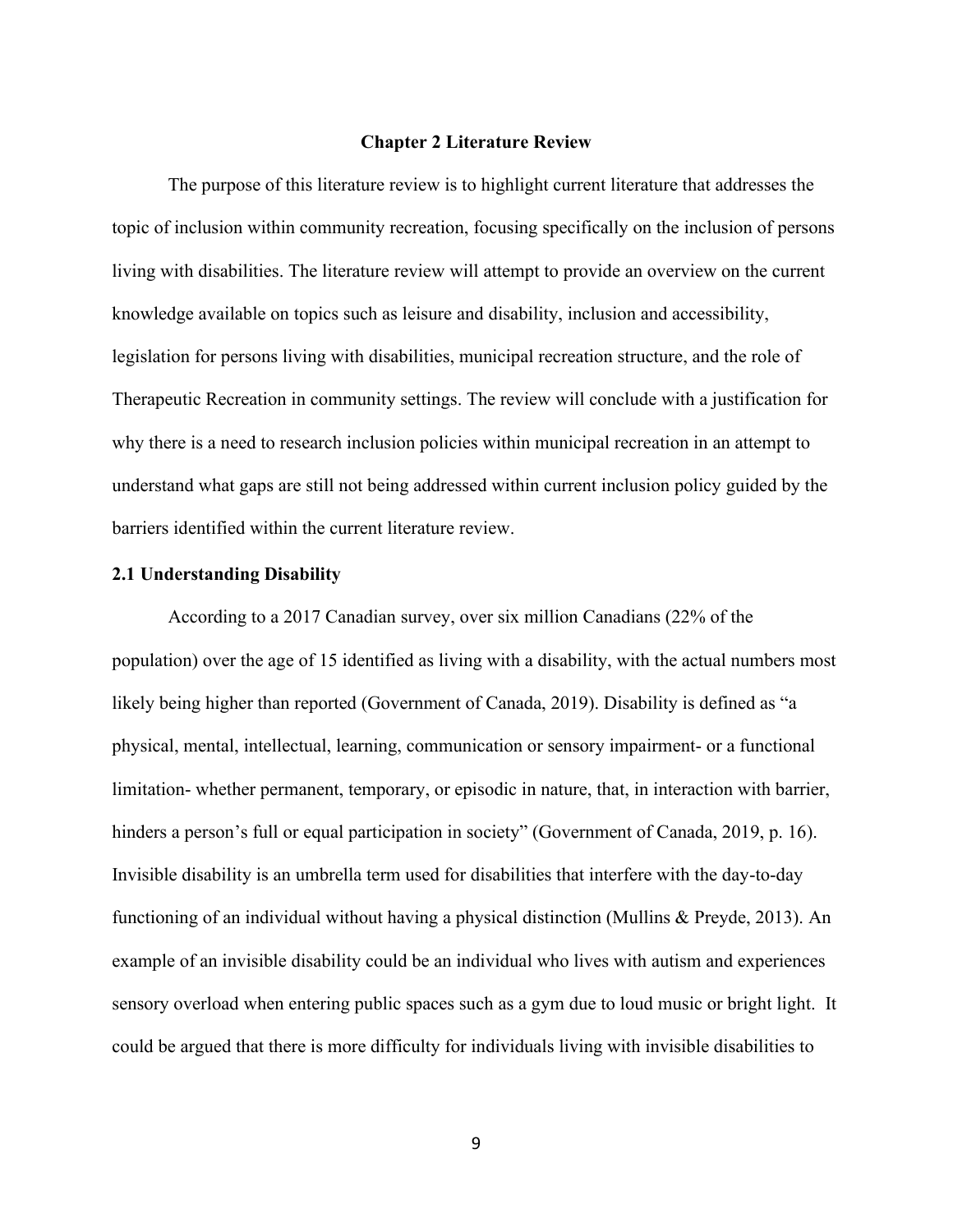#### **Chapter 2 Literature Review**

<span id="page-16-0"></span>The purpose of this literature review is to highlight current literature that addresses the topic of inclusion within community recreation, focusing specifically on the inclusion of persons living with disabilities. The literature review will attempt to provide an overview on the current knowledge available on topics such as leisure and disability, inclusion and accessibility, legislation for persons living with disabilities, municipal recreation structure, and the role of Therapeutic Recreation in community settings. The review will conclude with a justification for why there is a need to research inclusion policies within municipal recreation in an attempt to understand what gaps are still not being addressed within current inclusion policy guided by the barriers identified within the current literature review.

#### <span id="page-16-1"></span>**2.1 Understanding Disability**

According to a 2017 Canadian survey, over six million Canadians (22% of the population) over the age of 15 identified as living with a disability, with the actual numbers most likely being higher than reported (Government of Canada, 2019). Disability is defined as "a physical, mental, intellectual, learning, communication or sensory impairment- or a functional limitation- whether permanent, temporary, or episodic in nature, that, in interaction with barrier, hinders a person's full or equal participation in society" (Government of Canada, 2019, p. 16). Invisible disability is an umbrella term used for disabilities that interfere with the day-to-day functioning of an individual without having a physical distinction (Mullins & Preyde, 2013). An example of an invisible disability could be an individual who lives with autism and experiences sensory overload when entering public spaces such as a gym due to loud music or bright light. It could be argued that there is more difficulty for individuals living with invisible disabilities to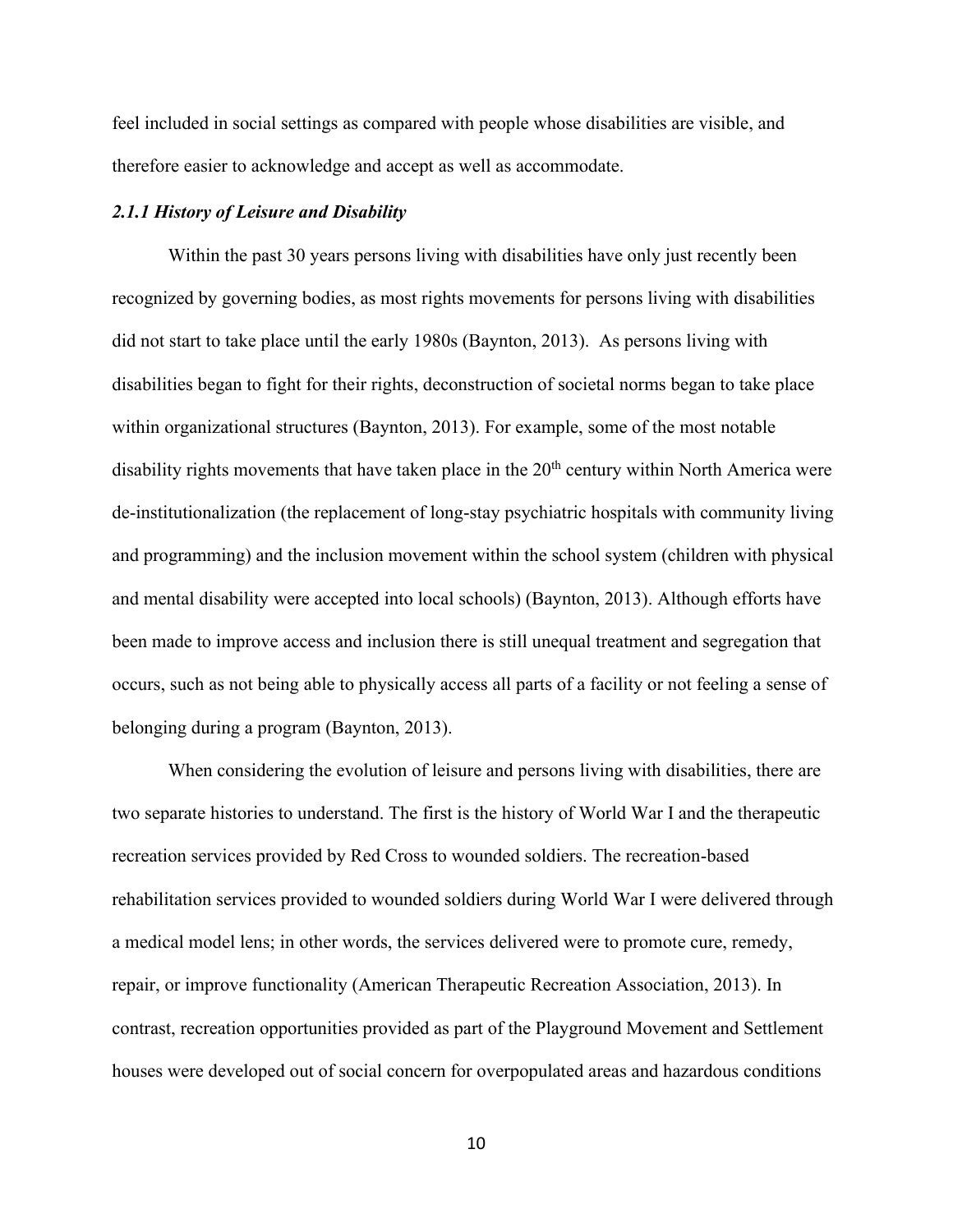feel included in social settings as compared with people whose disabilities are visible, and therefore easier to acknowledge and accept as well as accommodate.

#### <span id="page-17-0"></span>*2.1.1 History of Leisure and Disability*

Within the past 30 years persons living with disabilities have only just recently been recognized by governing bodies, as most rights movements for persons living with disabilities did not start to take place until the early 1980s (Baynton, 2013). As persons living with disabilities began to fight for their rights, deconstruction of societal norms began to take place within organizational structures (Baynton, 2013). For example, some of the most notable disability rights movements that have taken place in the  $20<sup>th</sup>$  century within North America were de-institutionalization (the replacement of long-stay psychiatric hospitals with community living and programming) and the inclusion movement within the school system (children with physical and mental disability were accepted into local schools) (Baynton, 2013). Although efforts have been made to improve access and inclusion there is still unequal treatment and segregation that occurs, such as not being able to physically access all parts of a facility or not feeling a sense of belonging during a program (Baynton, 2013).

When considering the evolution of leisure and persons living with disabilities, there are two separate histories to understand. The first is the history of World War I and the therapeutic recreation services provided by Red Cross to wounded soldiers. The recreation-based rehabilitation services provided to wounded soldiers during World War I were delivered through a medical model lens; in other words, the services delivered were to promote cure, remedy, repair, or improve functionality (American Therapeutic Recreation Association, 2013). In contrast, recreation opportunities provided as part of the Playground Movement and Settlement houses were developed out of social concern for overpopulated areas and hazardous conditions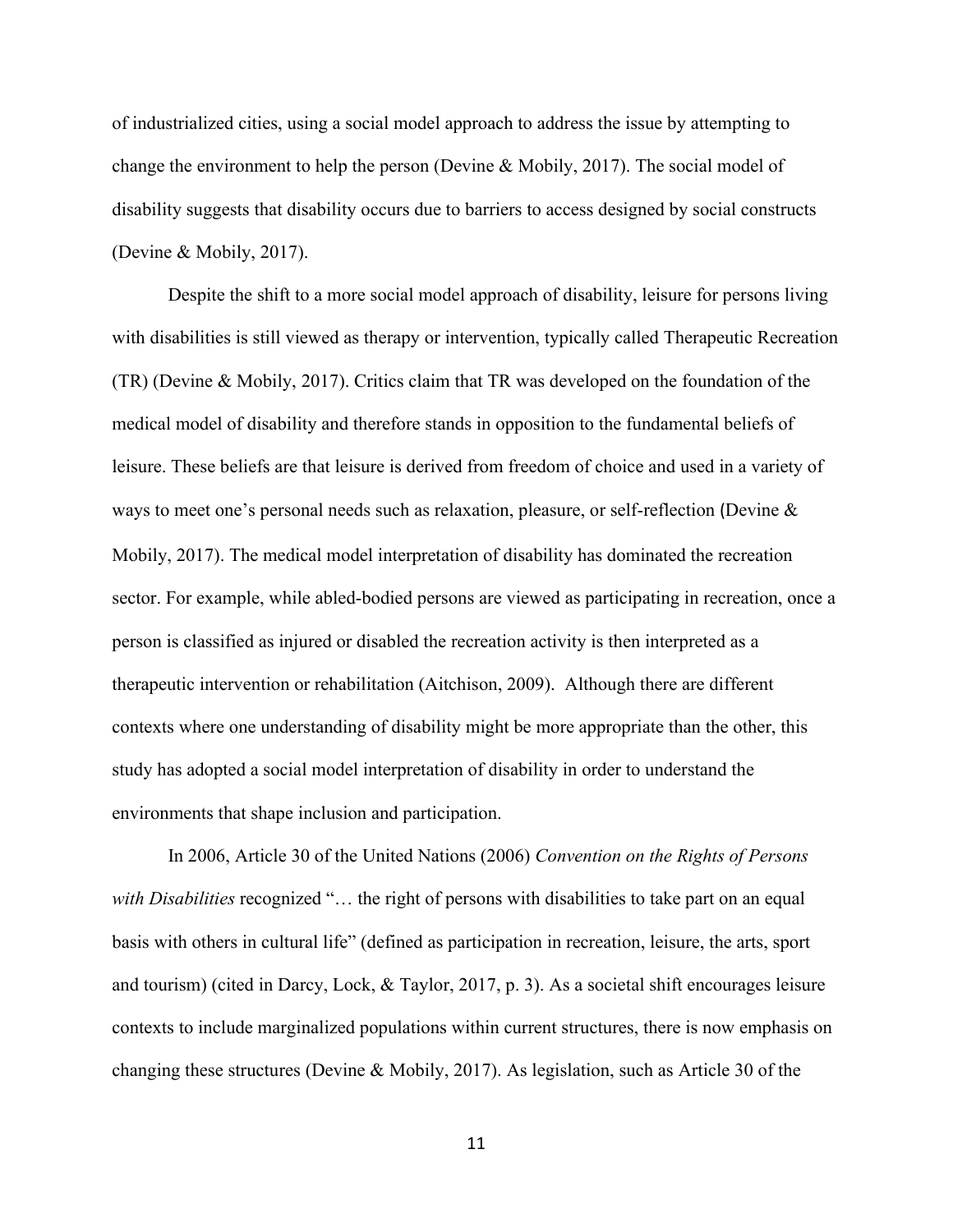of industrialized cities, using a social model approach to address the issue by attempting to change the environment to help the person (Devine & Mobily, 2017). The social model of disability suggests that disability occurs due to barriers to access designed by social constructs (Devine & Mobily, 2017).

Despite the shift to a more social model approach of disability, leisure for persons living with disabilities is still viewed as therapy or intervention, typically called Therapeutic Recreation (TR) (Devine & Mobily, 2017). Critics claim that TR was developed on the foundation of the medical model of disability and therefore stands in opposition to the fundamental beliefs of leisure. These beliefs are that leisure is derived from freedom of choice and used in a variety of ways to meet one's personal needs such as relaxation, pleasure, or self-reflection (Devine & Mobily, 2017). The medical model interpretation of disability has dominated the recreation sector. For example, while abled-bodied persons are viewed as participating in recreation, once a person is classified as injured or disabled the recreation activity is then interpreted as a therapeutic intervention or rehabilitation (Aitchison, 2009). Although there are different contexts where one understanding of disability might be more appropriate than the other, this study has adopted a social model interpretation of disability in order to understand the environments that shape inclusion and participation.

In 2006, Article 30 of the United Nations (2006) *Convention on the Rights of Persons with Disabilities* recognized "… the right of persons with disabilities to take part on an equal basis with others in cultural life" (defined as participation in recreation, leisure, the arts, sport and tourism) (cited in Darcy, Lock, & Taylor, 2017, p. 3). As a societal shift encourages leisure contexts to include marginalized populations within current structures, there is now emphasis on changing these structures (Devine & Mobily, 2017). As legislation, such as Article 30 of the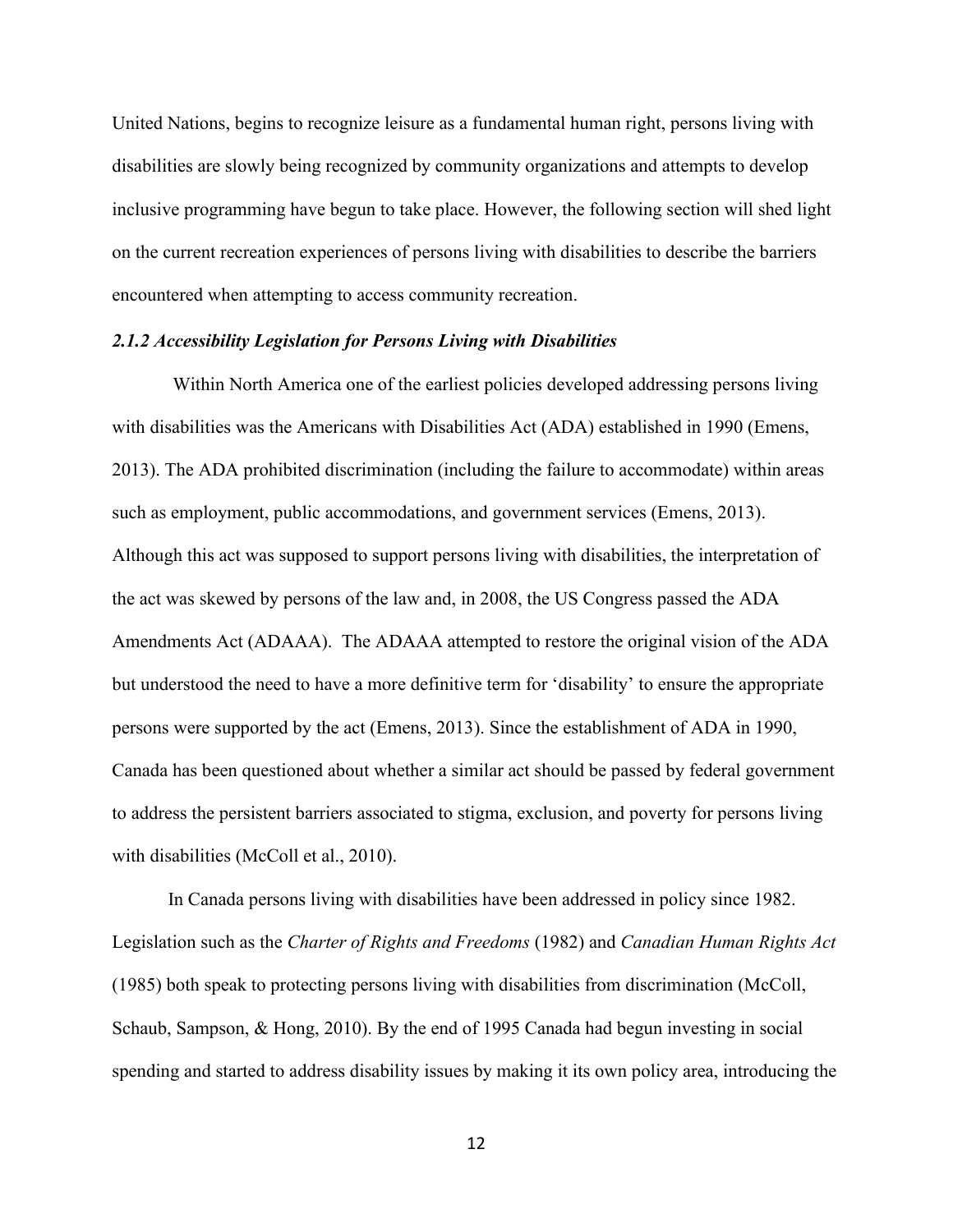United Nations, begins to recognize leisure as a fundamental human right, persons living with disabilities are slowly being recognized by community organizations and attempts to develop inclusive programming have begun to take place. However, the following section will shed light on the current recreation experiences of persons living with disabilities to describe the barriers encountered when attempting to access community recreation.

#### <span id="page-19-0"></span>*2.1.2 Accessibility Legislation for Persons Living with Disabilities*

Within North America one of the earliest policies developed addressing persons living with disabilities was the Americans with Disabilities Act (ADA) established in 1990 (Emens, 2013). The ADA prohibited discrimination (including the failure to accommodate) within areas such as employment, public accommodations, and government services (Emens, 2013). Although this act was supposed to support persons living with disabilities, the interpretation of the act was skewed by persons of the law and, in 2008, the US Congress passed the ADA Amendments Act (ADAAA). The ADAAA attempted to restore the original vision of the ADA but understood the need to have a more definitive term for 'disability' to ensure the appropriate persons were supported by the act (Emens, 2013). Since the establishment of ADA in 1990, Canada has been questioned about whether a similar act should be passed by federal government to address the persistent barriers associated to stigma, exclusion, and poverty for persons living with disabilities (McColl et al., 2010).

In Canada persons living with disabilities have been addressed in policy since 1982. Legislation such as the *Charter of Rights and Freedoms* (1982) and *Canadian Human Rights Act* (1985) both speak to protecting persons living with disabilities from discrimination (McColl, Schaub, Sampson, & Hong, 2010). By the end of 1995 Canada had begun investing in social spending and started to address disability issues by making it its own policy area, introducing the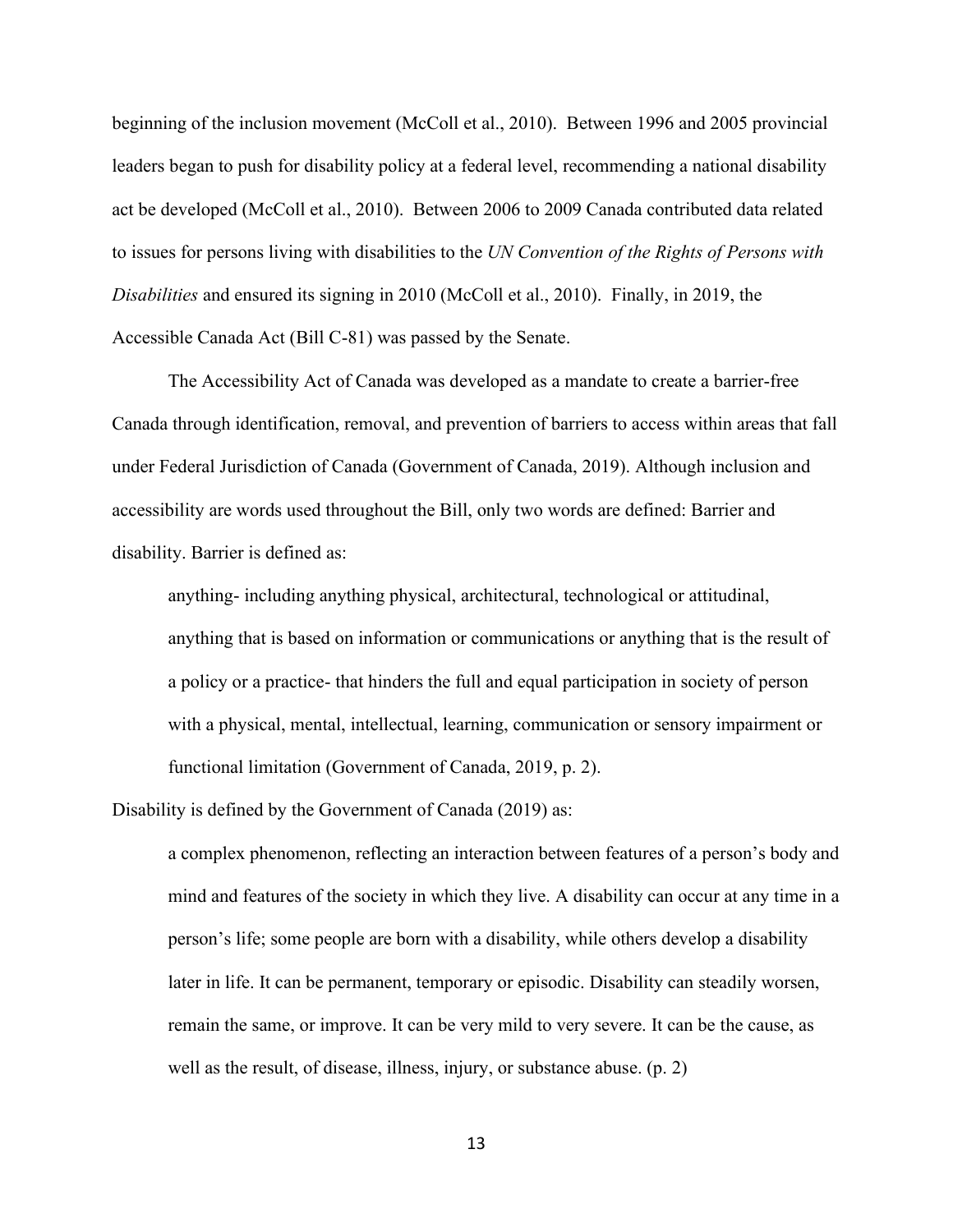beginning of the inclusion movement (McColl et al., 2010). Between 1996 and 2005 provincial leaders began to push for disability policy at a federal level, recommending a national disability act be developed (McColl et al., 2010). Between 2006 to 2009 Canada contributed data related to issues for persons living with disabilities to the *UN Convention of the Rights of Persons with Disabilities* and ensured its signing in 2010 (McColl et al., 2010). Finally, in 2019, the Accessible Canada Act (Bill C-81) was passed by the Senate.

The Accessibility Act of Canada was developed as a mandate to create a barrier-free Canada through identification, removal, and prevention of barriers to access within areas that fall under Federal Jurisdiction of Canada (Government of Canada, 2019). Although inclusion and accessibility are words used throughout the Bill, only two words are defined: Barrier and disability. Barrier is defined as:

anything- including anything physical, architectural, technological or attitudinal, anything that is based on information or communications or anything that is the result of a policy or a practice- that hinders the full and equal participation in society of person with a physical, mental, intellectual, learning, communication or sensory impairment or functional limitation (Government of Canada, 2019, p. 2).

Disability is defined by the Government of Canada (2019) as:

a complex phenomenon, reflecting an interaction between features of a person's body and mind and features of the society in which they live. A disability can occur at any time in a person's life; some people are born with a disability, while others develop a disability later in life. It can be permanent, temporary or episodic. Disability can steadily worsen, remain the same, or improve. It can be very mild to very severe. It can be the cause, as well as the result, of disease, illness, injury, or substance abuse. (p. 2)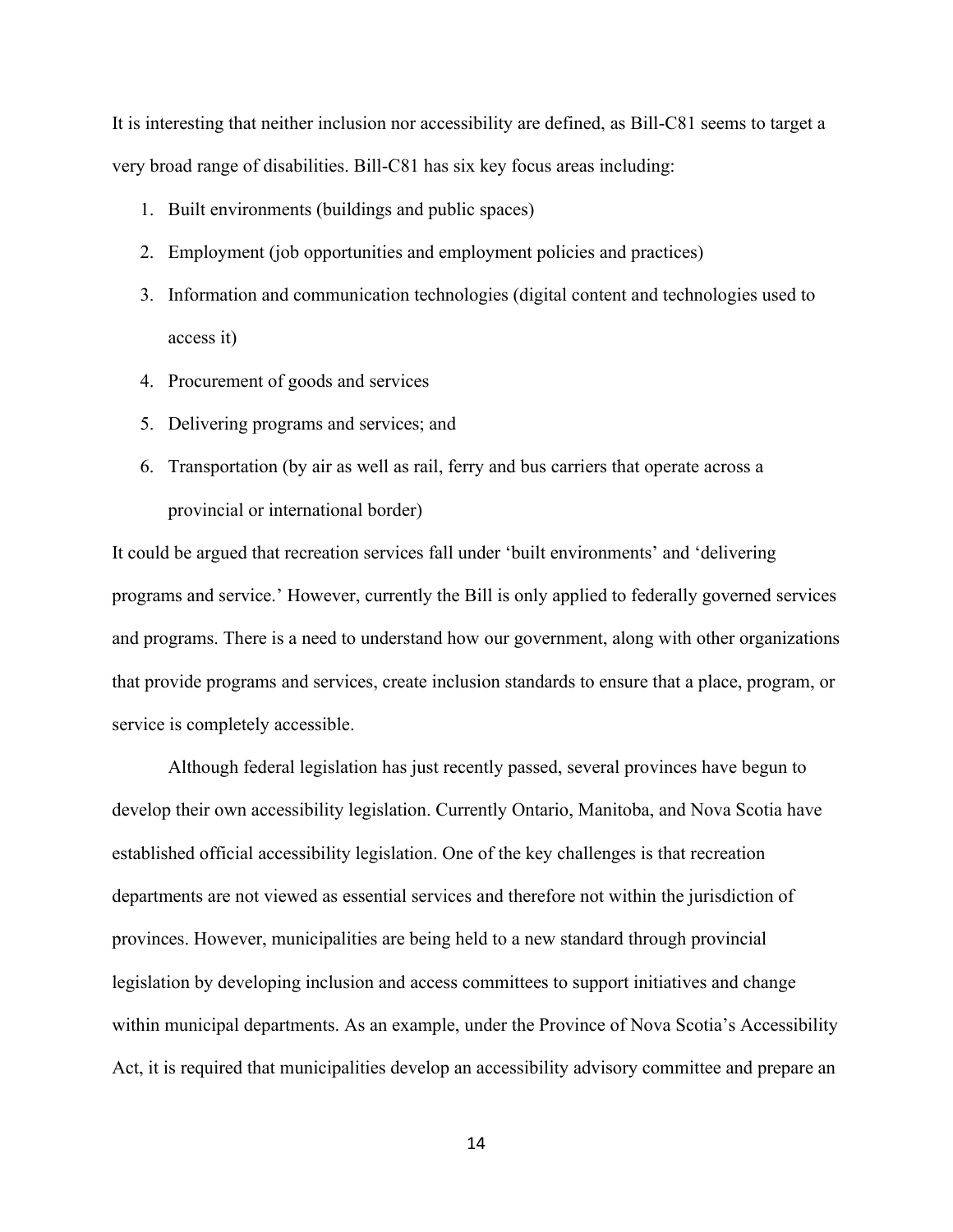It is interesting that neither inclusion nor accessibility are defined, as Bill-C81 seems to target a very broad range of disabilities. Bill-C81 has six key focus areas including:

- 1. Built environments (buildings and public spaces)
- 2. Employment (job opportunities and employment policies and practices)
- 3. Information and communication technologies (digital content and technologies used to access it)
- 4. Procurement of goods and services
- 5. Delivering programs and services; and
- 6. Transportation (by air as well as rail, ferry and bus carriers that operate across a provincial or international border)

It could be argued that recreation services fall under 'built environments' and 'delivering programs and service.' However, currently the Bill is only applied to federally governed services and programs. There is a need to understand how our government, along with other organizations that provide programs and services, create inclusion standards to ensure that a place, program, or service is completely accessible.

Although federal legislation has just recently passed, several provinces have begun to develop their own accessibility legislation. Currently Ontario, Manitoba, and Nova Scotia have established official accessibility legislation. One of the key challenges is that recreation departments are not viewed as essential services and therefore not within the jurisdiction of provinces. However, municipalities are being held to a new standard through provincial legislation by developing inclusion and access committees to support initiatives and change within municipal departments. As an example, under the Province of Nova Scotia's Accessibility Act, it is required that municipalities develop an accessibility advisory committee and prepare an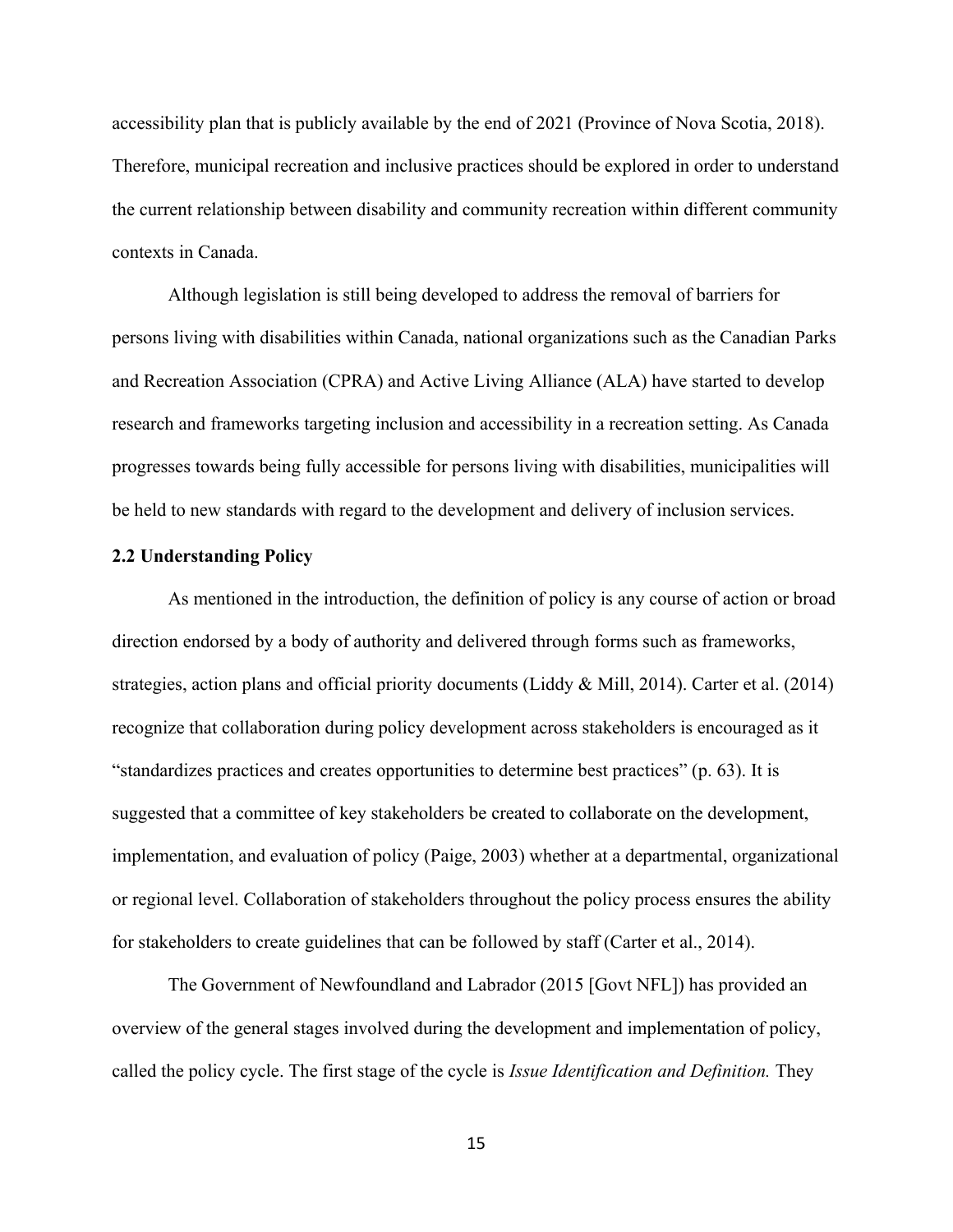accessibility plan that is publicly available by the end of 2021 (Province of Nova Scotia, 2018). Therefore, municipal recreation and inclusive practices should be explored in order to understand the current relationship between disability and community recreation within different community contexts in Canada.

Although legislation is still being developed to address the removal of barriers for persons living with disabilities within Canada, national organizations such as the Canadian Parks and Recreation Association (CPRA) and Active Living Alliance (ALA) have started to develop research and frameworks targeting inclusion and accessibility in a recreation setting. As Canada progresses towards being fully accessible for persons living with disabilities, municipalities will be held to new standards with regard to the development and delivery of inclusion services.

#### <span id="page-22-0"></span>**2.2 Understanding Policy**

As mentioned in the introduction, the definition of policy is any course of action or broad direction endorsed by a body of authority and delivered through forms such as frameworks, strategies, action plans and official priority documents (Liddy & Mill, 2014). Carter et al. (2014) recognize that collaboration during policy development across stakeholders is encouraged as it "standardizes practices and creates opportunities to determine best practices" (p. 63). It is suggested that a committee of key stakeholders be created to collaborate on the development, implementation, and evaluation of policy (Paige, 2003) whether at a departmental, organizational or regional level. Collaboration of stakeholders throughout the policy process ensures the ability for stakeholders to create guidelines that can be followed by staff (Carter et al., 2014).

The Government of Newfoundland and Labrador (2015 [Govt NFL]) has provided an overview of the general stages involved during the development and implementation of policy, called the policy cycle. The first stage of the cycle is *Issue Identification and Definition.* They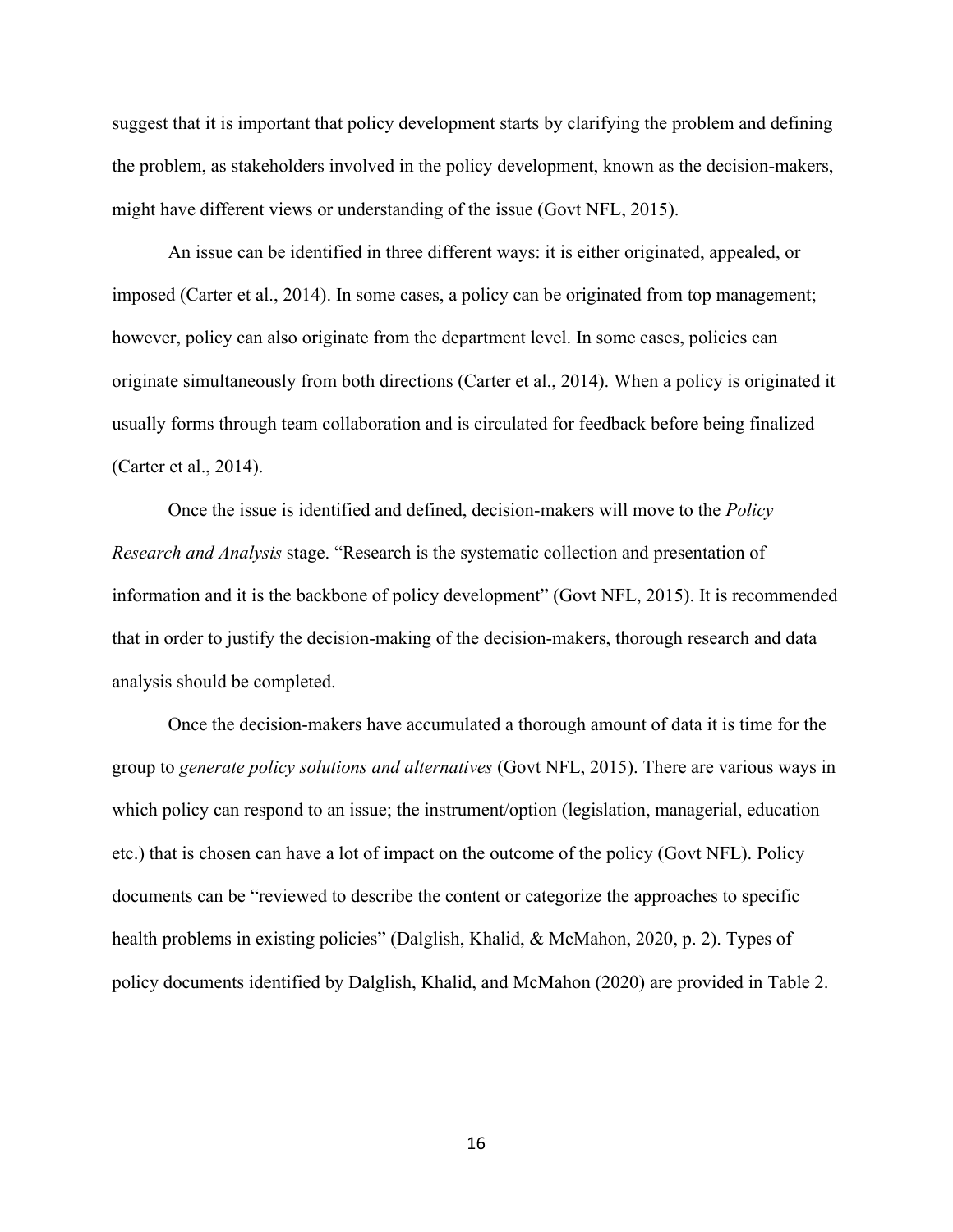suggest that it is important that policy development starts by clarifying the problem and defining the problem, as stakeholders involved in the policy development, known as the decision-makers, might have different views or understanding of the issue (Govt NFL, 2015).

An issue can be identified in three different ways: it is either originated, appealed, or imposed (Carter et al., 2014). In some cases, a policy can be originated from top management; however, policy can also originate from the department level. In some cases, policies can originate simultaneously from both directions (Carter et al., 2014). When a policy is originated it usually forms through team collaboration and is circulated for feedback before being finalized (Carter et al., 2014).

Once the issue is identified and defined, decision-makers will move to the *Policy Research and Analysis* stage. "Research is the systematic collection and presentation of information and it is the backbone of policy development" (Govt NFL, 2015). It is recommended that in order to justify the decision-making of the decision-makers, thorough research and data analysis should be completed.

Once the decision-makers have accumulated a thorough amount of data it is time for the group to *generate policy solutions and alternatives* (Govt NFL, 2015). There are various ways in which policy can respond to an issue; the instrument/option (legislation, managerial, education etc.) that is chosen can have a lot of impact on the outcome of the policy (Govt NFL). Policy documents can be "reviewed to describe the content or categorize the approaches to specific health problems in existing policies" (Dalglish, Khalid, & McMahon, 2020, p. 2). Types of policy documents identified by Dalglish, Khalid, and McMahon (2020) are provided in Table 2.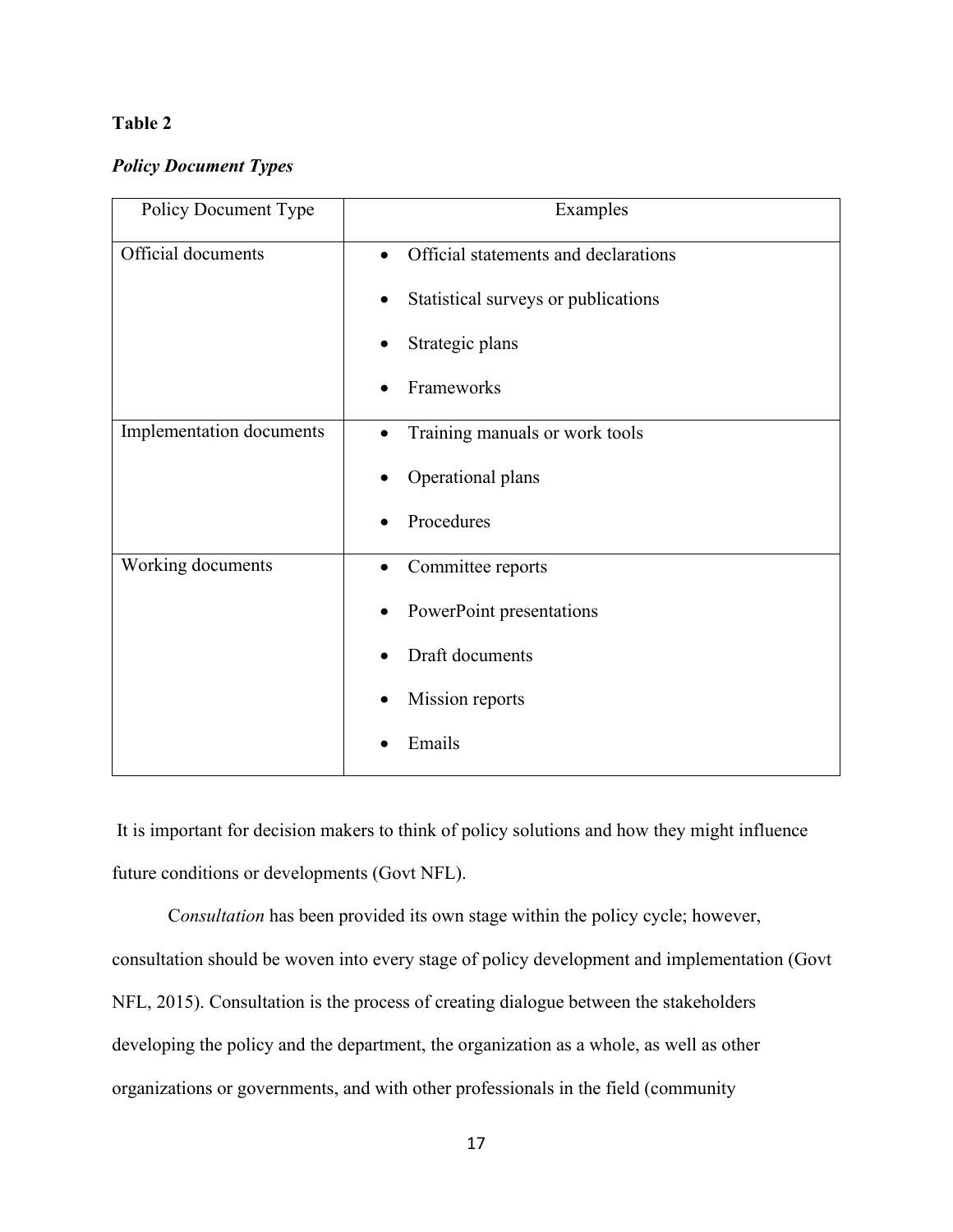## **Table 2**

## *Policy Document Types*

| Policy Document Type     | Examples                             |
|--------------------------|--------------------------------------|
| Official documents       | Official statements and declarations |
|                          | Statistical surveys or publications  |
|                          | Strategic plans                      |
|                          | Frameworks                           |
| Implementation documents | Training manuals or work tools       |
|                          | Operational plans                    |
|                          | Procedures                           |
| Working documents        | Committee reports                    |
|                          | PowerPoint presentations             |
|                          | Draft documents                      |
|                          | Mission reports                      |
|                          | Emails                               |

It is important for decision makers to think of policy solutions and how they might influence future conditions or developments (Govt NFL).

C*onsultation* has been provided its own stage within the policy cycle; however, consultation should be woven into every stage of policy development and implementation (Govt NFL, 2015). Consultation is the process of creating dialogue between the stakeholders developing the policy and the department, the organization as a whole, as well as other organizations or governments, and with other professionals in the field (community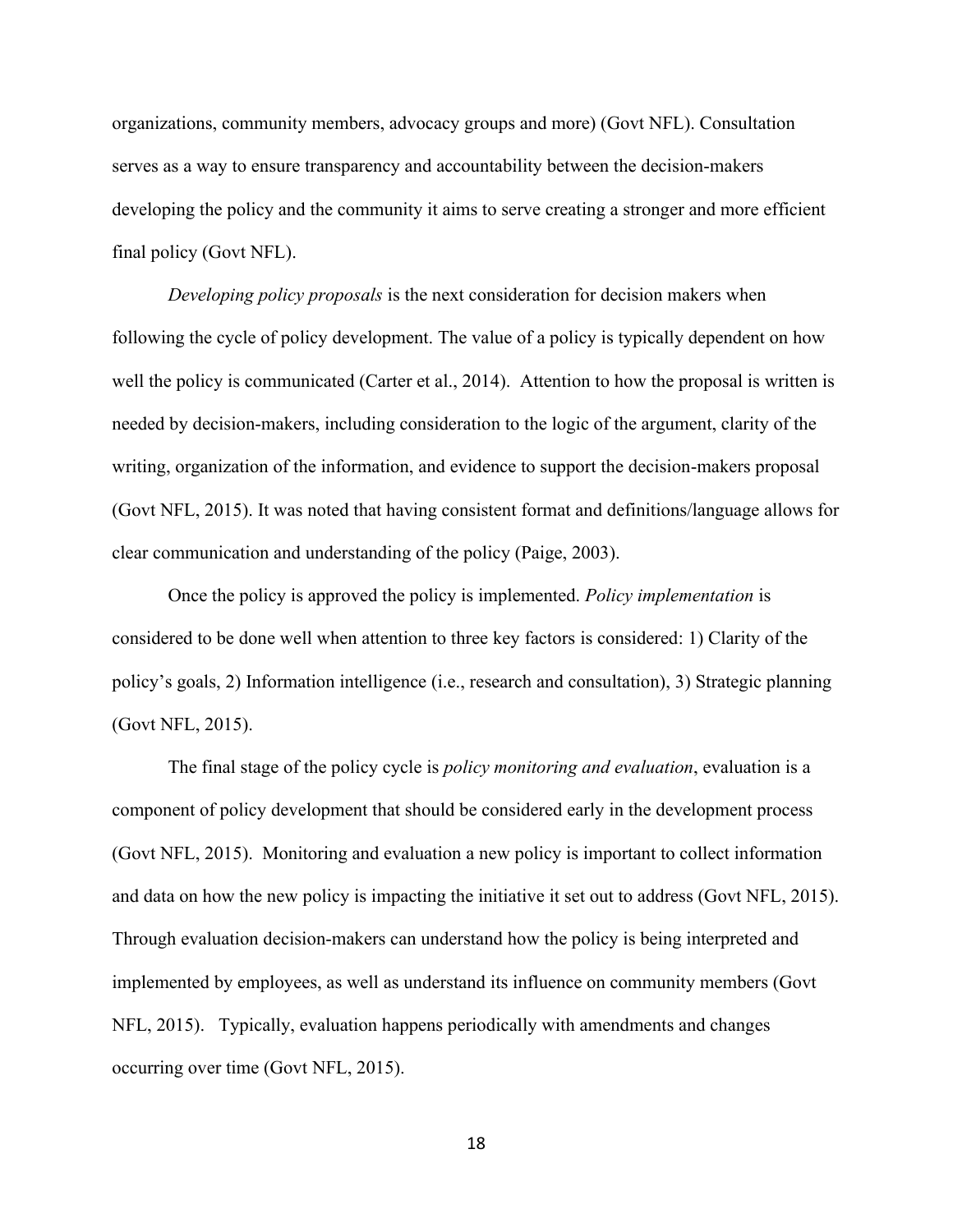organizations, community members, advocacy groups and more) (Govt NFL). Consultation serves as a way to ensure transparency and accountability between the decision-makers developing the policy and the community it aims to serve creating a stronger and more efficient final policy (Govt NFL).

*Developing policy proposals* is the next consideration for decision makers when following the cycle of policy development. The value of a policy is typically dependent on how well the policy is communicated (Carter et al., 2014). Attention to how the proposal is written is needed by decision-makers, including consideration to the logic of the argument, clarity of the writing, organization of the information, and evidence to support the decision-makers proposal (Govt NFL, 2015). It was noted that having consistent format and definitions/language allows for clear communication and understanding of the policy (Paige, 2003).

Once the policy is approved the policy is implemented. *Policy implementation* is considered to be done well when attention to three key factors is considered: 1) Clarity of the policy's goals, 2) Information intelligence (i.e., research and consultation), 3) Strategic planning (Govt NFL, 2015).

The final stage of the policy cycle is *policy monitoring and evaluation*, evaluation is a component of policy development that should be considered early in the development process (Govt NFL, 2015). Monitoring and evaluation a new policy is important to collect information and data on how the new policy is impacting the initiative it set out to address (Govt NFL, 2015). Through evaluation decision-makers can understand how the policy is being interpreted and implemented by employees, as well as understand its influence on community members (Govt NFL, 2015). Typically, evaluation happens periodically with amendments and changes occurring over time (Govt NFL, 2015).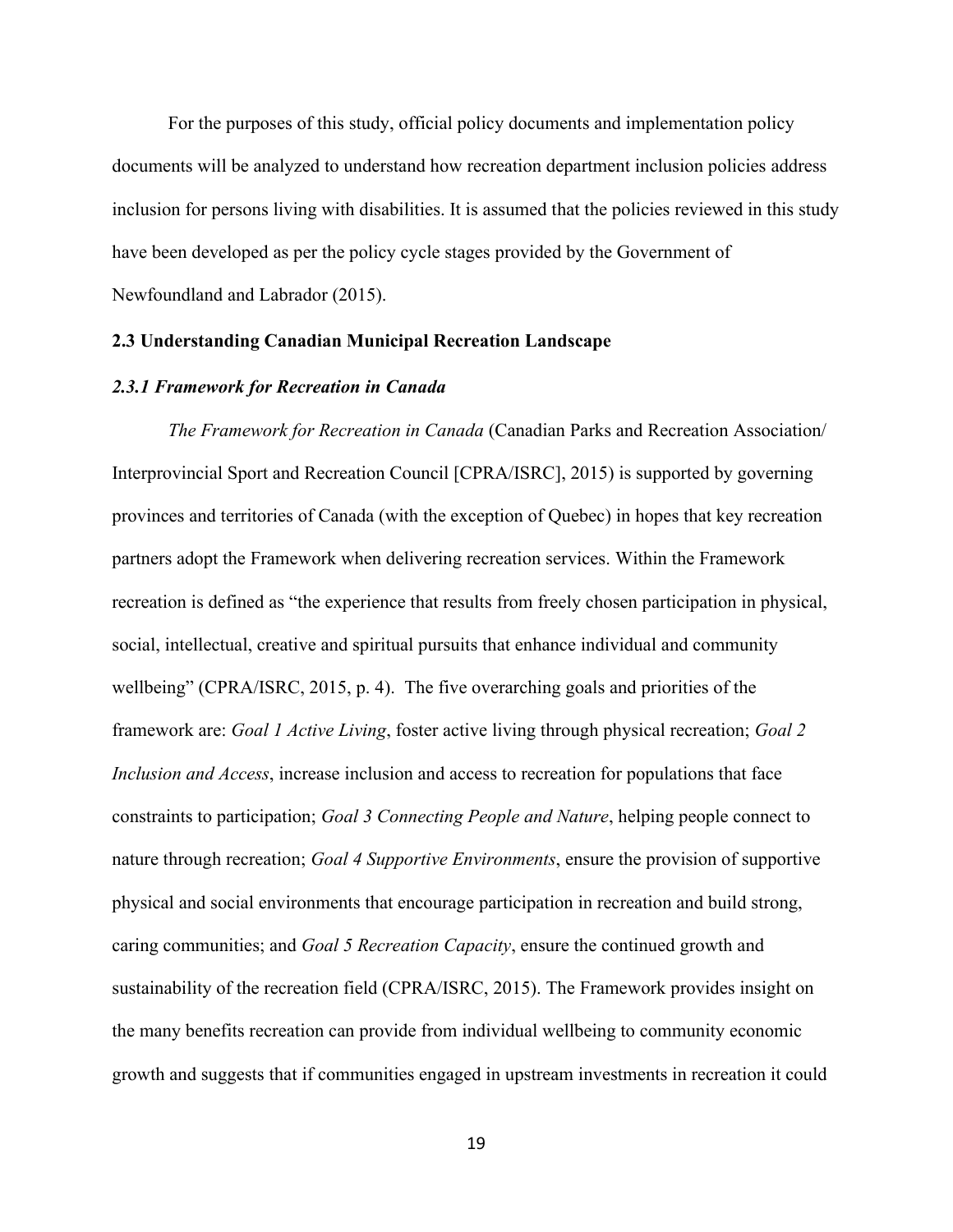For the purposes of this study, official policy documents and implementation policy documents will be analyzed to understand how recreation department inclusion policies address inclusion for persons living with disabilities. It is assumed that the policies reviewed in this study have been developed as per the policy cycle stages provided by the Government of Newfoundland and Labrador (2015).

#### <span id="page-26-0"></span>**2.3 Understanding Canadian Municipal Recreation Landscape**

#### <span id="page-26-1"></span>*2.3.1 Framework for Recreation in Canada*

*The Framework for Recreation in Canada* (Canadian Parks and Recreation Association/ Interprovincial Sport and Recreation Council [CPRA/ISRC], 2015) is supported by governing provinces and territories of Canada (with the exception of Quebec) in hopes that key recreation partners adopt the Framework when delivering recreation services. Within the Framework recreation is defined as "the experience that results from freely chosen participation in physical, social, intellectual, creative and spiritual pursuits that enhance individual and community wellbeing" (CPRA/ISRC, 2015, p. 4). The five overarching goals and priorities of the framework are: *Goal 1 Active Living*, foster active living through physical recreation; *Goal 2 Inclusion and Access*, increase inclusion and access to recreation for populations that face constraints to participation; *Goal 3 Connecting People and Nature*, helping people connect to nature through recreation; *Goal 4 Supportive Environments*, ensure the provision of supportive physical and social environments that encourage participation in recreation and build strong, caring communities; and *Goal 5 Recreation Capacity*, ensure the continued growth and sustainability of the recreation field (CPRA/ISRC, 2015). The Framework provides insight on the many benefits recreation can provide from individual wellbeing to community economic growth and suggests that if communities engaged in upstream investments in recreation it could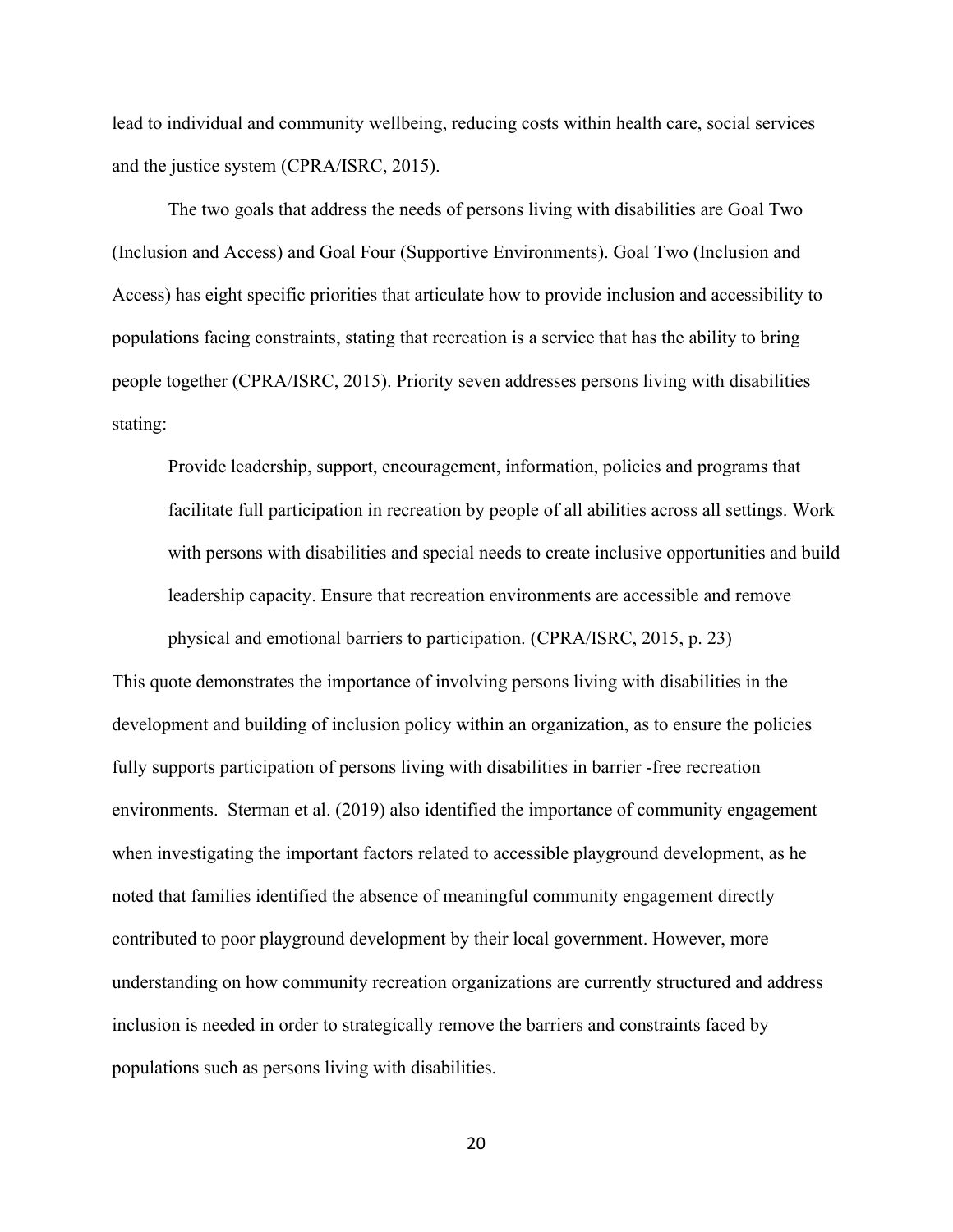lead to individual and community wellbeing, reducing costs within health care, social services and the justice system (CPRA/ISRC, 2015).

The two goals that address the needs of persons living with disabilities are Goal Two (Inclusion and Access) and Goal Four (Supportive Environments). Goal Two (Inclusion and Access) has eight specific priorities that articulate how to provide inclusion and accessibility to populations facing constraints, stating that recreation is a service that has the ability to bring people together (CPRA/ISRC, 2015). Priority seven addresses persons living with disabilities stating:

Provide leadership, support, encouragement, information, policies and programs that facilitate full participation in recreation by people of all abilities across all settings. Work with persons with disabilities and special needs to create inclusive opportunities and build leadership capacity. Ensure that recreation environments are accessible and remove physical and emotional barriers to participation. (CPRA/ISRC, 2015, p. 23)

This quote demonstrates the importance of involving persons living with disabilities in the development and building of inclusion policy within an organization, as to ensure the policies fully supports participation of persons living with disabilities in barrier -free recreation environments. Sterman et al. (2019) also identified the importance of community engagement when investigating the important factors related to accessible playground development, as he noted that families identified the absence of meaningful community engagement directly contributed to poor playground development by their local government. However, more understanding on how community recreation organizations are currently structured and address inclusion is needed in order to strategically remove the barriers and constraints faced by populations such as persons living with disabilities.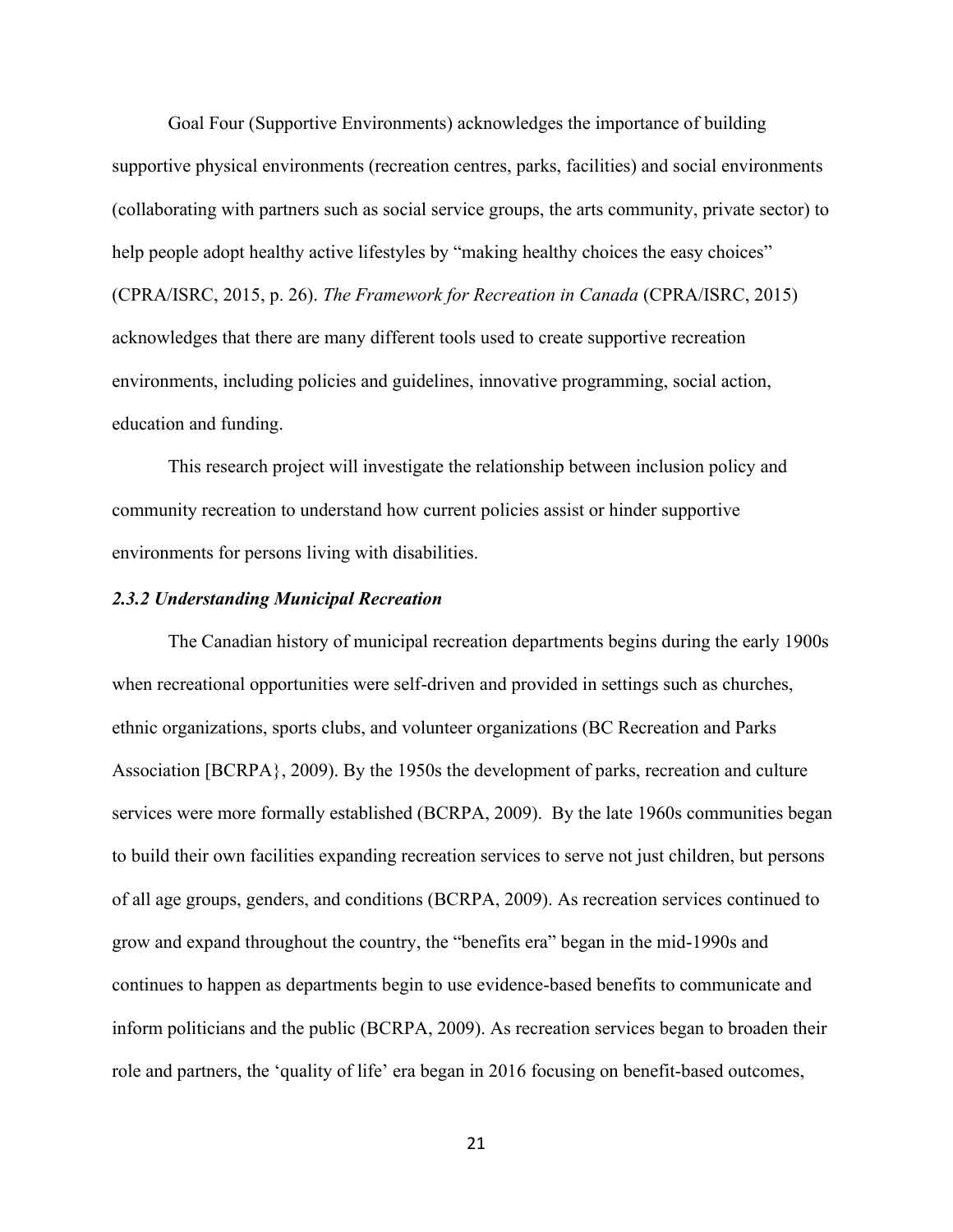Goal Four (Supportive Environments) acknowledges the importance of building supportive physical environments (recreation centres, parks, facilities) and social environments (collaborating with partners such as social service groups, the arts community, private sector) to help people adopt healthy active lifestyles by "making healthy choices the easy choices" (CPRA/ISRC, 2015, p. 26). *The Framework for Recreation in Canada* (CPRA/ISRC, 2015) acknowledges that there are many different tools used to create supportive recreation environments, including policies and guidelines, innovative programming, social action, education and funding.

This research project will investigate the relationship between inclusion policy and community recreation to understand how current policies assist or hinder supportive environments for persons living with disabilities.

#### <span id="page-28-0"></span>*2.3.2 Understanding Municipal Recreation*

The Canadian history of municipal recreation departments begins during the early 1900s when recreational opportunities were self-driven and provided in settings such as churches, ethnic organizations, sports clubs, and volunteer organizations (BC Recreation and Parks Association [BCRPA}, 2009). By the 1950s the development of parks, recreation and culture services were more formally established (BCRPA, 2009). By the late 1960s communities began to build their own facilities expanding recreation services to serve not just children, but persons of all age groups, genders, and conditions (BCRPA, 2009). As recreation services continued to grow and expand throughout the country, the "benefits era" began in the mid-1990s and continues to happen as departments begin to use evidence-based benefits to communicate and inform politicians and the public (BCRPA, 2009). As recreation services began to broaden their role and partners, the 'quality of life' era began in 2016 focusing on benefit-based outcomes,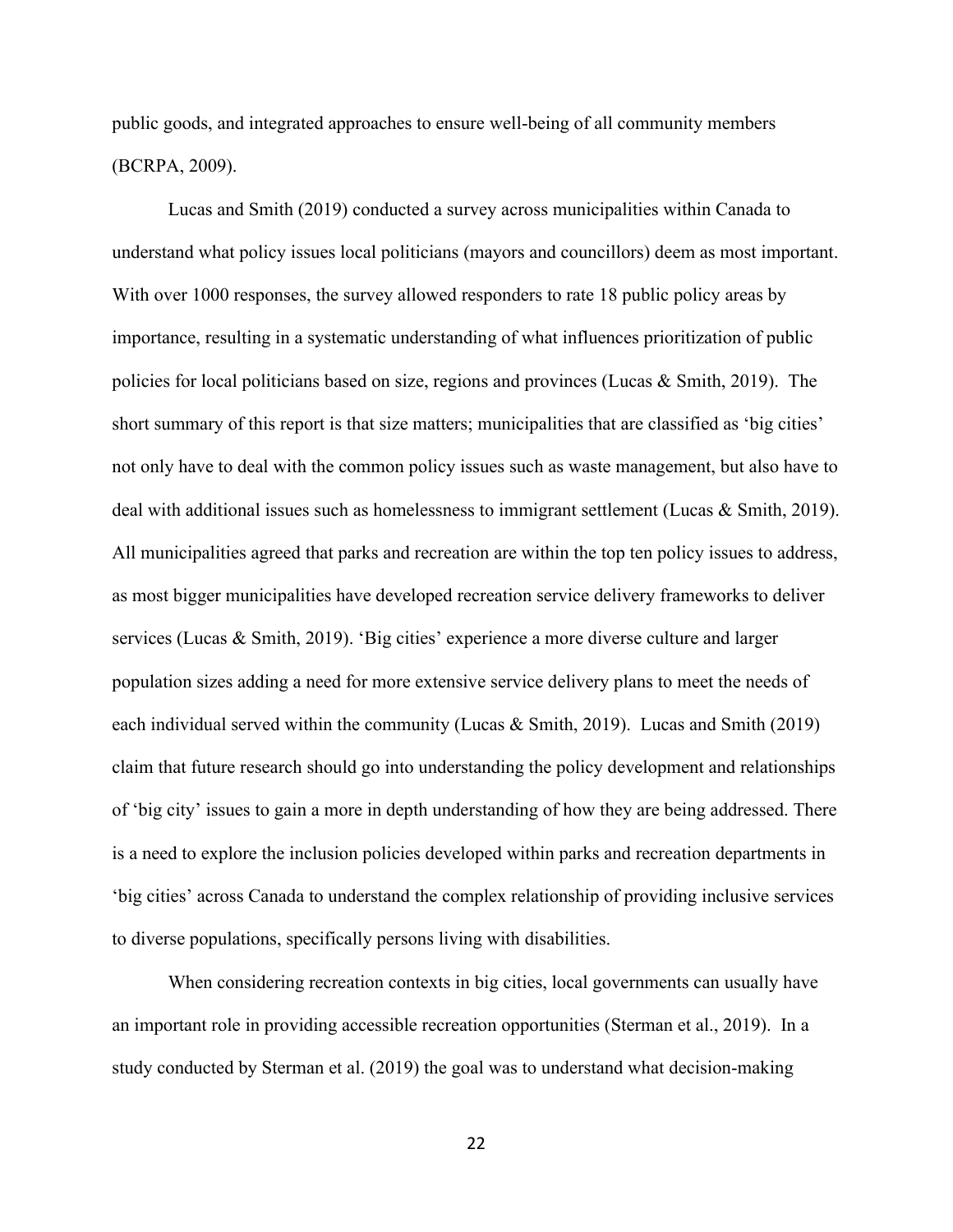public goods, and integrated approaches to ensure well-being of all community members (BCRPA, 2009).

Lucas and Smith (2019) conducted a survey across municipalities within Canada to understand what policy issues local politicians (mayors and councillors) deem as most important. With over 1000 responses, the survey allowed responders to rate 18 public policy areas by importance, resulting in a systematic understanding of what influences prioritization of public policies for local politicians based on size, regions and provinces (Lucas  $\&$  Smith, 2019). The short summary of this report is that size matters; municipalities that are classified as 'big cities' not only have to deal with the common policy issues such as waste management, but also have to deal with additional issues such as homelessness to immigrant settlement (Lucas  $\&$  Smith, 2019). All municipalities agreed that parks and recreation are within the top ten policy issues to address, as most bigger municipalities have developed recreation service delivery frameworks to deliver services (Lucas & Smith, 2019). 'Big cities' experience a more diverse culture and larger population sizes adding a need for more extensive service delivery plans to meet the needs of each individual served within the community (Lucas & Smith, 2019). Lucas and Smith (2019) claim that future research should go into understanding the policy development and relationships of 'big city' issues to gain a more in depth understanding of how they are being addressed. There is a need to explore the inclusion policies developed within parks and recreation departments in 'big cities' across Canada to understand the complex relationship of providing inclusive services to diverse populations, specifically persons living with disabilities.

When considering recreation contexts in big cities, local governments can usually have an important role in providing accessible recreation opportunities (Sterman et al., 2019). In a study conducted by Sterman et al. (2019) the goal was to understand what decision-making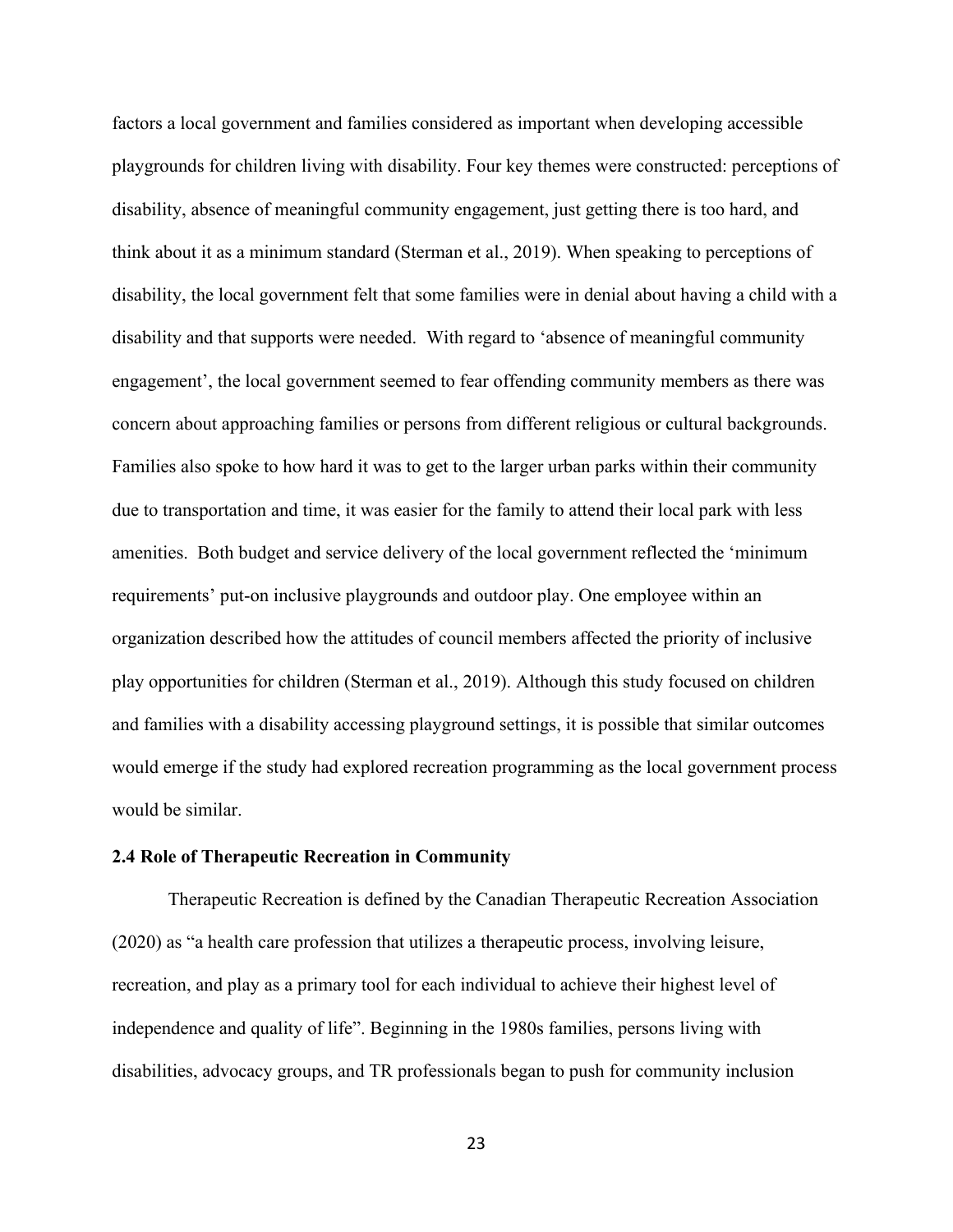factors a local government and families considered as important when developing accessible playgrounds for children living with disability. Four key themes were constructed: perceptions of disability, absence of meaningful community engagement, just getting there is too hard, and think about it as a minimum standard (Sterman et al., 2019). When speaking to perceptions of disability, the local government felt that some families were in denial about having a child with a disability and that supports were needed. With regard to 'absence of meaningful community engagement', the local government seemed to fear offending community members as there was concern about approaching families or persons from different religious or cultural backgrounds. Families also spoke to how hard it was to get to the larger urban parks within their community due to transportation and time, it was easier for the family to attend their local park with less amenities. Both budget and service delivery of the local government reflected the 'minimum requirements' put-on inclusive playgrounds and outdoor play. One employee within an organization described how the attitudes of council members affected the priority of inclusive play opportunities for children (Sterman et al., 2019). Although this study focused on children and families with a disability accessing playground settings, it is possible that similar outcomes would emerge if the study had explored recreation programming as the local government process would be similar.

#### <span id="page-30-0"></span>**2.4 Role of Therapeutic Recreation in Community**

Therapeutic Recreation is defined by the Canadian Therapeutic Recreation Association (2020) as "a health care profession that utilizes a therapeutic process, involving leisure, recreation, and play as a primary tool for each individual to achieve their highest level of independence and quality of life". Beginning in the 1980s families, persons living with disabilities, advocacy groups, and TR professionals began to push for community inclusion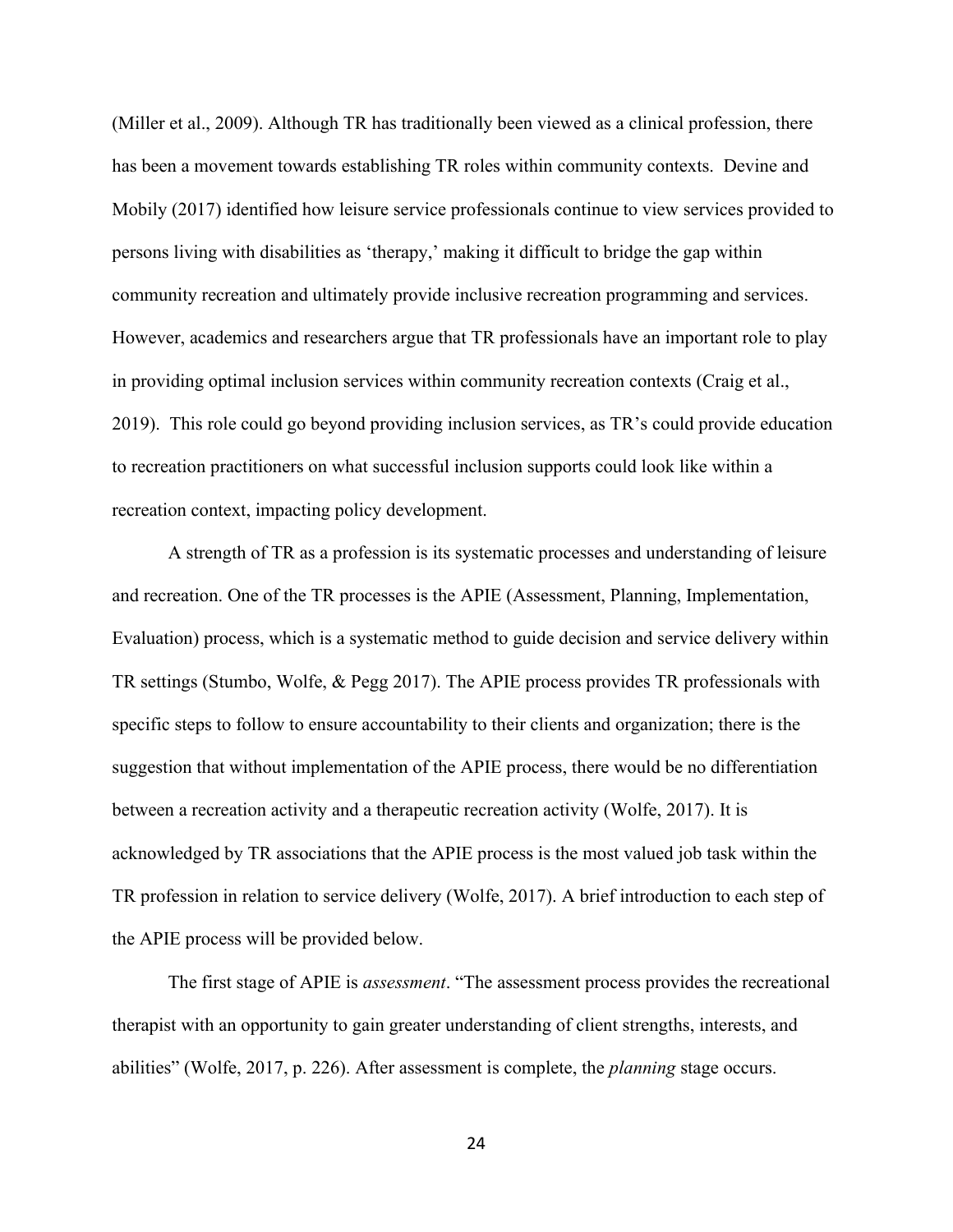(Miller et al., 2009). Although TR has traditionally been viewed as a clinical profession, there has been a movement towards establishing TR roles within community contexts. Devine and Mobily (2017) identified how leisure service professionals continue to view services provided to persons living with disabilities as 'therapy,' making it difficult to bridge the gap within community recreation and ultimately provide inclusive recreation programming and services. However, academics and researchers argue that TR professionals have an important role to play in providing optimal inclusion services within community recreation contexts (Craig et al., 2019). This role could go beyond providing inclusion services, as TR's could provide education to recreation practitioners on what successful inclusion supports could look like within a recreation context, impacting policy development.

A strength of TR as a profession is its systematic processes and understanding of leisure and recreation. One of the TR processes is the APIE (Assessment, Planning, Implementation, Evaluation) process, which is a systematic method to guide decision and service delivery within TR settings (Stumbo, Wolfe, & Pegg 2017). The APIE process provides TR professionals with specific steps to follow to ensure accountability to their clients and organization; there is the suggestion that without implementation of the APIE process, there would be no differentiation between a recreation activity and a therapeutic recreation activity (Wolfe, 2017). It is acknowledged by TR associations that the APIE process is the most valued job task within the TR profession in relation to service delivery (Wolfe, 2017). A brief introduction to each step of the APIE process will be provided below.

The first stage of APIE is *assessment*. "The assessment process provides the recreational therapist with an opportunity to gain greater understanding of client strengths, interests, and abilities" (Wolfe, 2017, p. 226). After assessment is complete, the *planning* stage occurs.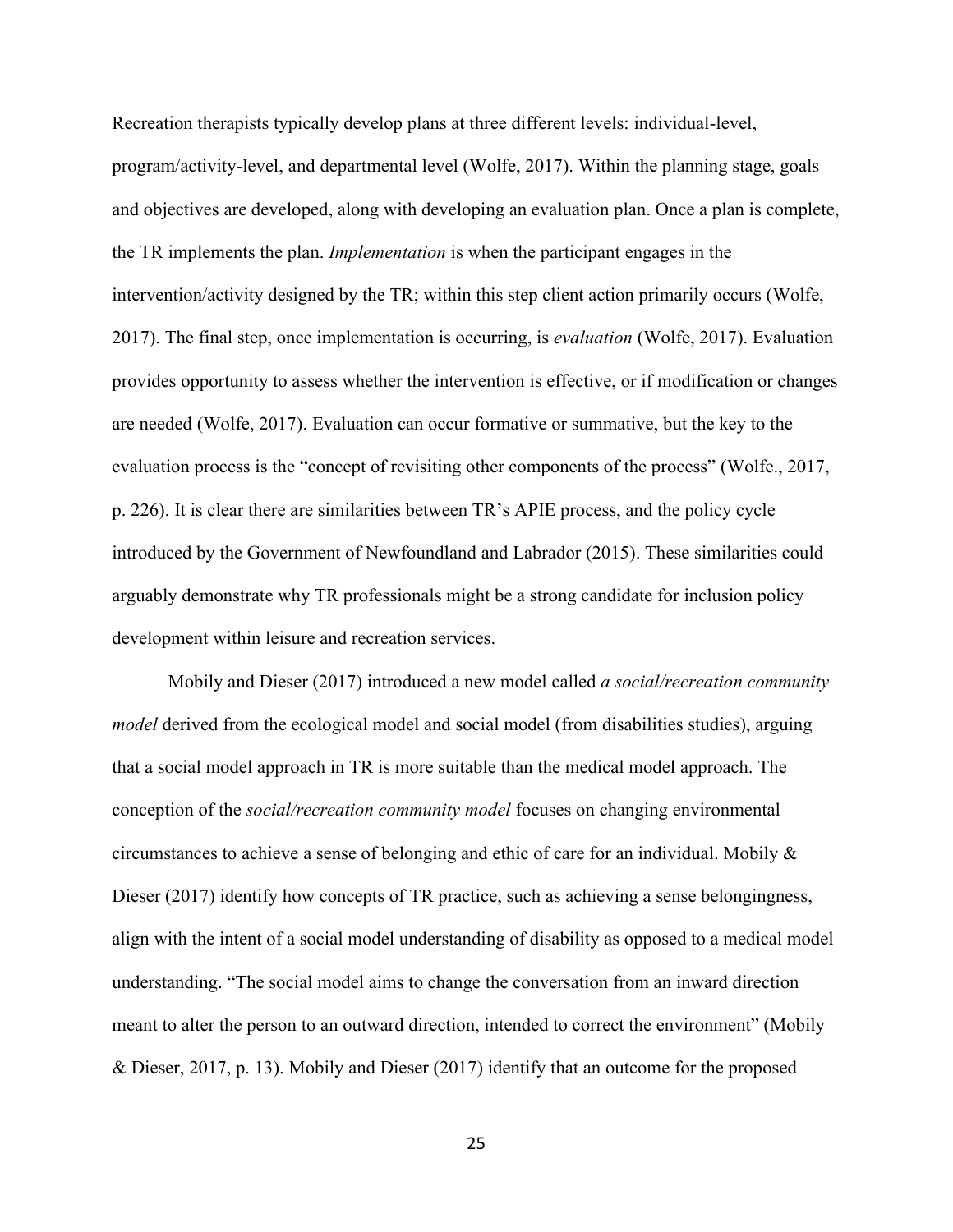Recreation therapists typically develop plans at three different levels: individual-level, program/activity-level, and departmental level (Wolfe, 2017). Within the planning stage, goals and objectives are developed, along with developing an evaluation plan. Once a plan is complete, the TR implements the plan. *Implementation* is when the participant engages in the intervention/activity designed by the TR; within this step client action primarily occurs (Wolfe, 2017). The final step, once implementation is occurring, is *evaluation* (Wolfe, 2017). Evaluation provides opportunity to assess whether the intervention is effective, or if modification or changes are needed (Wolfe, 2017). Evaluation can occur formative or summative, but the key to the evaluation process is the "concept of revisiting other components of the process" (Wolfe., 2017, p. 226). It is clear there are similarities between TR's APIE process, and the policy cycle introduced by the Government of Newfoundland and Labrador (2015). These similarities could arguably demonstrate why TR professionals might be a strong candidate for inclusion policy development within leisure and recreation services.

Mobily and Dieser (2017) introduced a new model called *a social/recreation community model* derived from the ecological model and social model (from disabilities studies), arguing that a social model approach in TR is more suitable than the medical model approach. The conception of the *social/recreation community model* focuses on changing environmental circumstances to achieve a sense of belonging and ethic of care for an individual. Mobily & Dieser (2017) identify how concepts of TR practice, such as achieving a sense belongingness, align with the intent of a social model understanding of disability as opposed to a medical model understanding. "The social model aims to change the conversation from an inward direction meant to alter the person to an outward direction, intended to correct the environment" (Mobily & Dieser, 2017, p. 13). Mobily and Dieser (2017) identify that an outcome for the proposed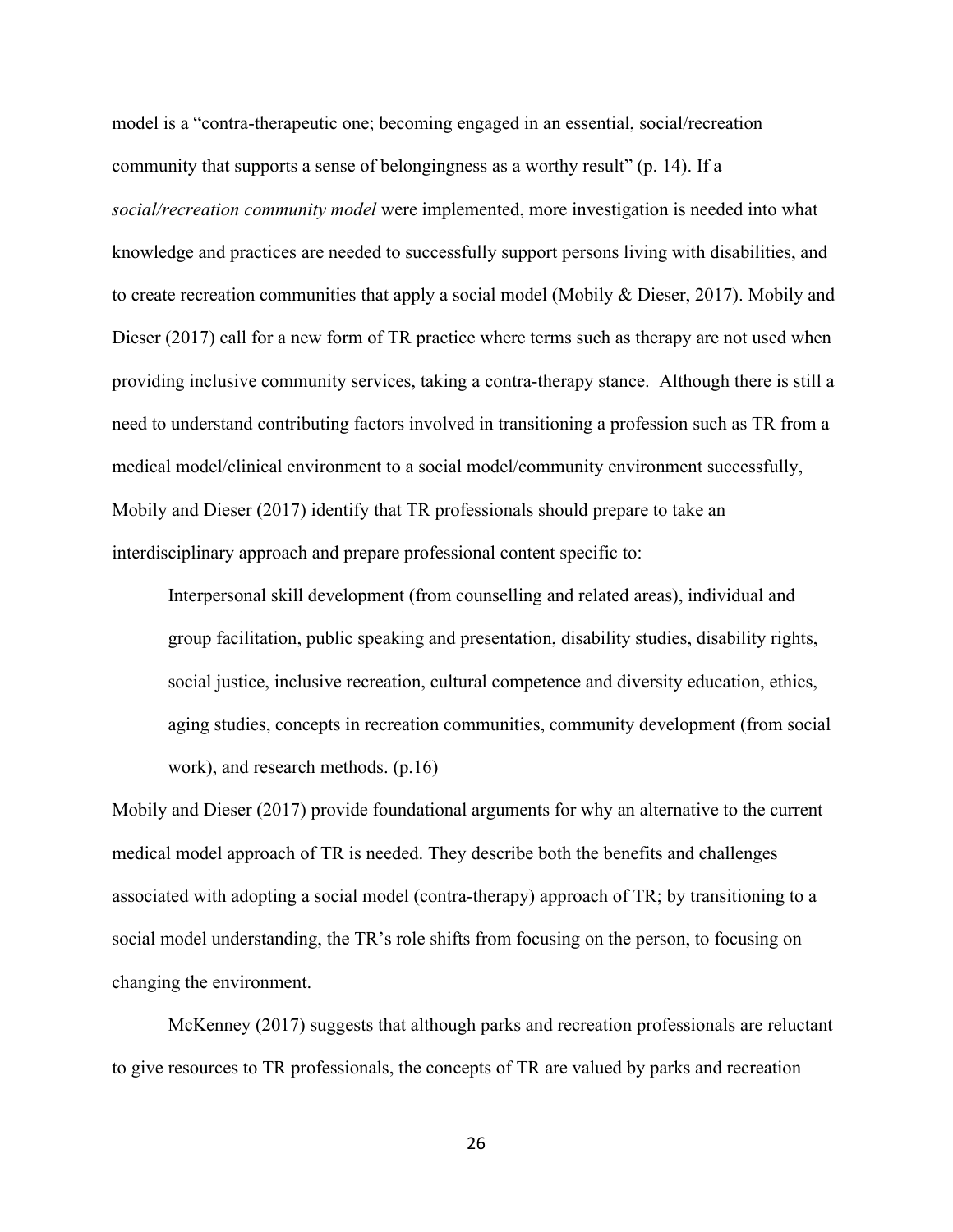model is a "contra-therapeutic one; becoming engaged in an essential, social/recreation community that supports a sense of belongingness as a worthy result" (p. 14). If a *social/recreation community model* were implemented, more investigation is needed into what knowledge and practices are needed to successfully support persons living with disabilities, and to create recreation communities that apply a social model (Mobily & Dieser, 2017). Mobily and Dieser (2017) call for a new form of TR practice where terms such as therapy are not used when providing inclusive community services, taking a contra-therapy stance. Although there is still a need to understand contributing factors involved in transitioning a profession such as TR from a medical model/clinical environment to a social model/community environment successfully, Mobily and Dieser (2017) identify that TR professionals should prepare to take an interdisciplinary approach and prepare professional content specific to:

Interpersonal skill development (from counselling and related areas), individual and group facilitation, public speaking and presentation, disability studies, disability rights, social justice, inclusive recreation, cultural competence and diversity education, ethics, aging studies, concepts in recreation communities, community development (from social work), and research methods. (p.16)

Mobily and Dieser (2017) provide foundational arguments for why an alternative to the current medical model approach of TR is needed. They describe both the benefits and challenges associated with adopting a social model (contra-therapy) approach of TR; by transitioning to a social model understanding, the TR's role shifts from focusing on the person, to focusing on changing the environment.

McKenney (2017) suggests that although parks and recreation professionals are reluctant to give resources to TR professionals, the concepts of TR are valued by parks and recreation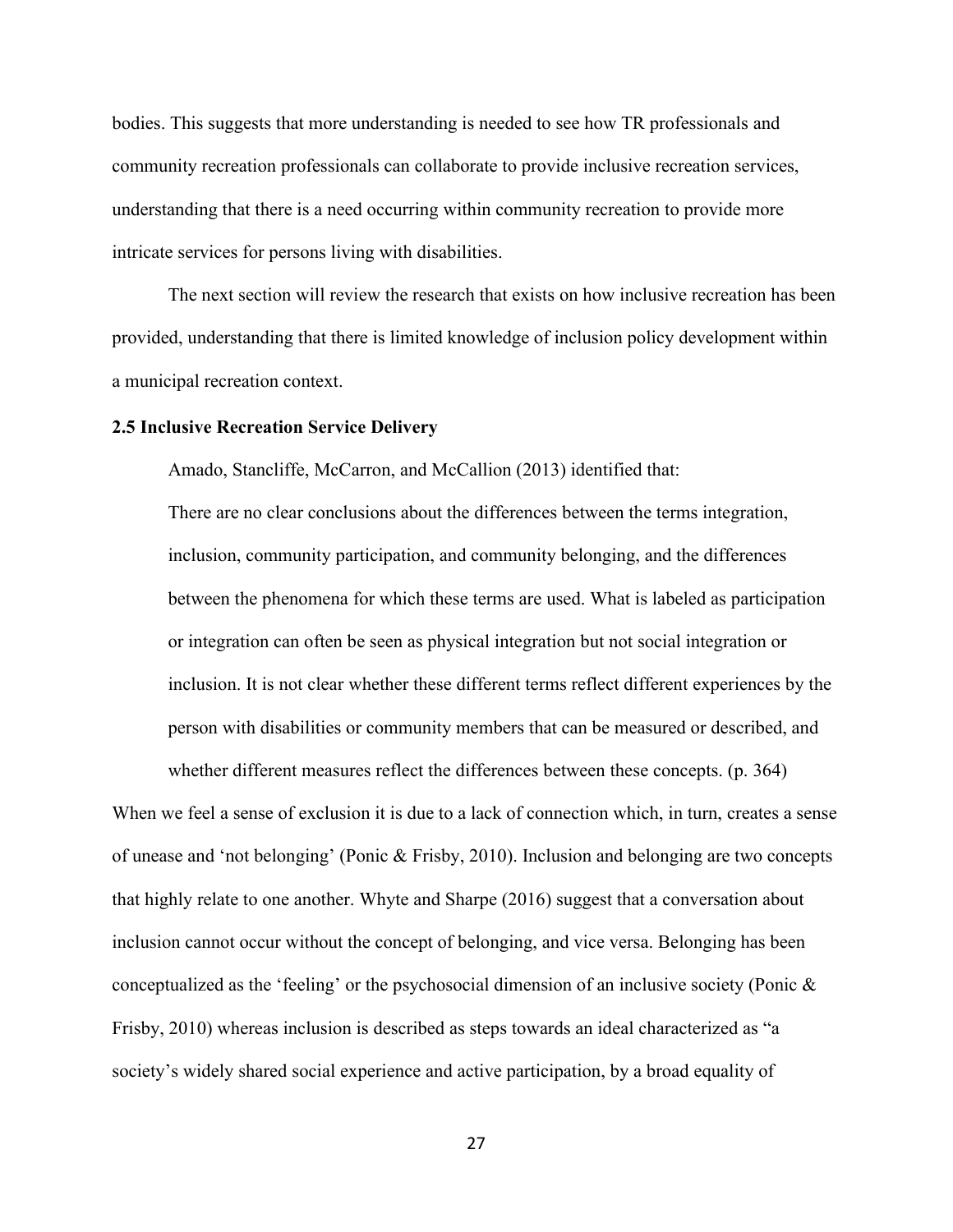bodies. This suggests that more understanding is needed to see how TR professionals and community recreation professionals can collaborate to provide inclusive recreation services, understanding that there is a need occurring within community recreation to provide more intricate services for persons living with disabilities.

The next section will review the research that exists on how inclusive recreation has been provided, understanding that there is limited knowledge of inclusion policy development within a municipal recreation context.

#### <span id="page-34-0"></span>**2.5 Inclusive Recreation Service Delivery**

Amado, Stancliffe, McCarron, and McCallion (2013) identified that:

There are no clear conclusions about the differences between the terms integration, inclusion, community participation, and community belonging, and the differences between the phenomena for which these terms are used. What is labeled as participation or integration can often be seen as physical integration but not social integration or inclusion. It is not clear whether these different terms reflect different experiences by the person with disabilities or community members that can be measured or described, and

When we feel a sense of exclusion it is due to a lack of connection which, in turn, creates a sense of unease and 'not belonging' (Ponic & Frisby, 2010). Inclusion and belonging are two concepts that highly relate to one another. Whyte and Sharpe (2016) suggest that a conversation about inclusion cannot occur without the concept of belonging, and vice versa. Belonging has been conceptualized as the 'feeling' or the psychosocial dimension of an inclusive society (Ponic & Frisby, 2010) whereas inclusion is described as steps towards an ideal characterized as "a society's widely shared social experience and active participation, by a broad equality of

whether different measures reflect the differences between these concepts. (p. 364)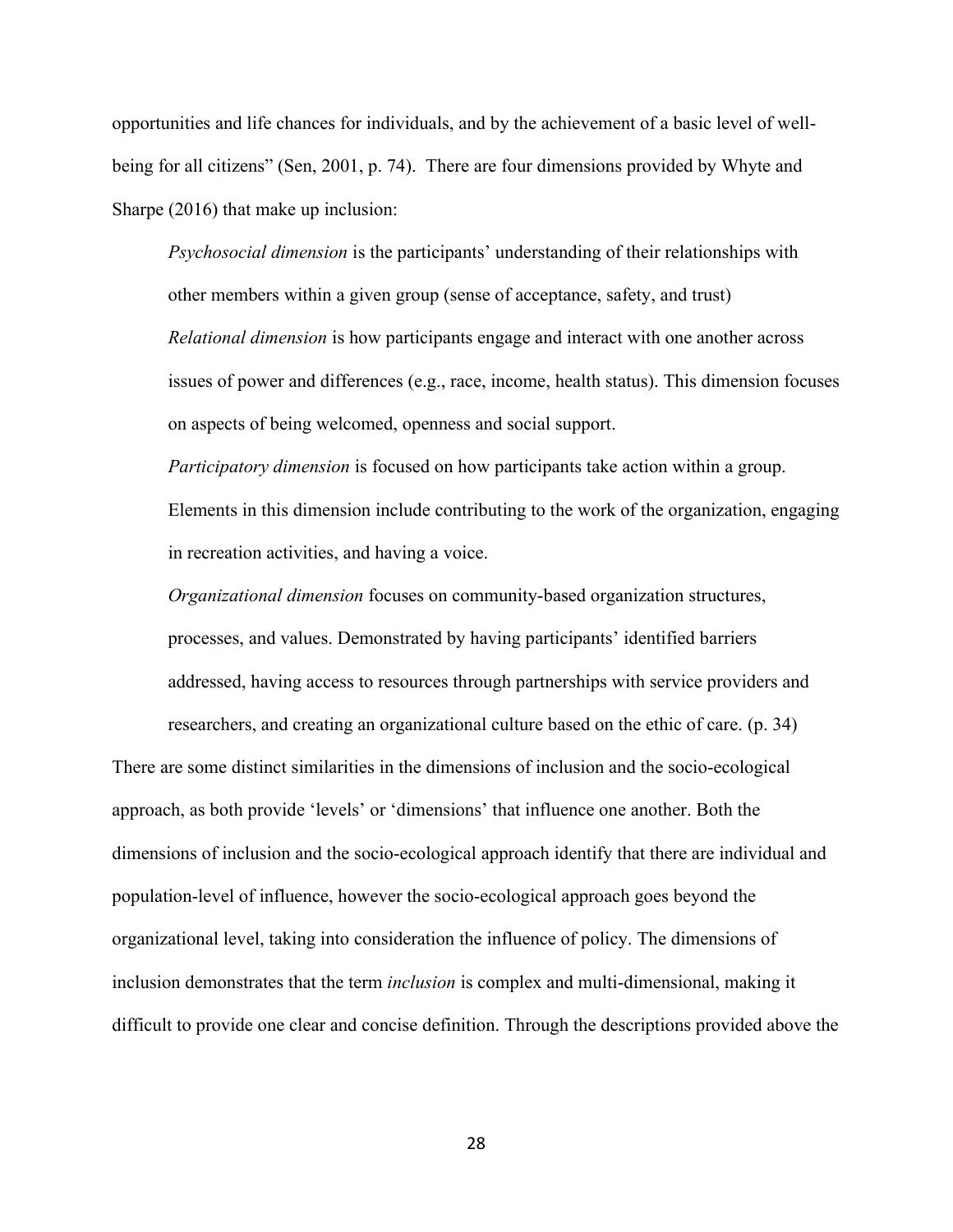opportunities and life chances for individuals, and by the achievement of a basic level of wellbeing for all citizens" (Sen, 2001, p. 74). There are four dimensions provided by Whyte and Sharpe (2016) that make up inclusion:

*Psychosocial dimension* is the participants' understanding of their relationships with other members within a given group (sense of acceptance, safety, and trust) *Relational dimension* is how participants engage and interact with one another across issues of power and differences (e.g., race, income, health status). This dimension focuses on aspects of being welcomed, openness and social support.

*Participatory dimension* is focused on how participants take action within a group. Elements in this dimension include contributing to the work of the organization, engaging in recreation activities, and having a voice.

*Organizational dimension* focuses on community-based organization structures, processes, and values. Demonstrated by having participants' identified barriers addressed, having access to resources through partnerships with service providers and

researchers, and creating an organizational culture based on the ethic of care. (p. 34)

There are some distinct similarities in the dimensions of inclusion and the socio-ecological approach, as both provide 'levels' or 'dimensions' that influence one another. Both the dimensions of inclusion and the socio-ecological approach identify that there are individual and population-level of influence, however the socio-ecological approach goes beyond the organizational level, taking into consideration the influence of policy. The dimensions of inclusion demonstrates that the term *inclusion* is complex and multi-dimensional, making it difficult to provide one clear and concise definition. Through the descriptions provided above the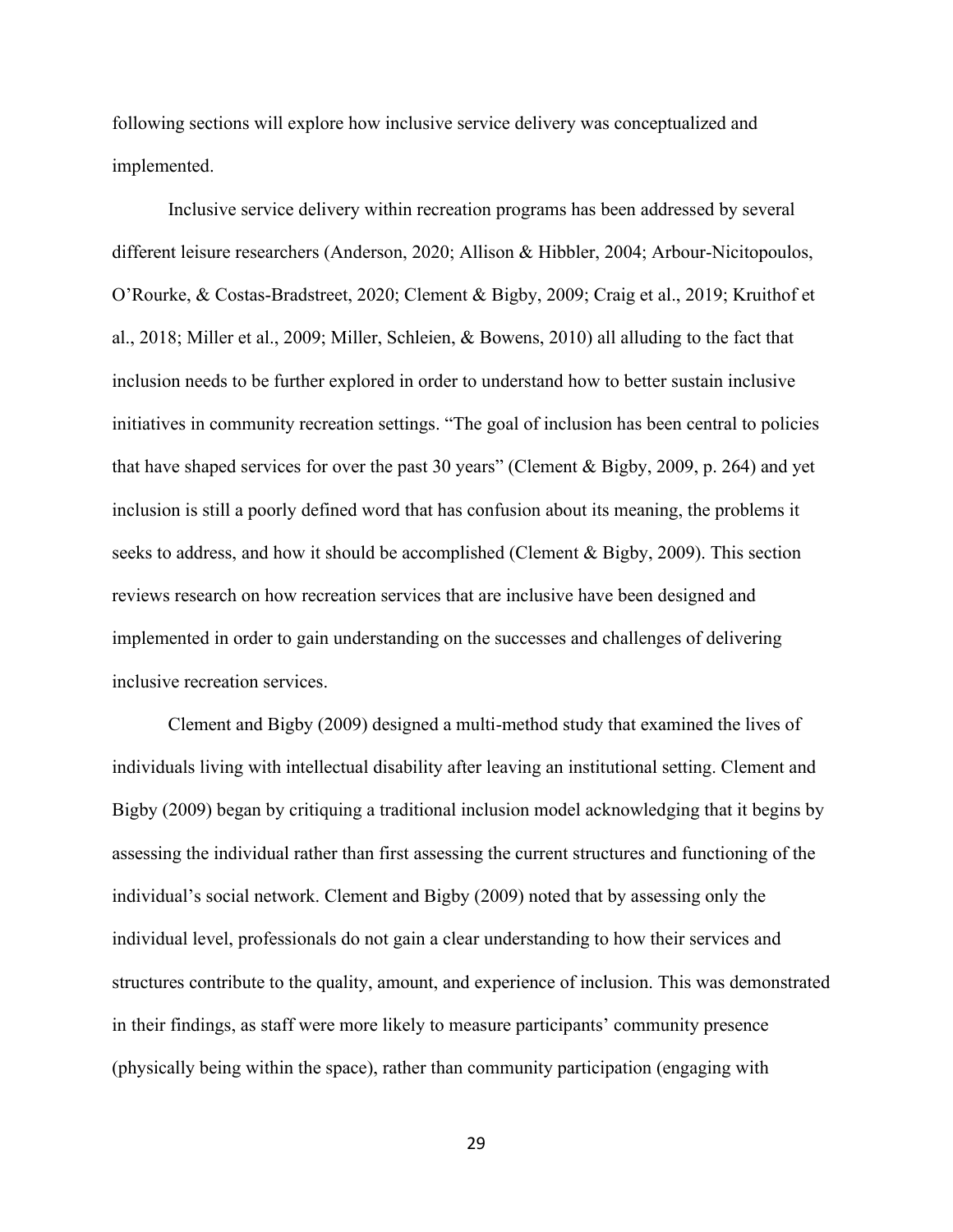following sections will explore how inclusive service delivery was conceptualized and implemented.

Inclusive service delivery within recreation programs has been addressed by several different leisure researchers (Anderson, 2020; Allison & Hibbler, 2004; Arbour-Nicitopoulos, O'Rourke, & Costas-Bradstreet, 2020; Clement & Bigby, 2009; Craig et al., 2019; Kruithof et al., 2018; Miller et al., 2009; Miller, Schleien, & Bowens, 2010) all alluding to the fact that inclusion needs to be further explored in order to understand how to better sustain inclusive initiatives in community recreation settings. "The goal of inclusion has been central to policies that have shaped services for over the past 30 years" (Clement & Bigby, 2009, p. 264) and yet inclusion is still a poorly defined word that has confusion about its meaning, the problems it seeks to address, and how it should be accomplished (Clement & Bigby, 2009). This section reviews research on how recreation services that are inclusive have been designed and implemented in order to gain understanding on the successes and challenges of delivering inclusive recreation services.

Clement and Bigby (2009) designed a multi-method study that examined the lives of individuals living with intellectual disability after leaving an institutional setting. Clement and Bigby (2009) began by critiquing a traditional inclusion model acknowledging that it begins by assessing the individual rather than first assessing the current structures and functioning of the individual's social network. Clement and Bigby (2009) noted that by assessing only the individual level, professionals do not gain a clear understanding to how their services and structures contribute to the quality, amount, and experience of inclusion. This was demonstrated in their findings, as staff were more likely to measure participants' community presence (physically being within the space), rather than community participation (engaging with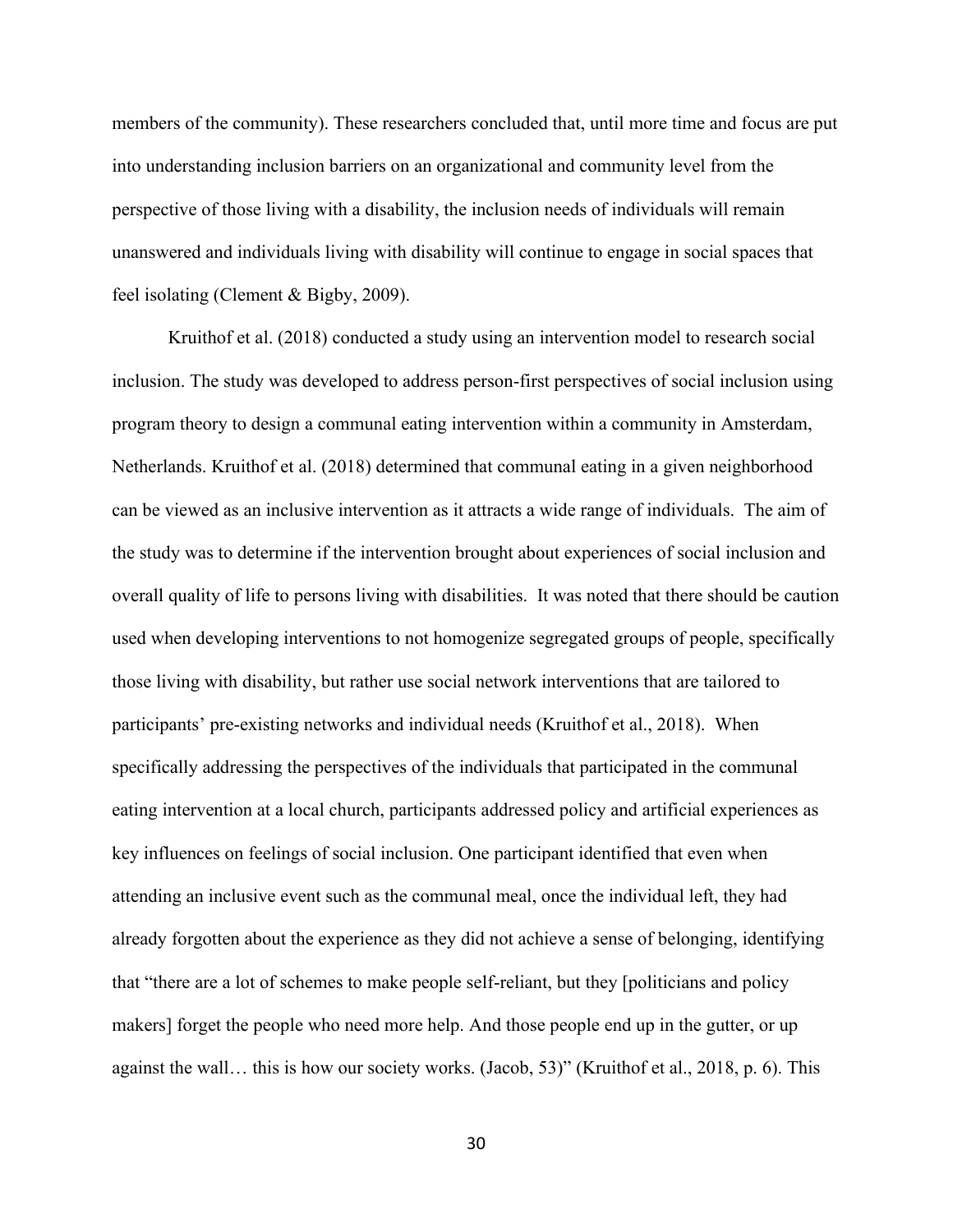members of the community). These researchers concluded that, until more time and focus are put into understanding inclusion barriers on an organizational and community level from the perspective of those living with a disability, the inclusion needs of individuals will remain unanswered and individuals living with disability will continue to engage in social spaces that feel isolating (Clement & Bigby, 2009).

Kruithof et al. (2018) conducted a study using an intervention model to research social inclusion. The study was developed to address person-first perspectives of social inclusion using program theory to design a communal eating intervention within a community in Amsterdam, Netherlands. Kruithof et al. (2018) determined that communal eating in a given neighborhood can be viewed as an inclusive intervention as it attracts a wide range of individuals. The aim of the study was to determine if the intervention brought about experiences of social inclusion and overall quality of life to persons living with disabilities. It was noted that there should be caution used when developing interventions to not homogenize segregated groups of people, specifically those living with disability, but rather use social network interventions that are tailored to participants' pre-existing networks and individual needs (Kruithof et al., 2018). When specifically addressing the perspectives of the individuals that participated in the communal eating intervention at a local church, participants addressed policy and artificial experiences as key influences on feelings of social inclusion. One participant identified that even when attending an inclusive event such as the communal meal, once the individual left, they had already forgotten about the experience as they did not achieve a sense of belonging, identifying that "there are a lot of schemes to make people self-reliant, but they [politicians and policy makers] forget the people who need more help. And those people end up in the gutter, or up against the wall… this is how our society works. (Jacob, 53)" (Kruithof et al., 2018, p. 6). This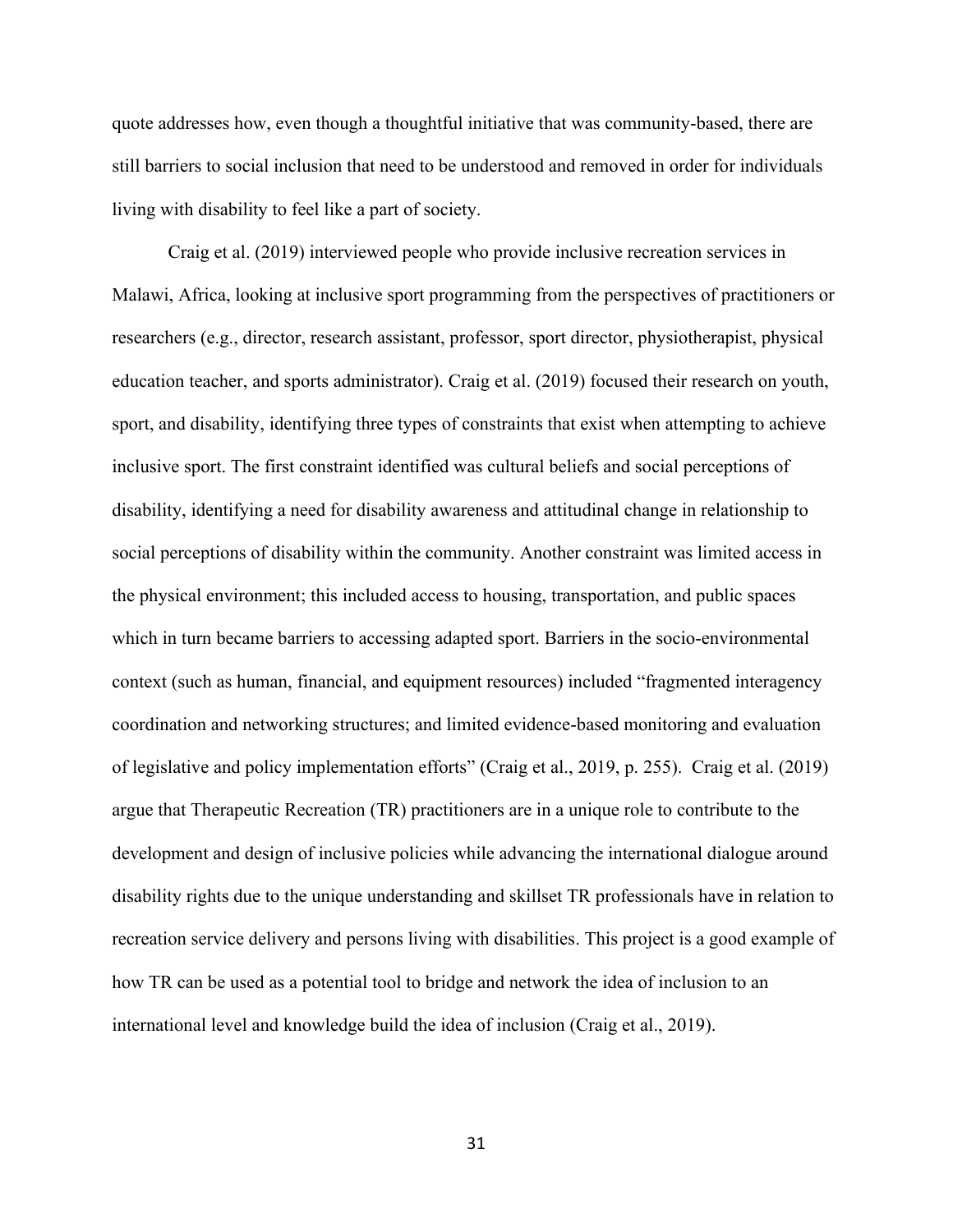quote addresses how, even though a thoughtful initiative that was community-based, there are still barriers to social inclusion that need to be understood and removed in order for individuals living with disability to feel like a part of society.

Craig et al. (2019) interviewed people who provide inclusive recreation services in Malawi, Africa, looking at inclusive sport programming from the perspectives of practitioners or researchers (e.g., director, research assistant, professor, sport director, physiotherapist, physical education teacher, and sports administrator). Craig et al. (2019) focused their research on youth, sport, and disability, identifying three types of constraints that exist when attempting to achieve inclusive sport. The first constraint identified was cultural beliefs and social perceptions of disability, identifying a need for disability awareness and attitudinal change in relationship to social perceptions of disability within the community. Another constraint was limited access in the physical environment; this included access to housing, transportation, and public spaces which in turn became barriers to accessing adapted sport. Barriers in the socio-environmental context (such as human, financial, and equipment resources) included "fragmented interagency coordination and networking structures; and limited evidence-based monitoring and evaluation of legislative and policy implementation efforts" (Craig et al., 2019, p. 255). Craig et al. (2019) argue that Therapeutic Recreation (TR) practitioners are in a unique role to contribute to the development and design of inclusive policies while advancing the international dialogue around disability rights due to the unique understanding and skillset TR professionals have in relation to recreation service delivery and persons living with disabilities. This project is a good example of how TR can be used as a potential tool to bridge and network the idea of inclusion to an international level and knowledge build the idea of inclusion (Craig et al., 2019).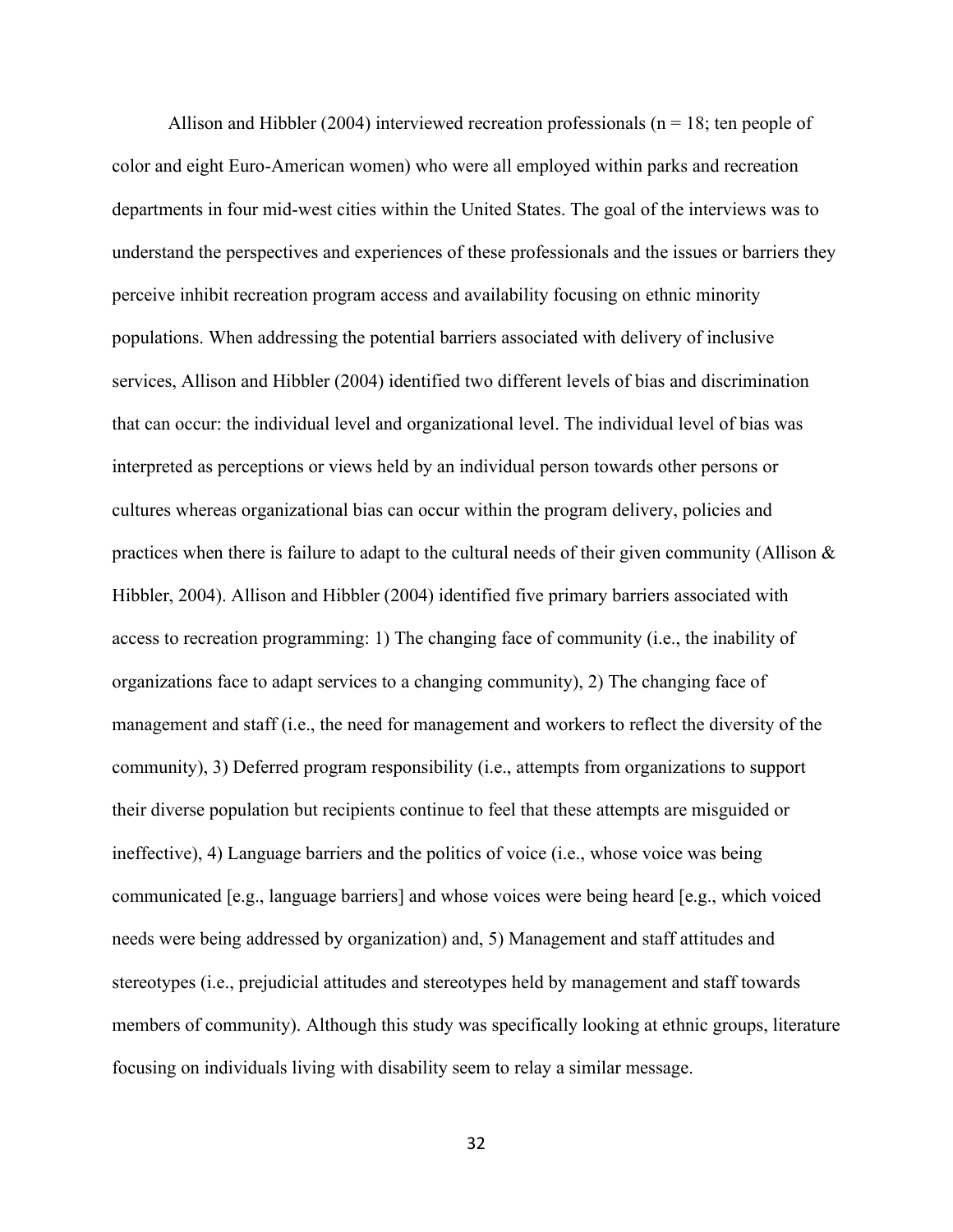Allison and Hibbler (2004) interviewed recreation professionals ( $n = 18$ ; ten people of color and eight Euro-American women) who were all employed within parks and recreation departments in four mid-west cities within the United States. The goal of the interviews was to understand the perspectives and experiences of these professionals and the issues or barriers they perceive inhibit recreation program access and availability focusing on ethnic minority populations. When addressing the potential barriers associated with delivery of inclusive services, Allison and Hibbler (2004) identified two different levels of bias and discrimination that can occur: the individual level and organizational level. The individual level of bias was interpreted as perceptions or views held by an individual person towards other persons or cultures whereas organizational bias can occur within the program delivery, policies and practices when there is failure to adapt to the cultural needs of their given community (Allison & Hibbler, 2004). Allison and Hibbler (2004) identified five primary barriers associated with access to recreation programming: 1) The changing face of community (i.e., the inability of organizations face to adapt services to a changing community), 2) The changing face of management and staff (i.e., the need for management and workers to reflect the diversity of the community), 3) Deferred program responsibility (i.e., attempts from organizations to support their diverse population but recipients continue to feel that these attempts are misguided or ineffective), 4) Language barriers and the politics of voice (i.e., whose voice was being communicated [e.g., language barriers] and whose voices were being heard [e.g., which voiced needs were being addressed by organization) and, 5) Management and staff attitudes and stereotypes (i.e., prejudicial attitudes and stereotypes held by management and staff towards members of community). Although this study was specifically looking at ethnic groups, literature focusing on individuals living with disability seem to relay a similar message.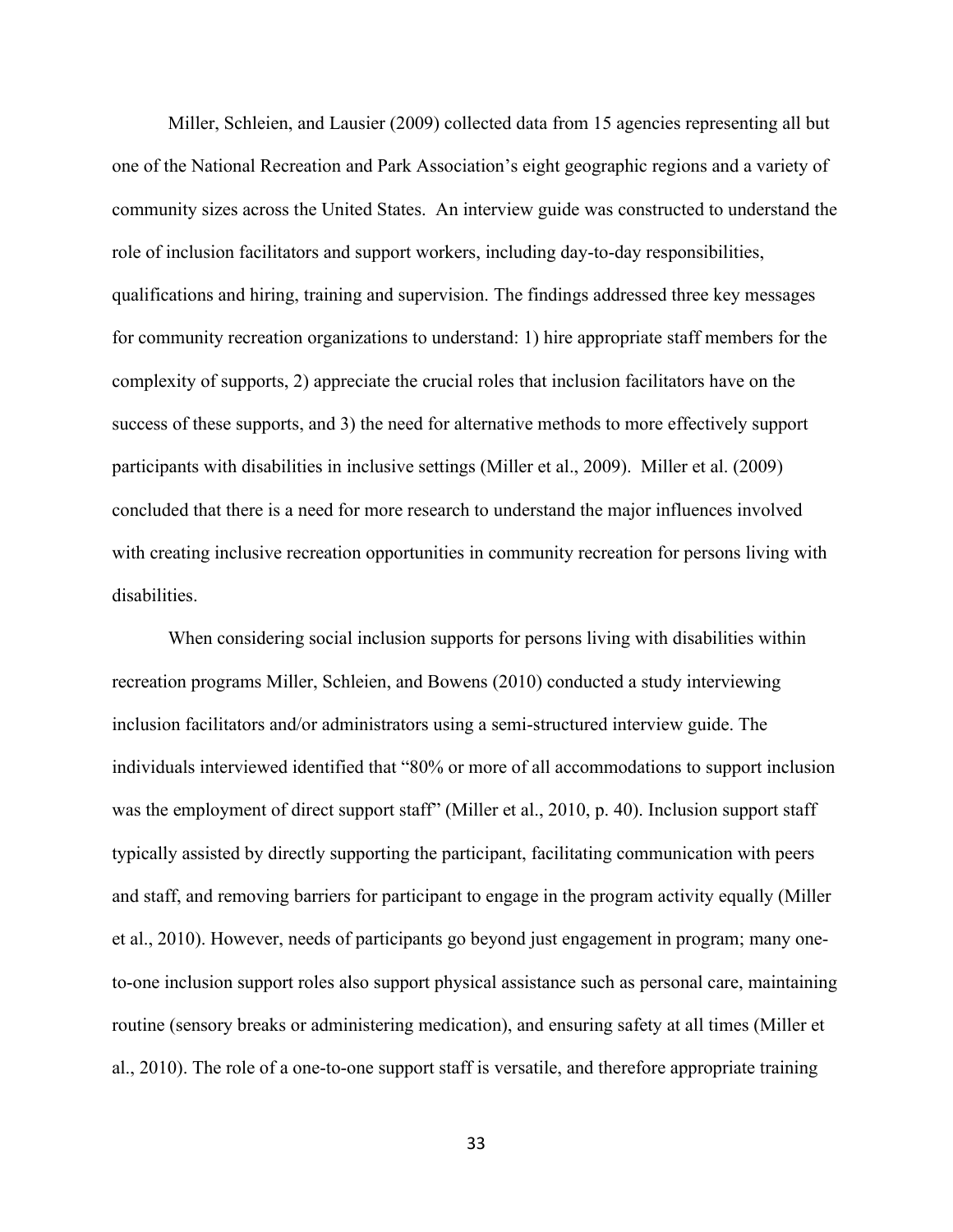Miller, Schleien, and Lausier (2009) collected data from 15 agencies representing all but one of the National Recreation and Park Association's eight geographic regions and a variety of community sizes across the United States. An interview guide was constructed to understand the role of inclusion facilitators and support workers, including day-to-day responsibilities, qualifications and hiring, training and supervision. The findings addressed three key messages for community recreation organizations to understand: 1) hire appropriate staff members for the complexity of supports, 2) appreciate the crucial roles that inclusion facilitators have on the success of these supports, and 3) the need for alternative methods to more effectively support participants with disabilities in inclusive settings (Miller et al., 2009). Miller et al. (2009) concluded that there is a need for more research to understand the major influences involved with creating inclusive recreation opportunities in community recreation for persons living with disabilities.

When considering social inclusion supports for persons living with disabilities within recreation programs Miller, Schleien, and Bowens (2010) conducted a study interviewing inclusion facilitators and/or administrators using a semi-structured interview guide. The individuals interviewed identified that "80% or more of all accommodations to support inclusion was the employment of direct support staff" (Miller et al., 2010, p. 40). Inclusion support staff typically assisted by directly supporting the participant, facilitating communication with peers and staff, and removing barriers for participant to engage in the program activity equally (Miller et al., 2010). However, needs of participants go beyond just engagement in program; many oneto-one inclusion support roles also support physical assistance such as personal care, maintaining routine (sensory breaks or administering medication), and ensuring safety at all times (Miller et al., 2010). The role of a one-to-one support staff is versatile, and therefore appropriate training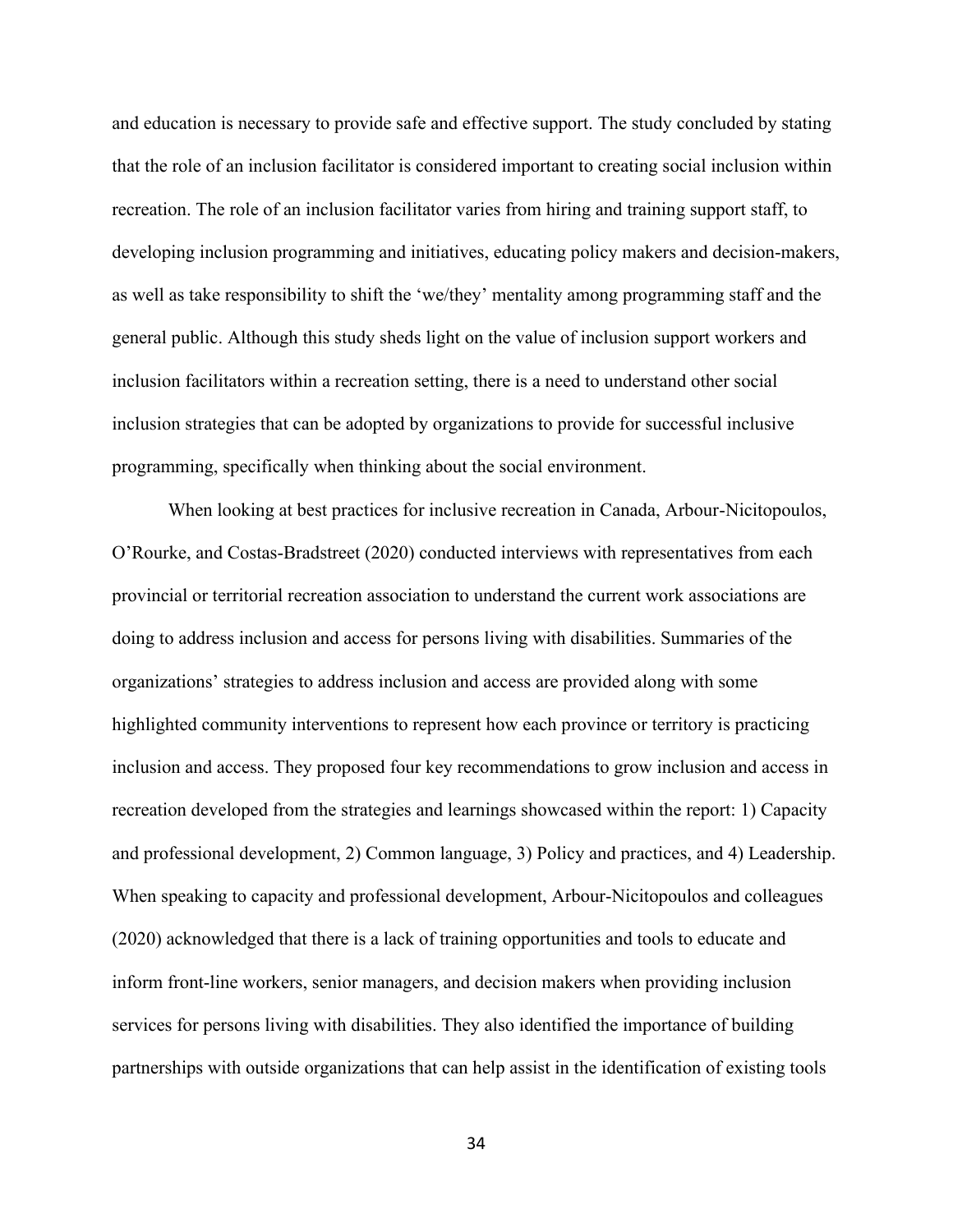and education is necessary to provide safe and effective support. The study concluded by stating that the role of an inclusion facilitator is considered important to creating social inclusion within recreation. The role of an inclusion facilitator varies from hiring and training support staff, to developing inclusion programming and initiatives, educating policy makers and decision-makers, as well as take responsibility to shift the 'we/they' mentality among programming staff and the general public. Although this study sheds light on the value of inclusion support workers and inclusion facilitators within a recreation setting, there is a need to understand other social inclusion strategies that can be adopted by organizations to provide for successful inclusive programming, specifically when thinking about the social environment.

When looking at best practices for inclusive recreation in Canada, Arbour-Nicitopoulos, O'Rourke, and Costas-Bradstreet (2020) conducted interviews with representatives from each provincial or territorial recreation association to understand the current work associations are doing to address inclusion and access for persons living with disabilities. Summaries of the organizations' strategies to address inclusion and access are provided along with some highlighted community interventions to represent how each province or territory is practicing inclusion and access. They proposed four key recommendations to grow inclusion and access in recreation developed from the strategies and learnings showcased within the report: 1) Capacity and professional development, 2) Common language, 3) Policy and practices, and 4) Leadership. When speaking to capacity and professional development, Arbour-Nicitopoulos and colleagues (2020) acknowledged that there is a lack of training opportunities and tools to educate and inform front-line workers, senior managers, and decision makers when providing inclusion services for persons living with disabilities. They also identified the importance of building partnerships with outside organizations that can help assist in the identification of existing tools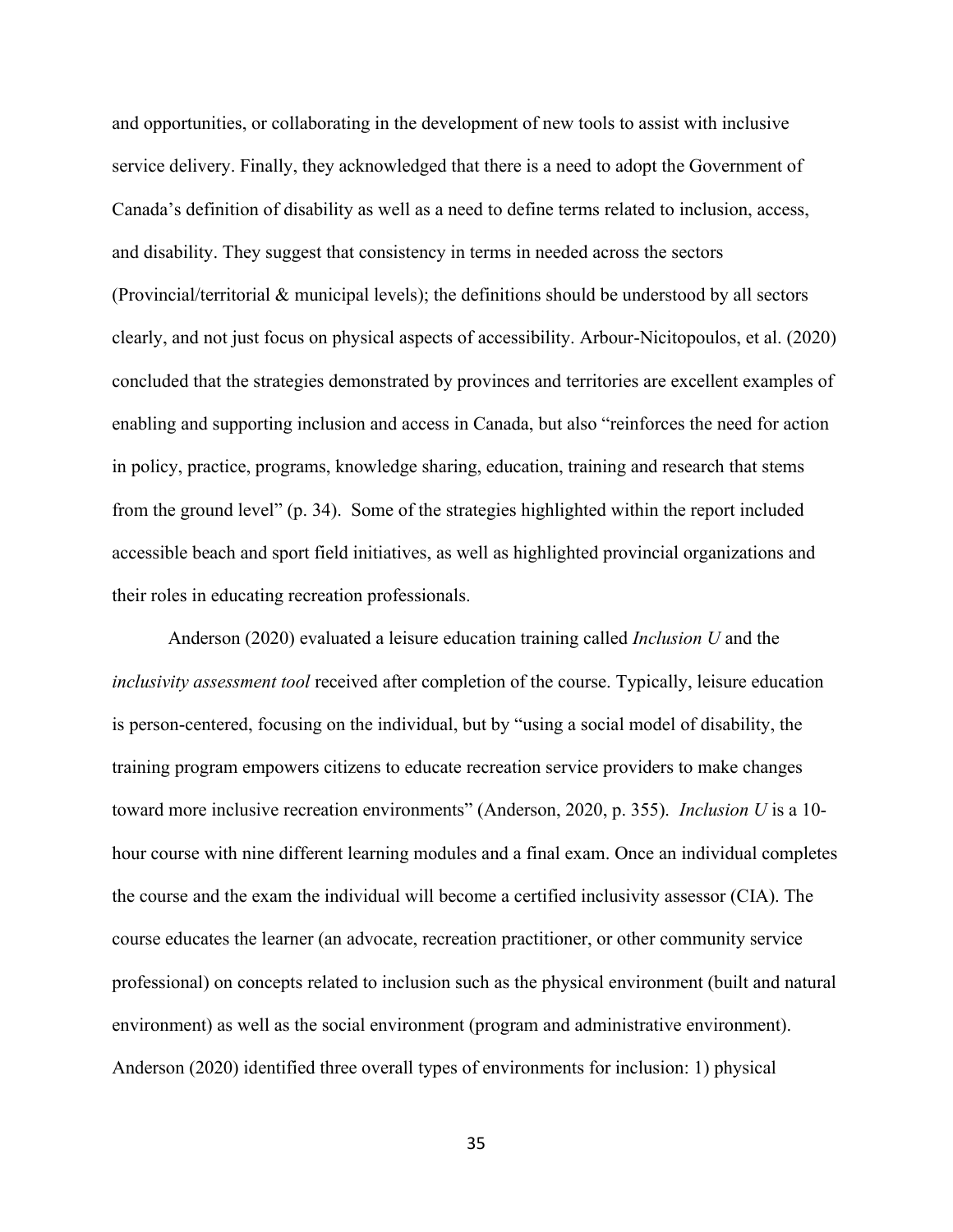and opportunities, or collaborating in the development of new tools to assist with inclusive service delivery. Finally, they acknowledged that there is a need to adopt the Government of Canada's definition of disability as well as a need to define terms related to inclusion, access, and disability. They suggest that consistency in terms in needed across the sectors (Provincial/territorial & municipal levels); the definitions should be understood by all sectors clearly, and not just focus on physical aspects of accessibility. Arbour-Nicitopoulos, et al. (2020) concluded that the strategies demonstrated by provinces and territories are excellent examples of enabling and supporting inclusion and access in Canada, but also "reinforces the need for action in policy, practice, programs, knowledge sharing, education, training and research that stems from the ground level" (p. 34). Some of the strategies highlighted within the report included accessible beach and sport field initiatives, as well as highlighted provincial organizations and their roles in educating recreation professionals.

Anderson (2020) evaluated a leisure education training called *Inclusion U* and the *inclusivity assessment tool* received after completion of the course. Typically, leisure education is person-centered, focusing on the individual, but by "using a social model of disability, the training program empowers citizens to educate recreation service providers to make changes toward more inclusive recreation environments" (Anderson, 2020, p. 355). *Inclusion U* is a 10 hour course with nine different learning modules and a final exam. Once an individual completes the course and the exam the individual will become a certified inclusivity assessor (CIA). The course educates the learner (an advocate, recreation practitioner, or other community service professional) on concepts related to inclusion such as the physical environment (built and natural environment) as well as the social environment (program and administrative environment). Anderson (2020) identified three overall types of environments for inclusion: 1) physical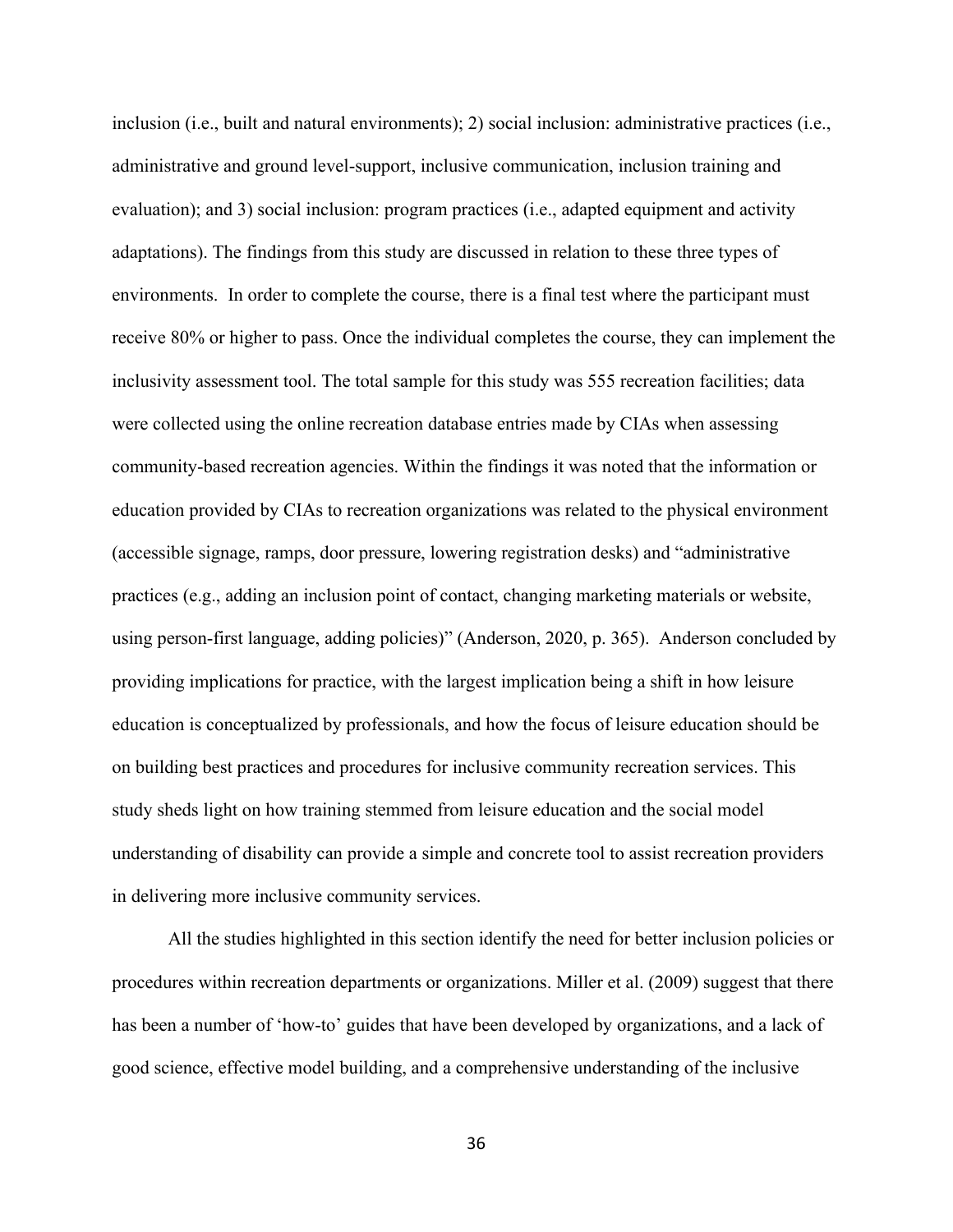inclusion (i.e., built and natural environments); 2) social inclusion: administrative practices (i.e., administrative and ground level-support, inclusive communication, inclusion training and evaluation); and 3) social inclusion: program practices (i.e., adapted equipment and activity adaptations). The findings from this study are discussed in relation to these three types of environments. In order to complete the course, there is a final test where the participant must receive 80% or higher to pass. Once the individual completes the course, they can implement the inclusivity assessment tool. The total sample for this study was 555 recreation facilities; data were collected using the online recreation database entries made by CIAs when assessing community-based recreation agencies. Within the findings it was noted that the information or education provided by CIAs to recreation organizations was related to the physical environment (accessible signage, ramps, door pressure, lowering registration desks) and "administrative practices (e.g., adding an inclusion point of contact, changing marketing materials or website, using person-first language, adding policies)" (Anderson, 2020, p. 365). Anderson concluded by providing implications for practice, with the largest implication being a shift in how leisure education is conceptualized by professionals, and how the focus of leisure education should be on building best practices and procedures for inclusive community recreation services. This study sheds light on how training stemmed from leisure education and the social model understanding of disability can provide a simple and concrete tool to assist recreation providers in delivering more inclusive community services.

All the studies highlighted in this section identify the need for better inclusion policies or procedures within recreation departments or organizations. Miller et al. (2009) suggest that there has been a number of 'how-to' guides that have been developed by organizations, and a lack of good science, effective model building, and a comprehensive understanding of the inclusive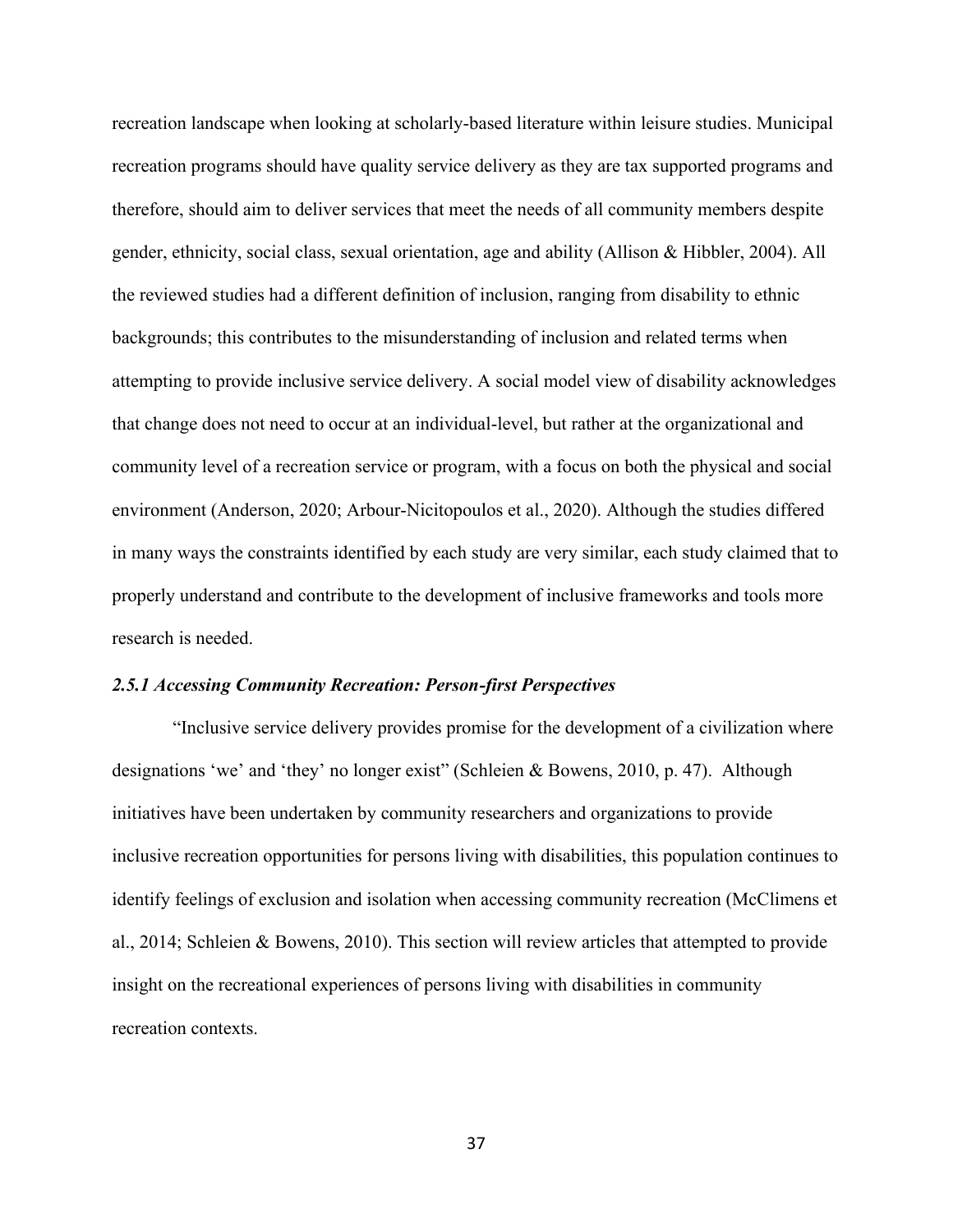recreation landscape when looking at scholarly-based literature within leisure studies. Municipal recreation programs should have quality service delivery as they are tax supported programs and therefore, should aim to deliver services that meet the needs of all community members despite gender, ethnicity, social class, sexual orientation, age and ability (Allison & Hibbler, 2004). All the reviewed studies had a different definition of inclusion, ranging from disability to ethnic backgrounds; this contributes to the misunderstanding of inclusion and related terms when attempting to provide inclusive service delivery. A social model view of disability acknowledges that change does not need to occur at an individual-level, but rather at the organizational and community level of a recreation service or program, with a focus on both the physical and social environment (Anderson, 2020; Arbour-Nicitopoulos et al., 2020). Although the studies differed in many ways the constraints identified by each study are very similar, each study claimed that to properly understand and contribute to the development of inclusive frameworks and tools more research is needed.

#### *2.5.1 Accessing Community Recreation: Person-first Perspectives*

"Inclusive service delivery provides promise for the development of a civilization where designations 'we' and 'they' no longer exist" (Schleien & Bowens, 2010, p. 47). Although initiatives have been undertaken by community researchers and organizations to provide inclusive recreation opportunities for persons living with disabilities, this population continues to identify feelings of exclusion and isolation when accessing community recreation (McClimens et al., 2014; Schleien & Bowens, 2010). This section will review articles that attempted to provide insight on the recreational experiences of persons living with disabilities in community recreation contexts.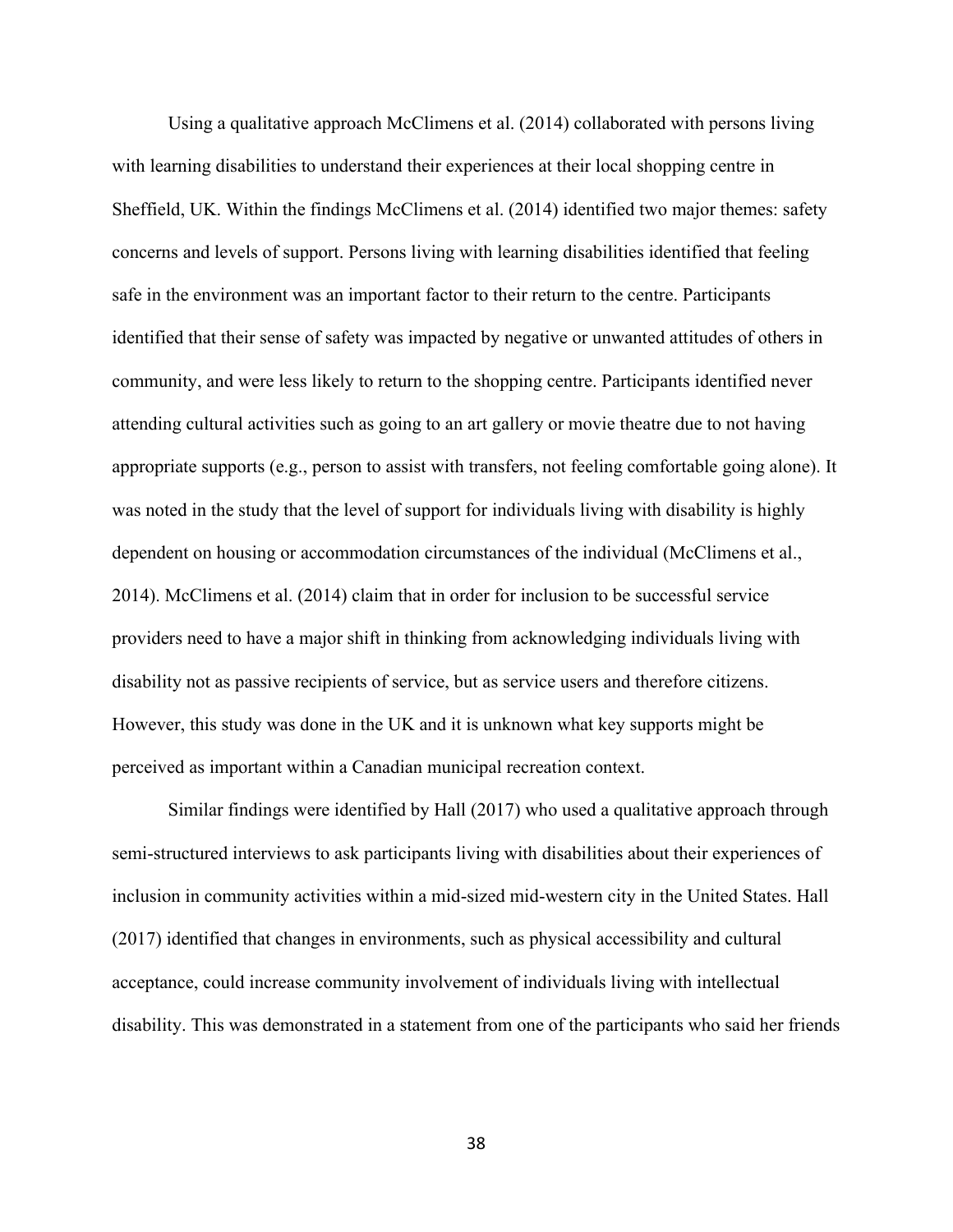Using a qualitative approach McClimens et al. (2014) collaborated with persons living with learning disabilities to understand their experiences at their local shopping centre in Sheffield, UK. Within the findings McClimens et al. (2014) identified two major themes: safety concerns and levels of support. Persons living with learning disabilities identified that feeling safe in the environment was an important factor to their return to the centre. Participants identified that their sense of safety was impacted by negative or unwanted attitudes of others in community, and were less likely to return to the shopping centre. Participants identified never attending cultural activities such as going to an art gallery or movie theatre due to not having appropriate supports (e.g., person to assist with transfers, not feeling comfortable going alone). It was noted in the study that the level of support for individuals living with disability is highly dependent on housing or accommodation circumstances of the individual (McClimens et al., 2014). McClimens et al. (2014) claim that in order for inclusion to be successful service providers need to have a major shift in thinking from acknowledging individuals living with disability not as passive recipients of service, but as service users and therefore citizens. However, this study was done in the UK and it is unknown what key supports might be perceived as important within a Canadian municipal recreation context.

Similar findings were identified by Hall (2017) who used a qualitative approach through semi-structured interviews to ask participants living with disabilities about their experiences of inclusion in community activities within a mid-sized mid-western city in the United States. Hall (2017) identified that changes in environments, such as physical accessibility and cultural acceptance, could increase community involvement of individuals living with intellectual disability. This was demonstrated in a statement from one of the participants who said her friends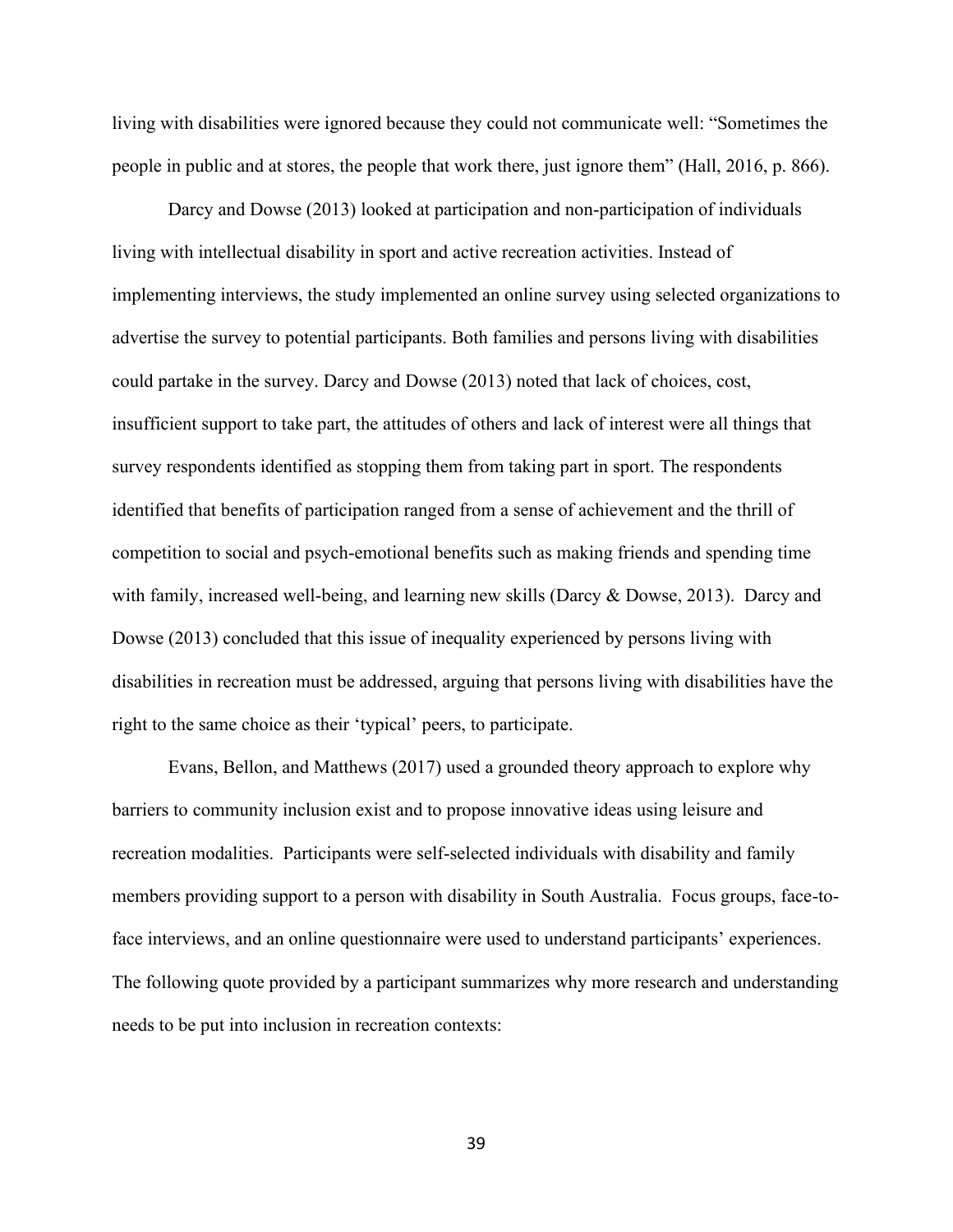living with disabilities were ignored because they could not communicate well: "Sometimes the people in public and at stores, the people that work there, just ignore them" (Hall, 2016, p. 866).

Darcy and Dowse (2013) looked at participation and non-participation of individuals living with intellectual disability in sport and active recreation activities. Instead of implementing interviews, the study implemented an online survey using selected organizations to advertise the survey to potential participants. Both families and persons living with disabilities could partake in the survey. Darcy and Dowse (2013) noted that lack of choices, cost, insufficient support to take part, the attitudes of others and lack of interest were all things that survey respondents identified as stopping them from taking part in sport. The respondents identified that benefits of participation ranged from a sense of achievement and the thrill of competition to social and psych-emotional benefits such as making friends and spending time with family, increased well-being, and learning new skills (Darcy & Dowse, 2013). Darcy and Dowse (2013) concluded that this issue of inequality experienced by persons living with disabilities in recreation must be addressed, arguing that persons living with disabilities have the right to the same choice as their 'typical' peers, to participate.

Evans, Bellon, and Matthews (2017) used a grounded theory approach to explore why barriers to community inclusion exist and to propose innovative ideas using leisure and recreation modalities. Participants were self-selected individuals with disability and family members providing support to a person with disability in South Australia. Focus groups, face-toface interviews, and an online questionnaire were used to understand participants' experiences. The following quote provided by a participant summarizes why more research and understanding needs to be put into inclusion in recreation contexts: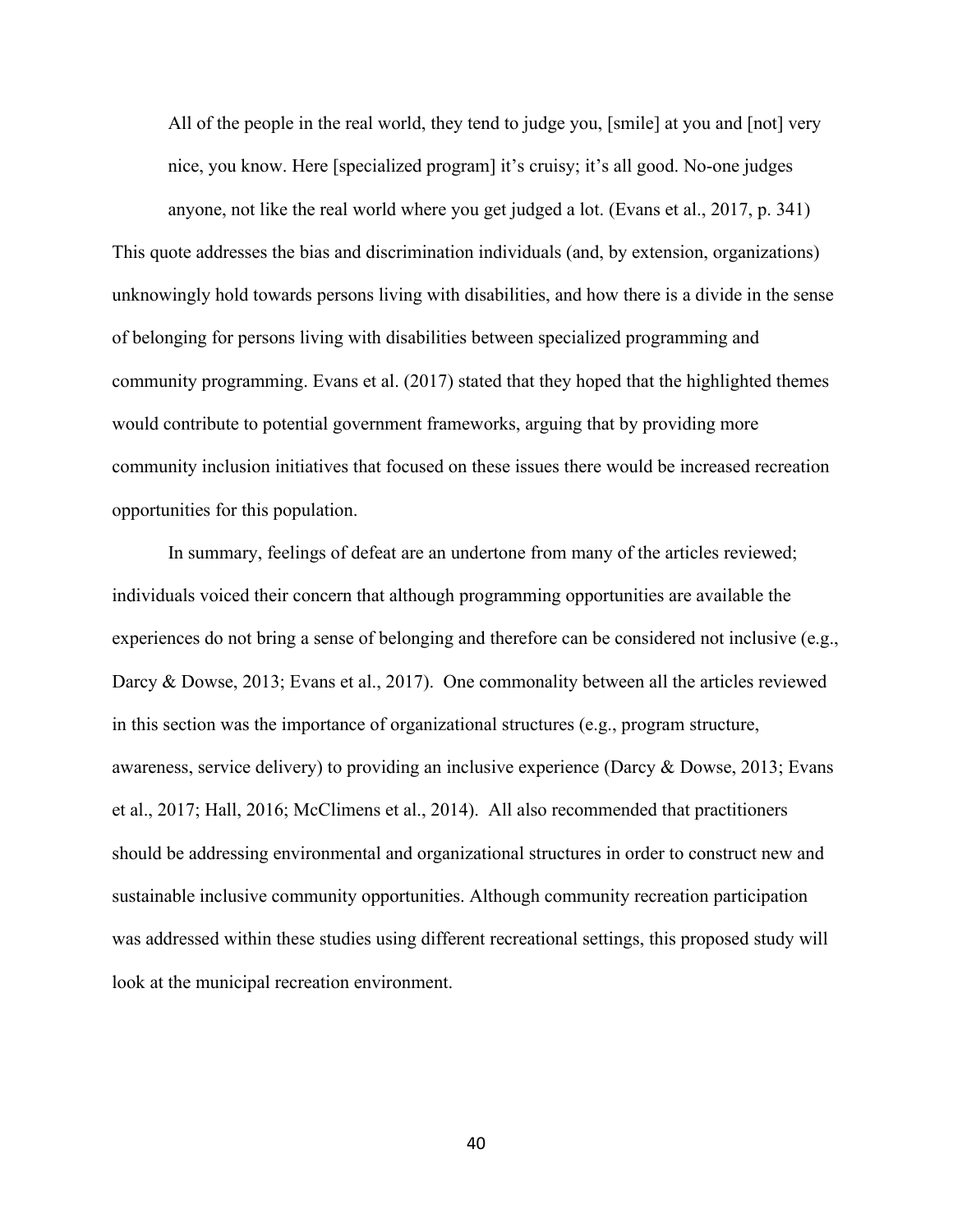All of the people in the real world, they tend to judge you, [smile] at you and [not] very nice, you know. Here [specialized program] it's cruisy; it's all good. No-one judges

anyone, not like the real world where you get judged a lot. (Evans et al., 2017, p. 341) This quote addresses the bias and discrimination individuals (and, by extension, organizations) unknowingly hold towards persons living with disabilities, and how there is a divide in the sense of belonging for persons living with disabilities between specialized programming and community programming. Evans et al. (2017) stated that they hoped that the highlighted themes would contribute to potential government frameworks, arguing that by providing more community inclusion initiatives that focused on these issues there would be increased recreation opportunities for this population.

In summary, feelings of defeat are an undertone from many of the articles reviewed; individuals voiced their concern that although programming opportunities are available the experiences do not bring a sense of belonging and therefore can be considered not inclusive (e.g., Darcy & Dowse, 2013; Evans et al., 2017). One commonality between all the articles reviewed in this section was the importance of organizational structures (e.g., program structure, awareness, service delivery) to providing an inclusive experience (Darcy & Dowse, 2013; Evans et al., 2017; Hall, 2016; McClimens et al., 2014). All also recommended that practitioners should be addressing environmental and organizational structures in order to construct new and sustainable inclusive community opportunities. Although community recreation participation was addressed within these studies using different recreational settings, this proposed study will look at the municipal recreation environment.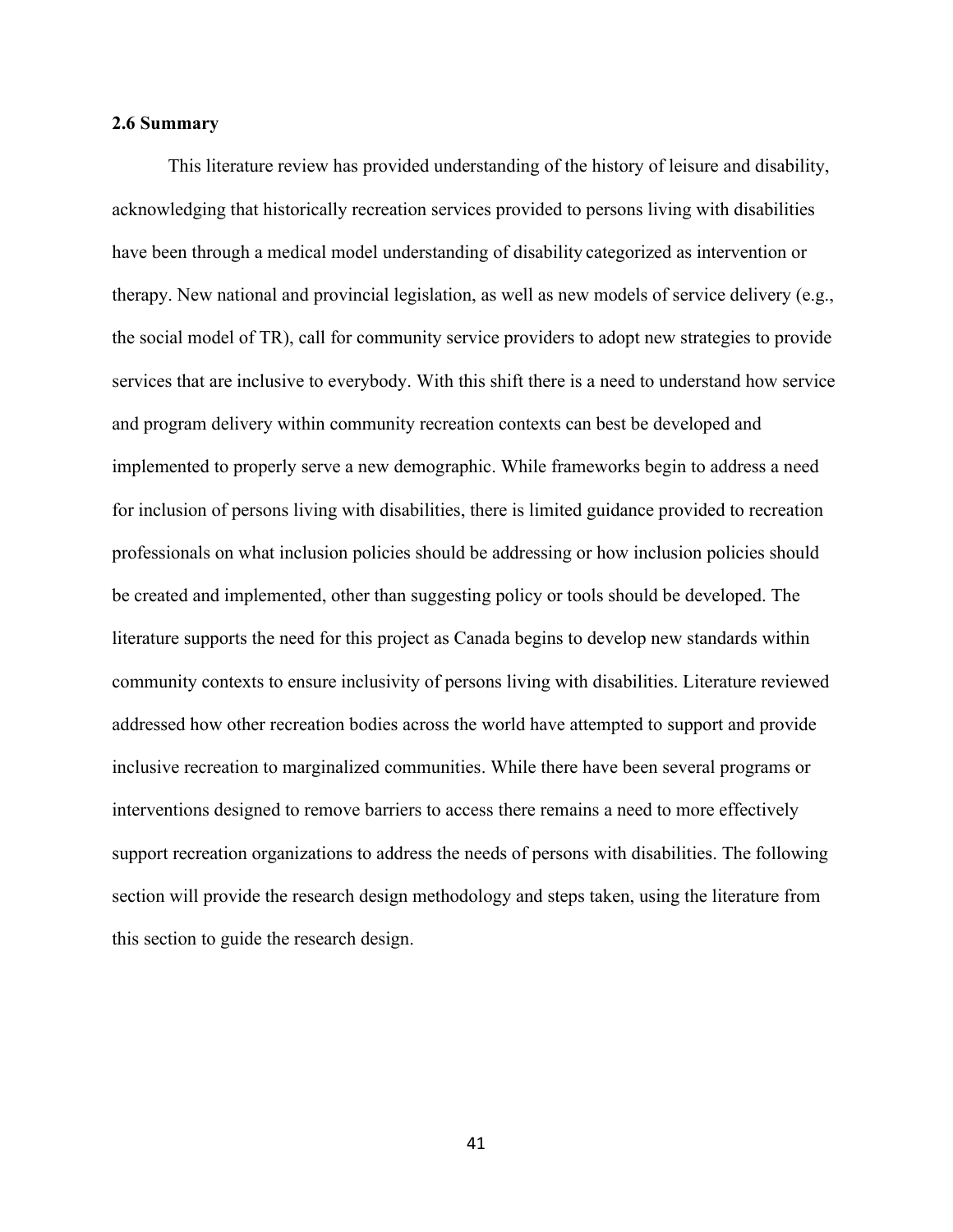### **2.6 Summary**

This literature review has provided understanding of the history of leisure and disability, acknowledging that historically recreation services provided to persons living with disabilities have been through a medical model understanding of disability categorized as intervention or therapy. New national and provincial legislation, as well as new models of service delivery (e.g., the social model of TR), call for community service providers to adopt new strategies to provide services that are inclusive to everybody. With this shift there is a need to understand how service and program delivery within community recreation contexts can best be developed and implemented to properly serve a new demographic. While frameworks begin to address a need for inclusion of persons living with disabilities, there is limited guidance provided to recreation professionals on what inclusion policies should be addressing or how inclusion policies should be created and implemented, other than suggesting policy or tools should be developed. The literature supports the need for this project as Canada begins to develop new standards within community contexts to ensure inclusivity of persons living with disabilities. Literature reviewed addressed how other recreation bodies across the world have attempted to support and provide inclusive recreation to marginalized communities. While there have been several programs or interventions designed to remove barriers to access there remains a need to more effectively support recreation organizations to address the needs of persons with disabilities. The following section will provide the research design methodology and steps taken, using the literature from this section to guide the research design.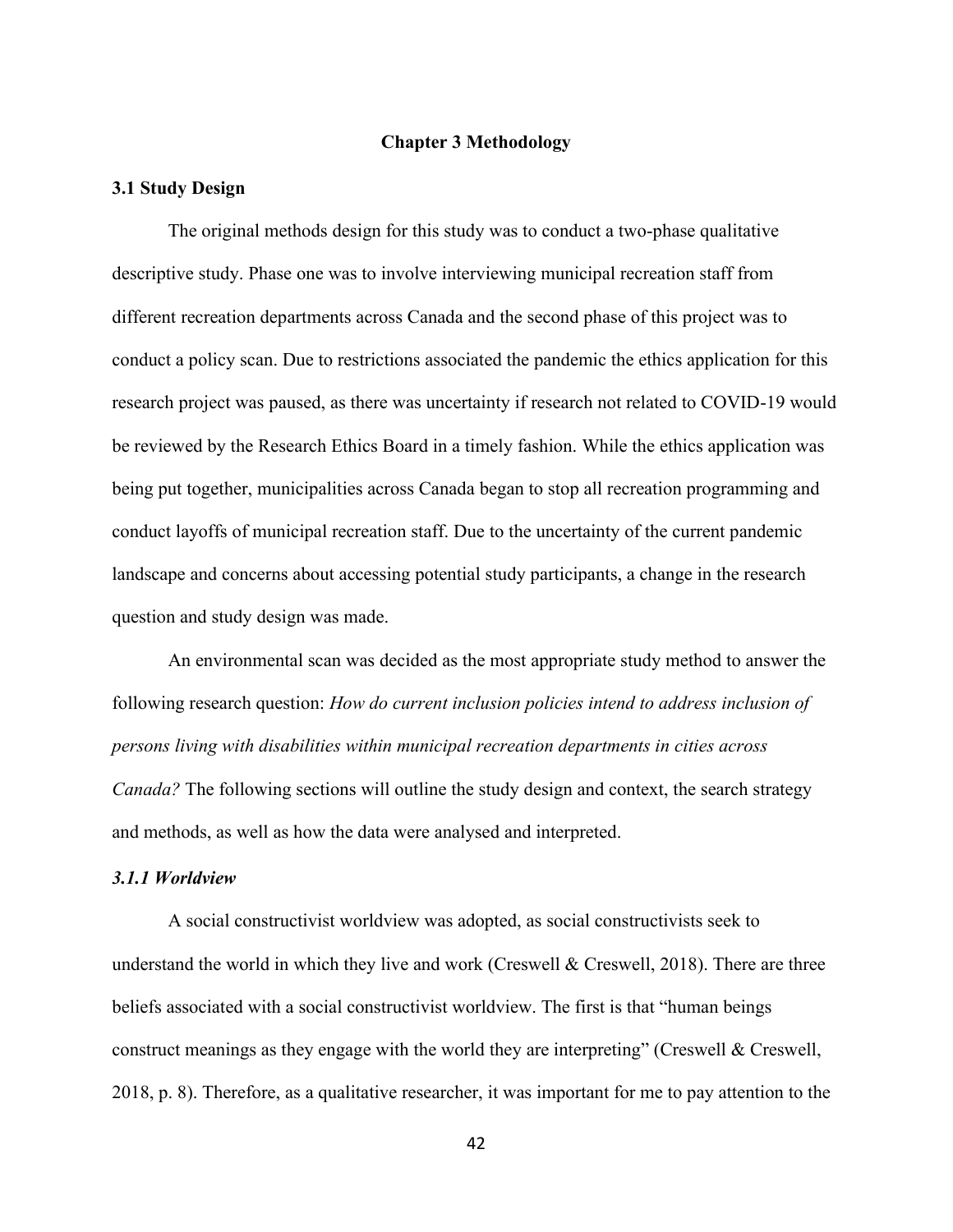#### **Chapter 3 Methodology**

#### **3.1 Study Design**

The original methods design for this study was to conduct a two-phase qualitative descriptive study. Phase one was to involve interviewing municipal recreation staff from different recreation departments across Canada and the second phase of this project was to conduct a policy scan. Due to restrictions associated the pandemic the ethics application for this research project was paused, as there was uncertainty if research not related to COVID-19 would be reviewed by the Research Ethics Board in a timely fashion. While the ethics application was being put together, municipalities across Canada began to stop all recreation programming and conduct layoffs of municipal recreation staff. Due to the uncertainty of the current pandemic landscape and concerns about accessing potential study participants, a change in the research question and study design was made.

An environmental scan was decided as the most appropriate study method to answer the following research question: *How do current inclusion policies intend to address inclusion of persons living with disabilities within municipal recreation departments in cities across Canada?* The following sections will outline the study design and context, the search strategy and methods, as well as how the data were analysed and interpreted.

#### *3.1.1 Worldview*

A social constructivist worldview was adopted, as social constructivists seek to understand the world in which they live and work (Creswell & Creswell, 2018). There are three beliefs associated with a social constructivist worldview. The first is that "human beings construct meanings as they engage with the world they are interpreting" (Creswell & Creswell, 2018, p. 8). Therefore, as a qualitative researcher, it was important for me to pay attention to the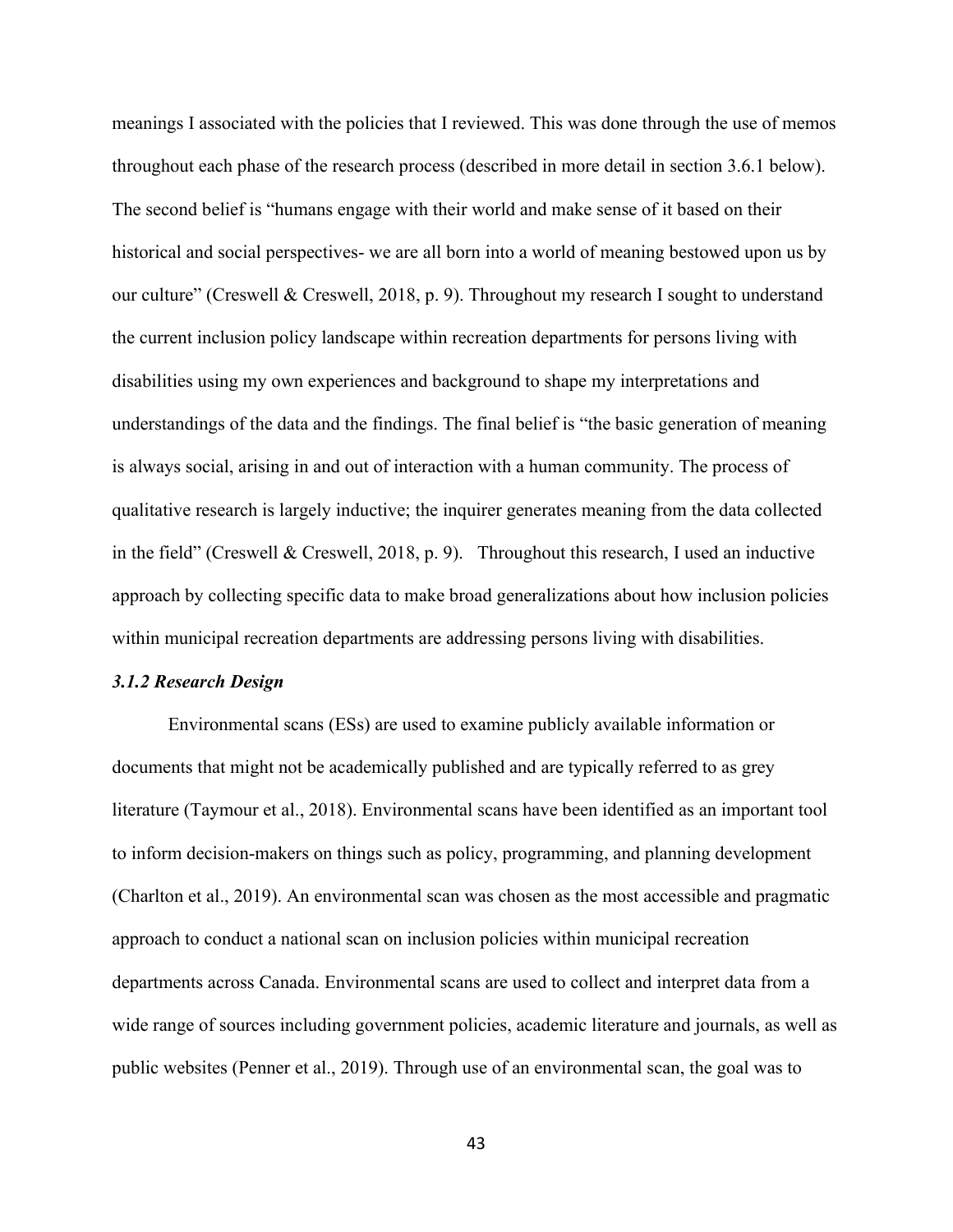meanings I associated with the policies that I reviewed. This was done through the use of memos throughout each phase of the research process (described in more detail in section 3.6.1 below). The second belief is "humans engage with their world and make sense of it based on their historical and social perspectives- we are all born into a world of meaning bestowed upon us by our culture" (Creswell & Creswell, 2018, p. 9). Throughout my research I sought to understand the current inclusion policy landscape within recreation departments for persons living with disabilities using my own experiences and background to shape my interpretations and understandings of the data and the findings. The final belief is "the basic generation of meaning is always social, arising in and out of interaction with a human community. The process of qualitative research is largely inductive; the inquirer generates meaning from the data collected in the field" (Creswell & Creswell, 2018, p. 9). Throughout this research, I used an inductive approach by collecting specific data to make broad generalizations about how inclusion policies within municipal recreation departments are addressing persons living with disabilities.

#### *3.1.2 Research Design*

Environmental scans (ESs) are used to examine publicly available information or documents that might not be academically published and are typically referred to as grey literature (Taymour et al., 2018). Environmental scans have been identified as an important tool to inform decision-makers on things such as policy, programming, and planning development (Charlton et al., 2019). An environmental scan was chosen as the most accessible and pragmatic approach to conduct a national scan on inclusion policies within municipal recreation departments across Canada. Environmental scans are used to collect and interpret data from a wide range of sources including government policies, academic literature and journals, as well as public websites (Penner et al., 2019). Through use of an environmental scan, the goal was to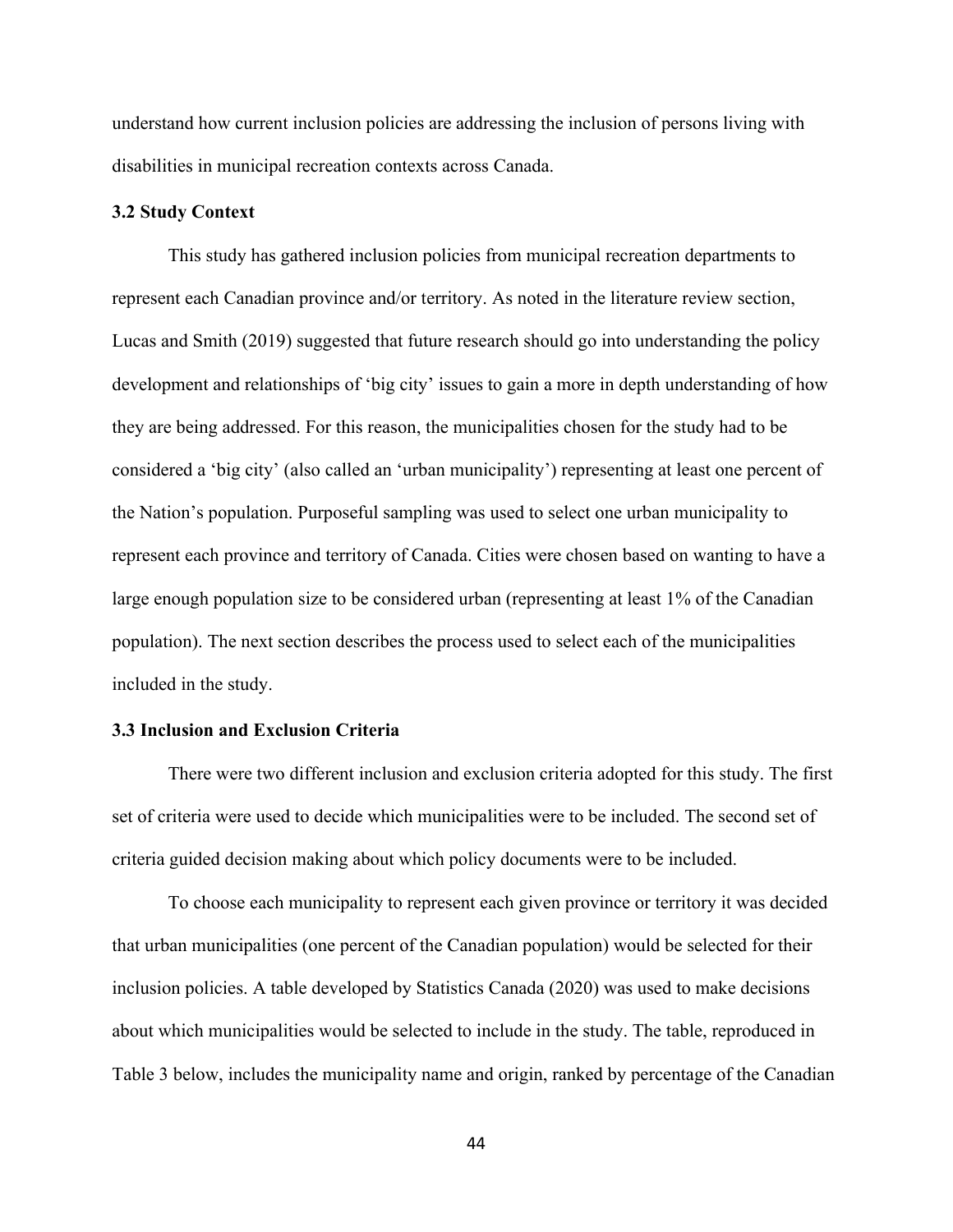understand how current inclusion policies are addressing the inclusion of persons living with disabilities in municipal recreation contexts across Canada.

#### **3.2 Study Context**

This study has gathered inclusion policies from municipal recreation departments to represent each Canadian province and/or territory. As noted in the literature review section, Lucas and Smith (2019) suggested that future research should go into understanding the policy development and relationships of 'big city' issues to gain a more in depth understanding of how they are being addressed. For this reason, the municipalities chosen for the study had to be considered a 'big city' (also called an 'urban municipality') representing at least one percent of the Nation's population. Purposeful sampling was used to select one urban municipality to represent each province and territory of Canada. Cities were chosen based on wanting to have a large enough population size to be considered urban (representing at least 1% of the Canadian population). The next section describes the process used to select each of the municipalities included in the study.

## **3.3 Inclusion and Exclusion Criteria**

There were two different inclusion and exclusion criteria adopted for this study. The first set of criteria were used to decide which municipalities were to be included. The second set of criteria guided decision making about which policy documents were to be included.

To choose each municipality to represent each given province or territory it was decided that urban municipalities (one percent of the Canadian population) would be selected for their inclusion policies. A table developed by Statistics Canada (2020) was used to make decisions about which municipalities would be selected to include in the study. The table, reproduced in Table 3 below, includes the municipality name and origin, ranked by percentage of the Canadian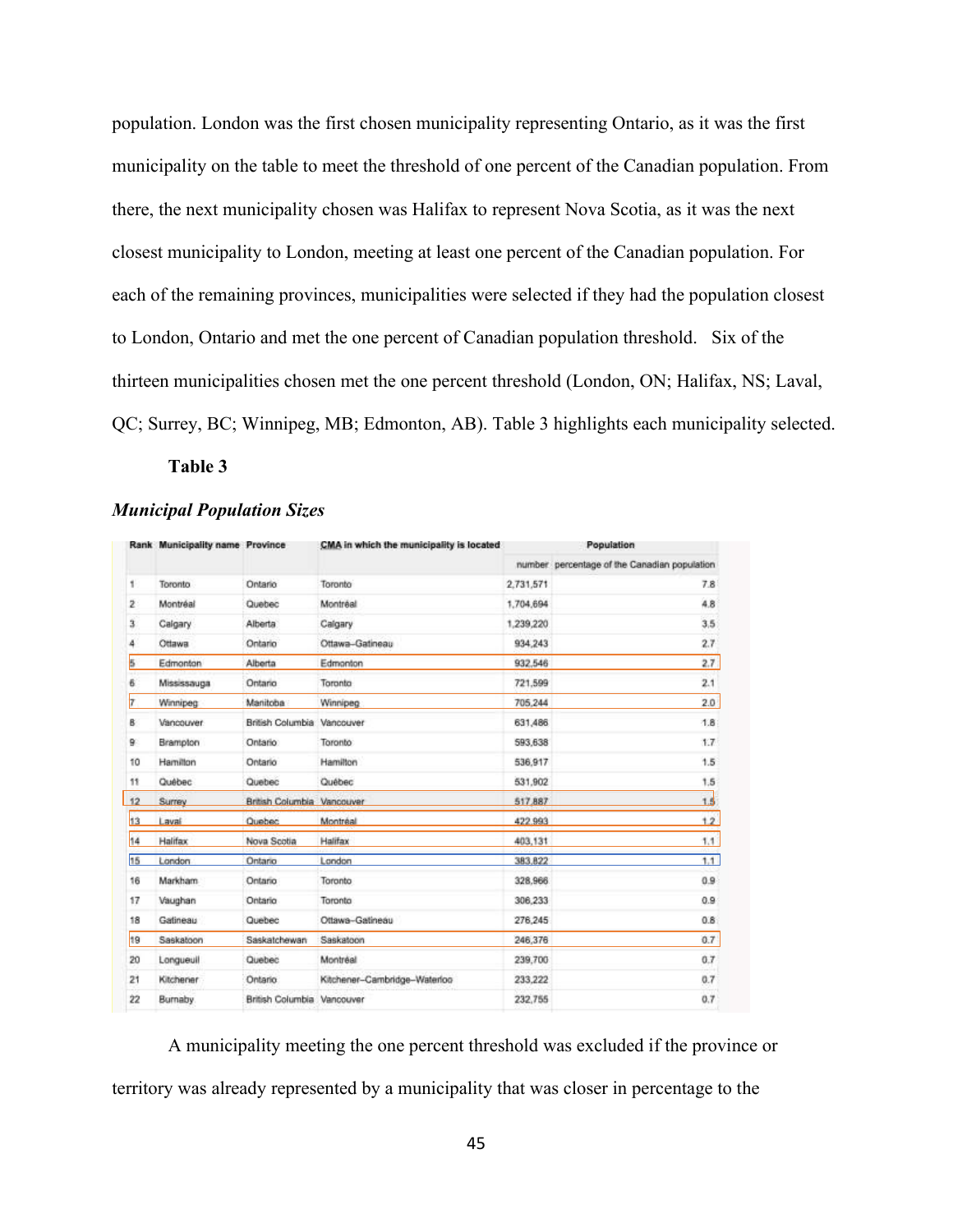population. London was the first chosen municipality representing Ontario, as it was the first municipality on the table to meet the threshold of one percent of the Canadian population. From there, the next municipality chosen was Halifax to represent Nova Scotia, as it was the next closest municipality to London, meeting at least one percent of the Canadian population. For each of the remaining provinces, municipalities were selected if they had the population closest to London, Ontario and met the one percent of Canadian population threshold. Six of the thirteen municipalities chosen met the one percent threshold (London, ON; Halifax, NS; Laval, QC; Surrey, BC; Winnipeg, MB; Edmonton, AB). Table 3 highlights each municipality selected.

**Table 3**

### *Municipal Population Sizes*

|                | Rank Municipality name Province |                            | CMA in which the municipality is located | Population |                                              |
|----------------|---------------------------------|----------------------------|------------------------------------------|------------|----------------------------------------------|
|                |                                 |                            |                                          |            | number percentage of the Canadian population |
| 1              | Toronto                         | Ontario                    | Toronto                                  | 2,731,571  | 7.8                                          |
| $\overline{2}$ | Montréal                        | Quebec                     | Montréal                                 | 1,704,694  | 4.8                                          |
| з.             | Calgary                         | Alberta                    | Calgary                                  | 1.239,220  | 3.5                                          |
| 4              | Ottawa                          | Ontario                    | Ottawa-Gatineau                          | 934,243    | 2.7                                          |
| Б              | Edmonton                        | Alberta                    | Edmonton                                 | 932 546    | 2.7                                          |
| 6              | Mississauga                     | Ontano                     | Toronto                                  | 721,599    | 2.1                                          |
| 7              | Winnipeg                        | Manitoba                   | Winnipeg                                 | 705.244    | 2.0                                          |
| R.             | Vancouver                       | British Columbia Vancouver |                                          | 631,486    | 1.8                                          |
| 9              | Brampton                        | Ontario                    | Toronto                                  | 593,638    | 1.7                                          |
| 10             | Hamilton                        | Ontario                    | Hamilton                                 | 536,917    | 1.5                                          |
| 11             | Québec                          | Quebec                     | Québec                                   | 531,902    | 1.5                                          |
| 12             | Surrey                          | British Columbia Vancouver |                                          | 517,887    | 1.5                                          |
| 13             | Laval                           | Quebec                     | Montréal                                 | 422,993    | 1.2                                          |
| 14             | Halifax                         | Nova Scotia                | Halifax                                  | 403,131    | 1.1                                          |
| 15             | London                          | Ontano                     | Landon                                   | 383.822    | 1.1                                          |
| 16             | Markham                         | Ontario                    | Toronto                                  | 328.966    | 0.9                                          |
| 17             | Vaughan                         | Ontario                    | Toronto                                  | 306,233    | 0.9                                          |
| 18             | Gatineau                        | Quebec                     | Ottawa-Gatineau                          | 276,245    | 0.8                                          |
| 19             | Saskatoon                       | Saskatchewan               | Saskatoon                                | 246,376    | 0.7                                          |
| 20             | Longueuil                       | Quebec                     | Montréal                                 | 239,700    | 0.7                                          |
| 21             | Kitchener                       | Ontario                    | Kitchener-Cambridge-Waterloo             | 233.222    | 0.7                                          |
| 22             | Burnaby                         | British Columbia Vancouver |                                          | 232,755    | 0.7                                          |

A municipality meeting the one percent threshold was excluded if the province or territory was already represented by a municipality that was closer in percentage to the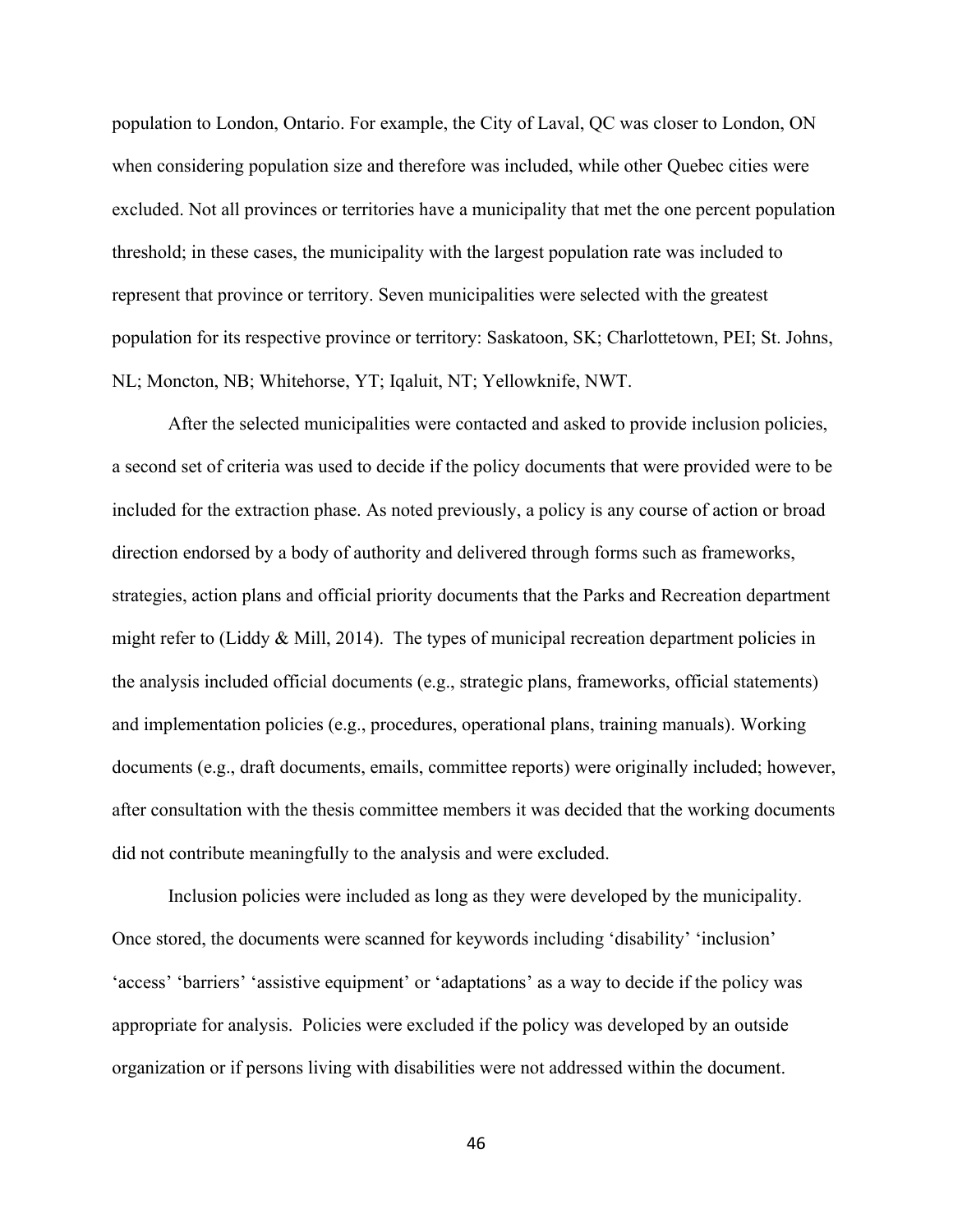population to London, Ontario. For example, the City of Laval, QC was closer to London, ON when considering population size and therefore was included, while other Quebec cities were excluded. Not all provinces or territories have a municipality that met the one percent population threshold; in these cases, the municipality with the largest population rate was included to represent that province or territory. Seven municipalities were selected with the greatest population for its respective province or territory: Saskatoon, SK; Charlottetown, PEI; St. Johns, NL; Moncton, NB; Whitehorse, YT; Iqaluit, NT; Yellowknife, NWT.

After the selected municipalities were contacted and asked to provide inclusion policies, a second set of criteria was used to decide if the policy documents that were provided were to be included for the extraction phase. As noted previously, a policy is any course of action or broad direction endorsed by a body of authority and delivered through forms such as frameworks, strategies, action plans and official priority documents that the Parks and Recreation department might refer to (Liddy  $\&$  Mill, 2014). The types of municipal recreation department policies in the analysis included official documents (e.g., strategic plans, frameworks, official statements) and implementation policies (e.g., procedures, operational plans, training manuals). Working documents (e.g., draft documents, emails, committee reports) were originally included; however, after consultation with the thesis committee members it was decided that the working documents did not contribute meaningfully to the analysis and were excluded.

Inclusion policies were included as long as they were developed by the municipality. Once stored, the documents were scanned for keywords including 'disability' 'inclusion' 'access' 'barriers' 'assistive equipment' or 'adaptations' as a way to decide if the policy was appropriate for analysis. Policies were excluded if the policy was developed by an outside organization or if persons living with disabilities were not addressed within the document.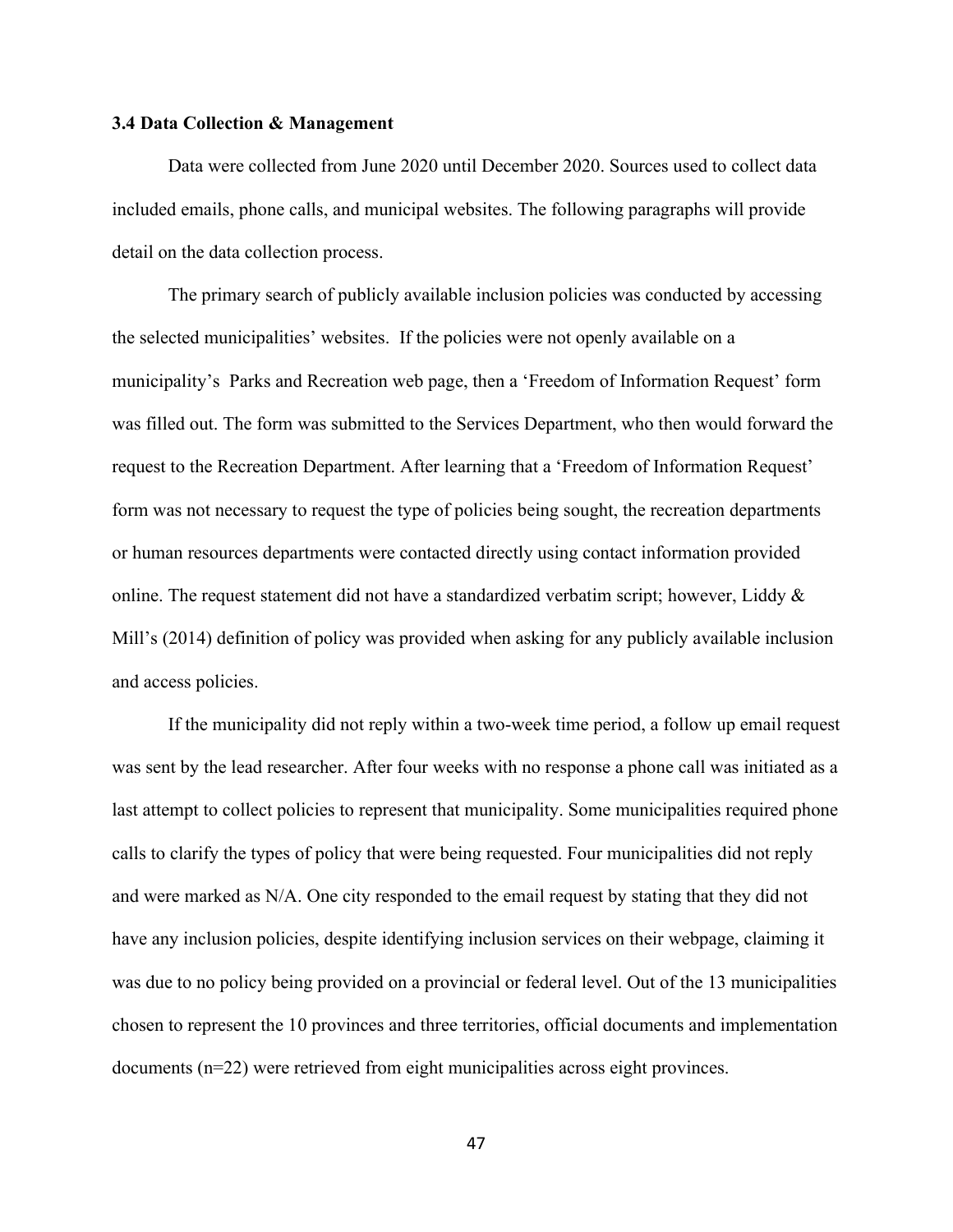#### **3.4 Data Collection & Management**

Data were collected from June 2020 until December 2020. Sources used to collect data included emails, phone calls, and municipal websites. The following paragraphs will provide detail on the data collection process.

The primary search of publicly available inclusion policies was conducted by accessing the selected municipalities' websites. If the policies were not openly available on a municipality's Parks and Recreation web page, then a 'Freedom of Information Request' form was filled out. The form was submitted to the Services Department, who then would forward the request to the Recreation Department. After learning that a 'Freedom of Information Request' form was not necessary to request the type of policies being sought, the recreation departments or human resources departments were contacted directly using contact information provided online. The request statement did not have a standardized verbatim script; however, Liddy & Mill's (2014) definition of policy was provided when asking for any publicly available inclusion and access policies.

If the municipality did not reply within a two-week time period, a follow up email request was sent by the lead researcher. After four weeks with no response a phone call was initiated as a last attempt to collect policies to represent that municipality. Some municipalities required phone calls to clarify the types of policy that were being requested. Four municipalities did not reply and were marked as N/A. One city responded to the email request by stating that they did not have any inclusion policies, despite identifying inclusion services on their webpage, claiming it was due to no policy being provided on a provincial or federal level. Out of the 13 municipalities chosen to represent the 10 provinces and three territories, official documents and implementation documents (n=22) were retrieved from eight municipalities across eight provinces.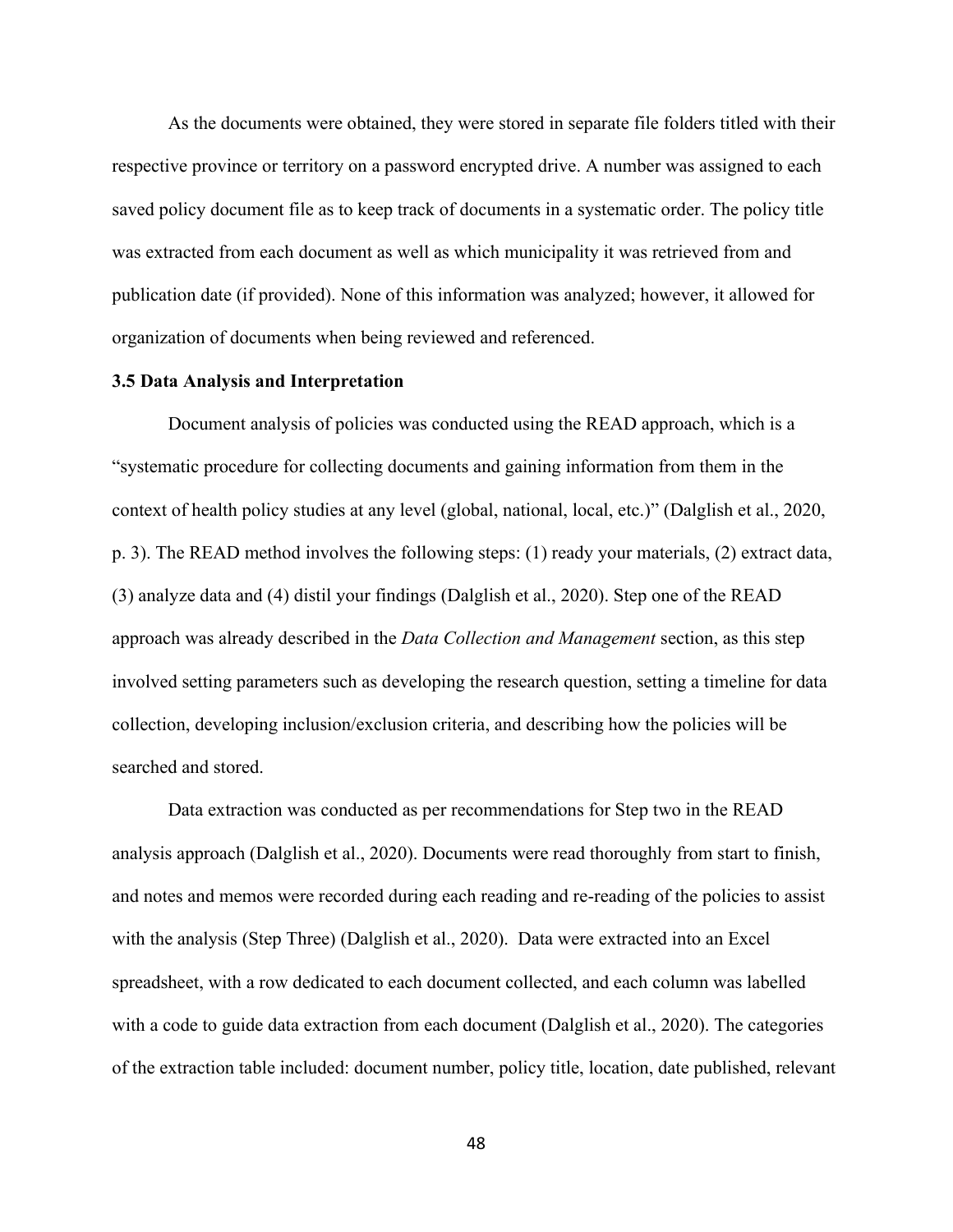As the documents were obtained, they were stored in separate file folders titled with their respective province or territory on a password encrypted drive. A number was assigned to each saved policy document file as to keep track of documents in a systematic order. The policy title was extracted from each document as well as which municipality it was retrieved from and publication date (if provided). None of this information was analyzed; however, it allowed for organization of documents when being reviewed and referenced.

#### **3.5 Data Analysis and Interpretation**

Document analysis of policies was conducted using the READ approach, which is a "systematic procedure for collecting documents and gaining information from them in the context of health policy studies at any level (global, national, local, etc.)" (Dalglish et al., 2020, p. 3). The READ method involves the following steps: (1) ready your materials, (2) extract data, (3) analyze data and (4) distil your findings (Dalglish et al., 2020). Step one of the READ approach was already described in the *Data Collection and Management* section, as this step involved setting parameters such as developing the research question, setting a timeline for data collection, developing inclusion/exclusion criteria, and describing how the policies will be searched and stored.

Data extraction was conducted as per recommendations for Step two in the READ analysis approach (Dalglish et al., 2020). Documents were read thoroughly from start to finish, and notes and memos were recorded during each reading and re-reading of the policies to assist with the analysis (Step Three) (Dalglish et al., 2020). Data were extracted into an Excel spreadsheet, with a row dedicated to each document collected, and each column was labelled with a code to guide data extraction from each document (Dalglish et al., 2020). The categories of the extraction table included: document number, policy title, location, date published, relevant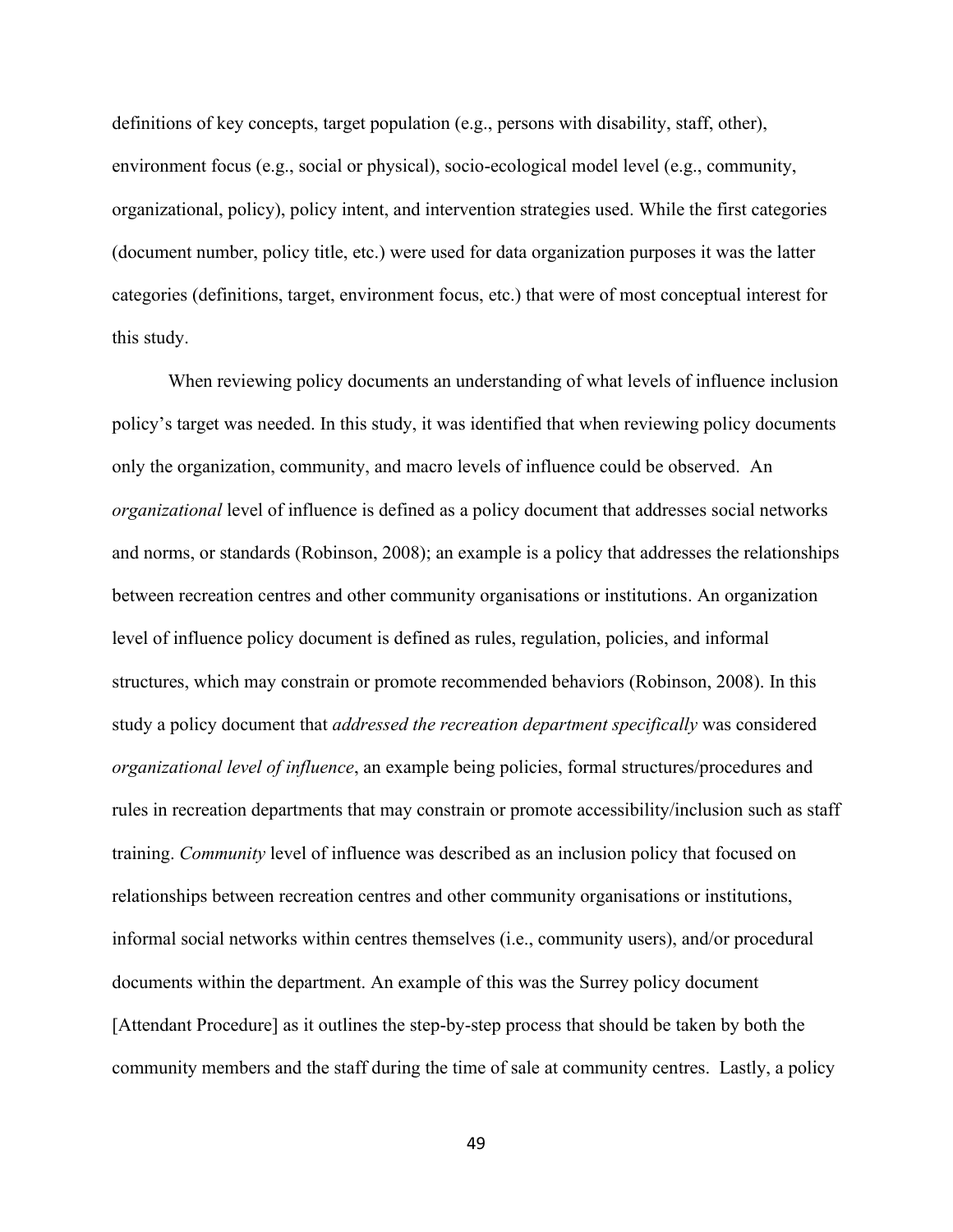definitions of key concepts, target population (e.g., persons with disability, staff, other), environment focus (e.g., social or physical), socio-ecological model level (e.g., community, organizational, policy), policy intent, and intervention strategies used. While the first categories (document number, policy title, etc.) were used for data organization purposes it was the latter categories (definitions, target, environment focus, etc.) that were of most conceptual interest for this study.

When reviewing policy documents an understanding of what levels of influence inclusion policy's target was needed. In this study, it was identified that when reviewing policy documents only the organization, community, and macro levels of influence could be observed. An *organizational* level of influence is defined as a policy document that addresses social networks and norms, or standards (Robinson, 2008); an example is a policy that addresses the relationships between recreation centres and other community organisations or institutions. An organization level of influence policy document is defined as rules, regulation, policies, and informal structures, which may constrain or promote recommended behaviors (Robinson, 2008). In this study a policy document that *addressed the recreation department specifically* was considered *organizational level of influence*, an example being policies, formal structures/procedures and rules in recreation departments that may constrain or promote accessibility/inclusion such as staff training. *Community* level of influence was described as an inclusion policy that focused on relationships between recreation centres and other community organisations or institutions, informal social networks within centres themselves (i.e., community users), and/or procedural documents within the department. An example of this was the Surrey policy document [Attendant Procedure] as it outlines the step-by-step process that should be taken by both the community members and the staff during the time of sale at community centres. Lastly, a policy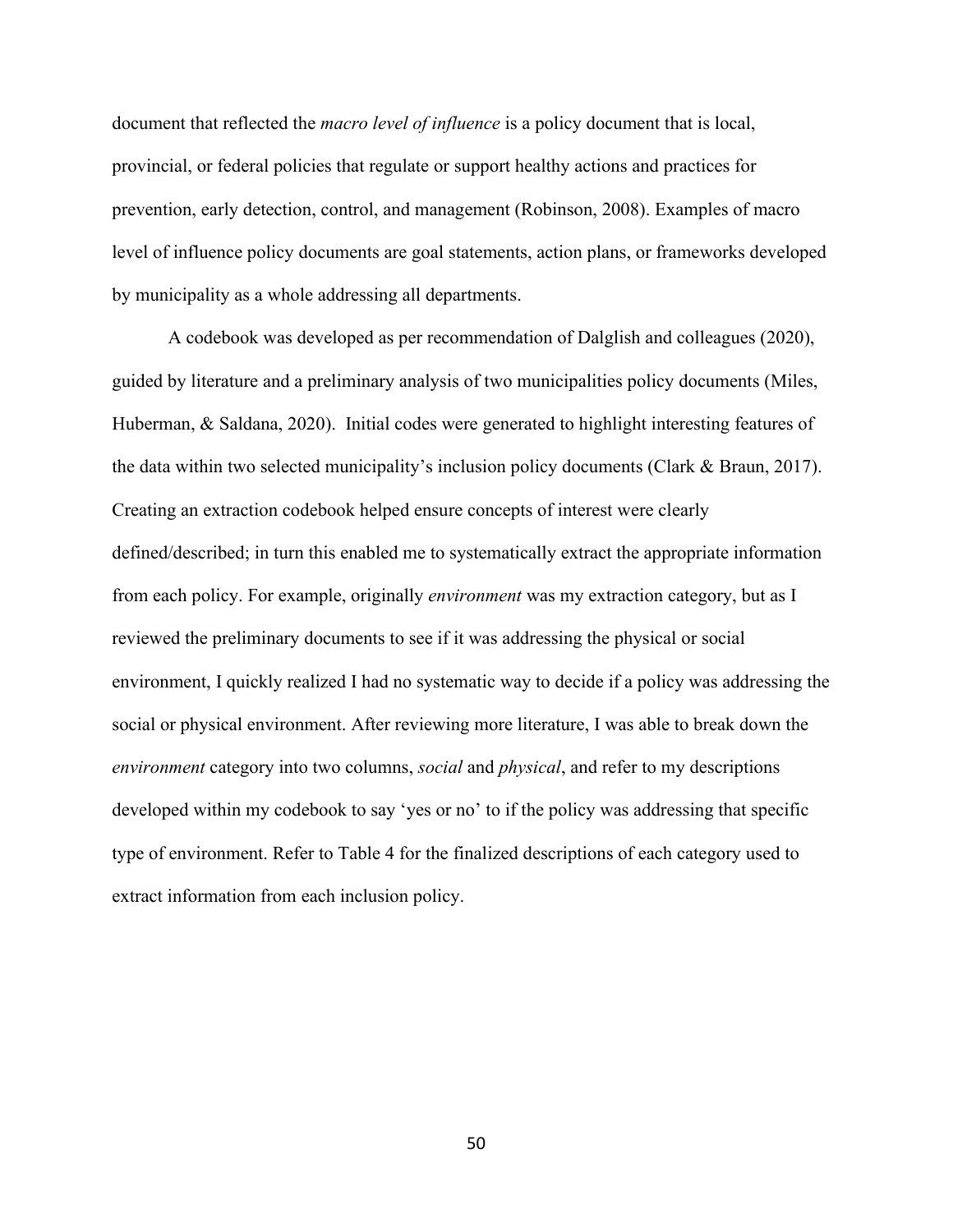document that reflected the *macro level of influence* is a policy document that is local, provincial, or federal policies that regulate or support healthy actions and practices for prevention, early detection, control, and management (Robinson, 2008). Examples of macro level of influence policy documents are goal statements, action plans, or frameworks developed by municipality as a whole addressing all departments.

A codebook was developed as per recommendation of Dalglish and colleagues (2020), guided by literature and a preliminary analysis of two municipalities policy documents (Miles, Huberman, & Saldana, 2020). Initial codes were generated to highlight interesting features of the data within two selected municipality's inclusion policy documents (Clark & Braun, 2017). Creating an extraction codebook helped ensure concepts of interest were clearly defined/described; in turn this enabled me to systematically extract the appropriate information from each policy. For example, originally *environment* was my extraction category, but as I reviewed the preliminary documents to see if it was addressing the physical or social environment, I quickly realized I had no systematic way to decide if a policy was addressing the social or physical environment. After reviewing more literature, I was able to break down the *environment* category into two columns, *social* and *physical*, and refer to my descriptions developed within my codebook to say 'yes or no' to if the policy was addressing that specific type of environment. Refer to Table 4 for the finalized descriptions of each category used to extract information from each inclusion policy.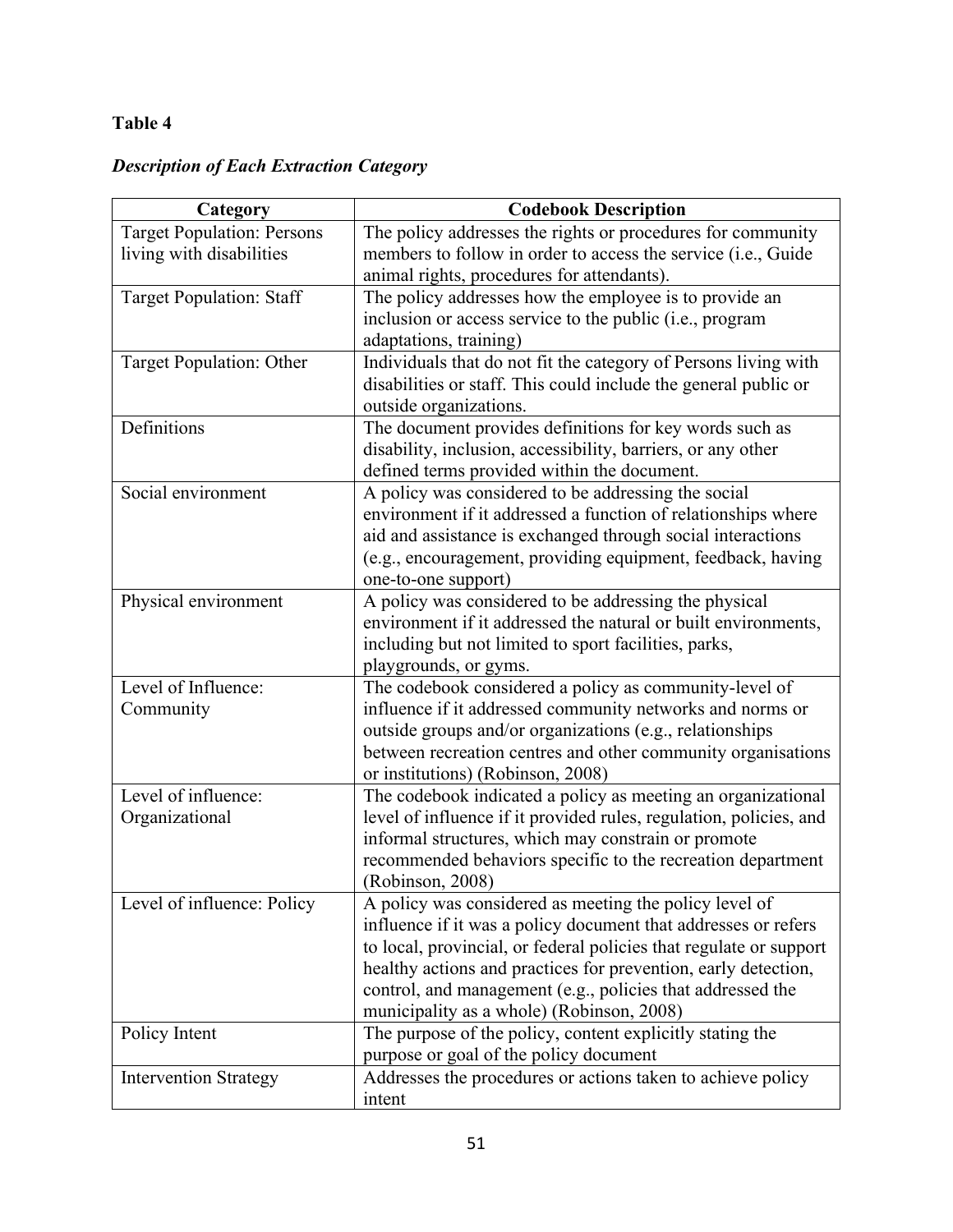# **Table 4**

# *Description of Each Extraction Category*

| Category                          | <b>Codebook Description</b>                                                                                        |  |  |
|-----------------------------------|--------------------------------------------------------------------------------------------------------------------|--|--|
| <b>Target Population: Persons</b> | The policy addresses the rights or procedures for community                                                        |  |  |
| living with disabilities          | members to follow in order to access the service (i.e., Guide                                                      |  |  |
|                                   | animal rights, procedures for attendants).                                                                         |  |  |
| <b>Target Population: Staff</b>   | The policy addresses how the employee is to provide an                                                             |  |  |
|                                   | inclusion or access service to the public (i.e., program                                                           |  |  |
|                                   | adaptations, training)                                                                                             |  |  |
| Target Population: Other          | Individuals that do not fit the category of Persons living with                                                    |  |  |
|                                   | disabilities or staff. This could include the general public or                                                    |  |  |
|                                   | outside organizations.                                                                                             |  |  |
| Definitions                       | The document provides definitions for key words such as                                                            |  |  |
|                                   | disability, inclusion, accessibility, barriers, or any other                                                       |  |  |
|                                   | defined terms provided within the document.                                                                        |  |  |
| Social environment                | A policy was considered to be addressing the social                                                                |  |  |
|                                   | environment if it addressed a function of relationships where                                                      |  |  |
|                                   | aid and assistance is exchanged through social interactions                                                        |  |  |
|                                   | (e.g., encouragement, providing equipment, feedback, having                                                        |  |  |
|                                   | one-to-one support)                                                                                                |  |  |
| Physical environment              | A policy was considered to be addressing the physical                                                              |  |  |
|                                   | environment if it addressed the natural or built environments,                                                     |  |  |
|                                   | including but not limited to sport facilities, parks,                                                              |  |  |
|                                   | playgrounds, or gyms.                                                                                              |  |  |
| Level of Influence:               | The codebook considered a policy as community-level of                                                             |  |  |
| Community                         | influence if it addressed community networks and norms or                                                          |  |  |
|                                   | outside groups and/or organizations (e.g., relationships                                                           |  |  |
|                                   | between recreation centres and other community organisations                                                       |  |  |
|                                   | or institutions) (Robinson, 2008)                                                                                  |  |  |
| Level of influence:               | The codebook indicated a policy as meeting an organizational                                                       |  |  |
| Organizational                    | level of influence if it provided rules, regulation, policies, and                                                 |  |  |
|                                   | informal structures, which may constrain or promote<br>recommended behaviors specific to the recreation department |  |  |
|                                   | (Robinson, 2008)                                                                                                   |  |  |
| Level of influence: Policy        | A policy was considered as meeting the policy level of                                                             |  |  |
|                                   | influence if it was a policy document that addresses or refers                                                     |  |  |
|                                   | to local, provincial, or federal policies that regulate or support                                                 |  |  |
|                                   | healthy actions and practices for prevention, early detection,                                                     |  |  |
|                                   | control, and management (e.g., policies that addressed the                                                         |  |  |
|                                   | municipality as a whole) (Robinson, 2008)                                                                          |  |  |
| Policy Intent                     | The purpose of the policy, content explicitly stating the                                                          |  |  |
|                                   | purpose or goal of the policy document                                                                             |  |  |
| <b>Intervention Strategy</b>      | Addresses the procedures or actions taken to achieve policy                                                        |  |  |
|                                   | intent                                                                                                             |  |  |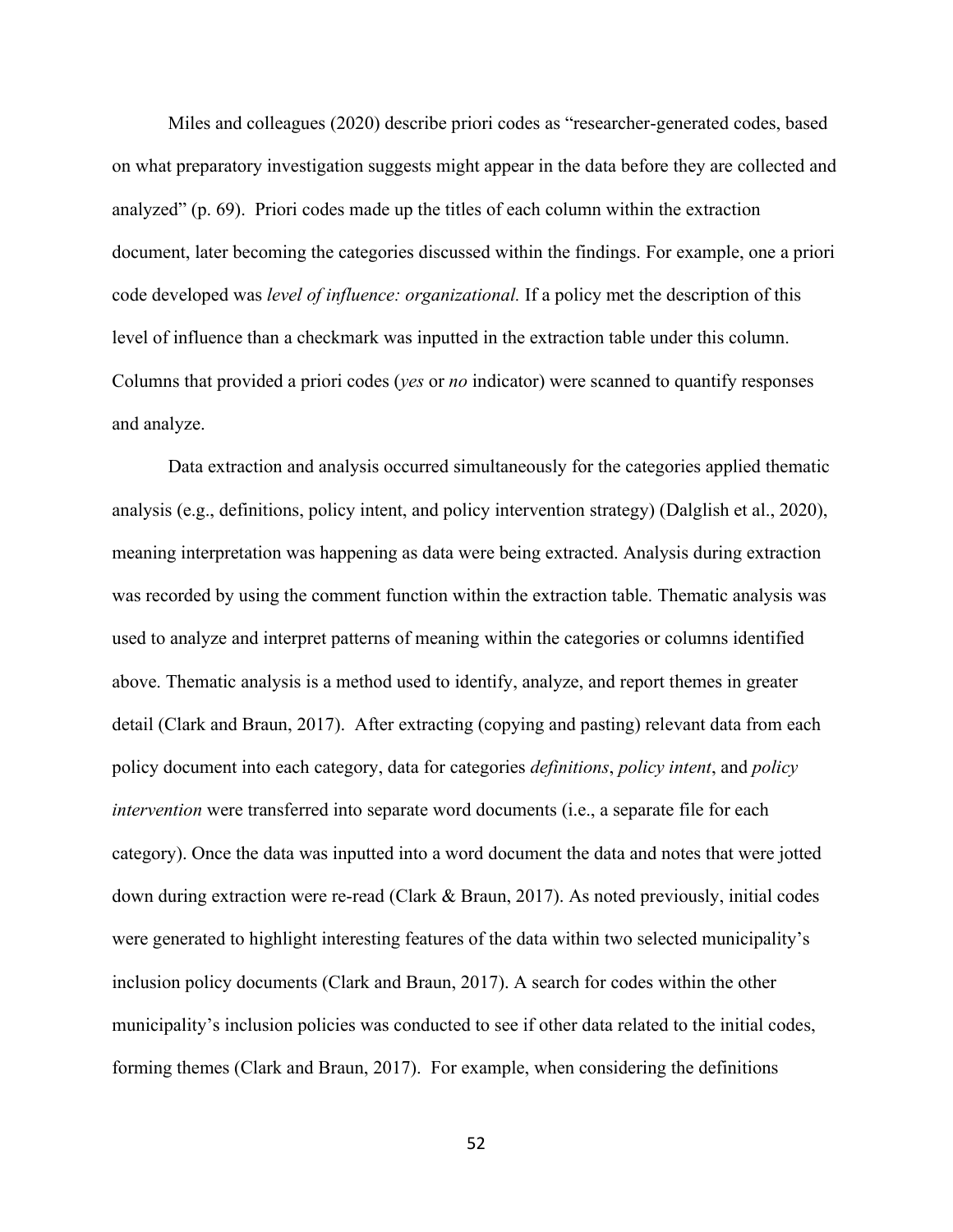Miles and colleagues (2020) describe priori codes as "researcher-generated codes, based on what preparatory investigation suggests might appear in the data before they are collected and analyzed" (p. 69). Priori codes made up the titles of each column within the extraction document, later becoming the categories discussed within the findings. For example, one a priori code developed was *level of influence: organizational.* If a policy met the description of this level of influence than a checkmark was inputted in the extraction table under this column. Columns that provided a priori codes (*yes* or *no* indicator) were scanned to quantify responses and analyze.

Data extraction and analysis occurred simultaneously for the categories applied thematic analysis (e.g., definitions, policy intent, and policy intervention strategy) (Dalglish et al., 2020), meaning interpretation was happening as data were being extracted. Analysis during extraction was recorded by using the comment function within the extraction table. Thematic analysis was used to analyze and interpret patterns of meaning within the categories or columns identified above. Thematic analysis is a method used to identify, analyze, and report themes in greater detail (Clark and Braun, 2017). After extracting (copying and pasting) relevant data from each policy document into each category, data for categories *definitions*, *policy intent*, and *policy intervention* were transferred into separate word documents (*i.e.*, a separate file for each category). Once the data was inputted into a word document the data and notes that were jotted down during extraction were re-read (Clark & Braun, 2017). As noted previously, initial codes were generated to highlight interesting features of the data within two selected municipality's inclusion policy documents (Clark and Braun, 2017). A search for codes within the other municipality's inclusion policies was conducted to see if other data related to the initial codes, forming themes (Clark and Braun, 2017). For example, when considering the definitions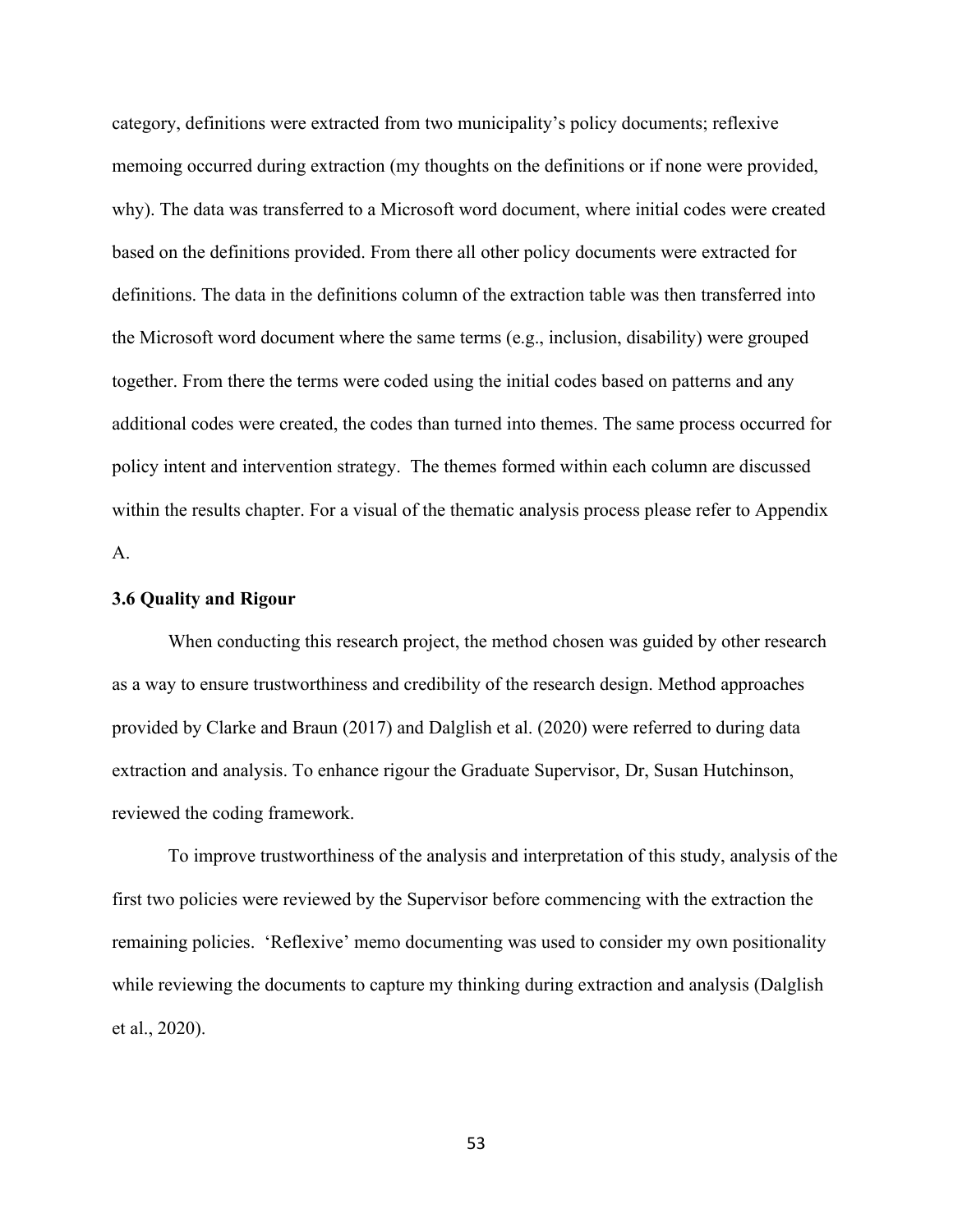category, definitions were extracted from two municipality's policy documents; reflexive memoing occurred during extraction (my thoughts on the definitions or if none were provided, why). The data was transferred to a Microsoft word document, where initial codes were created based on the definitions provided. From there all other policy documents were extracted for definitions. The data in the definitions column of the extraction table was then transferred into the Microsoft word document where the same terms (e.g., inclusion, disability) were grouped together. From there the terms were coded using the initial codes based on patterns and any additional codes were created, the codes than turned into themes. The same process occurred for policy intent and intervention strategy. The themes formed within each column are discussed within the results chapter. For a visual of the thematic analysis process please refer to Appendix A.

#### **3.6 Quality and Rigour**

When conducting this research project, the method chosen was guided by other research as a way to ensure trustworthiness and credibility of the research design. Method approaches provided by Clarke and Braun (2017) and Dalglish et al. (2020) were referred to during data extraction and analysis. To enhance rigour the Graduate Supervisor, Dr, Susan Hutchinson, reviewed the coding framework.

To improve trustworthiness of the analysis and interpretation of this study, analysis of the first two policies were reviewed by the Supervisor before commencing with the extraction the remaining policies. 'Reflexive' memo documenting was used to consider my own positionality while reviewing the documents to capture my thinking during extraction and analysis (Dalglish et al., 2020).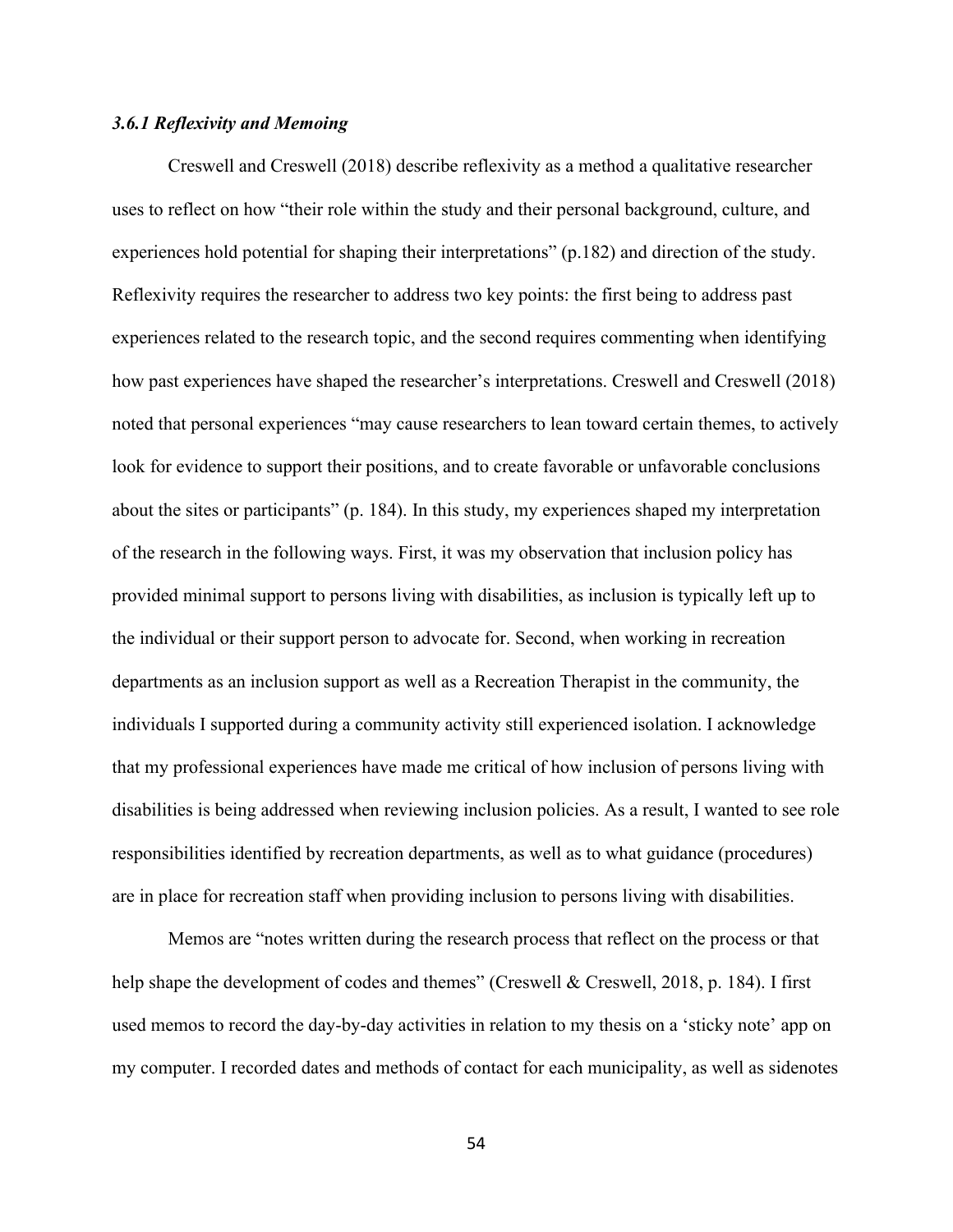#### *3.6.1 Reflexivity and Memoing*

Creswell and Creswell (2018) describe reflexivity as a method a qualitative researcher uses to reflect on how "their role within the study and their personal background, culture, and experiences hold potential for shaping their interpretations" (p.182) and direction of the study. Reflexivity requires the researcher to address two key points: the first being to address past experiences related to the research topic, and the second requires commenting when identifying how past experiences have shaped the researcher's interpretations. Creswell and Creswell (2018) noted that personal experiences "may cause researchers to lean toward certain themes, to actively look for evidence to support their positions, and to create favorable or unfavorable conclusions about the sites or participants" (p. 184). In this study, my experiences shaped my interpretation of the research in the following ways. First, it was my observation that inclusion policy has provided minimal support to persons living with disabilities, as inclusion is typically left up to the individual or their support person to advocate for. Second, when working in recreation departments as an inclusion support as well as a Recreation Therapist in the community, the individuals I supported during a community activity still experienced isolation. I acknowledge that my professional experiences have made me critical of how inclusion of persons living with disabilities is being addressed when reviewing inclusion policies. As a result, I wanted to see role responsibilities identified by recreation departments, as well as to what guidance (procedures) are in place for recreation staff when providing inclusion to persons living with disabilities.

Memos are "notes written during the research process that reflect on the process or that help shape the development of codes and themes" (Creswell & Creswell, 2018, p. 184). I first used memos to record the day-by-day activities in relation to my thesis on a 'sticky note' app on my computer. I recorded dates and methods of contact for each municipality, as well as sidenotes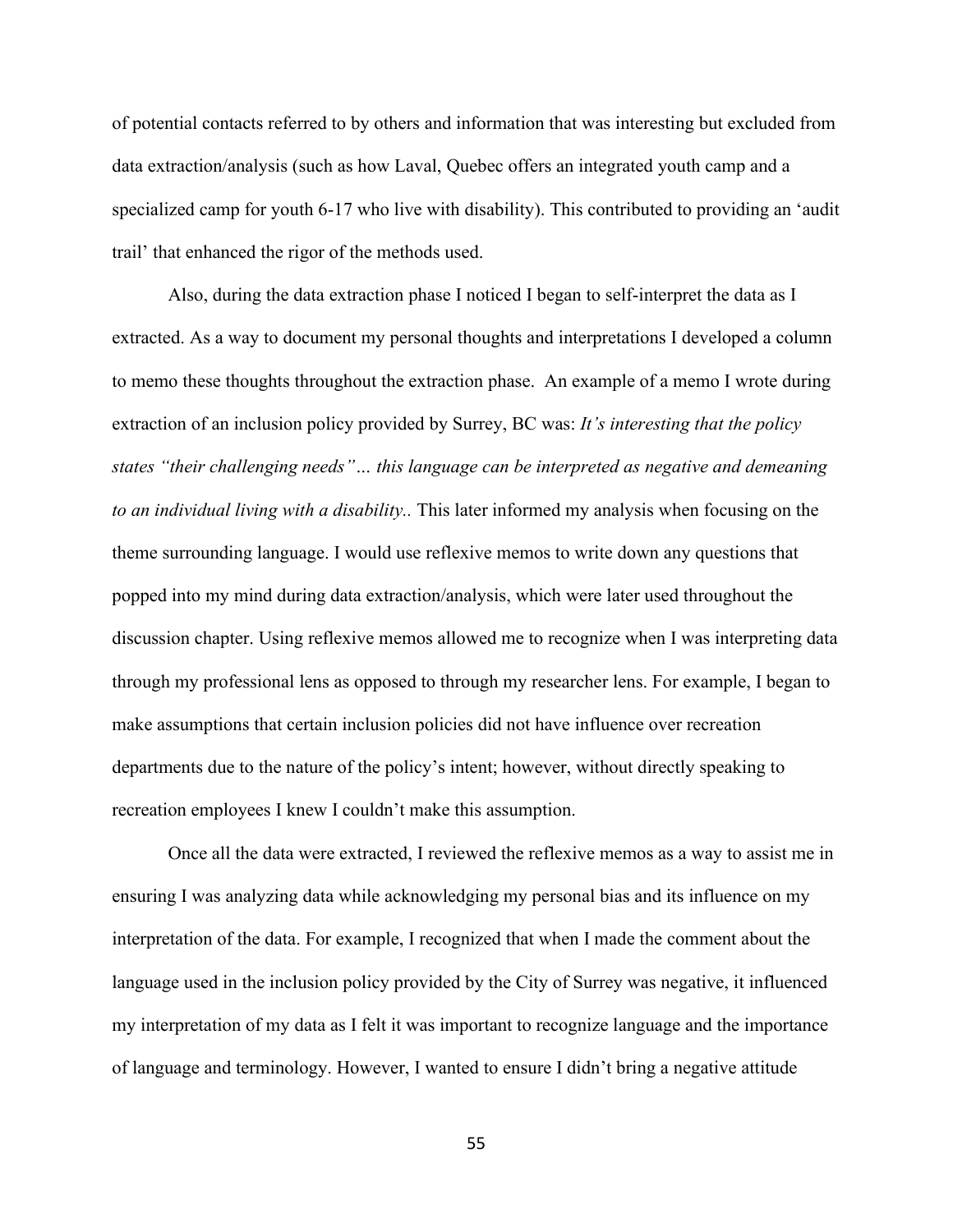of potential contacts referred to by others and information that was interesting but excluded from data extraction/analysis (such as how Laval, Quebec offers an integrated youth camp and a specialized camp for youth 6-17 who live with disability). This contributed to providing an 'audit trail' that enhanced the rigor of the methods used.

Also, during the data extraction phase I noticed I began to self-interpret the data as I extracted. As a way to document my personal thoughts and interpretations I developed a column to memo these thoughts throughout the extraction phase. An example of a memo I wrote during extraction of an inclusion policy provided by Surrey, BC was: *It's interesting that the policy states "their challenging needs"… this language can be interpreted as negative and demeaning to an individual living with a disability..* This later informed my analysis when focusing on the theme surrounding language. I would use reflexive memos to write down any questions that popped into my mind during data extraction/analysis, which were later used throughout the discussion chapter. Using reflexive memos allowed me to recognize when I was interpreting data through my professional lens as opposed to through my researcher lens. For example, I began to make assumptions that certain inclusion policies did not have influence over recreation departments due to the nature of the policy's intent; however, without directly speaking to recreation employees I knew I couldn't make this assumption.

Once all the data were extracted, I reviewed the reflexive memos as a way to assist me in ensuring I was analyzing data while acknowledging my personal bias and its influence on my interpretation of the data. For example, I recognized that when I made the comment about the language used in the inclusion policy provided by the City of Surrey was negative, it influenced my interpretation of my data as I felt it was important to recognize language and the importance of language and terminology. However, I wanted to ensure I didn't bring a negative attitude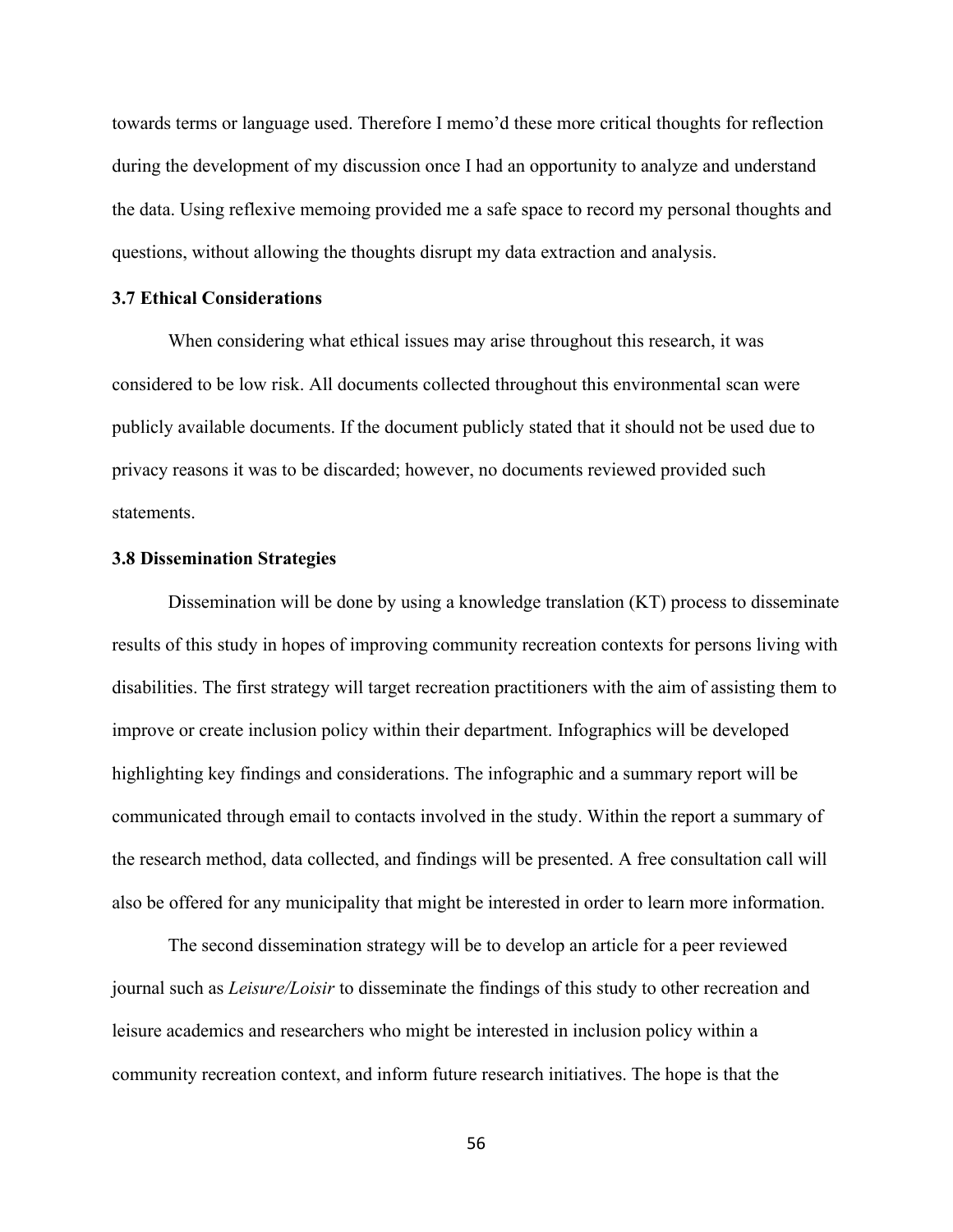towards terms or language used. Therefore I memo'd these more critical thoughts for reflection during the development of my discussion once I had an opportunity to analyze and understand the data. Using reflexive memoing provided me a safe space to record my personal thoughts and questions, without allowing the thoughts disrupt my data extraction and analysis.

#### **3.7 Ethical Considerations**

When considering what ethical issues may arise throughout this research, it was considered to be low risk. All documents collected throughout this environmental scan were publicly available documents. If the document publicly stated that it should not be used due to privacy reasons it was to be discarded; however, no documents reviewed provided such statements.

#### **3.8 Dissemination Strategies**

Dissemination will be done by using a knowledge translation (KT) process to disseminate results of this study in hopes of improving community recreation contexts for persons living with disabilities. The first strategy will target recreation practitioners with the aim of assisting them to improve or create inclusion policy within their department. Infographics will be developed highlighting key findings and considerations. The infographic and a summary report will be communicated through email to contacts involved in the study. Within the report a summary of the research method, data collected, and findings will be presented. A free consultation call will also be offered for any municipality that might be interested in order to learn more information.

The second dissemination strategy will be to develop an article for a peer reviewed journal such as *Leisure/Loisir* to disseminate the findings of this study to other recreation and leisure academics and researchers who might be interested in inclusion policy within a community recreation context, and inform future research initiatives. The hope is that the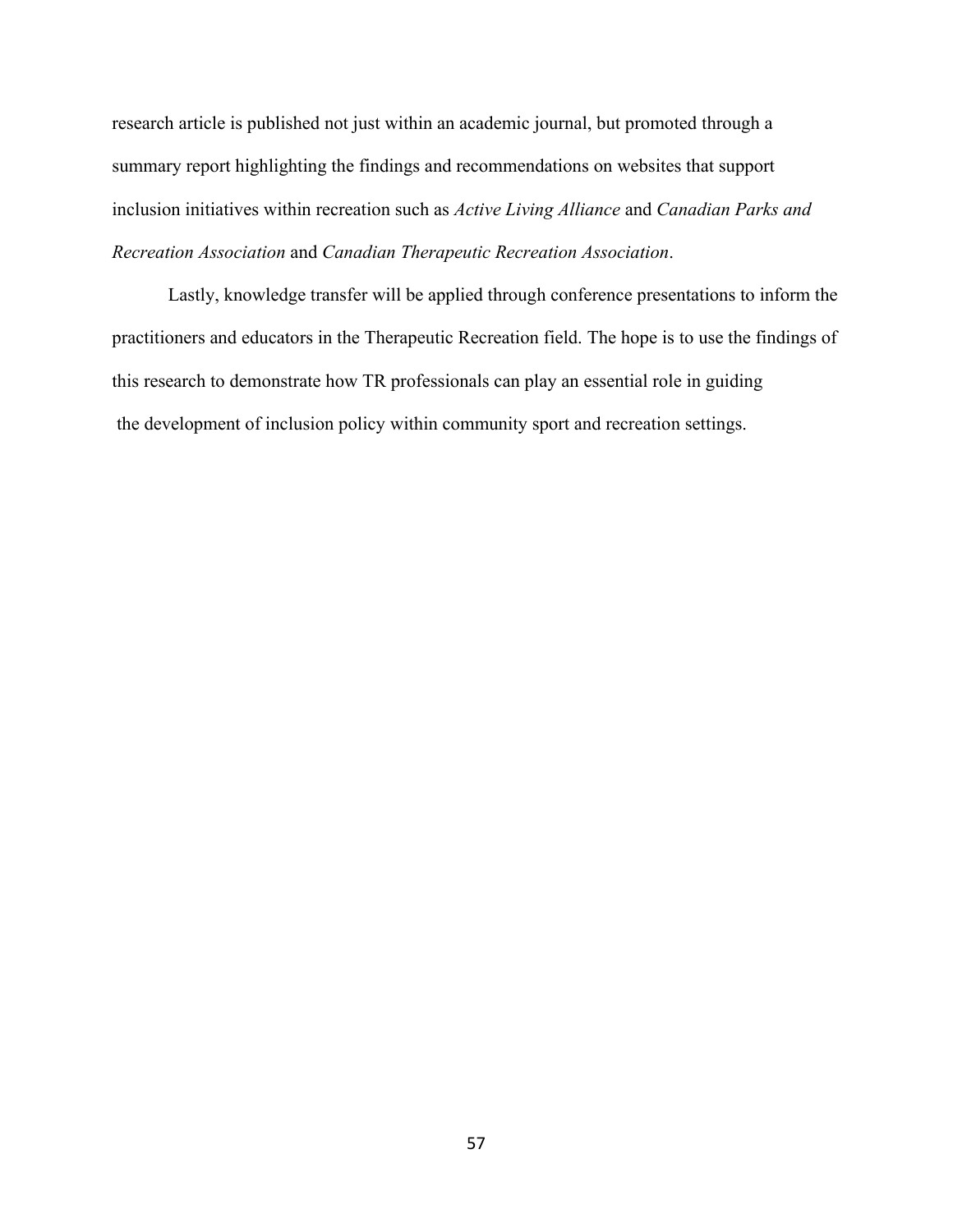research article is published not just within an academic journal, but promoted through a summary report highlighting the findings and recommendations on websites that support inclusion initiatives within recreation such as *Active Living Alliance* and *Canadian Parks and Recreation Association* and *Canadian Therapeutic Recreation Association*.

Lastly, knowledge transfer will be applied through conference presentations to inform the practitioners and educators in the Therapeutic Recreation field. The hope is to use the findings of this research to demonstrate how TR professionals can play an essential role in guiding the development of inclusion policy within community sport and recreation settings.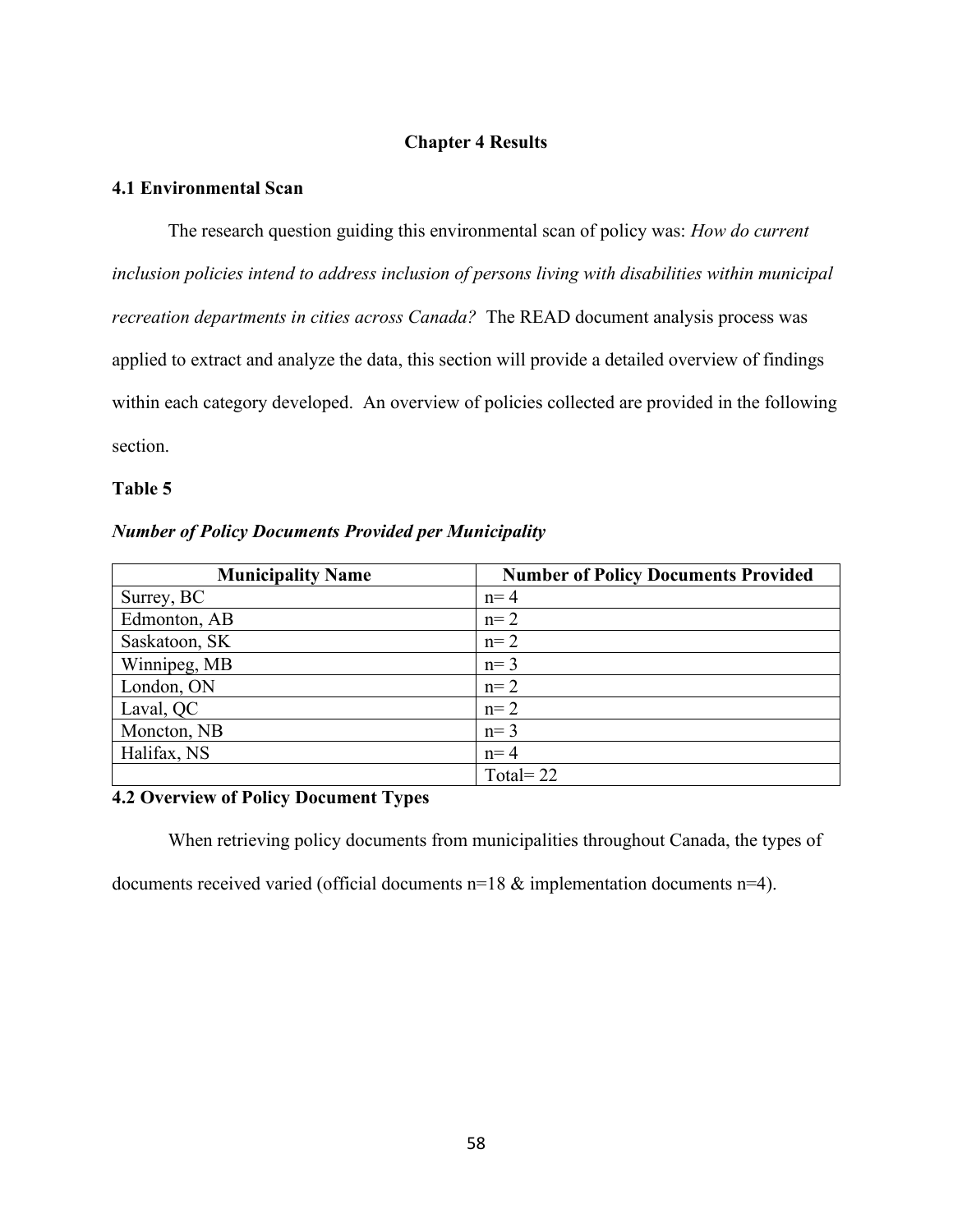# **Chapter 4 Results**

## **4.1 Environmental Scan**

The research question guiding this environmental scan of policy was: *How do current inclusion policies intend to address inclusion of persons living with disabilities within municipal recreation departments in cities across Canada?* The READ document analysis process was applied to extract and analyze the data, this section will provide a detailed overview of findings within each category developed. An overview of policies collected are provided in the following section.

# **Table 5**

### *Number of Policy Documents Provided per Municipality*

| <b>Municipality Name</b> | <b>Number of Policy Documents Provided</b> |
|--------------------------|--------------------------------------------|
| Surrey, BC               | $n=4$                                      |
| Edmonton, AB             | $n=2$                                      |
| Saskatoon, SK            | $n=2$                                      |
| Winnipeg, MB             | $n=3$                                      |
| London, ON               | $n=2$                                      |
| Laval, QC                | $n=2$                                      |
| Moncton, NB              | $n=3$                                      |
| Halifax, NS              | $n=4$                                      |
|                          | Total= $22$                                |

# **4.2 Overview of Policy Document Types**

When retrieving policy documents from municipalities throughout Canada, the types of

documents received varied (official documents n=18 & implementation documents n=4).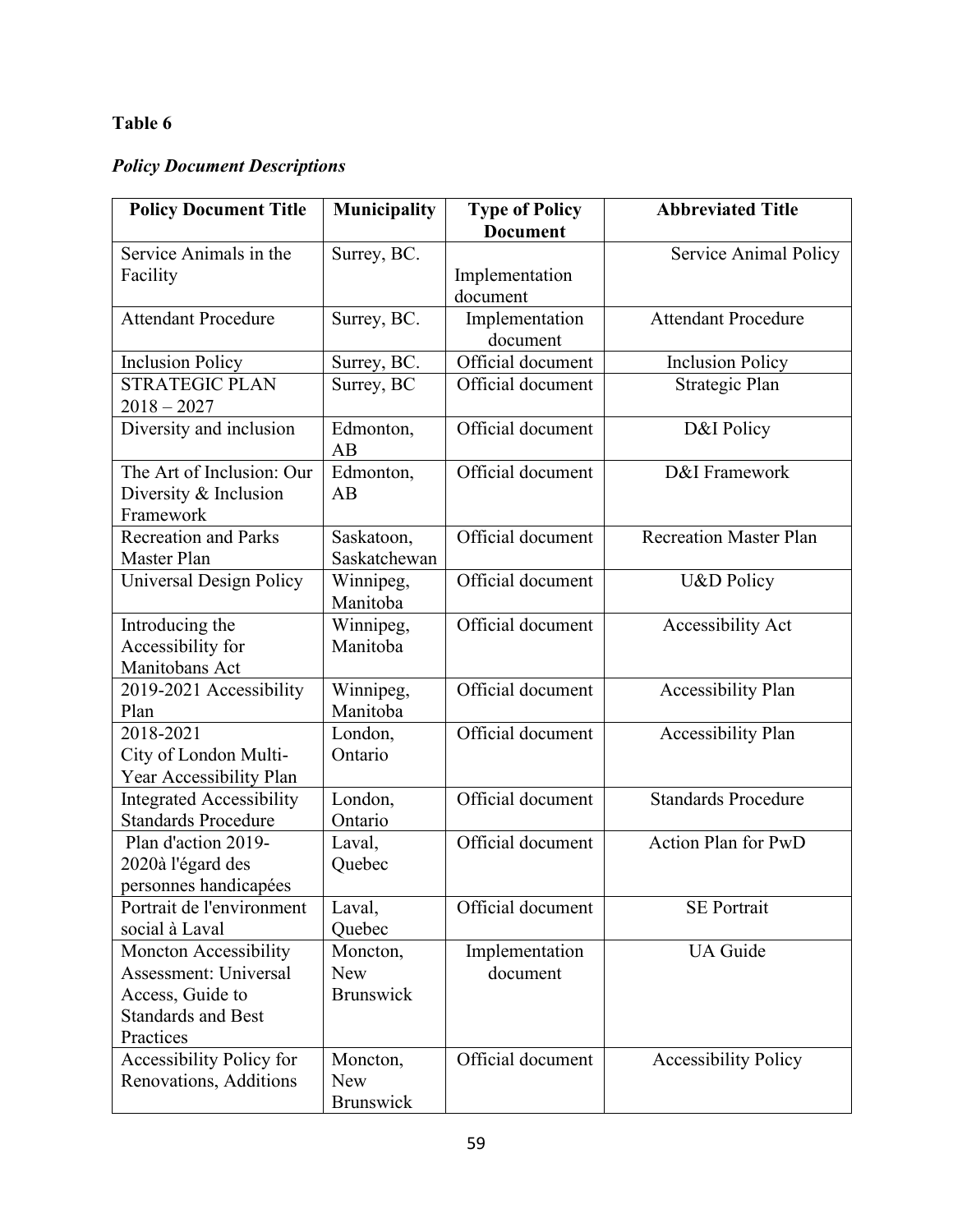# **Table 6**

# *Policy Document Descriptions*

| <b>Policy Document Title</b>         | <b>Municipality</b>   | <b>Type of Policy</b> | <b>Abbreviated Title</b>      |
|--------------------------------------|-----------------------|-----------------------|-------------------------------|
|                                      |                       | <b>Document</b>       |                               |
| Service Animals in the               | Surrey, BC.           |                       | Service Animal Policy         |
| Facility                             |                       | Implementation        |                               |
|                                      |                       | document              |                               |
| <b>Attendant Procedure</b>           | Surrey, BC.           | Implementation        | <b>Attendant Procedure</b>    |
|                                      |                       | document              |                               |
| <b>Inclusion Policy</b>              | Surrey, BC.           | Official document     | <b>Inclusion Policy</b>       |
| <b>STRATEGIC PLAN</b>                | Surrey, BC            | Official document     | Strategic Plan                |
| $2018 - 2027$                        |                       |                       |                               |
| Diversity and inclusion              | Edmonton,             | Official document     | D&I Policy                    |
|                                      | AB                    |                       |                               |
| The Art of Inclusion: Our            | Edmonton,             | Official document     | D&I Framework                 |
| Diversity & Inclusion                | AB                    |                       |                               |
| Framework                            |                       |                       |                               |
| <b>Recreation and Parks</b>          | Saskatoon,            | Official document     | <b>Recreation Master Plan</b> |
| Master Plan                          | Saskatchewan          |                       |                               |
| Universal Design Policy              | Winnipeg,             | Official document     | U&D Policy                    |
|                                      | Manitoba              | Official document     |                               |
| Introducing the<br>Accessibility for | Winnipeg,<br>Manitoba |                       | Accessibility Act             |
| Manitobans Act                       |                       |                       |                               |
| 2019-2021 Accessibility              |                       | Official document     | <b>Accessibility Plan</b>     |
| Plan                                 | Winnipeg,<br>Manitoba |                       |                               |
| 2018-2021                            | London,               | Official document     | <b>Accessibility Plan</b>     |
| City of London Multi-                | Ontario               |                       |                               |
| Year Accessibility Plan              |                       |                       |                               |
| <b>Integrated Accessibility</b>      | London,               | Official document     | <b>Standards Procedure</b>    |
| <b>Standards Procedure</b>           | Ontario               |                       |                               |
| Plan d'action 2019-                  | Laval,                | Official document     | <b>Action Plan for PwD</b>    |
| 2020à l'égard des                    | Quebec                |                       |                               |
| personnes handicapées                |                       |                       |                               |
| Portrait de l'environment            | Laval,                | Official document     | <b>SE Portrait</b>            |
| social à Laval                       | Quebec                |                       |                               |
| <b>Moncton Accessibility</b>         | Moncton,              | Implementation        | <b>UA</b> Guide               |
| Assessment: Universal                | <b>New</b>            | document              |                               |
| Access, Guide to                     | <b>Brunswick</b>      |                       |                               |
| <b>Standards and Best</b>            |                       |                       |                               |
| Practices                            |                       |                       |                               |
| Accessibility Policy for             | Moncton,              | Official document     | <b>Accessibility Policy</b>   |
| Renovations, Additions               | New                   |                       |                               |
|                                      | Brunswick             |                       |                               |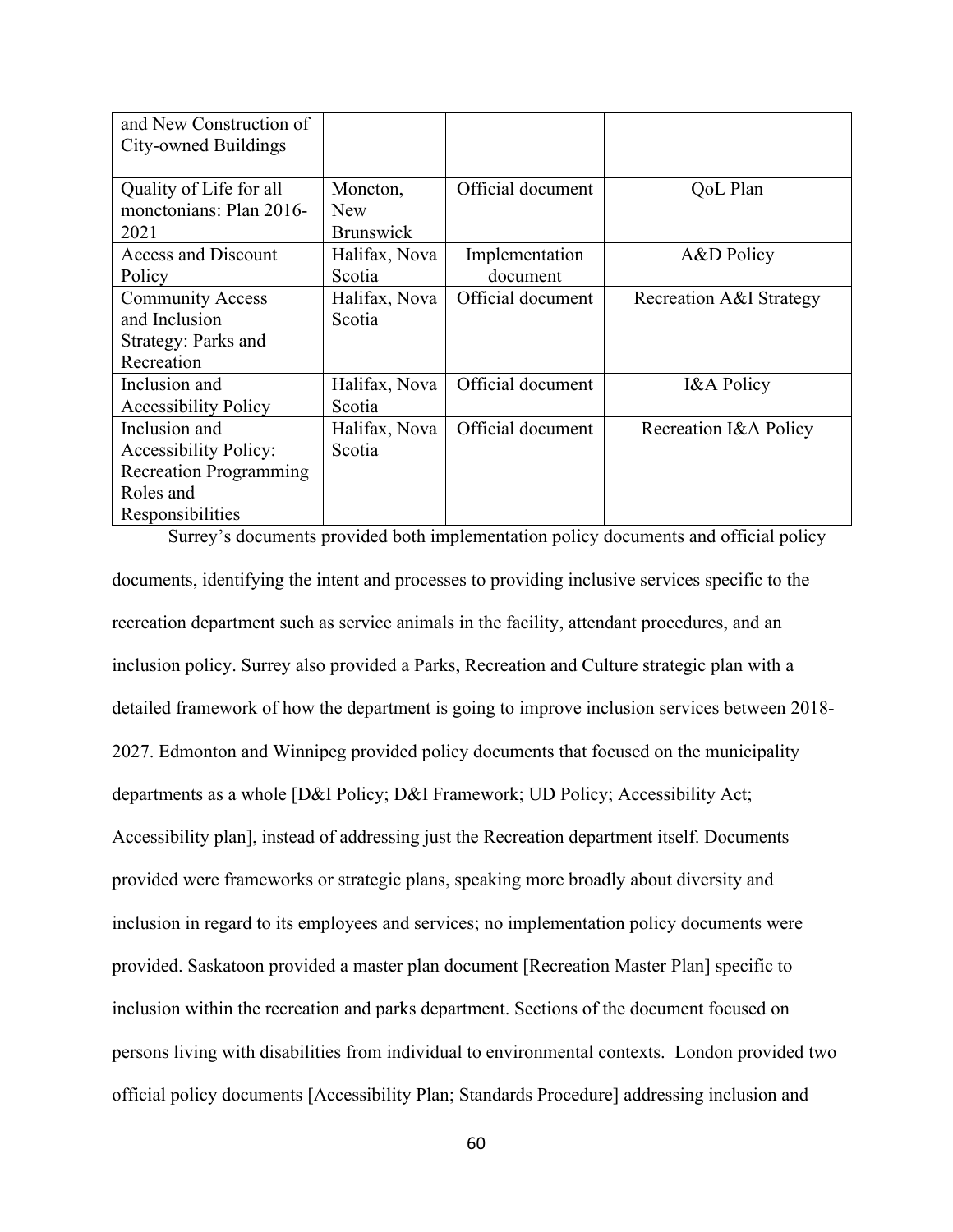| and New Construction of       |                  |                   |                         |
|-------------------------------|------------------|-------------------|-------------------------|
| City-owned Buildings          |                  |                   |                         |
|                               |                  |                   |                         |
| Quality of Life for all       | Moncton,         | Official document | QoL Plan                |
| monctonians: Plan 2016-       | <b>New</b>       |                   |                         |
| 2021                          | <b>Brunswick</b> |                   |                         |
| <b>Access and Discount</b>    | Halifax, Nova    | Implementation    | A&D Policy              |
| Policy                        | Scotia           | document          |                         |
| <b>Community Access</b>       | Halifax, Nova    | Official document | Recreation A&I Strategy |
| and Inclusion                 | Scotia           |                   |                         |
| Strategy: Parks and           |                  |                   |                         |
| Recreation                    |                  |                   |                         |
| Inclusion and                 | Halifax, Nova    | Official document | <b>I&amp;A Policy</b>   |
| <b>Accessibility Policy</b>   | Scotia           |                   |                         |
| Inclusion and                 | Halifax, Nova    | Official document | Recreation I&A Policy   |
| <b>Accessibility Policy:</b>  | Scotia           |                   |                         |
| <b>Recreation Programming</b> |                  |                   |                         |
| Roles and                     |                  |                   |                         |
| Responsibilities              |                  |                   |                         |

Surrey's documents provided both implementation policy documents and official policy documents, identifying the intent and processes to providing inclusive services specific to the recreation department such as service animals in the facility, attendant procedures, and an inclusion policy. Surrey also provided a Parks, Recreation and Culture strategic plan with a detailed framework of how the department is going to improve inclusion services between 2018- 2027. Edmonton and Winnipeg provided policy documents that focused on the municipality departments as a whole [D&I Policy; D&I Framework; UD Policy; Accessibility Act; Accessibility plan], instead of addressing just the Recreation department itself. Documents provided were frameworks or strategic plans, speaking more broadly about diversity and inclusion in regard to its employees and services; no implementation policy documents were provided. Saskatoon provided a master plan document [Recreation Master Plan] specific to inclusion within the recreation and parks department. Sections of the document focused on persons living with disabilities from individual to environmental contexts. London provided two official policy documents [Accessibility Plan; Standards Procedure] addressing inclusion and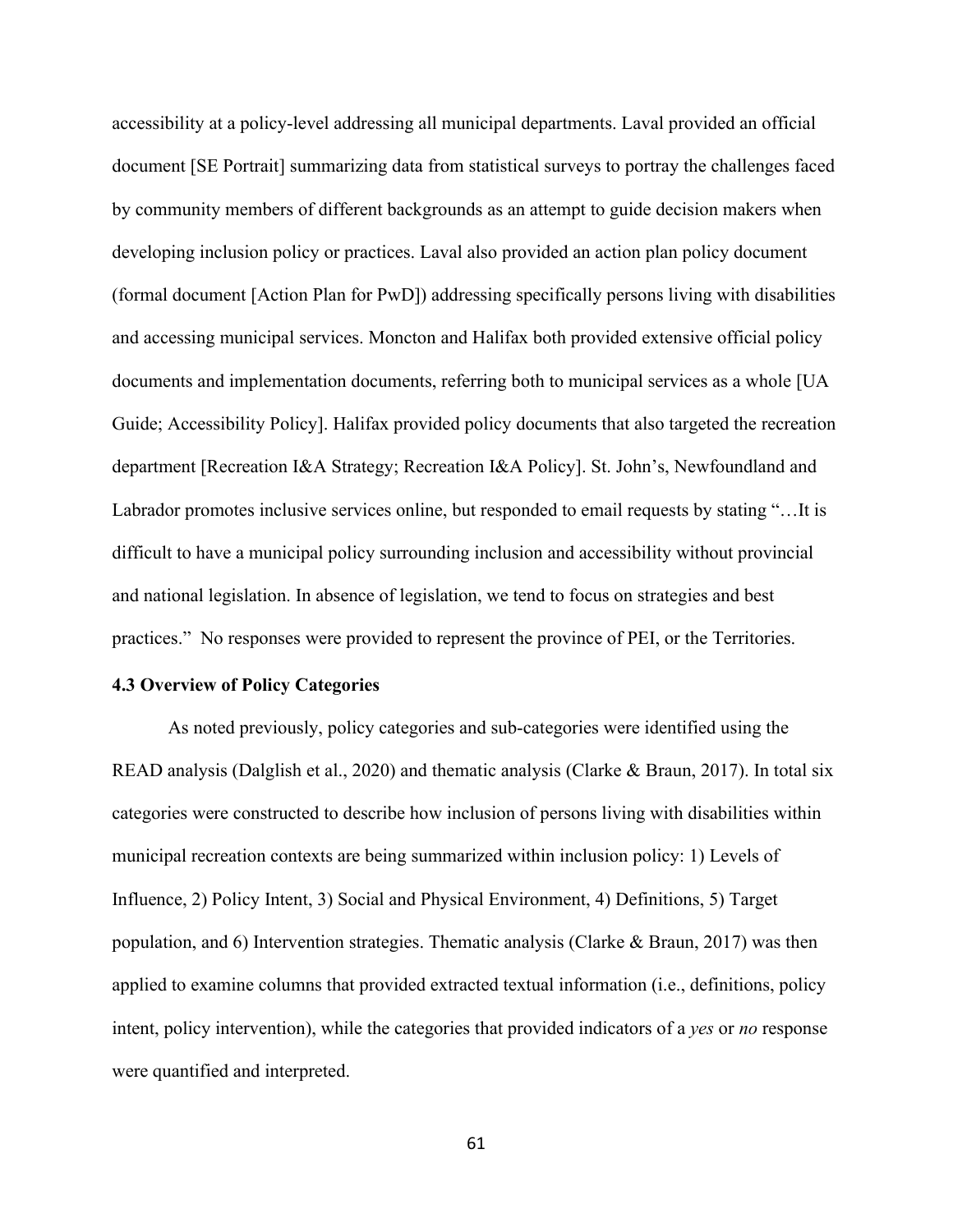accessibility at a policy-level addressing all municipal departments. Laval provided an official document [SE Portrait] summarizing data from statistical surveys to portray the challenges faced by community members of different backgrounds as an attempt to guide decision makers when developing inclusion policy or practices. Laval also provided an action plan policy document (formal document [Action Plan for PwD]) addressing specifically persons living with disabilities and accessing municipal services. Moncton and Halifax both provided extensive official policy documents and implementation documents, referring both to municipal services as a whole [UA Guide; Accessibility Policy]. Halifax provided policy documents that also targeted the recreation department [Recreation I&A Strategy; Recreation I&A Policy]. St. John's, Newfoundland and Labrador promotes inclusive services online, but responded to email requests by stating "…It is difficult to have a municipal policy surrounding inclusion and accessibility without provincial and national legislation. In absence of legislation, we tend to focus on strategies and best practices." No responses were provided to represent the province of PEI, or the Territories.

# **4.3 Overview of Policy Categories**

As noted previously, policy categories and sub-categories were identified using the READ analysis (Dalglish et al., 2020) and thematic analysis (Clarke & Braun, 2017). In total six categories were constructed to describe how inclusion of persons living with disabilities within municipal recreation contexts are being summarized within inclusion policy: 1) Levels of Influence, 2) Policy Intent, 3) Social and Physical Environment, 4) Definitions, 5) Target population, and 6) Intervention strategies. Thematic analysis (Clarke & Braun, 2017) was then applied to examine columns that provided extracted textual information (i.e., definitions, policy intent, policy intervention), while the categories that provided indicators of a *yes* or *no* response were quantified and interpreted.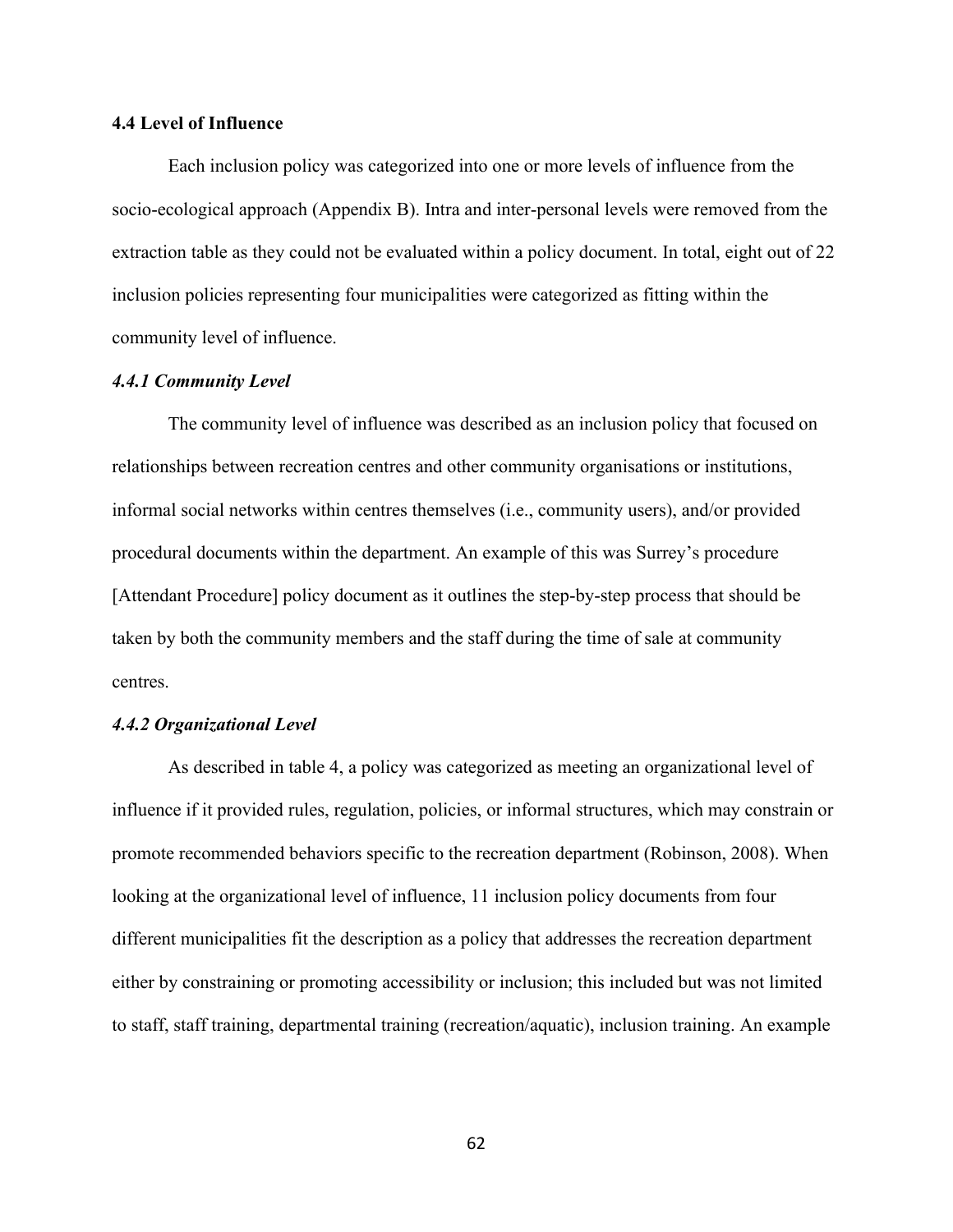#### **4.4 Level of Influence**

Each inclusion policy was categorized into one or more levels of influence from the socio-ecological approach (Appendix B). Intra and inter-personal levels were removed from the extraction table as they could not be evaluated within a policy document. In total, eight out of 22 inclusion policies representing four municipalities were categorized as fitting within the community level of influence.

#### *4.4.1 Community Level*

The community level of influence was described as an inclusion policy that focused on relationships between recreation centres and other community organisations or institutions, informal social networks within centres themselves (i.e., community users), and/or provided procedural documents within the department. An example of this was Surrey's procedure [Attendant Procedure] policy document as it outlines the step-by-step process that should be taken by both the community members and the staff during the time of sale at community centres.

#### *4.4.2 Organizational Level*

As described in table 4, a policy was categorized as meeting an organizational level of influence if it provided rules, regulation, policies, or informal structures, which may constrain or promote recommended behaviors specific to the recreation department (Robinson, 2008). When looking at the organizational level of influence, 11 inclusion policy documents from four different municipalities fit the description as a policy that addresses the recreation department either by constraining or promoting accessibility or inclusion; this included but was not limited to staff, staff training, departmental training (recreation/aquatic), inclusion training. An example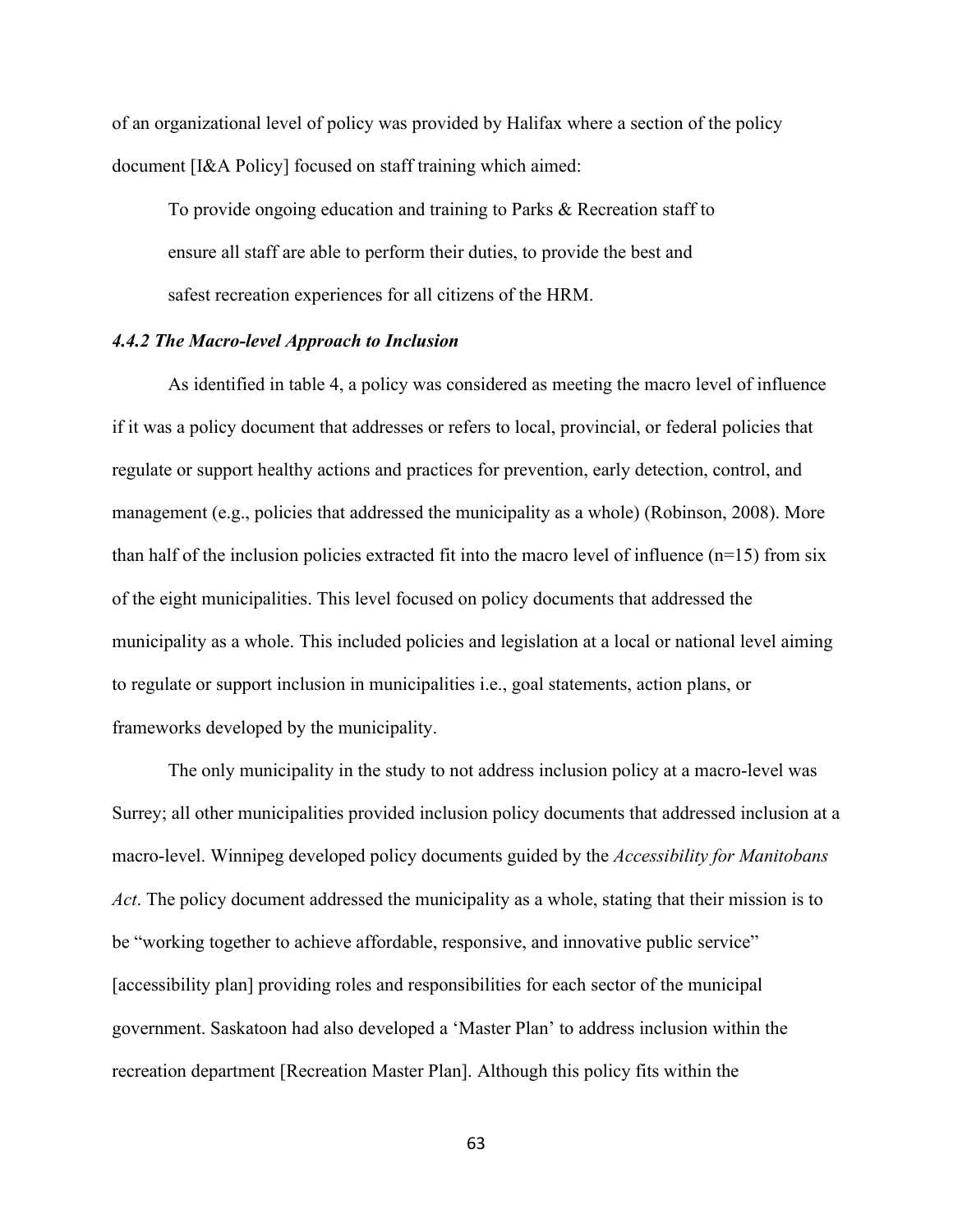of an organizational level of policy was provided by Halifax where a section of the policy document [I&A Policy] focused on staff training which aimed:

To provide ongoing education and training to Parks & Recreation staff to ensure all staff are able to perform their duties, to provide the best and safest recreation experiences for all citizens of the HRM.

#### *4.4.2 The Macro-level Approach to Inclusion*

As identified in table 4, a policy was considered as meeting the macro level of influence if it was a policy document that addresses or refers to local, provincial, or federal policies that regulate or support healthy actions and practices for prevention, early detection, control, and management (e.g., policies that addressed the municipality as a whole) (Robinson, 2008). More than half of the inclusion policies extracted fit into the macro level of influence  $(n=15)$  from six of the eight municipalities. This level focused on policy documents that addressed the municipality as a whole. This included policies and legislation at a local or national level aiming to regulate or support inclusion in municipalities i.e., goal statements, action plans, or frameworks developed by the municipality.

The only municipality in the study to not address inclusion policy at a macro-level was Surrey; all other municipalities provided inclusion policy documents that addressed inclusion at a macro-level. Winnipeg developed policy documents guided by the *Accessibility for Manitobans Act*. The policy document addressed the municipality as a whole, stating that their mission is to be "working together to achieve affordable, responsive, and innovative public service" [accessibility plan] providing roles and responsibilities for each sector of the municipal government. Saskatoon had also developed a 'Master Plan' to address inclusion within the recreation department [Recreation Master Plan]. Although this policy fits within the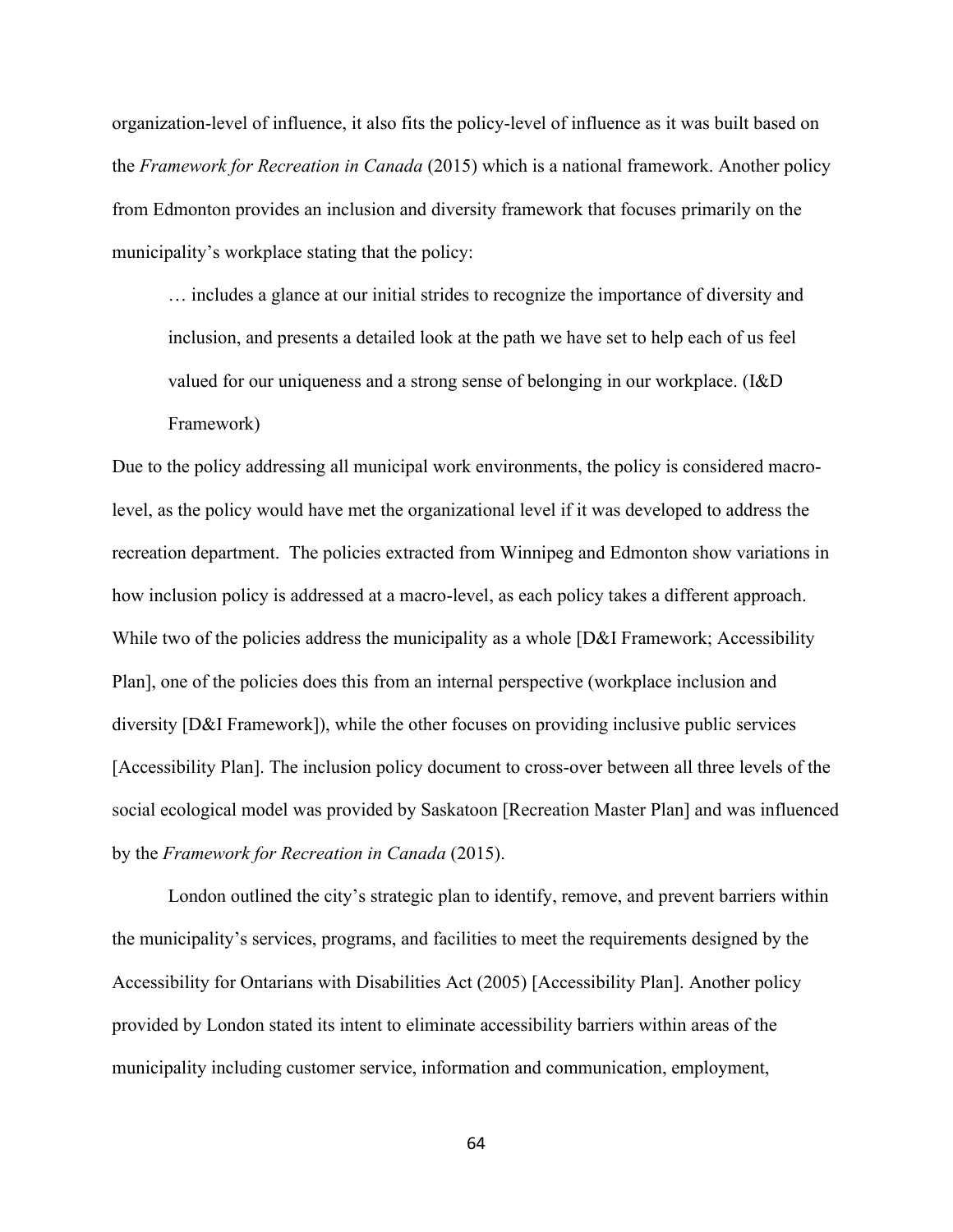organization-level of influence, it also fits the policy-level of influence as it was built based on the *Framework for Recreation in Canada* (2015) which is a national framework. Another policy from Edmonton provides an inclusion and diversity framework that focuses primarily on the municipality's workplace stating that the policy:

… includes a glance at our initial strides to recognize the importance of diversity and inclusion, and presents a detailed look at the path we have set to help each of us feel valued for our uniqueness and a strong sense of belonging in our workplace. (I&D Framework)

Due to the policy addressing all municipal work environments, the policy is considered macrolevel, as the policy would have met the organizational level if it was developed to address the recreation department. The policies extracted from Winnipeg and Edmonton show variations in how inclusion policy is addressed at a macro-level, as each policy takes a different approach. While two of the policies address the municipality as a whole [D&I Framework; Accessibility Plan], one of the policies does this from an internal perspective (workplace inclusion and diversity [D&I Framework]), while the other focuses on providing inclusive public services [Accessibility Plan]. The inclusion policy document to cross-over between all three levels of the social ecological model was provided by Saskatoon [Recreation Master Plan] and was influenced by the *Framework for Recreation in Canada* (2015).

London outlined the city's strategic plan to identify, remove, and prevent barriers within the municipality's services, programs, and facilities to meet the requirements designed by the Accessibility for Ontarians with Disabilities Act (2005) [Accessibility Plan]. Another policy provided by London stated its intent to eliminate accessibility barriers within areas of the municipality including customer service, information and communication, employment,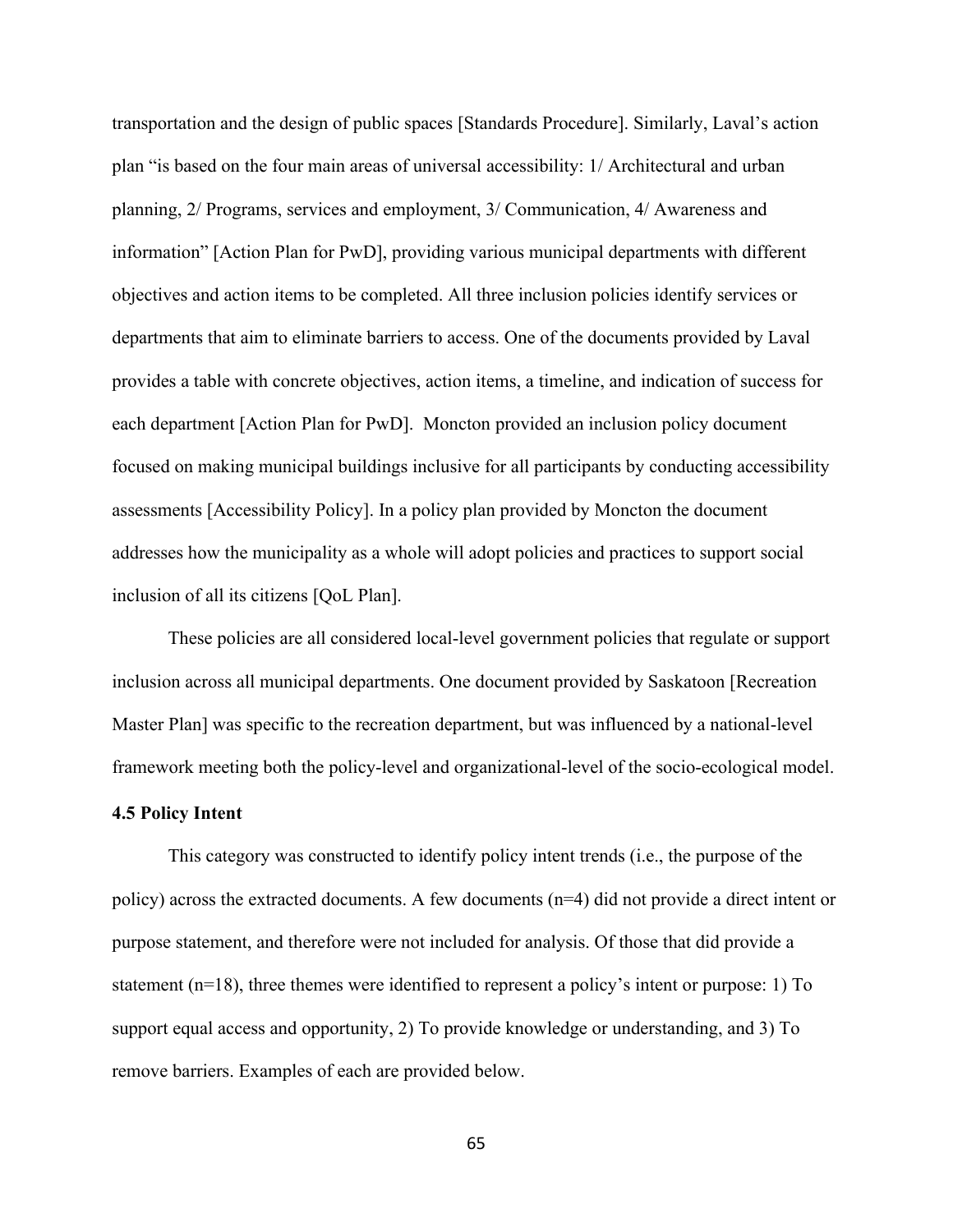transportation and the design of public spaces [Standards Procedure]. Similarly, Laval's action plan "is based on the four main areas of universal accessibility: 1/ Architectural and urban planning, 2/ Programs, services and employment, 3/ Communication, 4/ Awareness and information" [Action Plan for PwD], providing various municipal departments with different objectives and action items to be completed. All three inclusion policies identify services or departments that aim to eliminate barriers to access. One of the documents provided by Laval provides a table with concrete objectives, action items, a timeline, and indication of success for each department [Action Plan for PwD]. Moncton provided an inclusion policy document focused on making municipal buildings inclusive for all participants by conducting accessibility assessments [Accessibility Policy]. In a policy plan provided by Moncton the document addresses how the municipality as a whole will adopt policies and practices to support social inclusion of all its citizens [QoL Plan].

These policies are all considered local-level government policies that regulate or support inclusion across all municipal departments. One document provided by Saskatoon [Recreation Master Plan] was specific to the recreation department, but was influenced by a national-level framework meeting both the policy-level and organizational-level of the socio-ecological model.

#### **4.5 Policy Intent**

This category was constructed to identify policy intent trends (i.e., the purpose of the policy) across the extracted documents. A few documents (n=4) did not provide a direct intent or purpose statement, and therefore were not included for analysis. Of those that did provide a statement (n=18), three themes were identified to represent a policy's intent or purpose: 1) To support equal access and opportunity, 2) To provide knowledge or understanding, and 3) To remove barriers. Examples of each are provided below.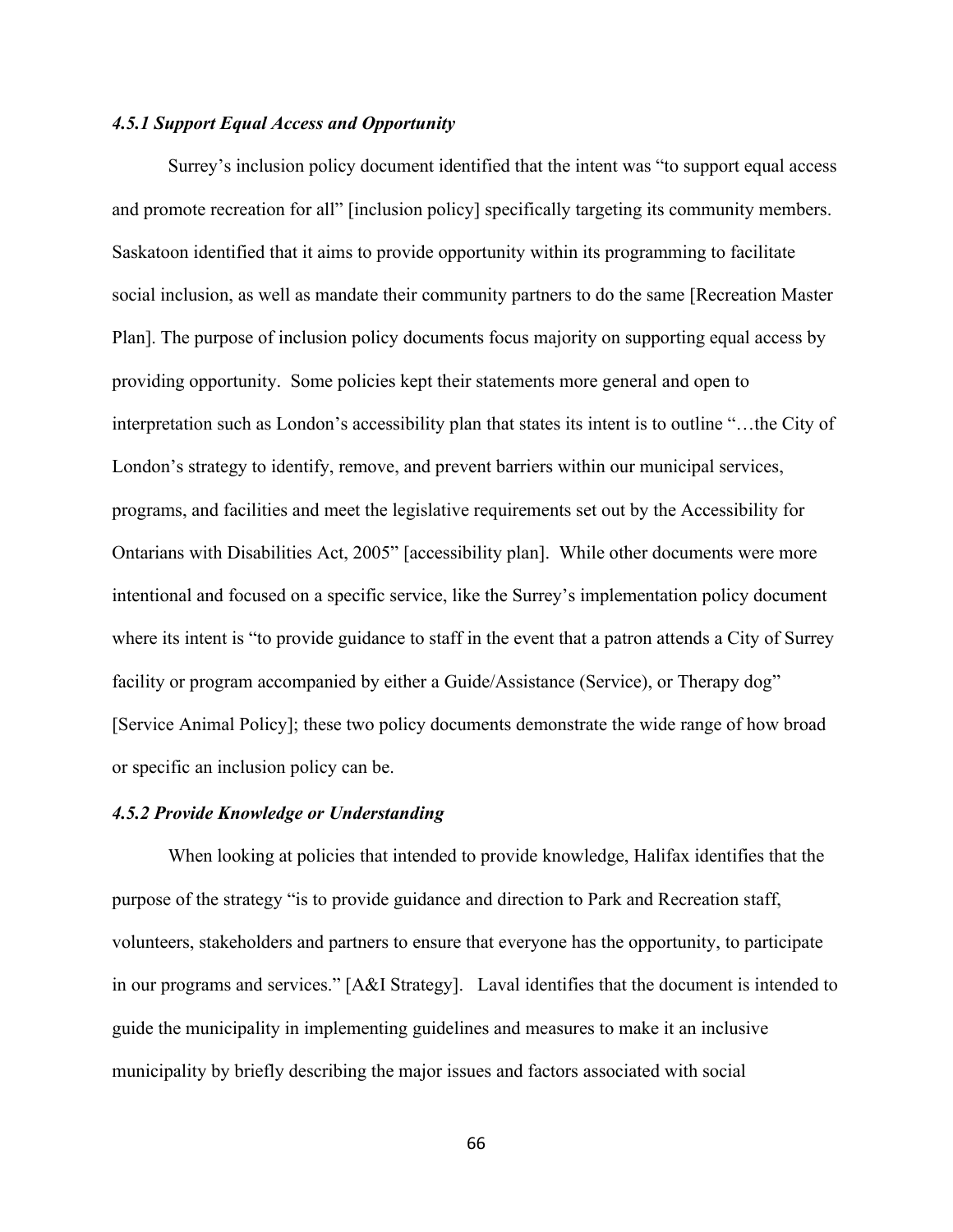# *4.5.1 Support Equal Access and Opportunity*

Surrey's inclusion policy document identified that the intent was "to support equal access and promote recreation for all" [inclusion policy] specifically targeting its community members. Saskatoon identified that it aims to provide opportunity within its programming to facilitate social inclusion, as well as mandate their community partners to do the same [Recreation Master Plan]. The purpose of inclusion policy documents focus majority on supporting equal access by providing opportunity. Some policies kept their statements more general and open to interpretation such as London's accessibility plan that states its intent is to outline "…the City of London's strategy to identify, remove, and prevent barriers within our municipal services, programs, and facilities and meet the legislative requirements set out by the Accessibility for Ontarians with Disabilities Act, 2005" [accessibility plan]. While other documents were more intentional and focused on a specific service, like the Surrey's implementation policy document where its intent is "to provide guidance to staff in the event that a patron attends a City of Surrey facility or program accompanied by either a Guide/Assistance (Service), or Therapy dog" [Service Animal Policy]; these two policy documents demonstrate the wide range of how broad or specific an inclusion policy can be.

# *4.5.2 Provide Knowledge or Understanding*

When looking at policies that intended to provide knowledge, Halifax identifies that the purpose of the strategy "is to provide guidance and direction to Park and Recreation staff, volunteers, stakeholders and partners to ensure that everyone has the opportunity, to participate in our programs and services." [A&I Strategy]. Laval identifies that the document is intended to guide the municipality in implementing guidelines and measures to make it an inclusive municipality by briefly describing the major issues and factors associated with social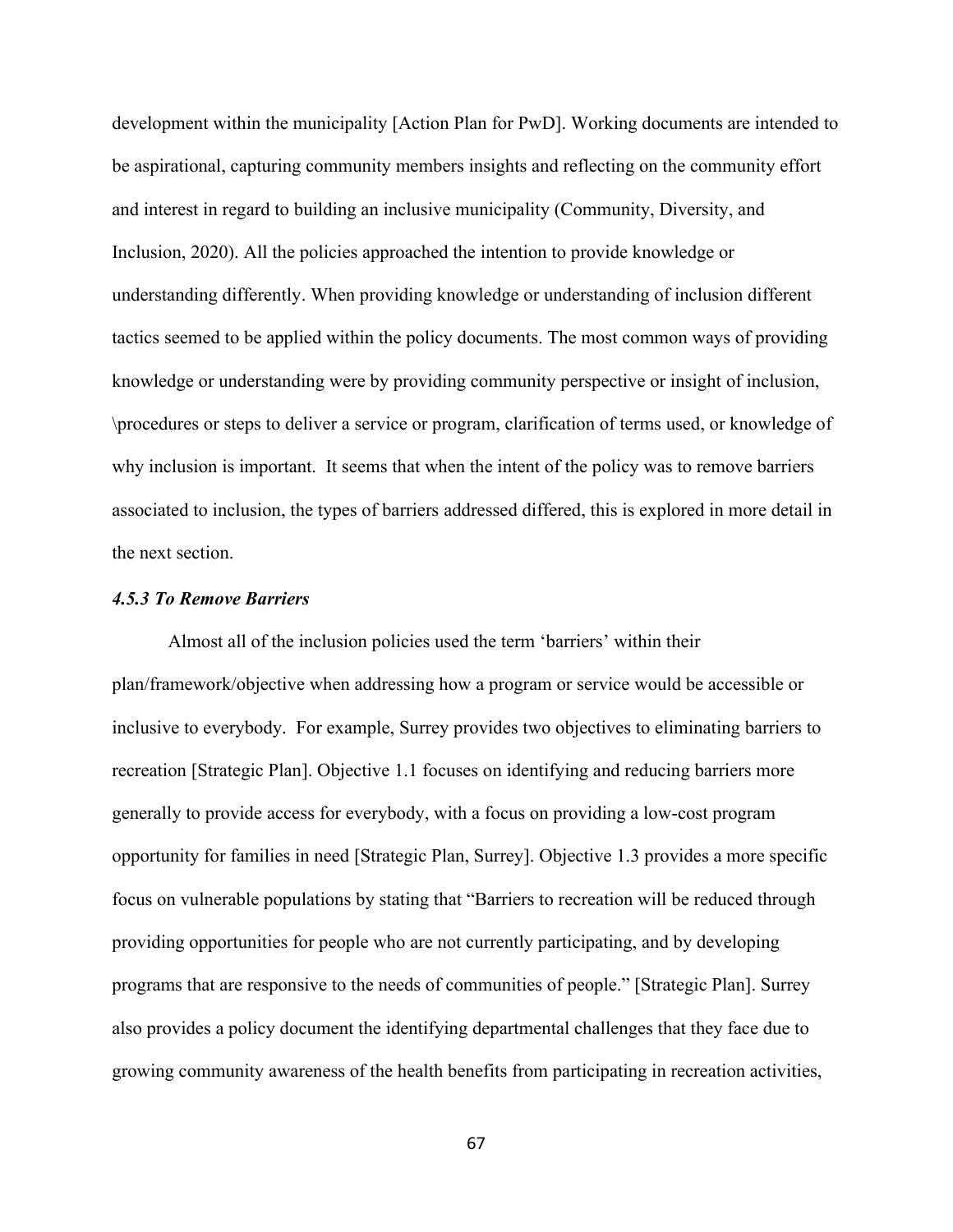development within the municipality [Action Plan for PwD]. Working documents are intended to be aspirational, capturing community members insights and reflecting on the community effort and interest in regard to building an inclusive municipality (Community, Diversity, and Inclusion, 2020). All the policies approached the intention to provide knowledge or understanding differently. When providing knowledge or understanding of inclusion different tactics seemed to be applied within the policy documents. The most common ways of providing knowledge or understanding were by providing community perspective or insight of inclusion, \procedures or steps to deliver a service or program, clarification of terms used, or knowledge of why inclusion is important. It seems that when the intent of the policy was to remove barriers associated to inclusion, the types of barriers addressed differed, this is explored in more detail in the next section.

# *4.5.3 To Remove Barriers*

Almost all of the inclusion policies used the term 'barriers' within their plan/framework/objective when addressing how a program or service would be accessible or inclusive to everybody. For example, Surrey provides two objectives to eliminating barriers to recreation [Strategic Plan]. Objective 1.1 focuses on identifying and reducing barriers more generally to provide access for everybody, with a focus on providing a low-cost program opportunity for families in need [Strategic Plan, Surrey]. Objective 1.3 provides a more specific focus on vulnerable populations by stating that "Barriers to recreation will be reduced through providing opportunities for people who are not currently participating, and by developing programs that are responsive to the needs of communities of people." [Strategic Plan]. Surrey also provides a policy document the identifying departmental challenges that they face due to growing community awareness of the health benefits from participating in recreation activities,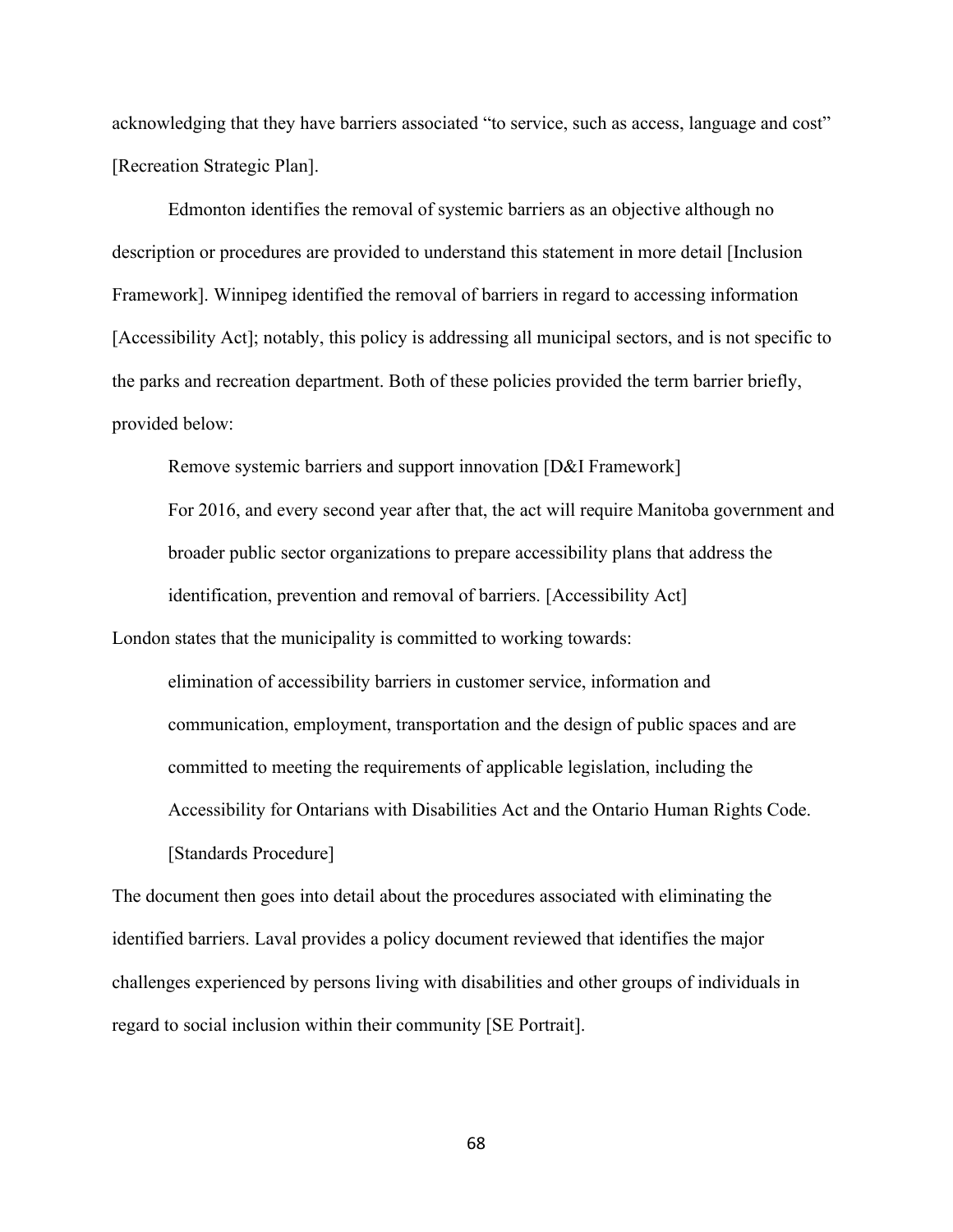acknowledging that they have barriers associated "to service, such as access, language and cost" [Recreation Strategic Plan].

Edmonton identifies the removal of systemic barriers as an objective although no description or procedures are provided to understand this statement in more detail [Inclusion Framework]. Winnipeg identified the removal of barriers in regard to accessing information [Accessibility Act]; notably, this policy is addressing all municipal sectors, and is not specific to the parks and recreation department. Both of these policies provided the term barrier briefly, provided below:

Remove systemic barriers and support innovation [D&I Framework]

For 2016, and every second year after that, the act will require Manitoba government and broader public sector organizations to prepare accessibility plans that address the identification, prevention and removal of barriers. [Accessibility Act]

London states that the municipality is committed to working towards:

elimination of accessibility barriers in customer service, information and communication, employment, transportation and the design of public spaces and are committed to meeting the requirements of applicable legislation, including the Accessibility for Ontarians with Disabilities Act and the Ontario Human Rights Code. [Standards Procedure]

The document then goes into detail about the procedures associated with eliminating the identified barriers. Laval provides a policy document reviewed that identifies the major challenges experienced by persons living with disabilities and other groups of individuals in regard to social inclusion within their community [SE Portrait].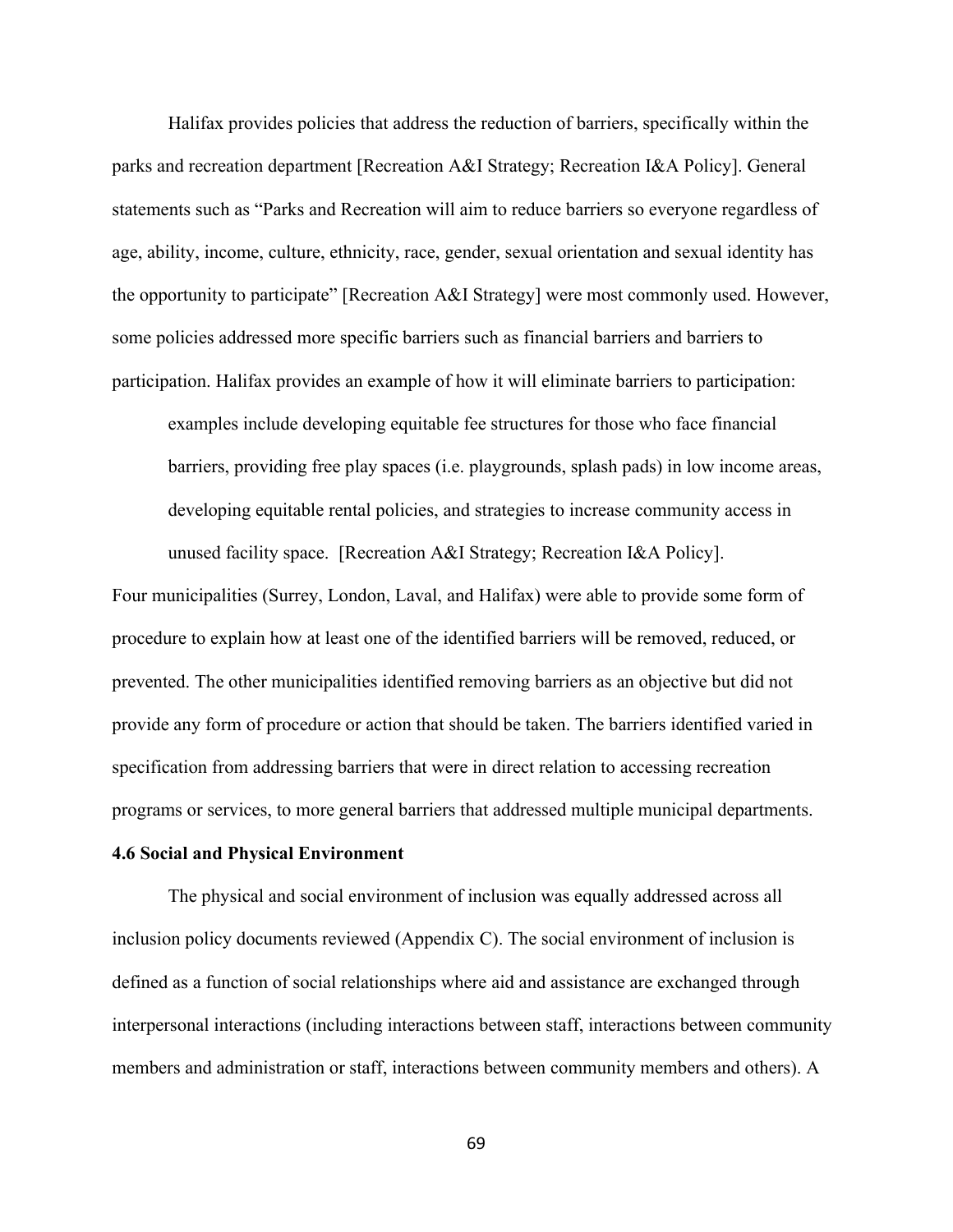Halifax provides policies that address the reduction of barriers, specifically within the parks and recreation department [Recreation A&I Strategy; Recreation I&A Policy]. General statements such as "Parks and Recreation will aim to reduce barriers so everyone regardless of age, ability, income, culture, ethnicity, race, gender, sexual orientation and sexual identity has the opportunity to participate" [Recreation A&I Strategy] were most commonly used. However, some policies addressed more specific barriers such as financial barriers and barriers to participation. Halifax provides an example of how it will eliminate barriers to participation:

examples include developing equitable fee structures for those who face financial barriers, providing free play spaces (i.e. playgrounds, splash pads) in low income areas, developing equitable rental policies, and strategies to increase community access in unused facility space. [Recreation A&I Strategy; Recreation I&A Policy].

Four municipalities (Surrey, London, Laval, and Halifax) were able to provide some form of procedure to explain how at least one of the identified barriers will be removed, reduced, or prevented. The other municipalities identified removing barriers as an objective but did not provide any form of procedure or action that should be taken. The barriers identified varied in specification from addressing barriers that were in direct relation to accessing recreation programs or services, to more general barriers that addressed multiple municipal departments.

#### **4.6 Social and Physical Environment**

The physical and social environment of inclusion was equally addressed across all inclusion policy documents reviewed (Appendix C). The social environment of inclusion is defined as a function of social relationships where aid and assistance are exchanged through interpersonal interactions (including interactions between staff, interactions between community members and administration or staff, interactions between community members and others). A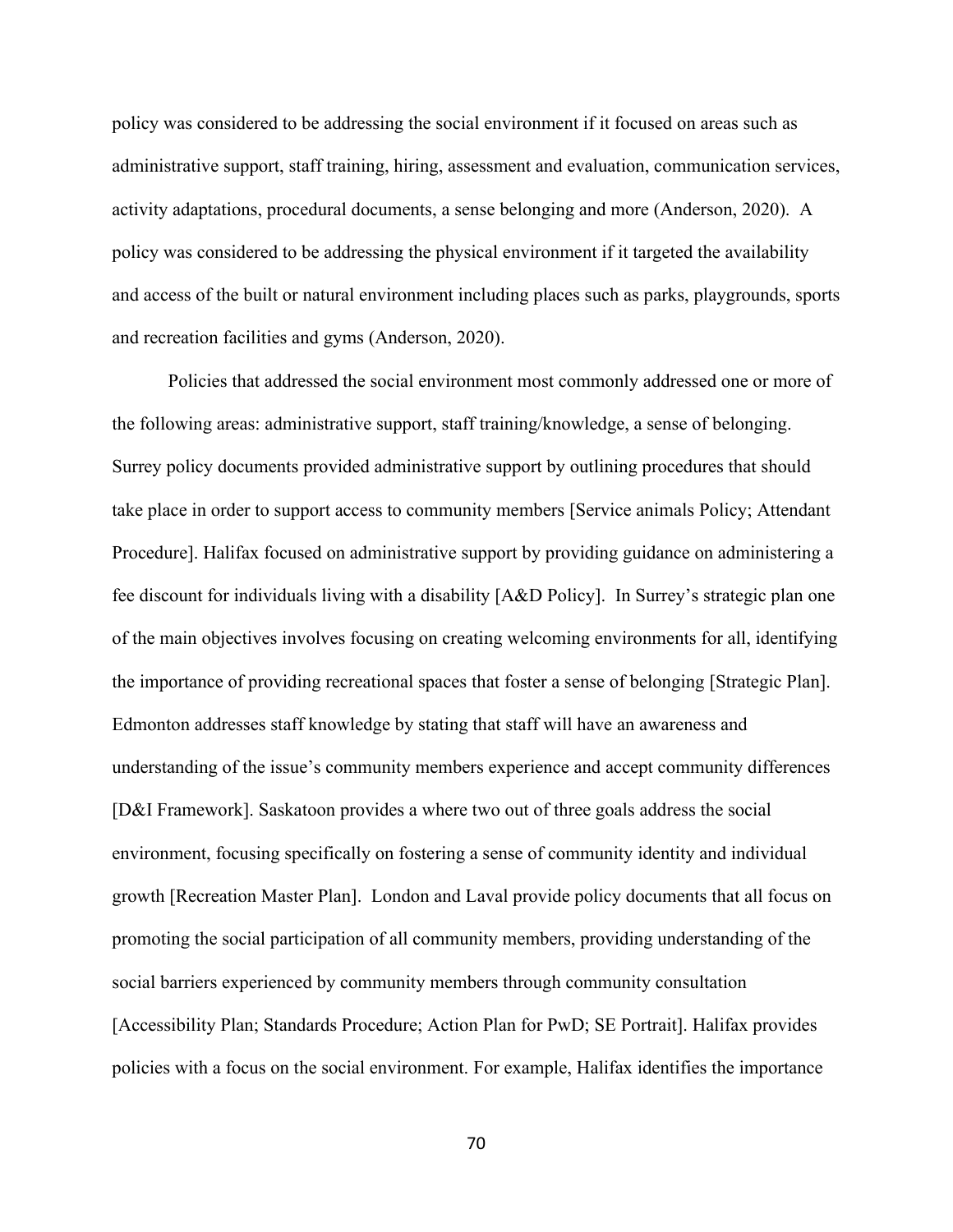policy was considered to be addressing the social environment if it focused on areas such as administrative support, staff training, hiring, assessment and evaluation, communication services, activity adaptations, procedural documents, a sense belonging and more (Anderson, 2020). A policy was considered to be addressing the physical environment if it targeted the availability and access of the built or natural environment including places such as parks, playgrounds, sports and recreation facilities and gyms (Anderson, 2020).

Policies that addressed the social environment most commonly addressed one or more of the following areas: administrative support, staff training/knowledge, a sense of belonging. Surrey policy documents provided administrative support by outlining procedures that should take place in order to support access to community members [Service animals Policy; Attendant Procedure]. Halifax focused on administrative support by providing guidance on administering a fee discount for individuals living with a disability [A&D Policy]. In Surrey's strategic plan one of the main objectives involves focusing on creating welcoming environments for all, identifying the importance of providing recreational spaces that foster a sense of belonging [Strategic Plan]. Edmonton addresses staff knowledge by stating that staff will have an awareness and understanding of the issue's community members experience and accept community differences [D&I Framework]. Saskatoon provides a where two out of three goals address the social environment, focusing specifically on fostering a sense of community identity and individual growth [Recreation Master Plan]. London and Laval provide policy documents that all focus on promoting the social participation of all community members, providing understanding of the social barriers experienced by community members through community consultation [Accessibility Plan; Standards Procedure; Action Plan for PwD; SE Portrait]. Halifax provides policies with a focus on the social environment. For example, Halifax identifies the importance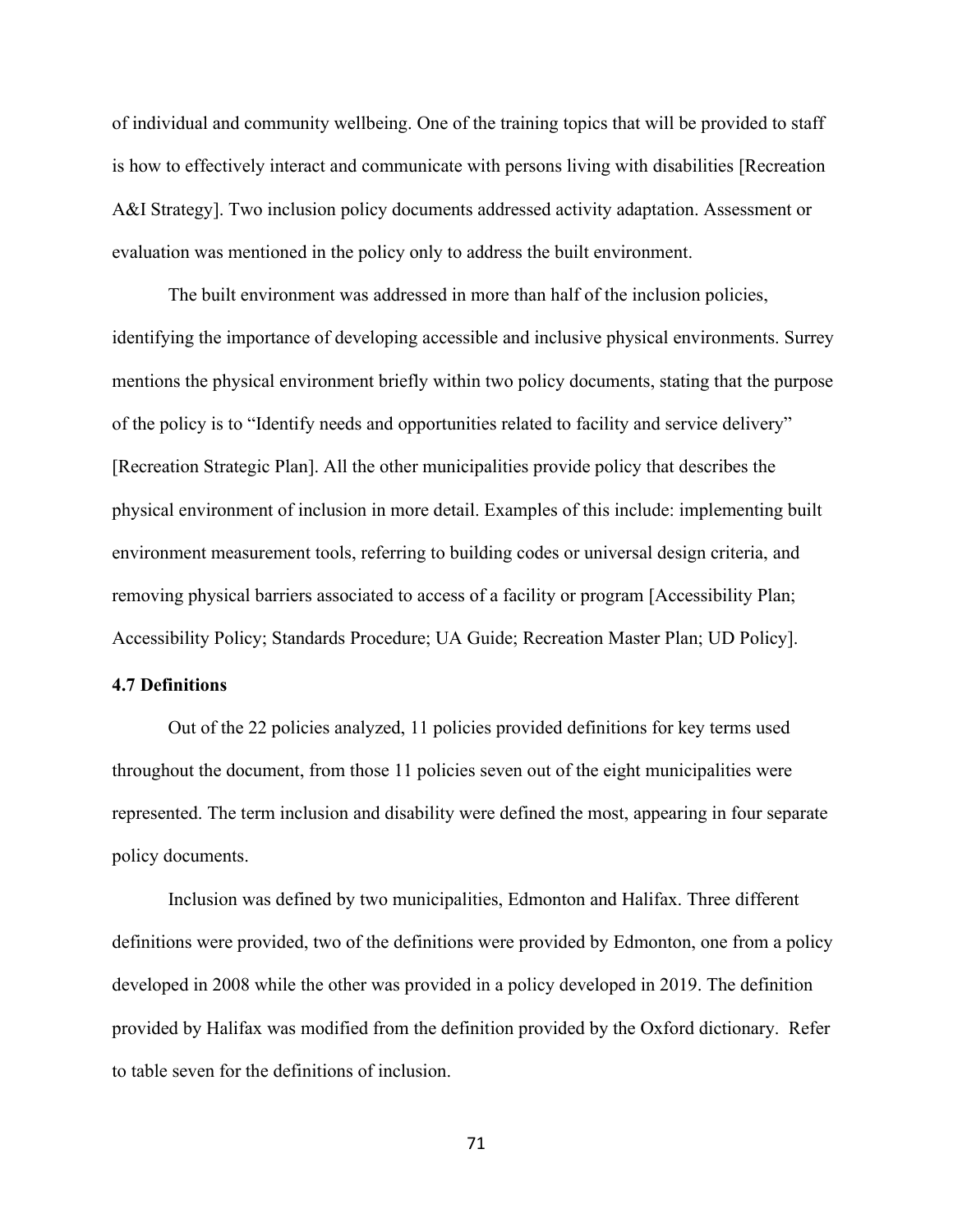of individual and community wellbeing. One of the training topics that will be provided to staff is how to effectively interact and communicate with persons living with disabilities [Recreation A&I Strategy]. Two inclusion policy documents addressed activity adaptation. Assessment or evaluation was mentioned in the policy only to address the built environment.

The built environment was addressed in more than half of the inclusion policies, identifying the importance of developing accessible and inclusive physical environments. Surrey mentions the physical environment briefly within two policy documents, stating that the purpose of the policy is to "Identify needs and opportunities related to facility and service delivery" [Recreation Strategic Plan]. All the other municipalities provide policy that describes the physical environment of inclusion in more detail. Examples of this include: implementing built environment measurement tools, referring to building codes or universal design criteria, and removing physical barriers associated to access of a facility or program [Accessibility Plan; Accessibility Policy; Standards Procedure; UA Guide; Recreation Master Plan; UD Policy].

# **4.7 Definitions**

Out of the 22 policies analyzed, 11 policies provided definitions for key terms used throughout the document, from those 11 policies seven out of the eight municipalities were represented. The term inclusion and disability were defined the most, appearing in four separate policy documents.

Inclusion was defined by two municipalities, Edmonton and Halifax. Three different definitions were provided, two of the definitions were provided by Edmonton, one from a policy developed in 2008 while the other was provided in a policy developed in 2019. The definition provided by Halifax was modified from the definition provided by the Oxford dictionary. Refer to table seven for the definitions of inclusion.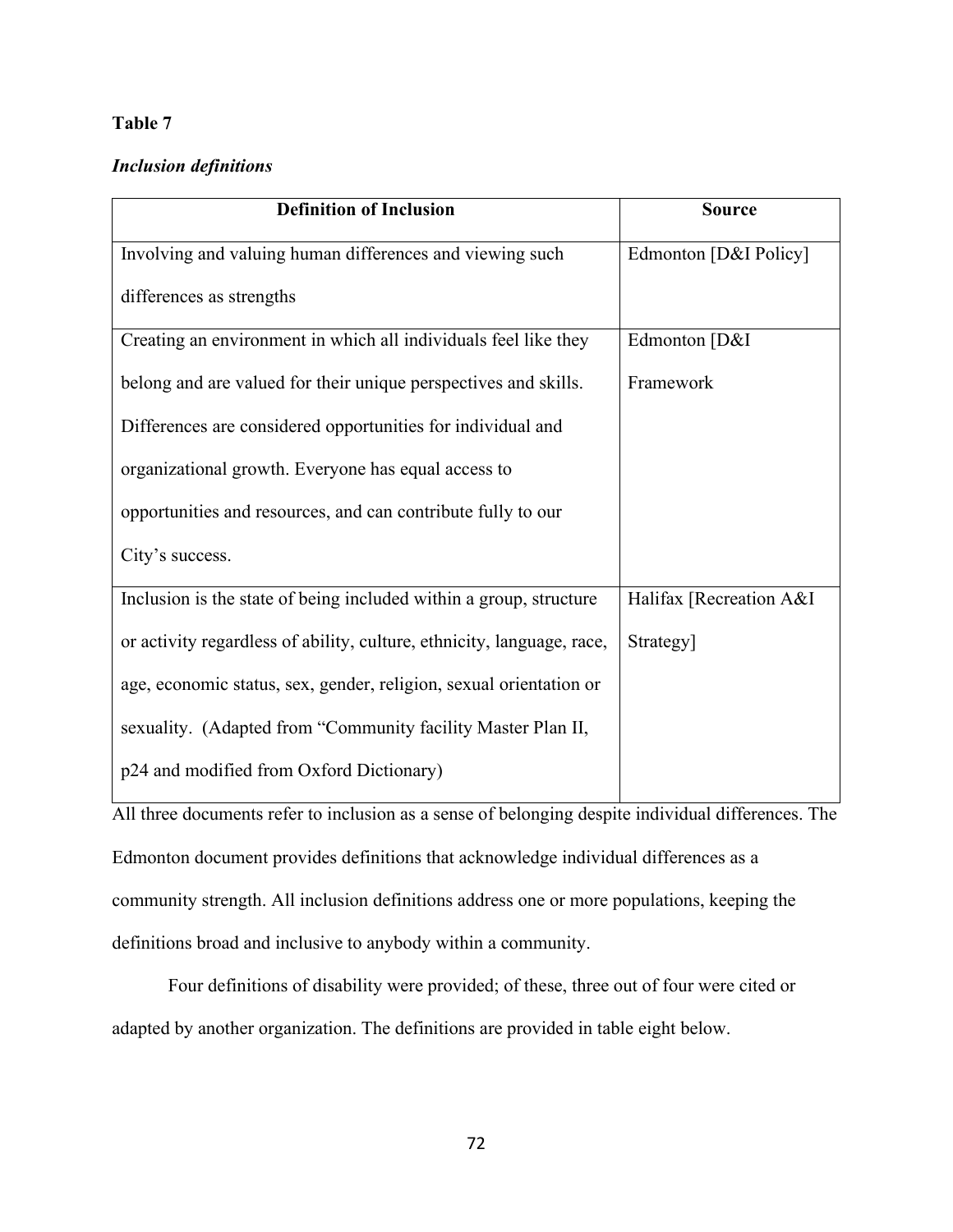# **Table 7**

# *Inclusion definitions*

| <b>Definition of Inclusion</b>                                         | <b>Source</b>           |
|------------------------------------------------------------------------|-------------------------|
| Involving and valuing human differences and viewing such               | Edmonton [D&I Policy]   |
| differences as strengths                                               |                         |
| Creating an environment in which all individuals feel like they        | Edmonton [D&I           |
| belong and are valued for their unique perspectives and skills.        | Framework               |
| Differences are considered opportunities for individual and            |                         |
| organizational growth. Everyone has equal access to                    |                         |
| opportunities and resources, and can contribute fully to our           |                         |
| City's success.                                                        |                         |
| Inclusion is the state of being included within a group, structure     | Halifax [Recreation A&I |
| or activity regardless of ability, culture, ethnicity, language, race, | Strategy]               |
| age, economic status, sex, gender, religion, sexual orientation or     |                         |
| sexuality. (Adapted from "Community facility Master Plan II,           |                         |
| p24 and modified from Oxford Dictionary)                               |                         |

All three documents refer to inclusion as a sense of belonging despite individual differences. The Edmonton document provides definitions that acknowledge individual differences as a community strength. All inclusion definitions address one or more populations, keeping the definitions broad and inclusive to anybody within a community.

Four definitions of disability were provided; of these, three out of four were cited or adapted by another organization. The definitions are provided in table eight below.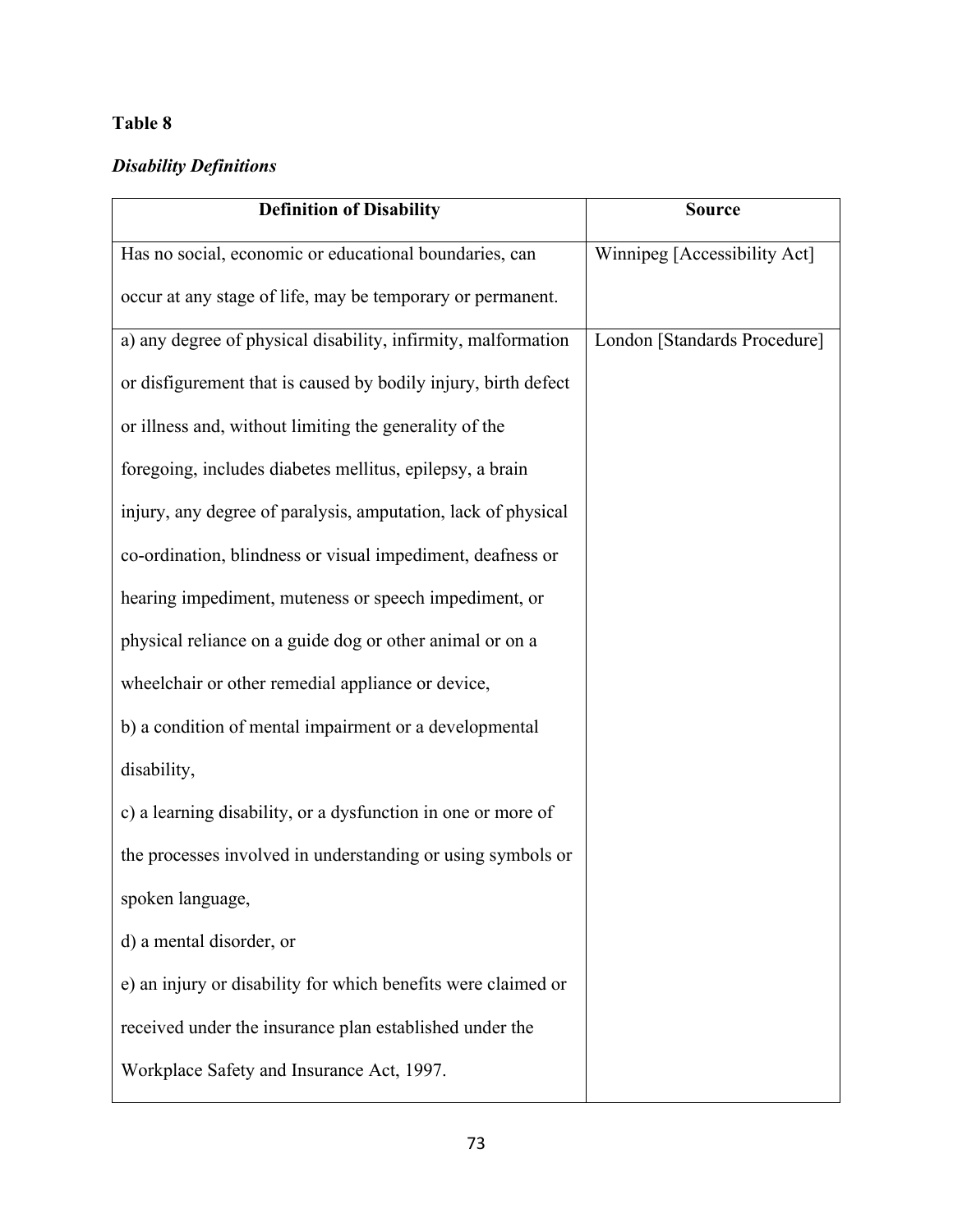# **Table 8**

# *Disability Definitions*

| <b>Definition of Disability</b>                                | <b>Source</b>                |
|----------------------------------------------------------------|------------------------------|
| Has no social, economic or educational boundaries, can         | Winnipeg [Accessibility Act] |
| occur at any stage of life, may be temporary or permanent.     |                              |
| a) any degree of physical disability, infirmity, malformation  | London [Standards Procedure] |
| or disfigurement that is caused by bodily injury, birth defect |                              |
| or illness and, without limiting the generality of the         |                              |
| foregoing, includes diabetes mellitus, epilepsy, a brain       |                              |
| injury, any degree of paralysis, amputation, lack of physical  |                              |
| co-ordination, blindness or visual impediment, deafness or     |                              |
| hearing impediment, muteness or speech impediment, or          |                              |
| physical reliance on a guide dog or other animal or on a       |                              |
| wheelchair or other remedial appliance or device,              |                              |
| b) a condition of mental impairment or a developmental         |                              |
| disability,                                                    |                              |
| c) a learning disability, or a dysfunction in one or more of   |                              |
| the processes involved in understanding or using symbols or    |                              |
| spoken language,                                               |                              |
| d) a mental disorder, or                                       |                              |
| e) an injury or disability for which benefits were claimed or  |                              |
| received under the insurance plan established under the        |                              |
| Workplace Safety and Insurance Act, 1997.                      |                              |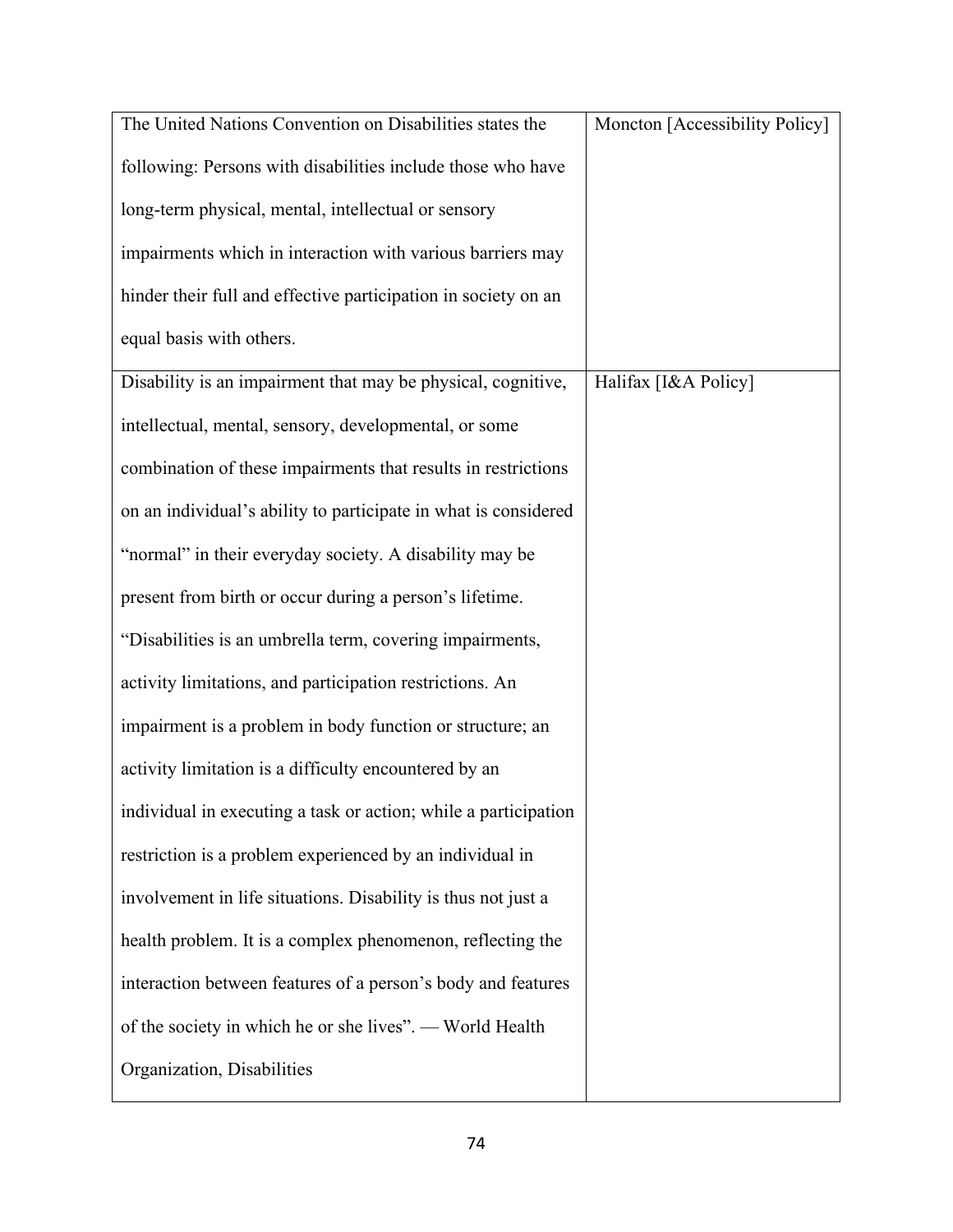| The United Nations Convention on Disabilities states the        | Moncton [Accessibility Policy] |
|-----------------------------------------------------------------|--------------------------------|
| following: Persons with disabilities include those who have     |                                |
| long-term physical, mental, intellectual or sensory             |                                |
| impairments which in interaction with various barriers may      |                                |
| hinder their full and effective participation in society on an  |                                |
| equal basis with others.                                        |                                |
| Disability is an impairment that may be physical, cognitive,    | Halifax [I&A Policy]           |
| intellectual, mental, sensory, developmental, or some           |                                |
| combination of these impairments that results in restrictions   |                                |
| on an individual's ability to participate in what is considered |                                |
| "normal" in their everyday society. A disability may be         |                                |
| present from birth or occur during a person's lifetime.         |                                |
| "Disabilities is an umbrella term, covering impairments,        |                                |
| activity limitations, and participation restrictions. An        |                                |
| impairment is a problem in body function or structure; an       |                                |
| activity limitation is a difficulty encountered by an           |                                |
| individual in executing a task or action; while a participation |                                |
| restriction is a problem experienced by an individual in        |                                |
| involvement in life situations. Disability is thus not just a   |                                |
| health problem. It is a complex phenomenon, reflecting the      |                                |
| interaction between features of a person's body and features    |                                |
| of the society in which he or she lives". - World Health        |                                |
| Organization, Disabilities                                      |                                |
|                                                                 |                                |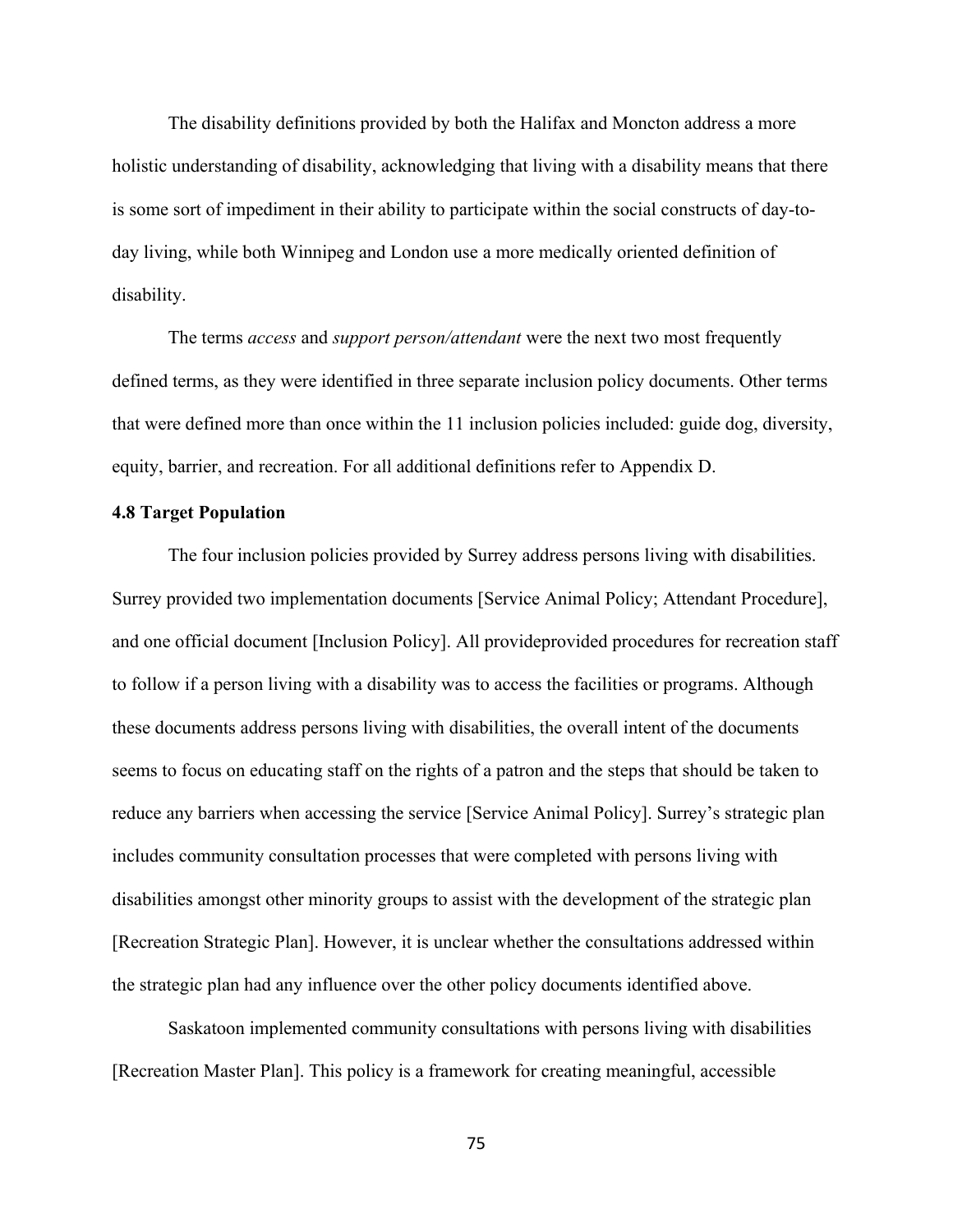The disability definitions provided by both the Halifax and Moncton address a more holistic understanding of disability, acknowledging that living with a disability means that there is some sort of impediment in their ability to participate within the social constructs of day-today living, while both Winnipeg and London use a more medically oriented definition of disability.

The terms *access* and *support person/attendant* were the next two most frequently defined terms, as they were identified in three separate inclusion policy documents. Other terms that were defined more than once within the 11 inclusion policies included: guide dog, diversity, equity, barrier, and recreation. For all additional definitions refer to Appendix D.

# **4.8 Target Population**

The four inclusion policies provided by Surrey address persons living with disabilities. Surrey provided two implementation documents [Service Animal Policy; Attendant Procedure], and one official document [Inclusion Policy]. All provideprovided procedures for recreation staff to follow if a person living with a disability was to access the facilities or programs. Although these documents address persons living with disabilities, the overall intent of the documents seems to focus on educating staff on the rights of a patron and the steps that should be taken to reduce any barriers when accessing the service [Service Animal Policy]. Surrey's strategic plan includes community consultation processes that were completed with persons living with disabilities amongst other minority groups to assist with the development of the strategic plan [Recreation Strategic Plan]. However, it is unclear whether the consultations addressed within the strategic plan had any influence over the other policy documents identified above.

Saskatoon implemented community consultations with persons living with disabilities [Recreation Master Plan]. This policy is a framework for creating meaningful, accessible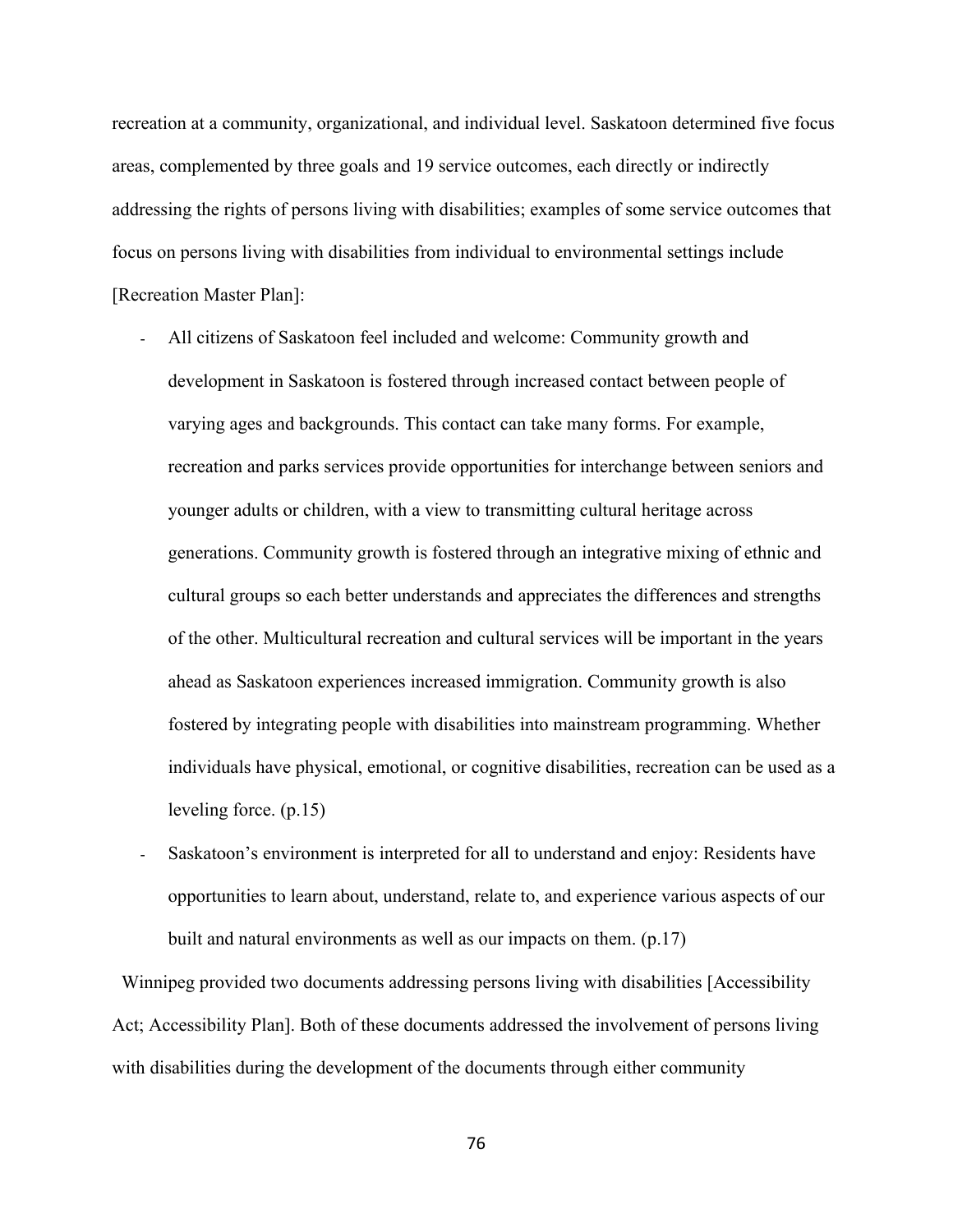recreation at a community, organizational, and individual level. Saskatoon determined five focus areas, complemented by three goals and 19 service outcomes, each directly or indirectly addressing the rights of persons living with disabilities; examples of some service outcomes that focus on persons living with disabilities from individual to environmental settings include [Recreation Master Plan]:

- All citizens of Saskatoon feel included and welcome: Community growth and development in Saskatoon is fostered through increased contact between people of varying ages and backgrounds. This contact can take many forms. For example, recreation and parks services provide opportunities for interchange between seniors and younger adults or children, with a view to transmitting cultural heritage across generations. Community growth is fostered through an integrative mixing of ethnic and cultural groups so each better understands and appreciates the differences and strengths of the other. Multicultural recreation and cultural services will be important in the years ahead as Saskatoon experiences increased immigration. Community growth is also fostered by integrating people with disabilities into mainstream programming. Whether individuals have physical, emotional, or cognitive disabilities, recreation can be used as a leveling force. (p.15)
- Saskatoon's environment is interpreted for all to understand and enjoy: Residents have opportunities to learn about, understand, relate to, and experience various aspects of our built and natural environments as well as our impacts on them. (p.17)

 Winnipeg provided two documents addressing persons living with disabilities [Accessibility Act; Accessibility Plan]. Both of these documents addressed the involvement of persons living with disabilities during the development of the documents through either community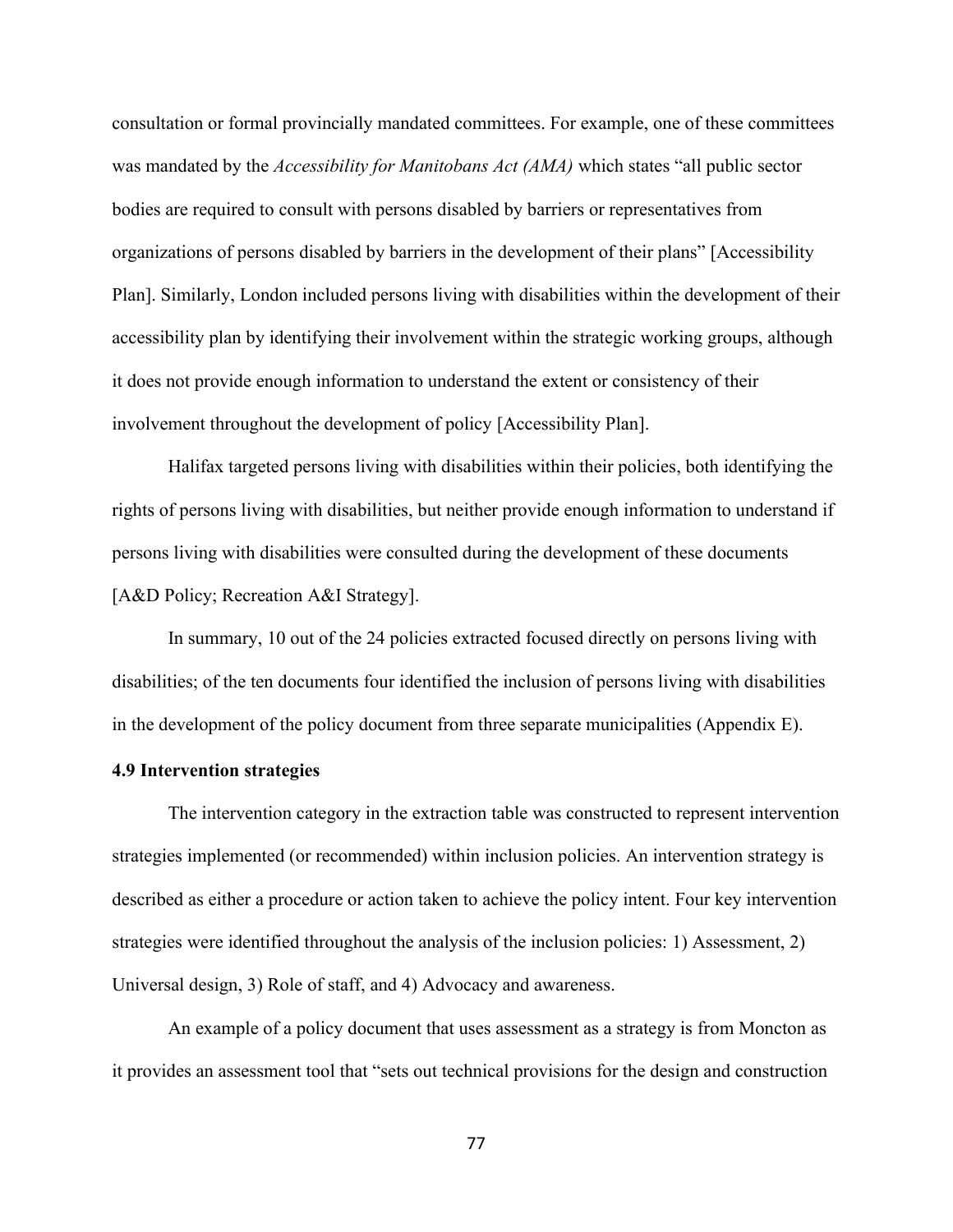consultation or formal provincially mandated committees. For example, one of these committees was mandated by the *Accessibility for Manitobans Act (AMA)* which states "all public sector bodies are required to consult with persons disabled by barriers or representatives from organizations of persons disabled by barriers in the development of their plans" [Accessibility Plan]. Similarly, London included persons living with disabilities within the development of their accessibility plan by identifying their involvement within the strategic working groups, although it does not provide enough information to understand the extent or consistency of their involvement throughout the development of policy [Accessibility Plan].

Halifax targeted persons living with disabilities within their policies, both identifying the rights of persons living with disabilities, but neither provide enough information to understand if persons living with disabilities were consulted during the development of these documents [A&D Policy; Recreation A&I Strategy].

In summary, 10 out of the 24 policies extracted focused directly on persons living with disabilities; of the ten documents four identified the inclusion of persons living with disabilities in the development of the policy document from three separate municipalities (Appendix E).

#### **4.9 Intervention strategies**

The intervention category in the extraction table was constructed to represent intervention strategies implemented (or recommended) within inclusion policies. An intervention strategy is described as either a procedure or action taken to achieve the policy intent. Four key intervention strategies were identified throughout the analysis of the inclusion policies: 1) Assessment, 2) Universal design, 3) Role of staff, and 4) Advocacy and awareness.

An example of a policy document that uses assessment as a strategy is from Moncton as it provides an assessment tool that "sets out technical provisions for the design and construction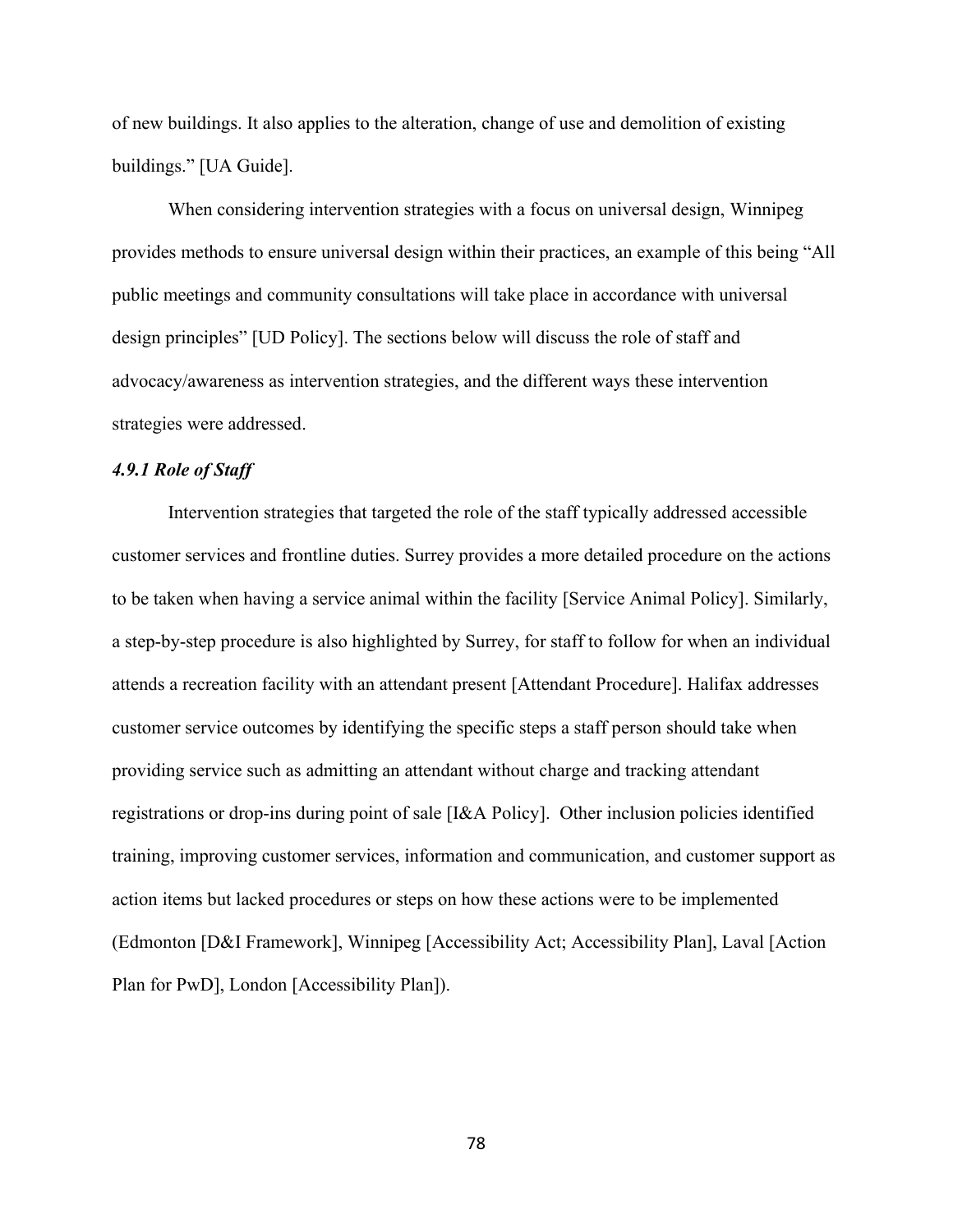of new buildings. It also applies to the alteration, change of use and demolition of existing buildings." [UA Guide].

When considering intervention strategies with a focus on universal design, Winnipeg provides methods to ensure universal design within their practices, an example of this being "All public meetings and community consultations will take place in accordance with universal design principles" [UD Policy]. The sections below will discuss the role of staff and advocacy/awareness as intervention strategies, and the different ways these intervention strategies were addressed.

# *4.9.1 Role of Staff*

Intervention strategies that targeted the role of the staff typically addressed accessible customer services and frontline duties. Surrey provides a more detailed procedure on the actions to be taken when having a service animal within the facility [Service Animal Policy]. Similarly, a step-by-step procedure is also highlighted by Surrey, for staff to follow for when an individual attends a recreation facility with an attendant present [Attendant Procedure]. Halifax addresses customer service outcomes by identifying the specific steps a staff person should take when providing service such as admitting an attendant without charge and tracking attendant registrations or drop-ins during point of sale [I&A Policy]. Other inclusion policies identified training, improving customer services, information and communication, and customer support as action items but lacked procedures or steps on how these actions were to be implemented (Edmonton [D&I Framework], Winnipeg [Accessibility Act; Accessibility Plan], Laval [Action Plan for PwD], London [Accessibility Plan]).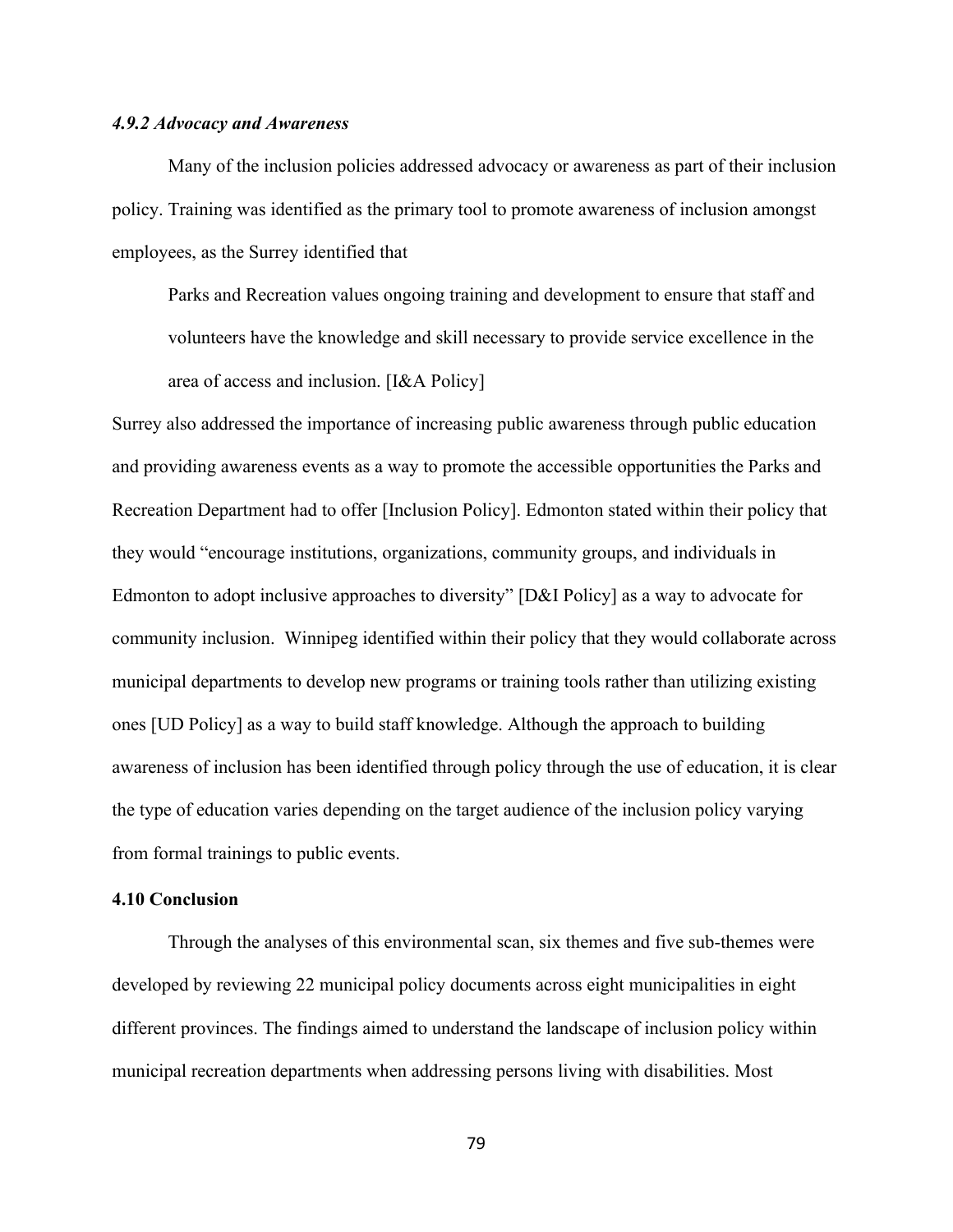#### *4.9.2 Advocacy and Awareness*

Many of the inclusion policies addressed advocacy or awareness as part of their inclusion policy. Training was identified as the primary tool to promote awareness of inclusion amongst employees, as the Surrey identified that

Parks and Recreation values ongoing training and development to ensure that staff and volunteers have the knowledge and skill necessary to provide service excellence in the area of access and inclusion. [I&A Policy]

Surrey also addressed the importance of increasing public awareness through public education and providing awareness events as a way to promote the accessible opportunities the Parks and Recreation Department had to offer [Inclusion Policy]. Edmonton stated within their policy that they would "encourage institutions, organizations, community groups, and individuals in Edmonton to adopt inclusive approaches to diversity" [D&I Policy] as a way to advocate for community inclusion. Winnipeg identified within their policy that they would collaborate across municipal departments to develop new programs or training tools rather than utilizing existing ones [UD Policy] as a way to build staff knowledge. Although the approach to building awareness of inclusion has been identified through policy through the use of education, it is clear the type of education varies depending on the target audience of the inclusion policy varying from formal trainings to public events.

#### **4.10 Conclusion**

Through the analyses of this environmental scan, six themes and five sub-themes were developed by reviewing 22 municipal policy documents across eight municipalities in eight different provinces. The findings aimed to understand the landscape of inclusion policy within municipal recreation departments when addressing persons living with disabilities. Most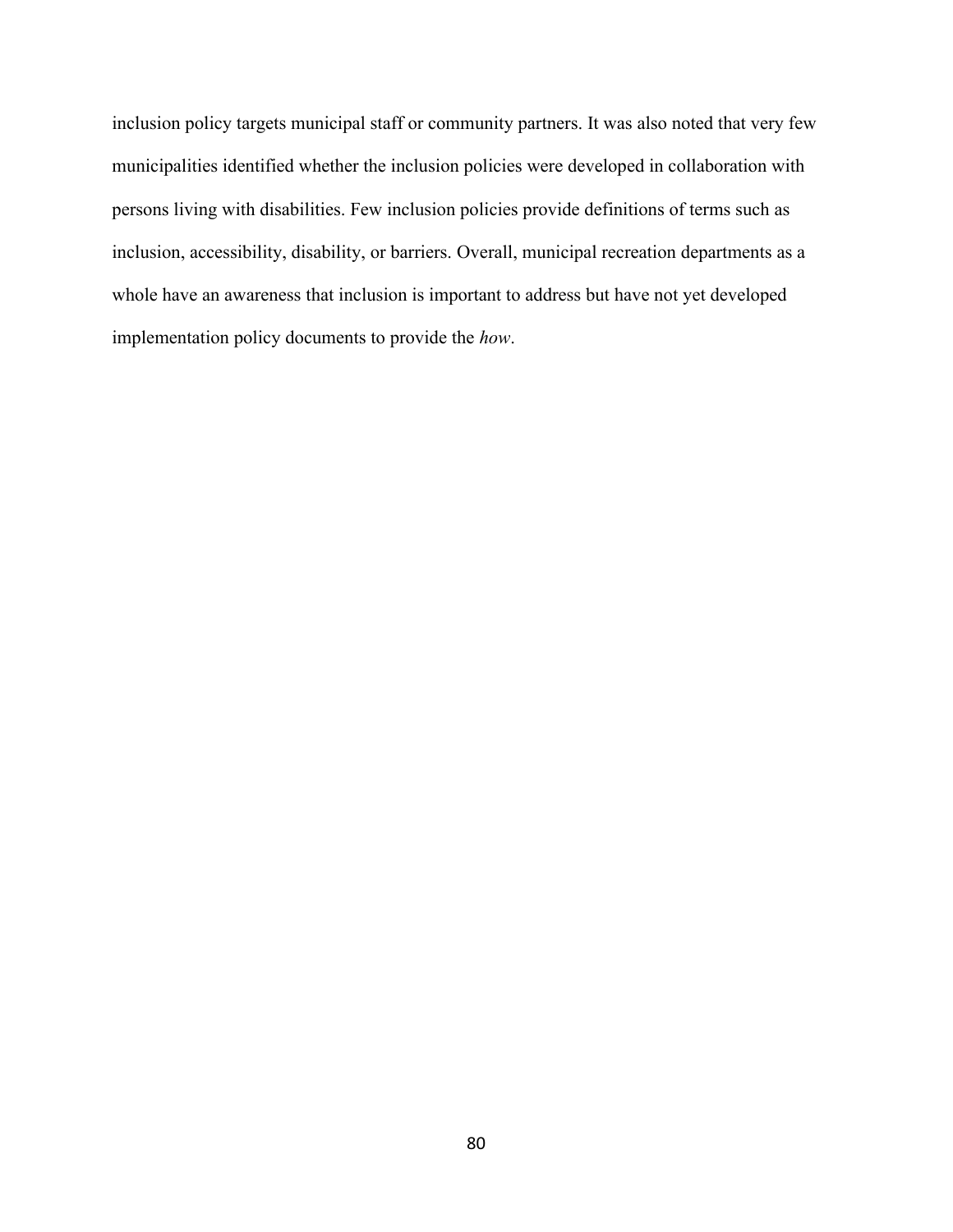inclusion policy targets municipal staff or community partners. It was also noted that very few municipalities identified whether the inclusion policies were developed in collaboration with persons living with disabilities. Few inclusion policies provide definitions of terms such as inclusion, accessibility, disability, or barriers. Overall, municipal recreation departments as a whole have an awareness that inclusion is important to address but have not yet developed implementation policy documents to provide the *how*.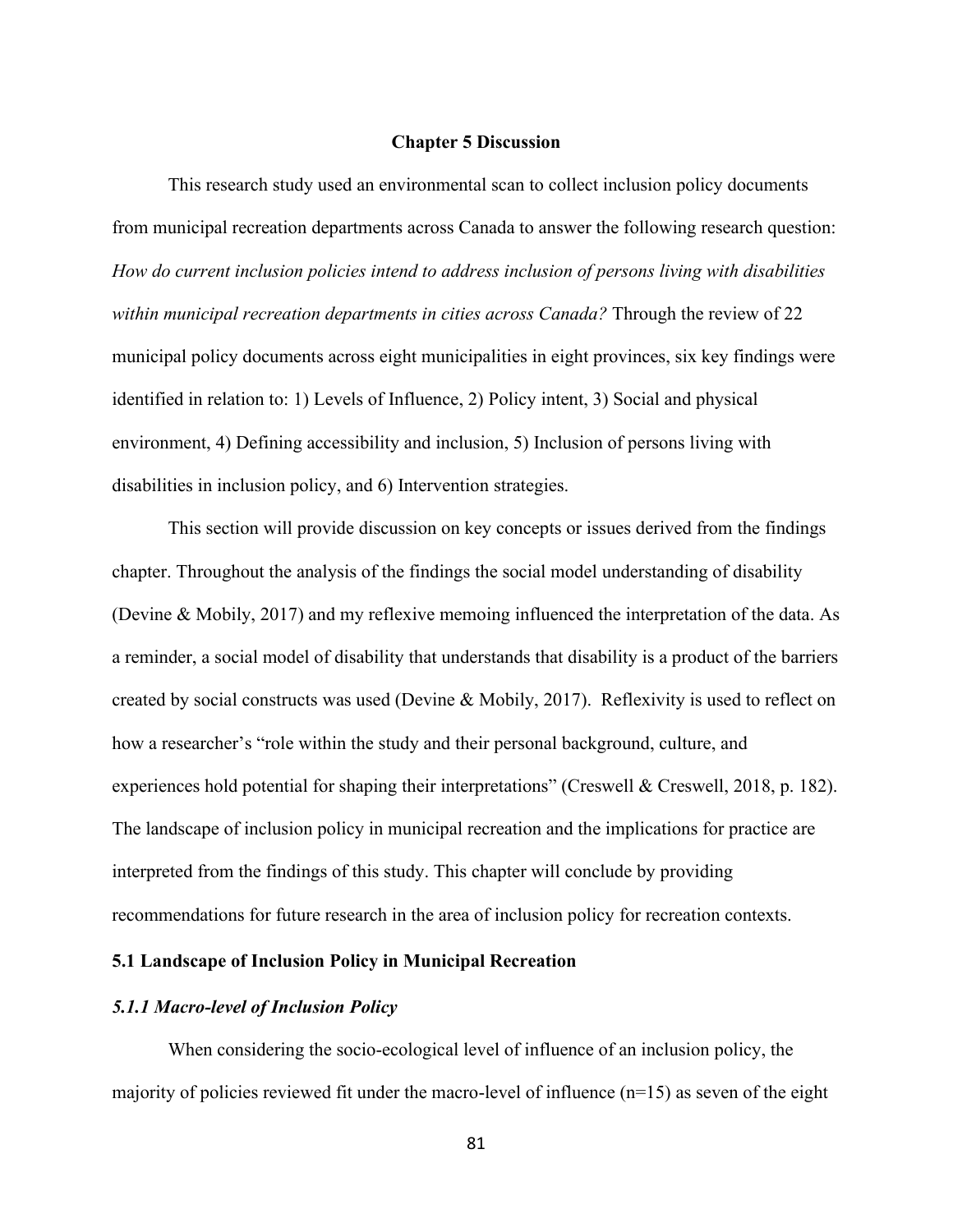#### **Chapter 5 Discussion**

This research study used an environmental scan to collect inclusion policy documents from municipal recreation departments across Canada to answer the following research question: *How do current inclusion policies intend to address inclusion of persons living with disabilities within municipal recreation departments in cities across Canada?* Through the review of 22 municipal policy documents across eight municipalities in eight provinces, six key findings were identified in relation to: 1) Levels of Influence, 2) Policy intent, 3) Social and physical environment, 4) Defining accessibility and inclusion, 5) Inclusion of persons living with disabilities in inclusion policy, and 6) Intervention strategies.

This section will provide discussion on key concepts or issues derived from the findings chapter. Throughout the analysis of the findings the social model understanding of disability (Devine & Mobily, 2017) and my reflexive memoing influenced the interpretation of the data. As a reminder, a social model of disability that understands that disability is a product of the barriers created by social constructs was used (Devine & Mobily, 2017). Reflexivity is used to reflect on how a researcher's "role within the study and their personal background, culture, and experiences hold potential for shaping their interpretations" (Creswell & Creswell, 2018, p. 182). The landscape of inclusion policy in municipal recreation and the implications for practice are interpreted from the findings of this study. This chapter will conclude by providing recommendations for future research in the area of inclusion policy for recreation contexts.

# **5.1 Landscape of Inclusion Policy in Municipal Recreation**

#### *5.1.1 Macro-level of Inclusion Policy*

When considering the socio-ecological level of influence of an inclusion policy, the majority of policies reviewed fit under the macro-level of influence  $(n=15)$  as seven of the eight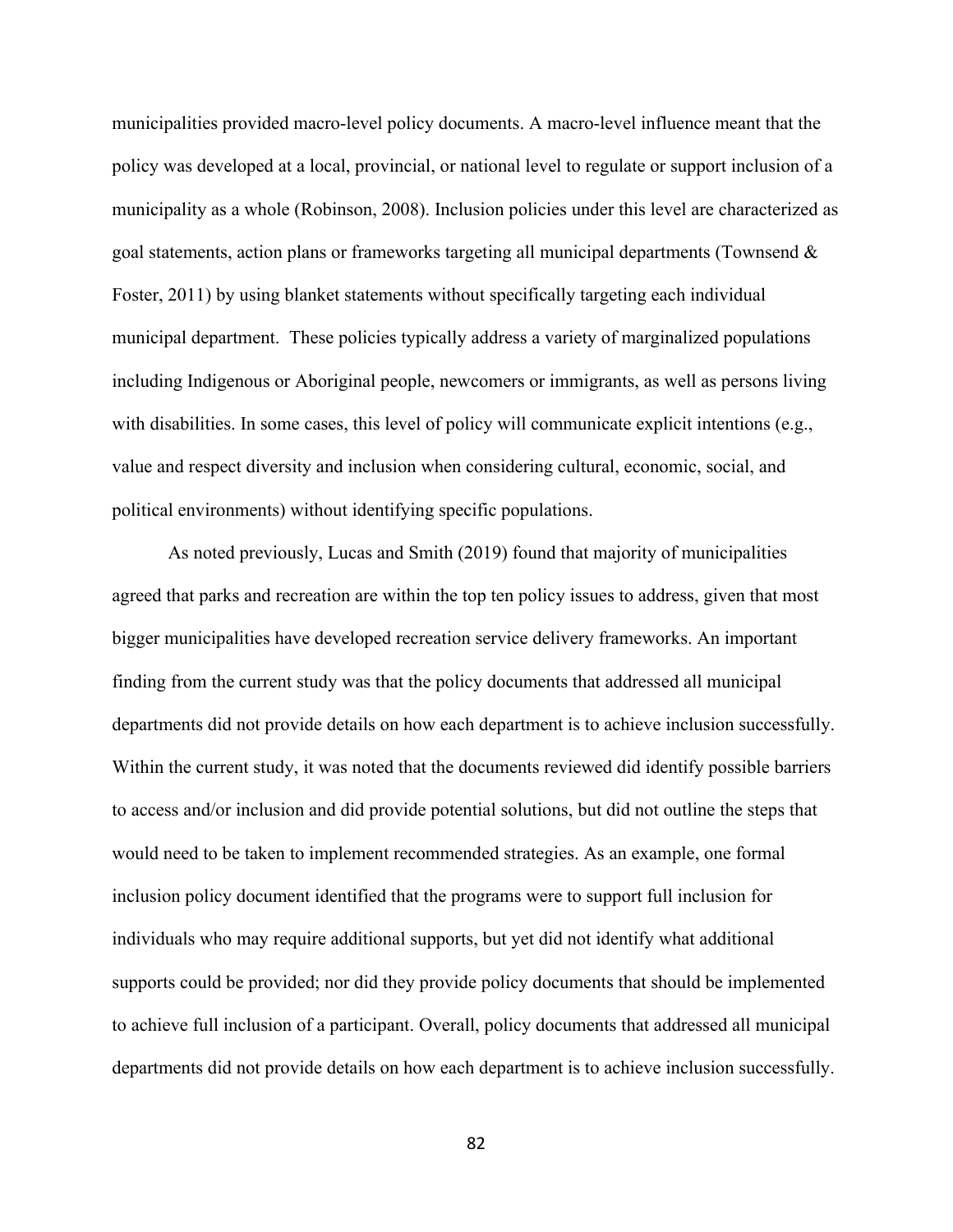municipalities provided macro-level policy documents. A macro-level influence meant that the policy was developed at a local, provincial, or national level to regulate or support inclusion of a municipality as a whole (Robinson, 2008). Inclusion policies under this level are characterized as goal statements, action plans or frameworks targeting all municipal departments (Townsend & Foster, 2011) by using blanket statements without specifically targeting each individual municipal department. These policies typically address a variety of marginalized populations including Indigenous or Aboriginal people, newcomers or immigrants, as well as persons living with disabilities. In some cases, this level of policy will communicate explicit intentions (e.g., value and respect diversity and inclusion when considering cultural, economic, social, and political environments) without identifying specific populations.

As noted previously, Lucas and Smith (2019) found that majority of municipalities agreed that parks and recreation are within the top ten policy issues to address, given that most bigger municipalities have developed recreation service delivery frameworks. An important finding from the current study was that the policy documents that addressed all municipal departments did not provide details on how each department is to achieve inclusion successfully. Within the current study, it was noted that the documents reviewed did identify possible barriers to access and/or inclusion and did provide potential solutions, but did not outline the steps that would need to be taken to implement recommended strategies. As an example, one formal inclusion policy document identified that the programs were to support full inclusion for individuals who may require additional supports, but yet did not identify what additional supports could be provided; nor did they provide policy documents that should be implemented to achieve full inclusion of a participant. Overall, policy documents that addressed all municipal departments did not provide details on how each department is to achieve inclusion successfully.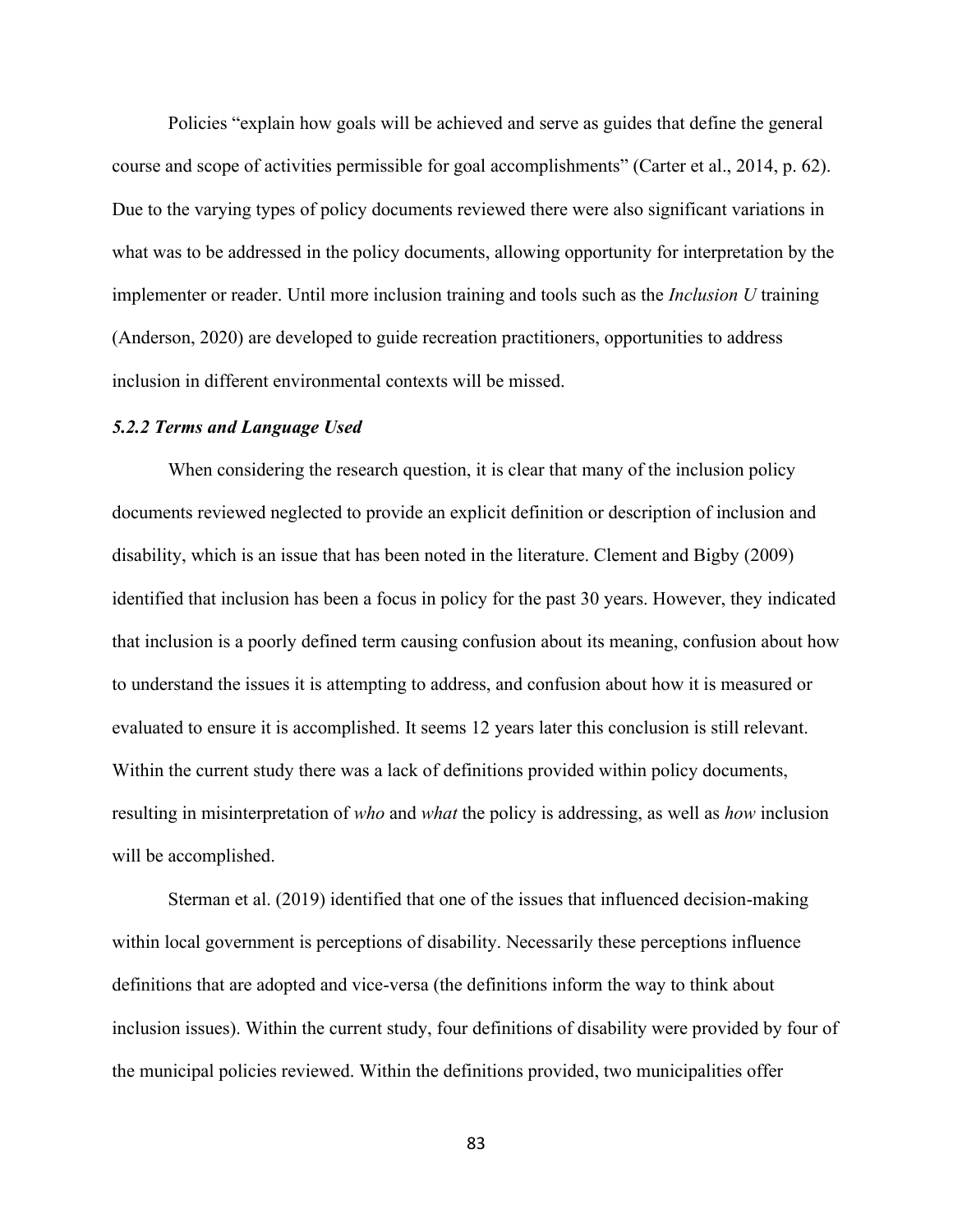Policies "explain how goals will be achieved and serve as guides that define the general course and scope of activities permissible for goal accomplishments" (Carter et al., 2014, p. 62). Due to the varying types of policy documents reviewed there were also significant variations in what was to be addressed in the policy documents, allowing opportunity for interpretation by the implementer or reader. Until more inclusion training and tools such as the *Inclusion U* training (Anderson, 2020) are developed to guide recreation practitioners, opportunities to address inclusion in different environmental contexts will be missed.

#### *5.2.2 Terms and Language Used*

When considering the research question, it is clear that many of the inclusion policy documents reviewed neglected to provide an explicit definition or description of inclusion and disability, which is an issue that has been noted in the literature. Clement and Bigby (2009) identified that inclusion has been a focus in policy for the past 30 years. However, they indicated that inclusion is a poorly defined term causing confusion about its meaning, confusion about how to understand the issues it is attempting to address, and confusion about how it is measured or evaluated to ensure it is accomplished. It seems 12 years later this conclusion is still relevant. Within the current study there was a lack of definitions provided within policy documents, resulting in misinterpretation of *who* and *what* the policy is addressing, as well as *how* inclusion will be accomplished.

Sterman et al. (2019) identified that one of the issues that influenced decision-making within local government is perceptions of disability. Necessarily these perceptions influence definitions that are adopted and vice-versa (the definitions inform the way to think about inclusion issues). Within the current study, four definitions of disability were provided by four of the municipal policies reviewed. Within the definitions provided, two municipalities offer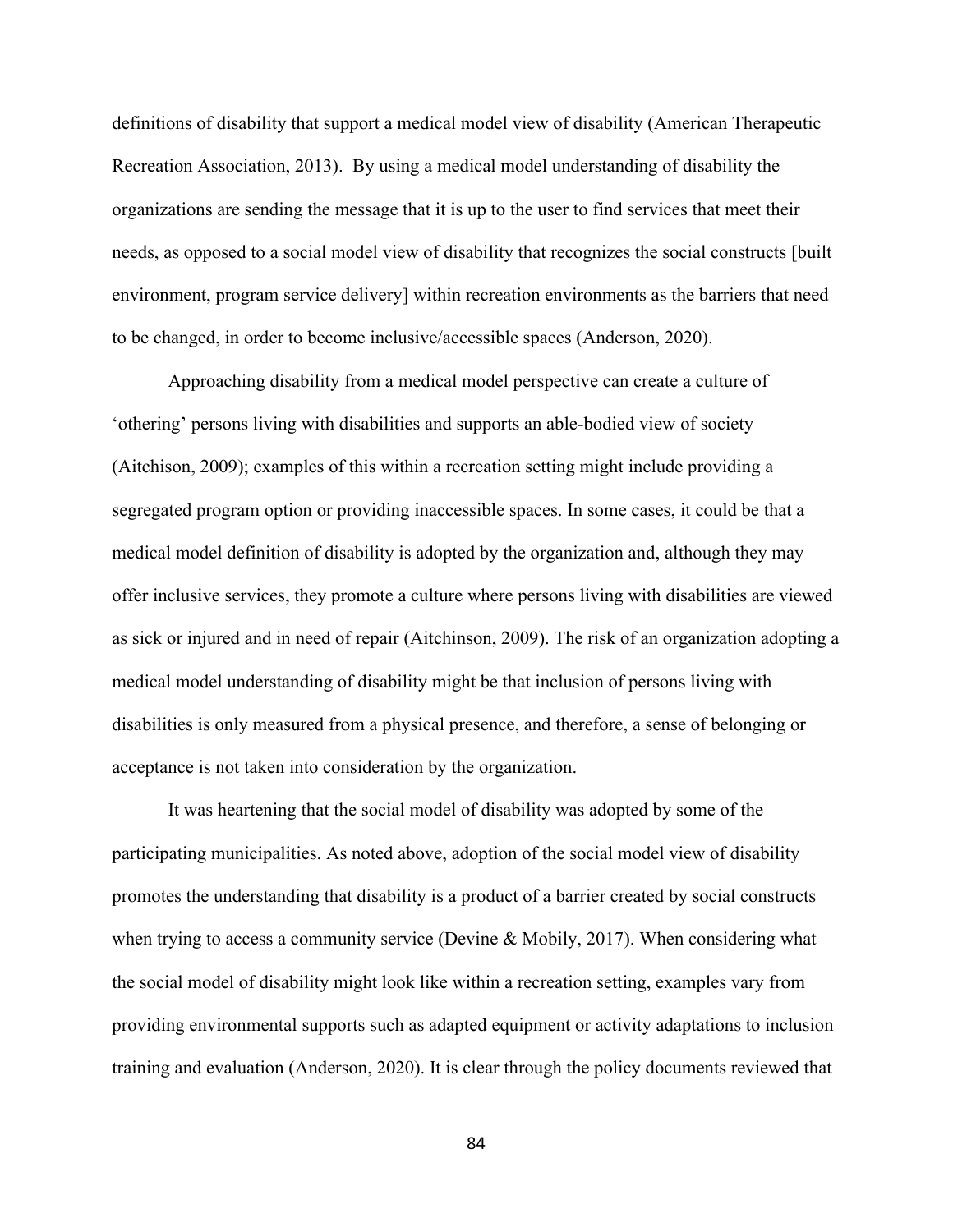definitions of disability that support a medical model view of disability (American Therapeutic Recreation Association, 2013). By using a medical model understanding of disability the organizations are sending the message that it is up to the user to find services that meet their needs, as opposed to a social model view of disability that recognizes the social constructs [built environment, program service delivery] within recreation environments as the barriers that need to be changed, in order to become inclusive/accessible spaces (Anderson, 2020).

Approaching disability from a medical model perspective can create a culture of 'othering' persons living with disabilities and supports an able-bodied view of society (Aitchison, 2009); examples of this within a recreation setting might include providing a segregated program option or providing inaccessible spaces. In some cases, it could be that a medical model definition of disability is adopted by the organization and, although they may offer inclusive services, they promote a culture where persons living with disabilities are viewed as sick or injured and in need of repair (Aitchinson, 2009). The risk of an organization adopting a medical model understanding of disability might be that inclusion of persons living with disabilities is only measured from a physical presence, and therefore, a sense of belonging or acceptance is not taken into consideration by the organization.

It was heartening that the social model of disability was adopted by some of the participating municipalities. As noted above, adoption of the social model view of disability promotes the understanding that disability is a product of a barrier created by social constructs when trying to access a community service (Devine & Mobily, 2017). When considering what the social model of disability might look like within a recreation setting, examples vary from providing environmental supports such as adapted equipment or activity adaptations to inclusion training and evaluation (Anderson, 2020). It is clear through the policy documents reviewed that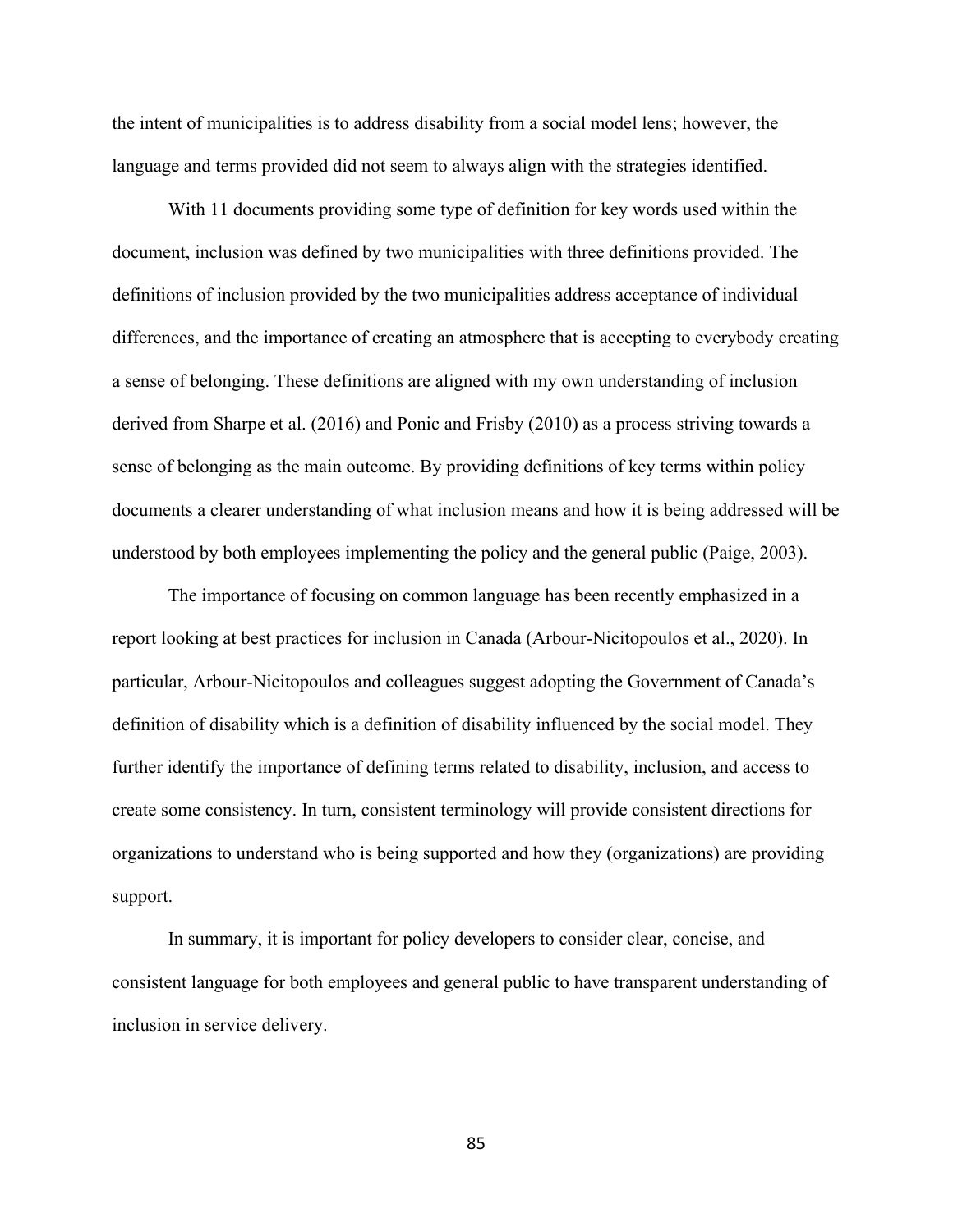the intent of municipalities is to address disability from a social model lens; however, the language and terms provided did not seem to always align with the strategies identified.

With 11 documents providing some type of definition for key words used within the document, inclusion was defined by two municipalities with three definitions provided. The definitions of inclusion provided by the two municipalities address acceptance of individual differences, and the importance of creating an atmosphere that is accepting to everybody creating a sense of belonging. These definitions are aligned with my own understanding of inclusion derived from Sharpe et al. (2016) and Ponic and Frisby (2010) as a process striving towards a sense of belonging as the main outcome. By providing definitions of key terms within policy documents a clearer understanding of what inclusion means and how it is being addressed will be understood by both employees implementing the policy and the general public (Paige, 2003).

The importance of focusing on common language has been recently emphasized in a report looking at best practices for inclusion in Canada (Arbour-Nicitopoulos et al., 2020). In particular, Arbour-Nicitopoulos and colleagues suggest adopting the Government of Canada's definition of disability which is a definition of disability influenced by the social model. They further identify the importance of defining terms related to disability, inclusion, and access to create some consistency. In turn, consistent terminology will provide consistent directions for organizations to understand who is being supported and how they (organizations) are providing support.

In summary, it is important for policy developers to consider clear, concise, and consistent language for both employees and general public to have transparent understanding of inclusion in service delivery.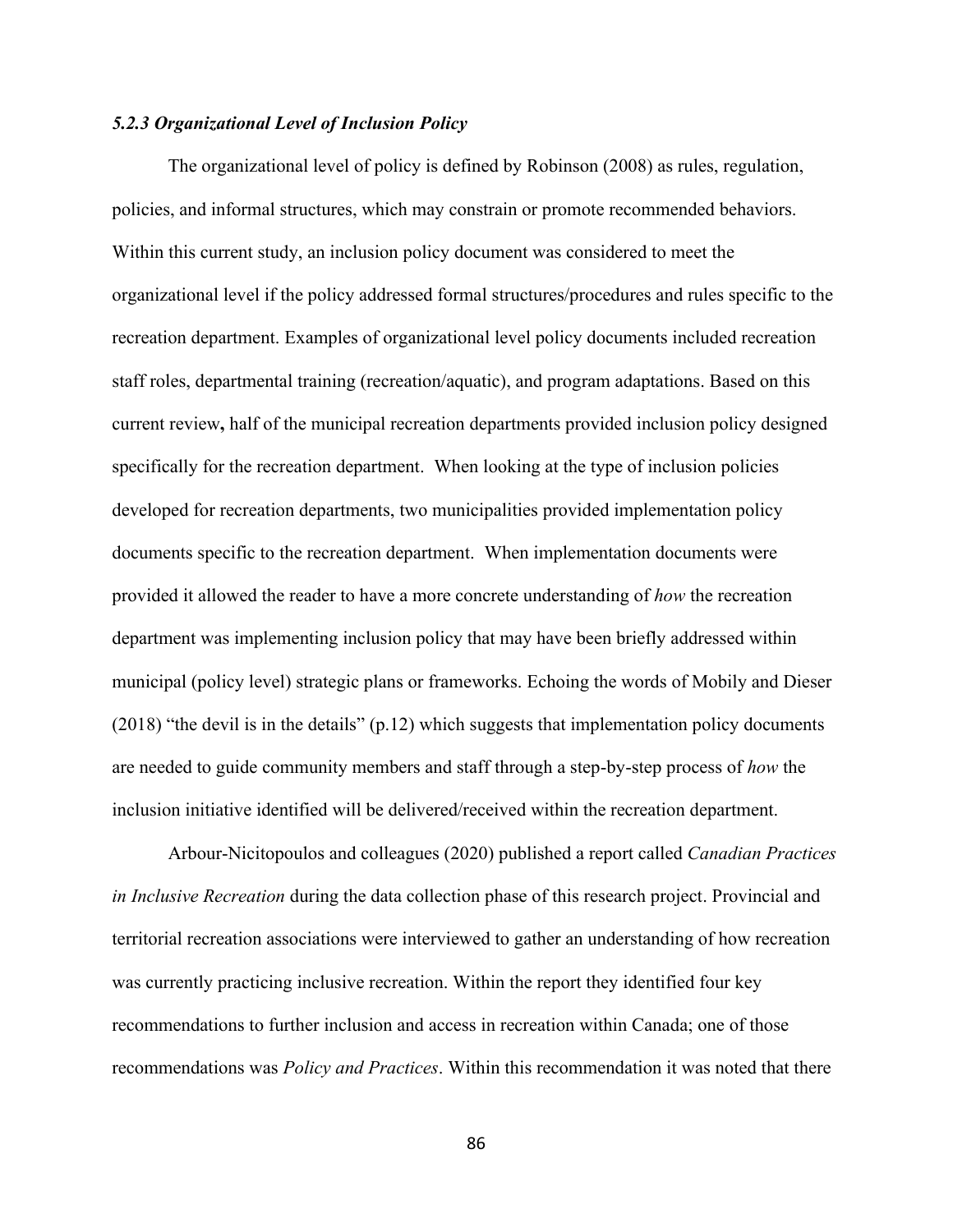# *5.2.3 Organizational Level of Inclusion Policy*

The organizational level of policy is defined by Robinson (2008) as rules, regulation, policies, and informal structures, which may constrain or promote recommended behaviors. Within this current study, an inclusion policy document was considered to meet the organizational level if the policy addressed formal structures/procedures and rules specific to the recreation department. Examples of organizational level policy documents included recreation staff roles, departmental training (recreation/aquatic), and program adaptations. Based on this current review**,** half of the municipal recreation departments provided inclusion policy designed specifically for the recreation department. When looking at the type of inclusion policies developed for recreation departments, two municipalities provided implementation policy documents specific to the recreation department. When implementation documents were provided it allowed the reader to have a more concrete understanding of *how* the recreation department was implementing inclusion policy that may have been briefly addressed within municipal (policy level) strategic plans or frameworks. Echoing the words of Mobily and Dieser (2018) "the devil is in the details" (p.12) which suggests that implementation policy documents are needed to guide community members and staff through a step-by-step process of *how* the inclusion initiative identified will be delivered/received within the recreation department.

Arbour-Nicitopoulos and colleagues (2020) published a report called *Canadian Practices in Inclusive Recreation* during the data collection phase of this research project. Provincial and territorial recreation associations were interviewed to gather an understanding of how recreation was currently practicing inclusive recreation. Within the report they identified four key recommendations to further inclusion and access in recreation within Canada; one of those recommendations was *Policy and Practices*. Within this recommendation it was noted that there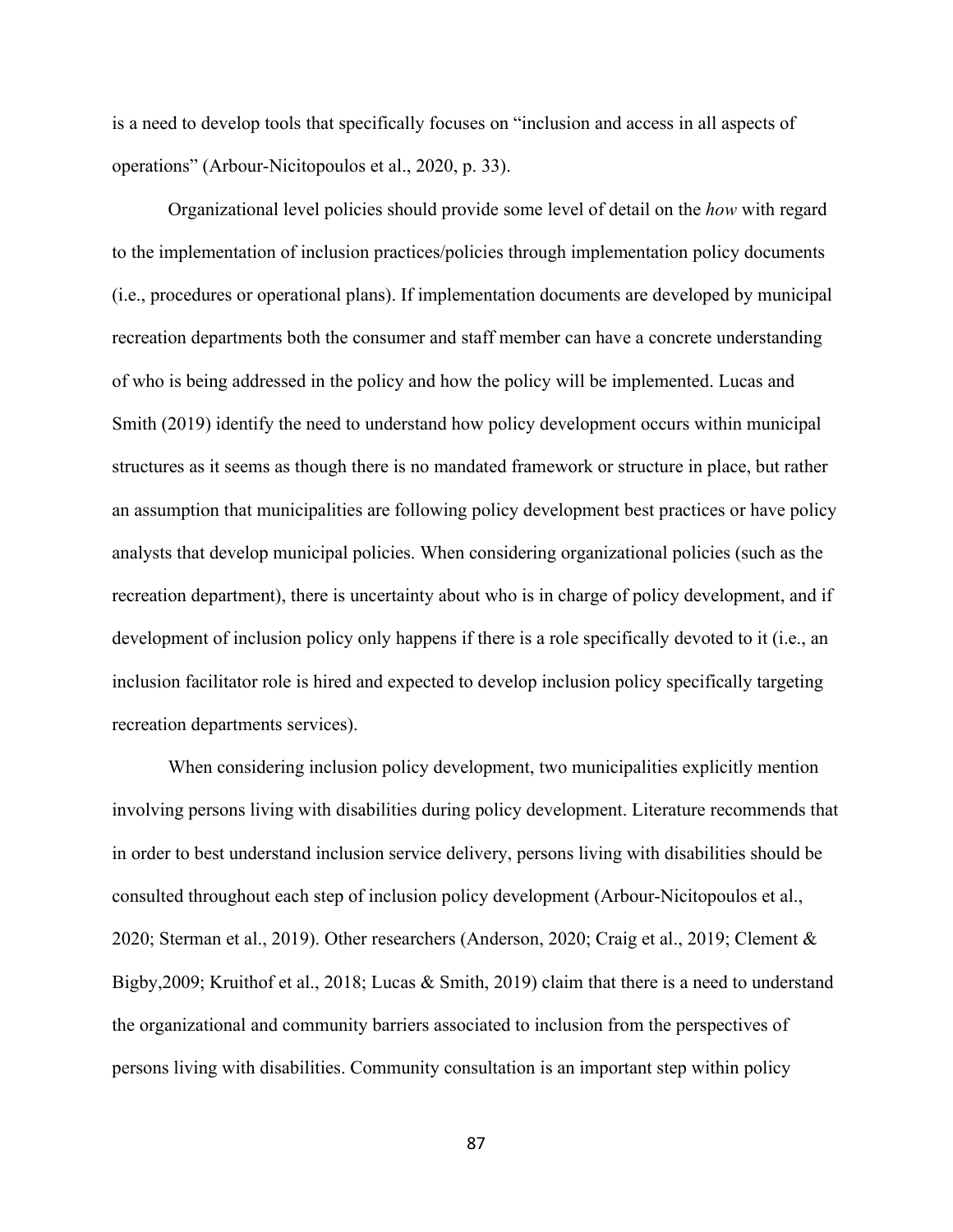is a need to develop tools that specifically focuses on "inclusion and access in all aspects of operations" (Arbour-Nicitopoulos et al., 2020, p. 33).

Organizational level policies should provide some level of detail on the *how* with regard to the implementation of inclusion practices/policies through implementation policy documents (i.e., procedures or operational plans). If implementation documents are developed by municipal recreation departments both the consumer and staff member can have a concrete understanding of who is being addressed in the policy and how the policy will be implemented. Lucas and Smith (2019) identify the need to understand how policy development occurs within municipal structures as it seems as though there is no mandated framework or structure in place, but rather an assumption that municipalities are following policy development best practices or have policy analysts that develop municipal policies. When considering organizational policies (such as the recreation department), there is uncertainty about who is in charge of policy development, and if development of inclusion policy only happens if there is a role specifically devoted to it (i.e., an inclusion facilitator role is hired and expected to develop inclusion policy specifically targeting recreation departments services).

When considering inclusion policy development, two municipalities explicitly mention involving persons living with disabilities during policy development. Literature recommends that in order to best understand inclusion service delivery, persons living with disabilities should be consulted throughout each step of inclusion policy development (Arbour-Nicitopoulos et al., 2020; Sterman et al., 2019). Other researchers (Anderson, 2020; Craig et al., 2019; Clement & Bigby,2009; Kruithof et al., 2018; Lucas & Smith, 2019) claim that there is a need to understand the organizational and community barriers associated to inclusion from the perspectives of persons living with disabilities. Community consultation is an important step within policy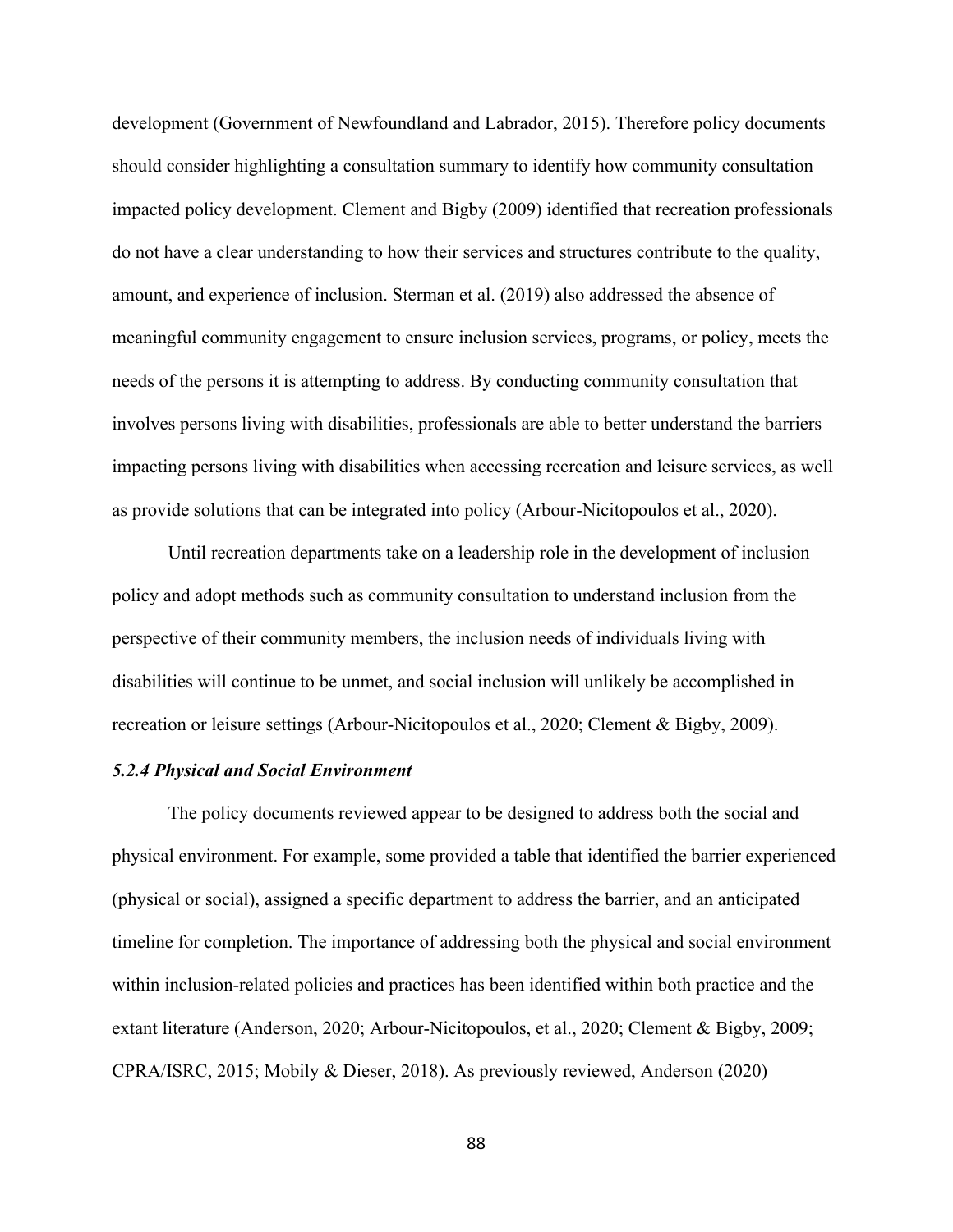development (Government of Newfoundland and Labrador, 2015). Therefore policy documents should consider highlighting a consultation summary to identify how community consultation impacted policy development. Clement and Bigby (2009) identified that recreation professionals do not have a clear understanding to how their services and structures contribute to the quality, amount, and experience of inclusion. Sterman et al. (2019) also addressed the absence of meaningful community engagement to ensure inclusion services, programs, or policy, meets the needs of the persons it is attempting to address. By conducting community consultation that involves persons living with disabilities, professionals are able to better understand the barriers impacting persons living with disabilities when accessing recreation and leisure services, as well as provide solutions that can be integrated into policy (Arbour-Nicitopoulos et al., 2020).

Until recreation departments take on a leadership role in the development of inclusion policy and adopt methods such as community consultation to understand inclusion from the perspective of their community members, the inclusion needs of individuals living with disabilities will continue to be unmet, and social inclusion will unlikely be accomplished in recreation or leisure settings (Arbour-Nicitopoulos et al., 2020; Clement & Bigby, 2009).

# *5.2.4 Physical and Social Environment*

The policy documents reviewed appear to be designed to address both the social and physical environment. For example, some provided a table that identified the barrier experienced (physical or social), assigned a specific department to address the barrier, and an anticipated timeline for completion. The importance of addressing both the physical and social environment within inclusion-related policies and practices has been identified within both practice and the extant literature (Anderson, 2020; Arbour-Nicitopoulos, et al., 2020; Clement & Bigby, 2009; CPRA/ISRC, 2015; Mobily & Dieser, 2018). As previously reviewed, Anderson (2020)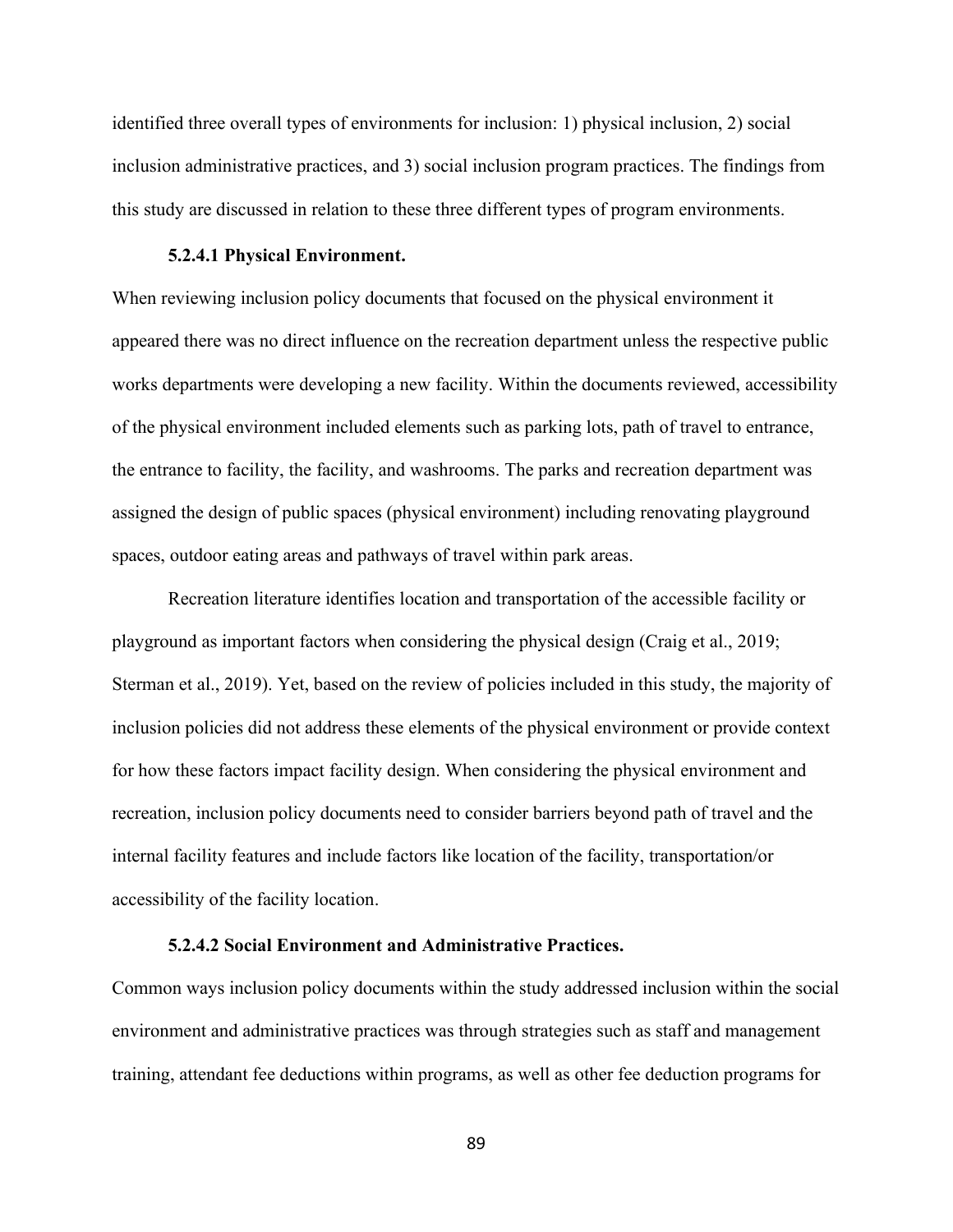identified three overall types of environments for inclusion: 1) physical inclusion, 2) social inclusion administrative practices, and 3) social inclusion program practices. The findings from this study are discussed in relation to these three different types of program environments.

#### **5.2.4.1 Physical Environment.**

When reviewing inclusion policy documents that focused on the physical environment it appeared there was no direct influence on the recreation department unless the respective public works departments were developing a new facility. Within the documents reviewed, accessibility of the physical environment included elements such as parking lots, path of travel to entrance, the entrance to facility, the facility, and washrooms. The parks and recreation department was assigned the design of public spaces (physical environment) including renovating playground spaces, outdoor eating areas and pathways of travel within park areas.

Recreation literature identifies location and transportation of the accessible facility or playground as important factors when considering the physical design (Craig et al., 2019; Sterman et al., 2019). Yet, based on the review of policies included in this study, the majority of inclusion policies did not address these elements of the physical environment or provide context for how these factors impact facility design. When considering the physical environment and recreation, inclusion policy documents need to consider barriers beyond path of travel and the internal facility features and include factors like location of the facility, transportation/or accessibility of the facility location.

# **5.2.4.2 Social Environment and Administrative Practices.**

Common ways inclusion policy documents within the study addressed inclusion within the social environment and administrative practices was through strategies such as staff and management training, attendant fee deductions within programs, as well as other fee deduction programs for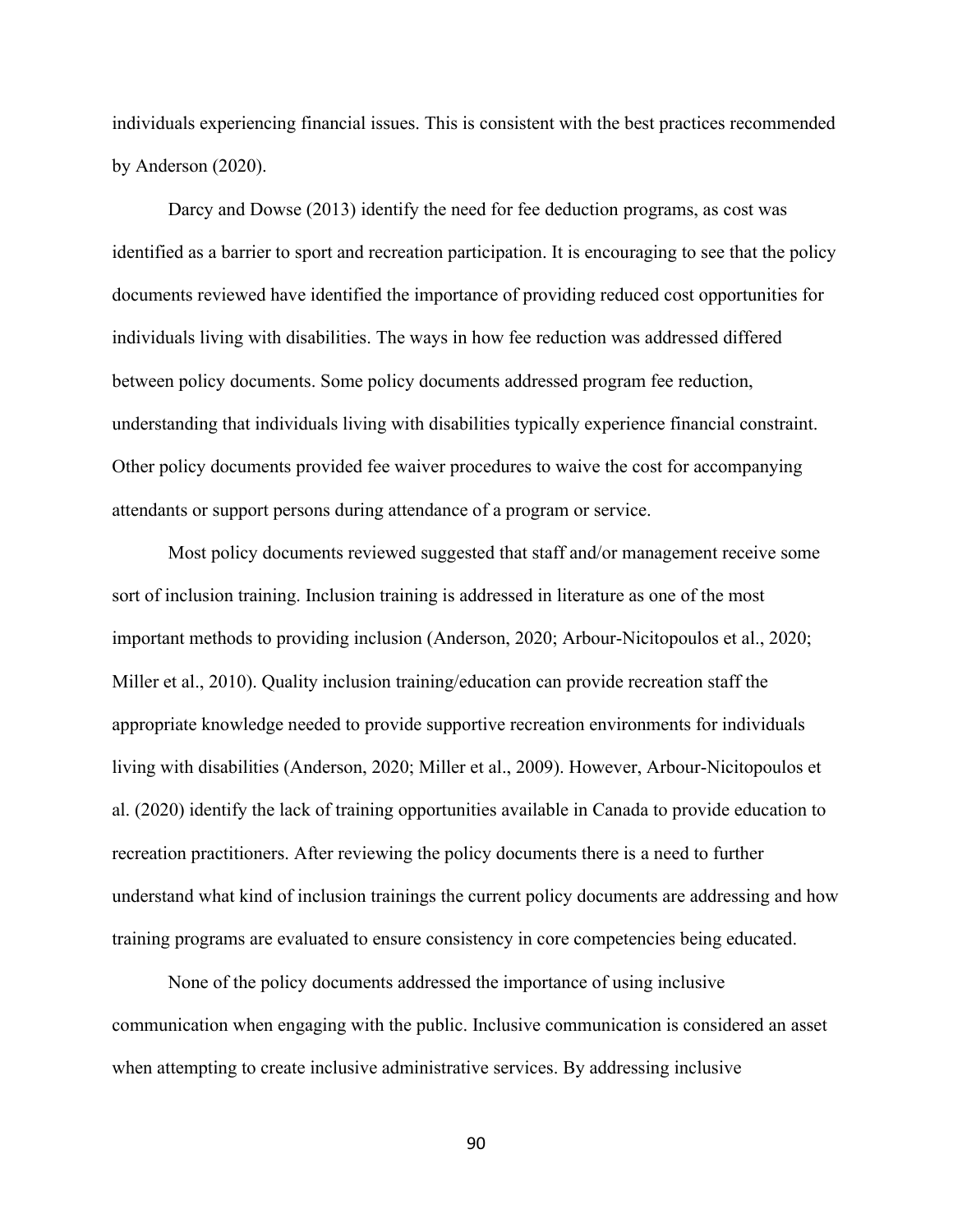individuals experiencing financial issues. This is consistent with the best practices recommended by Anderson (2020).

Darcy and Dowse (2013) identify the need for fee deduction programs, as cost was identified as a barrier to sport and recreation participation. It is encouraging to see that the policy documents reviewed have identified the importance of providing reduced cost opportunities for individuals living with disabilities. The ways in how fee reduction was addressed differed between policy documents. Some policy documents addressed program fee reduction, understanding that individuals living with disabilities typically experience financial constraint. Other policy documents provided fee waiver procedures to waive the cost for accompanying attendants or support persons during attendance of a program or service.

Most policy documents reviewed suggested that staff and/or management receive some sort of inclusion training. Inclusion training is addressed in literature as one of the most important methods to providing inclusion (Anderson, 2020; Arbour-Nicitopoulos et al., 2020; Miller et al., 2010). Quality inclusion training/education can provide recreation staff the appropriate knowledge needed to provide supportive recreation environments for individuals living with disabilities (Anderson, 2020; Miller et al., 2009). However, Arbour-Nicitopoulos et al. (2020) identify the lack of training opportunities available in Canada to provide education to recreation practitioners. After reviewing the policy documents there is a need to further understand what kind of inclusion trainings the current policy documents are addressing and how training programs are evaluated to ensure consistency in core competencies being educated.

None of the policy documents addressed the importance of using inclusive communication when engaging with the public. Inclusive communication is considered an asset when attempting to create inclusive administrative services. By addressing inclusive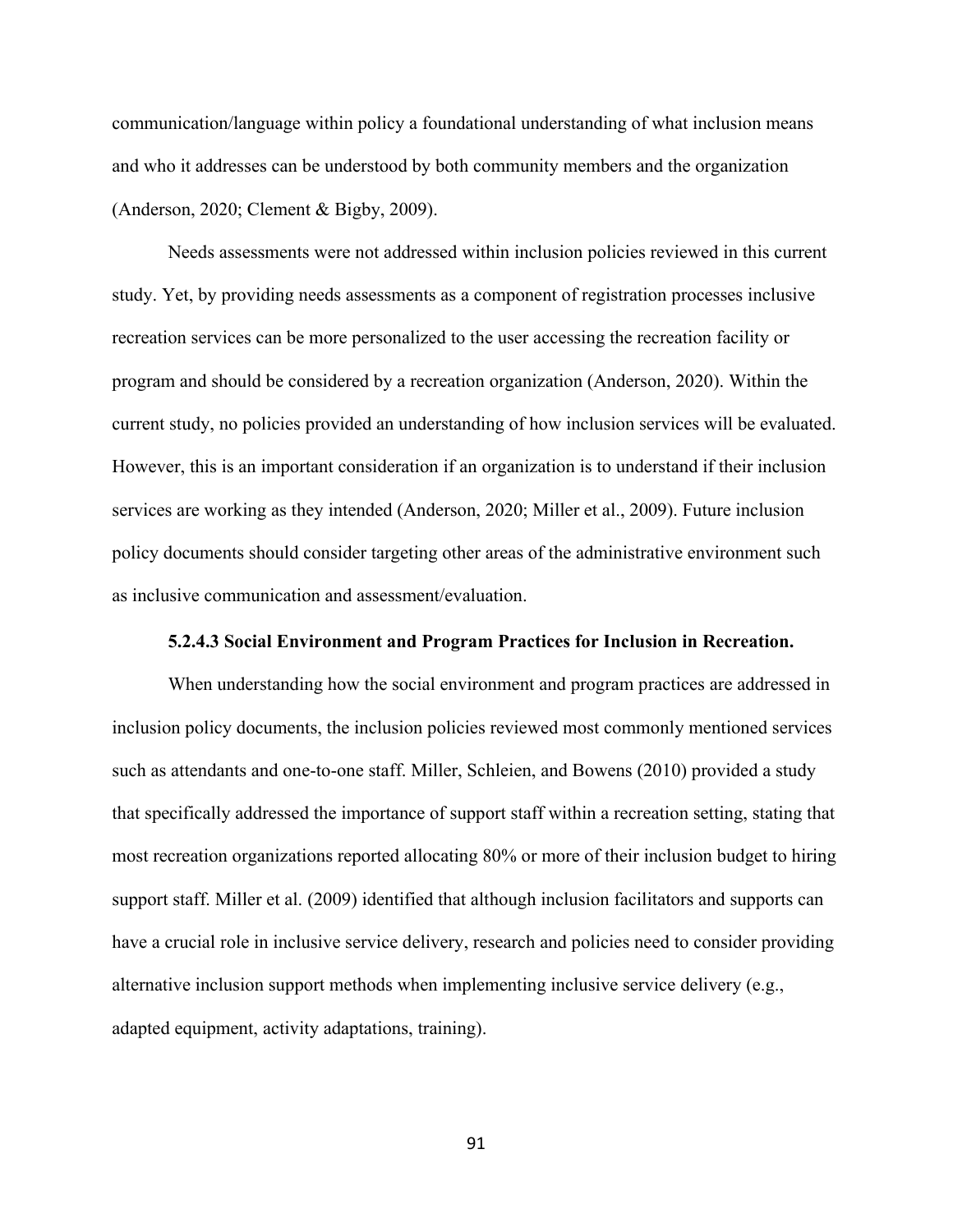communication/language within policy a foundational understanding of what inclusion means and who it addresses can be understood by both community members and the organization (Anderson, 2020; Clement & Bigby, 2009).

Needs assessments were not addressed within inclusion policies reviewed in this current study. Yet, by providing needs assessments as a component of registration processes inclusive recreation services can be more personalized to the user accessing the recreation facility or program and should be considered by a recreation organization (Anderson, 2020). Within the current study, no policies provided an understanding of how inclusion services will be evaluated. However, this is an important consideration if an organization is to understand if their inclusion services are working as they intended (Anderson, 2020; Miller et al., 2009). Future inclusion policy documents should consider targeting other areas of the administrative environment such as inclusive communication and assessment/evaluation.

#### **5.2.4.3 Social Environment and Program Practices for Inclusion in Recreation.**

When understanding how the social environment and program practices are addressed in inclusion policy documents, the inclusion policies reviewed most commonly mentioned services such as attendants and one-to-one staff. Miller, Schleien, and Bowens (2010) provided a study that specifically addressed the importance of support staff within a recreation setting, stating that most recreation organizations reported allocating 80% or more of their inclusion budget to hiring support staff. Miller et al. (2009) identified that although inclusion facilitators and supports can have a crucial role in inclusive service delivery, research and policies need to consider providing alternative inclusion support methods when implementing inclusive service delivery (e.g., adapted equipment, activity adaptations, training).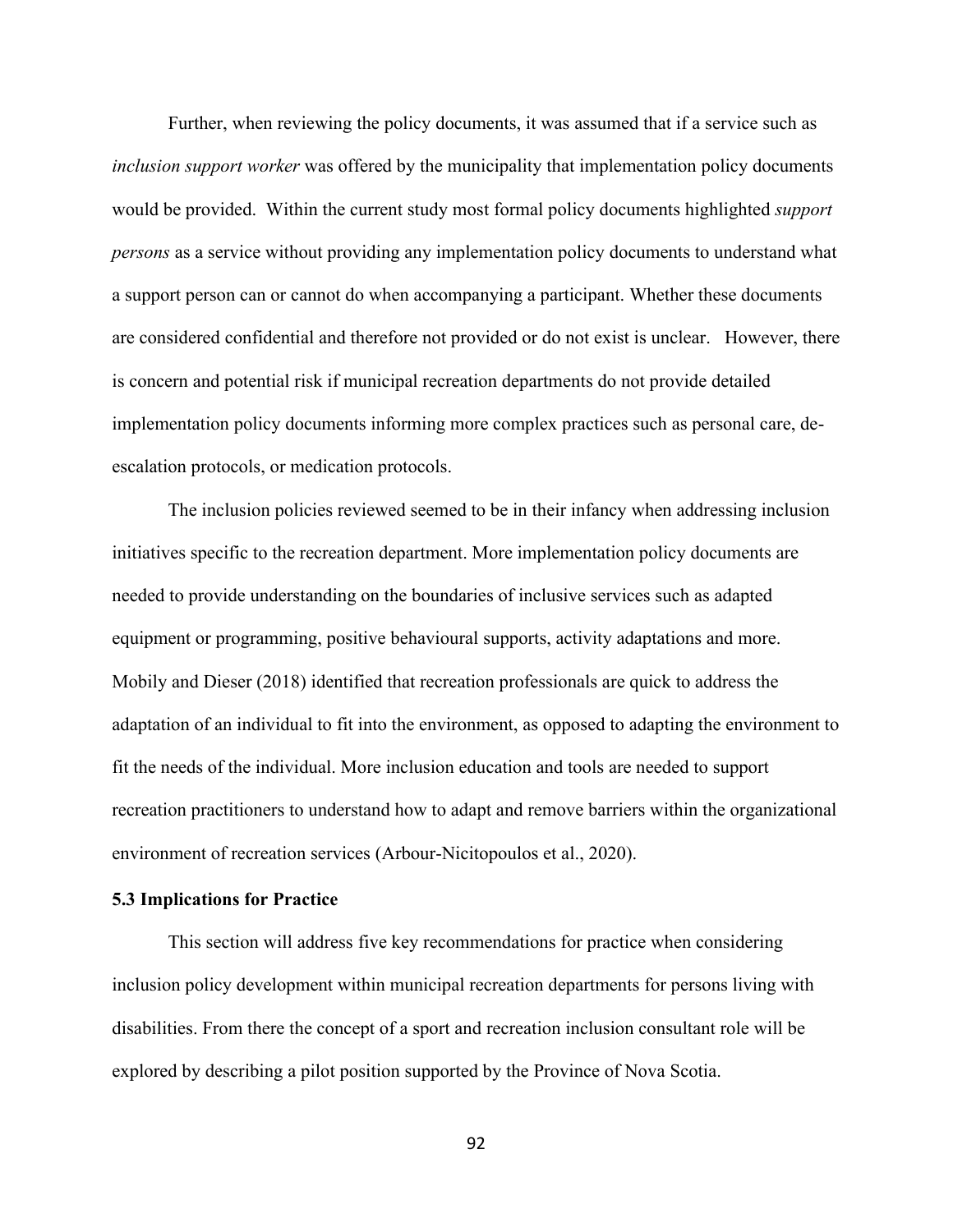Further, when reviewing the policy documents, it was assumed that if a service such as *inclusion support worker* was offered by the municipality that implementation policy documents would be provided. Within the current study most formal policy documents highlighted *support persons* as a service without providing any implementation policy documents to understand what a support person can or cannot do when accompanying a participant. Whether these documents are considered confidential and therefore not provided or do not exist is unclear. However, there is concern and potential risk if municipal recreation departments do not provide detailed implementation policy documents informing more complex practices such as personal care, deescalation protocols, or medication protocols.

The inclusion policies reviewed seemed to be in their infancy when addressing inclusion initiatives specific to the recreation department. More implementation policy documents are needed to provide understanding on the boundaries of inclusive services such as adapted equipment or programming, positive behavioural supports, activity adaptations and more. Mobily and Dieser (2018) identified that recreation professionals are quick to address the adaptation of an individual to fit into the environment, as opposed to adapting the environment to fit the needs of the individual. More inclusion education and tools are needed to support recreation practitioners to understand how to adapt and remove barriers within the organizational environment of recreation services (Arbour-Nicitopoulos et al., 2020).

#### **5.3 Implications for Practice**

This section will address five key recommendations for practice when considering inclusion policy development within municipal recreation departments for persons living with disabilities. From there the concept of a sport and recreation inclusion consultant role will be explored by describing a pilot position supported by the Province of Nova Scotia.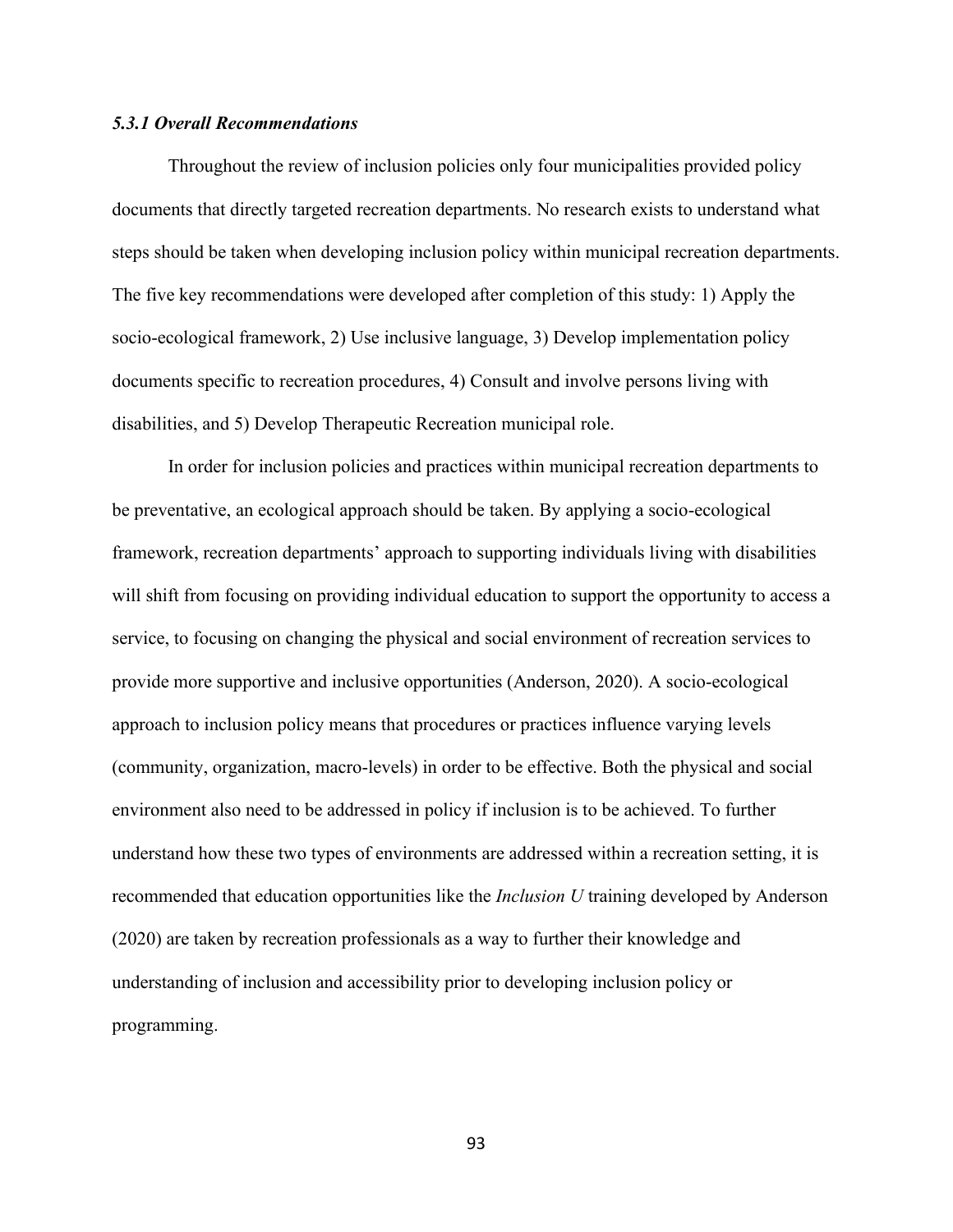#### *5.3.1 Overall Recommendations*

Throughout the review of inclusion policies only four municipalities provided policy documents that directly targeted recreation departments. No research exists to understand what steps should be taken when developing inclusion policy within municipal recreation departments. The five key recommendations were developed after completion of this study: 1) Apply the socio-ecological framework, 2) Use inclusive language, 3) Develop implementation policy documents specific to recreation procedures, 4) Consult and involve persons living with disabilities, and 5) Develop Therapeutic Recreation municipal role.

In order for inclusion policies and practices within municipal recreation departments to be preventative, an ecological approach should be taken. By applying a socio-ecological framework, recreation departments' approach to supporting individuals living with disabilities will shift from focusing on providing individual education to support the opportunity to access a service, to focusing on changing the physical and social environment of recreation services to provide more supportive and inclusive opportunities (Anderson, 2020). A socio-ecological approach to inclusion policy means that procedures or practices influence varying levels (community, organization, macro-levels) in order to be effective. Both the physical and social environment also need to be addressed in policy if inclusion is to be achieved. To further understand how these two types of environments are addressed within a recreation setting, it is recommended that education opportunities like the *Inclusion U* training developed by Anderson (2020) are taken by recreation professionals as a way to further their knowledge and understanding of inclusion and accessibility prior to developing inclusion policy or programming.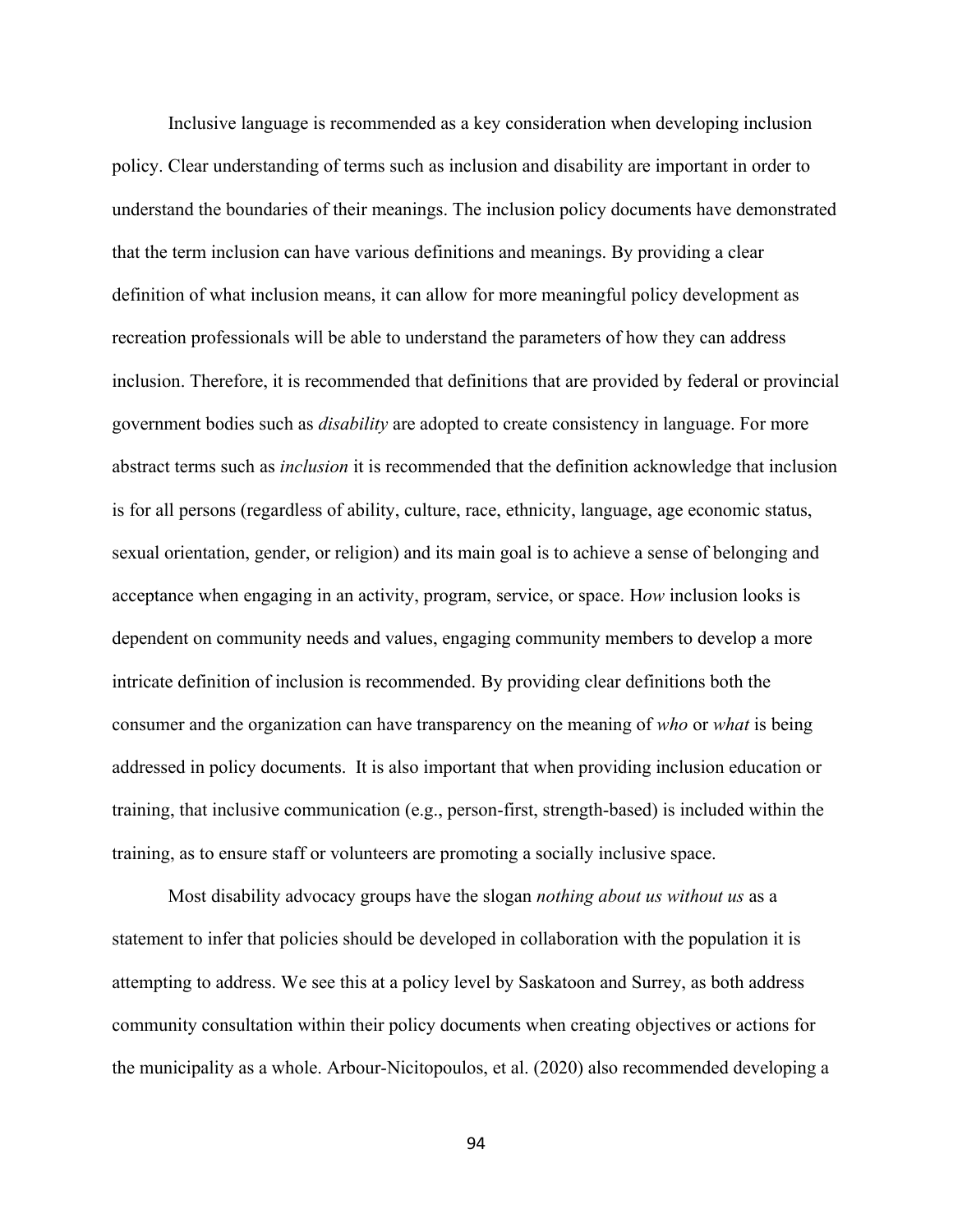Inclusive language is recommended as a key consideration when developing inclusion policy. Clear understanding of terms such as inclusion and disability are important in order to understand the boundaries of their meanings. The inclusion policy documents have demonstrated that the term inclusion can have various definitions and meanings. By providing a clear definition of what inclusion means, it can allow for more meaningful policy development as recreation professionals will be able to understand the parameters of how they can address inclusion. Therefore, it is recommended that definitions that are provided by federal or provincial government bodies such as *disability* are adopted to create consistency in language. For more abstract terms such as *inclusion* it is recommended that the definition acknowledge that inclusion is for all persons (regardless of ability, culture, race, ethnicity, language, age economic status, sexual orientation, gender, or religion) and its main goal is to achieve a sense of belonging and acceptance when engaging in an activity, program, service, or space. H*ow* inclusion looks is dependent on community needs and values, engaging community members to develop a more intricate definition of inclusion is recommended. By providing clear definitions both the consumer and the organization can have transparency on the meaning of *who* or *what* is being addressed in policy documents. It is also important that when providing inclusion education or training, that inclusive communication (e.g., person-first, strength-based) is included within the training, as to ensure staff or volunteers are promoting a socially inclusive space.

Most disability advocacy groups have the slogan *nothing about us without us* as a statement to infer that policies should be developed in collaboration with the population it is attempting to address. We see this at a policy level by Saskatoon and Surrey, as both address community consultation within their policy documents when creating objectives or actions for the municipality as a whole. Arbour-Nicitopoulos, et al. (2020) also recommended developing a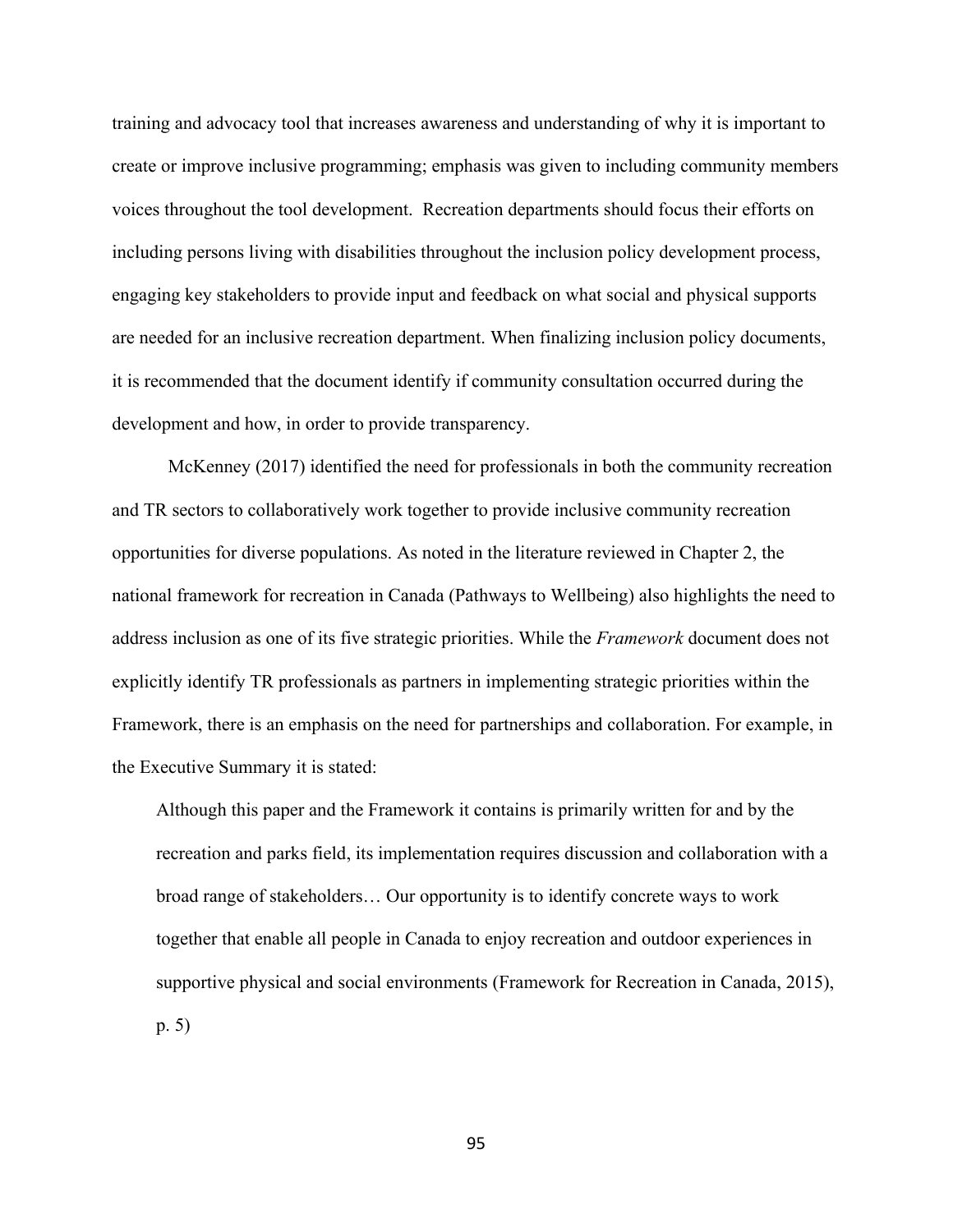training and advocacy tool that increases awareness and understanding of why it is important to create or improve inclusive programming; emphasis was given to including community members voices throughout the tool development. Recreation departments should focus their efforts on including persons living with disabilities throughout the inclusion policy development process, engaging key stakeholders to provide input and feedback on what social and physical supports are needed for an inclusive recreation department. When finalizing inclusion policy documents, it is recommended that the document identify if community consultation occurred during the development and how, in order to provide transparency.

McKenney (2017) identified the need for professionals in both the community recreation and TR sectors to collaboratively work together to provide inclusive community recreation opportunities for diverse populations. As noted in the literature reviewed in Chapter 2, the national framework for recreation in Canada (Pathways to Wellbeing) also highlights the need to address inclusion as one of its five strategic priorities. While the *Framework* document does not explicitly identify TR professionals as partners in implementing strategic priorities within the Framework, there is an emphasis on the need for partnerships and collaboration. For example, in the Executive Summary it is stated:

Although this paper and the Framework it contains is primarily written for and by the recreation and parks field, its implementation requires discussion and collaboration with a broad range of stakeholders… Our opportunity is to identify concrete ways to work together that enable all people in Canada to enjoy recreation and outdoor experiences in supportive physical and social environments (Framework for Recreation in Canada, 2015), p. 5)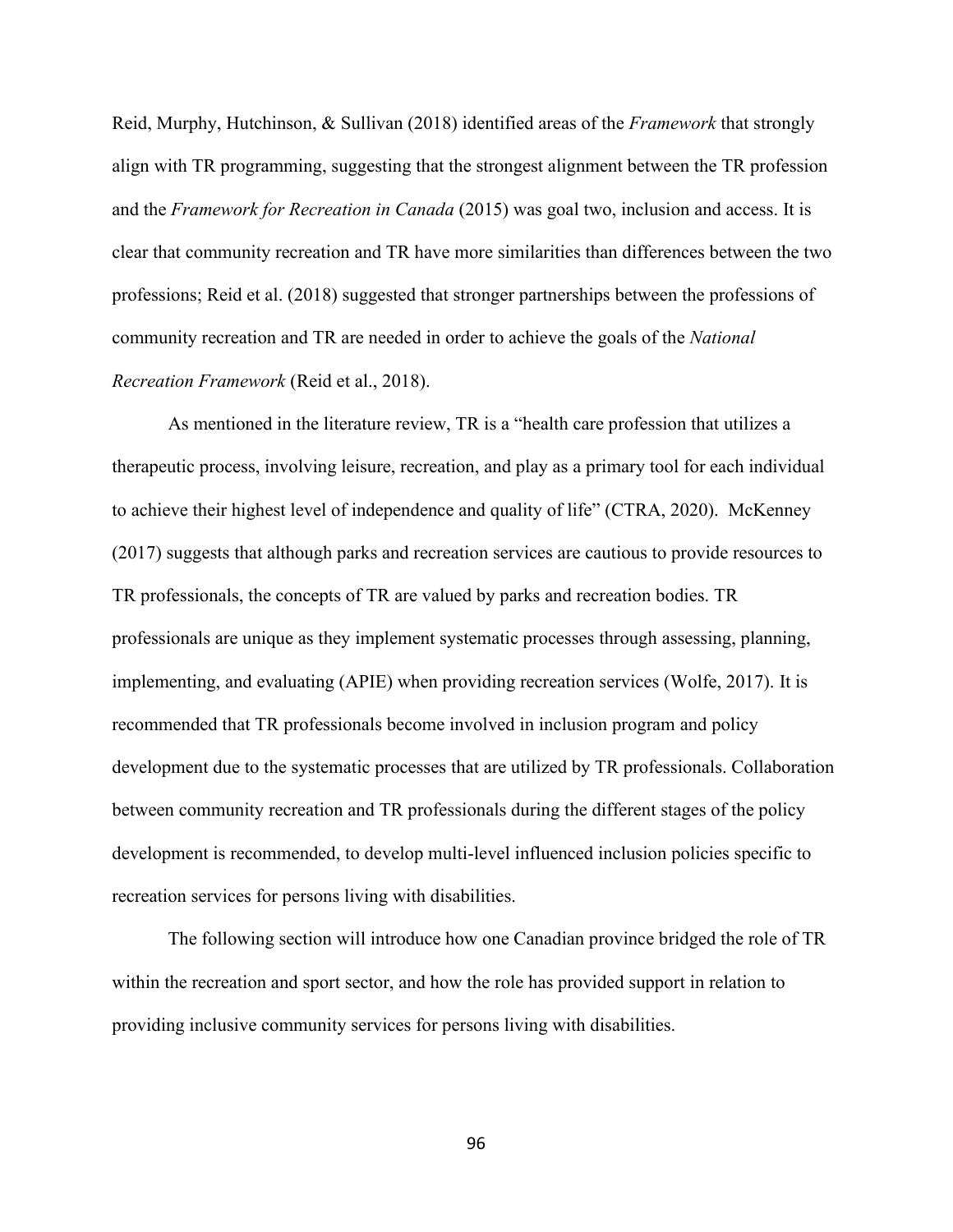Reid, Murphy, Hutchinson, & Sullivan (2018) identified areas of the *Framework* that strongly align with TR programming, suggesting that the strongest alignment between the TR profession and the *Framework for Recreation in Canada* (2015) was goal two, inclusion and access. It is clear that community recreation and TR have more similarities than differences between the two professions; Reid et al. (2018) suggested that stronger partnerships between the professions of community recreation and TR are needed in order to achieve the goals of the *National Recreation Framework* (Reid et al., 2018).

As mentioned in the literature review, TR is a "health care profession that utilizes a therapeutic process, involving leisure, recreation, and play as a primary tool for each individual to achieve their highest level of independence and quality of life" (CTRA, 2020). McKenney (2017) suggests that although parks and recreation services are cautious to provide resources to TR professionals, the concepts of TR are valued by parks and recreation bodies. TR professionals are unique as they implement systematic processes through assessing, planning, implementing, and evaluating (APIE) when providing recreation services (Wolfe, 2017). It is recommended that TR professionals become involved in inclusion program and policy development due to the systematic processes that are utilized by TR professionals. Collaboration between community recreation and TR professionals during the different stages of the policy development is recommended, to develop multi-level influenced inclusion policies specific to recreation services for persons living with disabilities.

The following section will introduce how one Canadian province bridged the role of TR within the recreation and sport sector, and how the role has provided support in relation to providing inclusive community services for persons living with disabilities.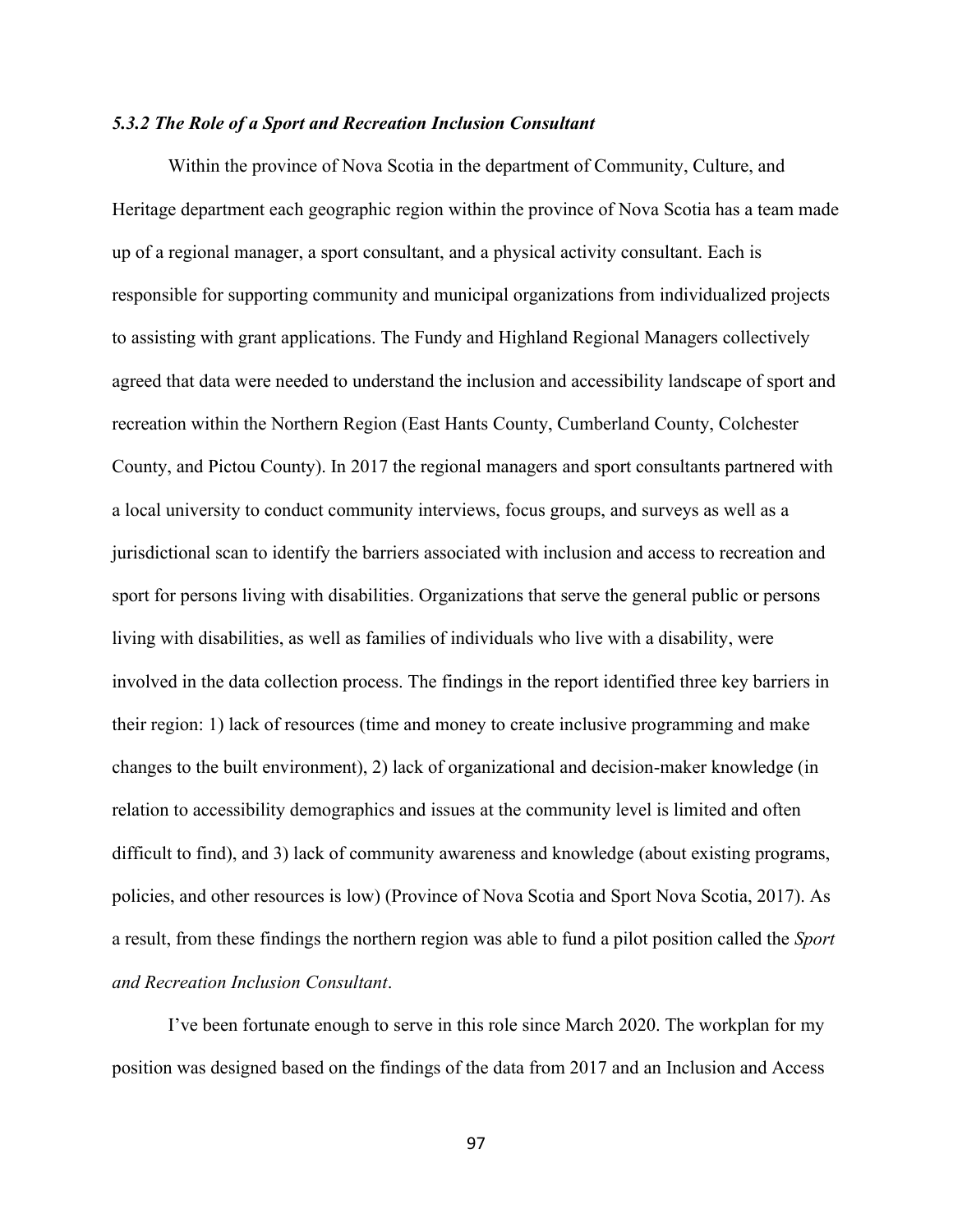# *5.3.2 The Role of a Sport and Recreation Inclusion Consultant*

Within the province of Nova Scotia in the department of Community, Culture, and Heritage department each geographic region within the province of Nova Scotia has a team made up of a regional manager, a sport consultant, and a physical activity consultant. Each is responsible for supporting community and municipal organizations from individualized projects to assisting with grant applications. The Fundy and Highland Regional Managers collectively agreed that data were needed to understand the inclusion and accessibility landscape of sport and recreation within the Northern Region (East Hants County, Cumberland County, Colchester County, and Pictou County). In 2017 the regional managers and sport consultants partnered with a local university to conduct community interviews, focus groups, and surveys as well as a jurisdictional scan to identify the barriers associated with inclusion and access to recreation and sport for persons living with disabilities. Organizations that serve the general public or persons living with disabilities, as well as families of individuals who live with a disability, were involved in the data collection process. The findings in the report identified three key barriers in their region: 1) lack of resources (time and money to create inclusive programming and make changes to the built environment), 2) lack of organizational and decision-maker knowledge (in relation to accessibility demographics and issues at the community level is limited and often difficult to find), and 3) lack of community awareness and knowledge (about existing programs, policies, and other resources is low) (Province of Nova Scotia and Sport Nova Scotia, 2017). As a result, from these findings the northern region was able to fund a pilot position called the *Sport and Recreation Inclusion Consultant*.

I've been fortunate enough to serve in this role since March 2020. The workplan for my position was designed based on the findings of the data from 2017 and an Inclusion and Access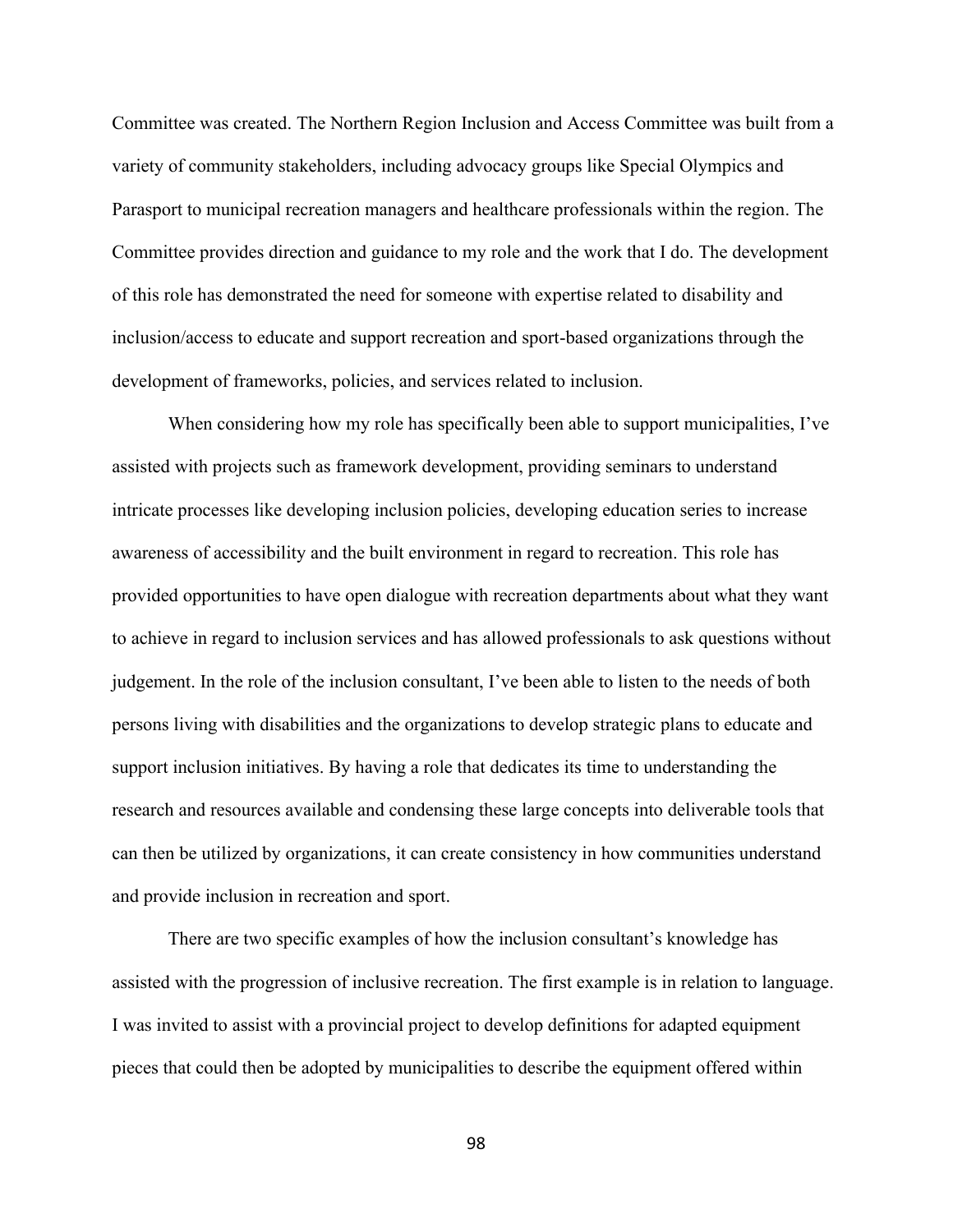Committee was created. The Northern Region Inclusion and Access Committee was built from a variety of community stakeholders, including advocacy groups like Special Olympics and Parasport to municipal recreation managers and healthcare professionals within the region. The Committee provides direction and guidance to my role and the work that I do. The development of this role has demonstrated the need for someone with expertise related to disability and inclusion/access to educate and support recreation and sport-based organizations through the development of frameworks, policies, and services related to inclusion.

When considering how my role has specifically been able to support municipalities, I've assisted with projects such as framework development, providing seminars to understand intricate processes like developing inclusion policies, developing education series to increase awareness of accessibility and the built environment in regard to recreation. This role has provided opportunities to have open dialogue with recreation departments about what they want to achieve in regard to inclusion services and has allowed professionals to ask questions without judgement. In the role of the inclusion consultant, I've been able to listen to the needs of both persons living with disabilities and the organizations to develop strategic plans to educate and support inclusion initiatives. By having a role that dedicates its time to understanding the research and resources available and condensing these large concepts into deliverable tools that can then be utilized by organizations, it can create consistency in how communities understand and provide inclusion in recreation and sport.

There are two specific examples of how the inclusion consultant's knowledge has assisted with the progression of inclusive recreation. The first example is in relation to language. I was invited to assist with a provincial project to develop definitions for adapted equipment pieces that could then be adopted by municipalities to describe the equipment offered within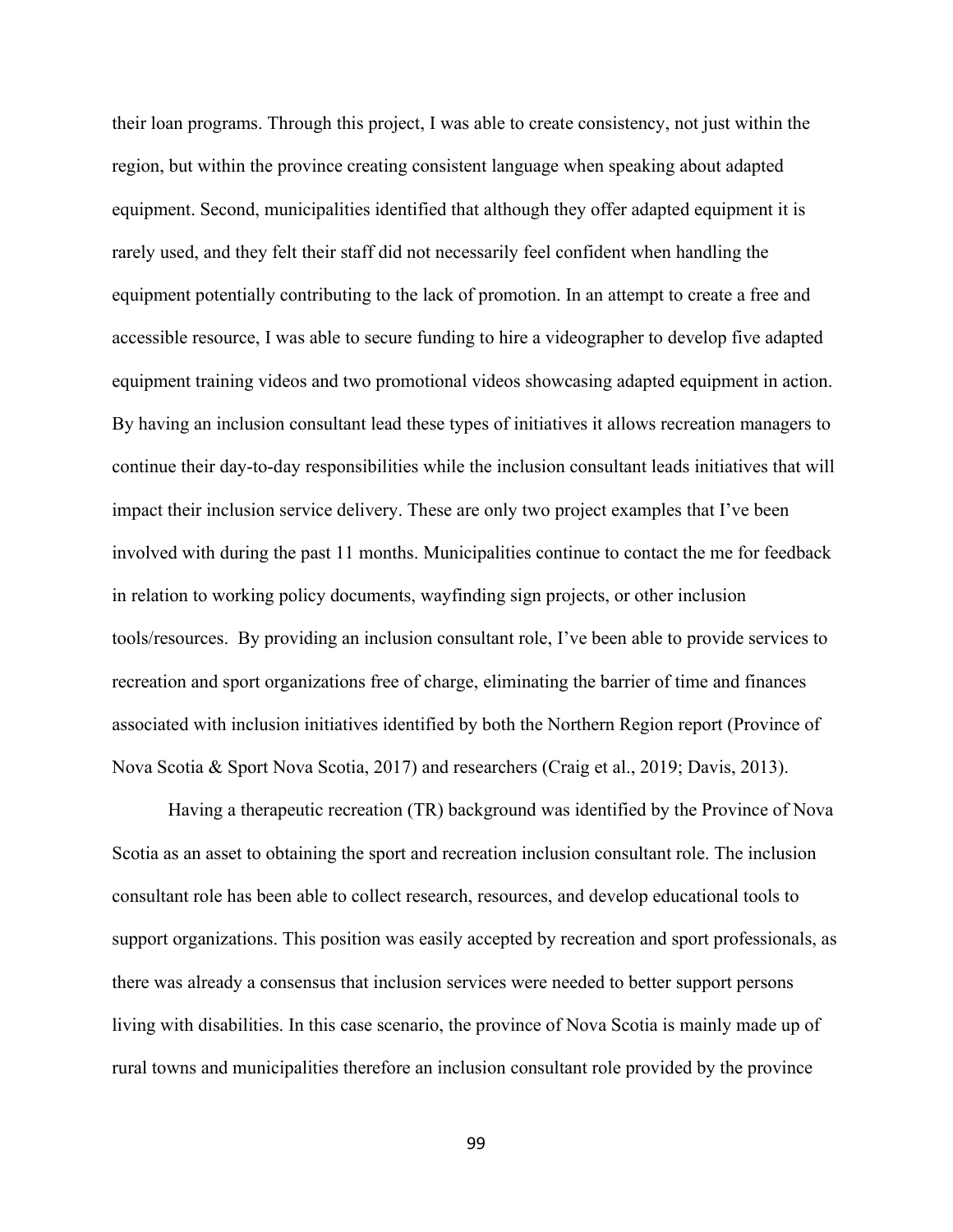their loan programs. Through this project, I was able to create consistency, not just within the region, but within the province creating consistent language when speaking about adapted equipment. Second, municipalities identified that although they offer adapted equipment it is rarely used, and they felt their staff did not necessarily feel confident when handling the equipment potentially contributing to the lack of promotion. In an attempt to create a free and accessible resource, I was able to secure funding to hire a videographer to develop five adapted equipment training videos and two promotional videos showcasing adapted equipment in action. By having an inclusion consultant lead these types of initiatives it allows recreation managers to continue their day-to-day responsibilities while the inclusion consultant leads initiatives that will impact their inclusion service delivery. These are only two project examples that I've been involved with during the past 11 months. Municipalities continue to contact the me for feedback in relation to working policy documents, wayfinding sign projects, or other inclusion tools/resources. By providing an inclusion consultant role, I've been able to provide services to recreation and sport organizations free of charge, eliminating the barrier of time and finances associated with inclusion initiatives identified by both the Northern Region report (Province of Nova Scotia & Sport Nova Scotia, 2017) and researchers (Craig et al., 2019; Davis, 2013).

Having a therapeutic recreation (TR) background was identified by the Province of Nova Scotia as an asset to obtaining the sport and recreation inclusion consultant role. The inclusion consultant role has been able to collect research, resources, and develop educational tools to support organizations. This position was easily accepted by recreation and sport professionals, as there was already a consensus that inclusion services were needed to better support persons living with disabilities. In this case scenario, the province of Nova Scotia is mainly made up of rural towns and municipalities therefore an inclusion consultant role provided by the province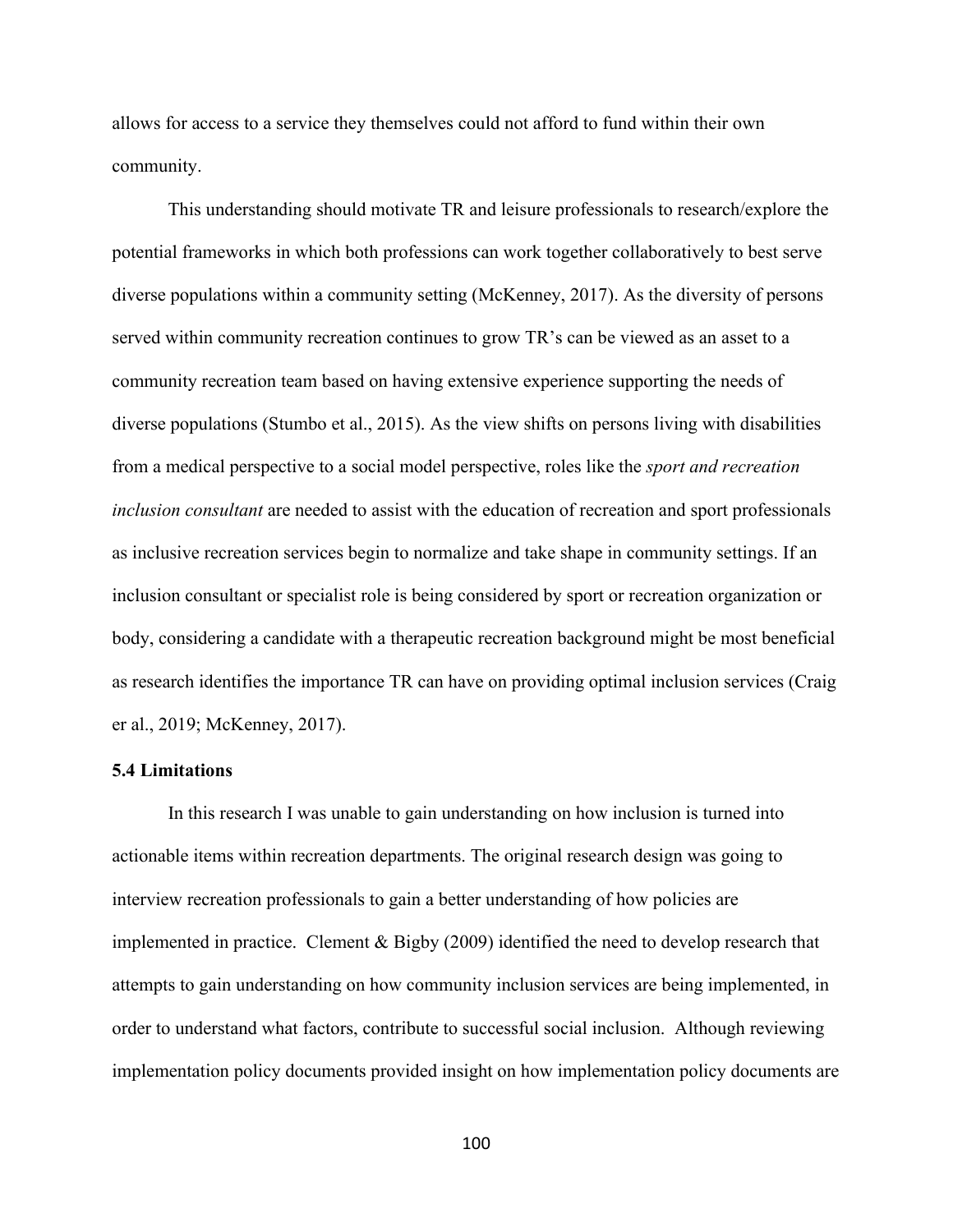allows for access to a service they themselves could not afford to fund within their own community.

This understanding should motivate TR and leisure professionals to research/explore the potential frameworks in which both professions can work together collaboratively to best serve diverse populations within a community setting (McKenney, 2017). As the diversity of persons served within community recreation continues to grow TR's can be viewed as an asset to a community recreation team based on having extensive experience supporting the needs of diverse populations (Stumbo et al., 2015). As the view shifts on persons living with disabilities from a medical perspective to a social model perspective, roles like the *sport and recreation inclusion consultant* are needed to assist with the education of recreation and sport professionals as inclusive recreation services begin to normalize and take shape in community settings. If an inclusion consultant or specialist role is being considered by sport or recreation organization or body, considering a candidate with a therapeutic recreation background might be most beneficial as research identifies the importance TR can have on providing optimal inclusion services (Craig er al., 2019; McKenney, 2017).

# **5.4 Limitations**

In this research I was unable to gain understanding on how inclusion is turned into actionable items within recreation departments. The original research design was going to interview recreation professionals to gain a better understanding of how policies are implemented in practice. Clement & Bigby (2009) identified the need to develop research that attempts to gain understanding on how community inclusion services are being implemented, in order to understand what factors, contribute to successful social inclusion. Although reviewing implementation policy documents provided insight on how implementation policy documents are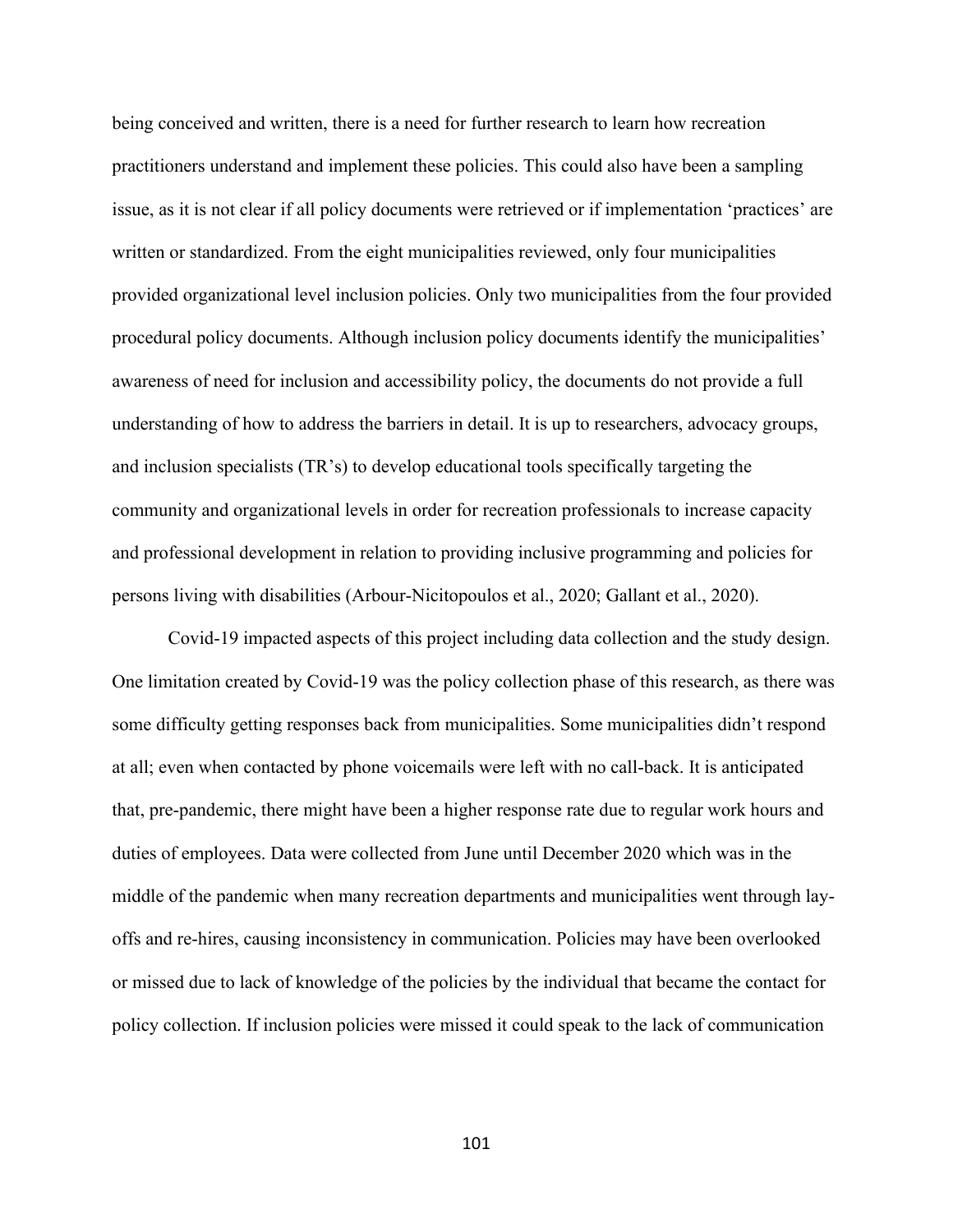being conceived and written, there is a need for further research to learn how recreation practitioners understand and implement these policies. This could also have been a sampling issue, as it is not clear if all policy documents were retrieved or if implementation 'practices' are written or standardized. From the eight municipalities reviewed, only four municipalities provided organizational level inclusion policies. Only two municipalities from the four provided procedural policy documents. Although inclusion policy documents identify the municipalities' awareness of need for inclusion and accessibility policy, the documents do not provide a full understanding of how to address the barriers in detail. It is up to researchers, advocacy groups, and inclusion specialists (TR's) to develop educational tools specifically targeting the community and organizational levels in order for recreation professionals to increase capacity and professional development in relation to providing inclusive programming and policies for persons living with disabilities (Arbour-Nicitopoulos et al., 2020; Gallant et al., 2020).

Covid-19 impacted aspects of this project including data collection and the study design. One limitation created by Covid-19 was the policy collection phase of this research, as there was some difficulty getting responses back from municipalities. Some municipalities didn't respond at all; even when contacted by phone voicemails were left with no call-back. It is anticipated that, pre-pandemic, there might have been a higher response rate due to regular work hours and duties of employees. Data were collected from June until December 2020 which was in the middle of the pandemic when many recreation departments and municipalities went through layoffs and re-hires, causing inconsistency in communication. Policies may have been overlooked or missed due to lack of knowledge of the policies by the individual that became the contact for policy collection. If inclusion policies were missed it could speak to the lack of communication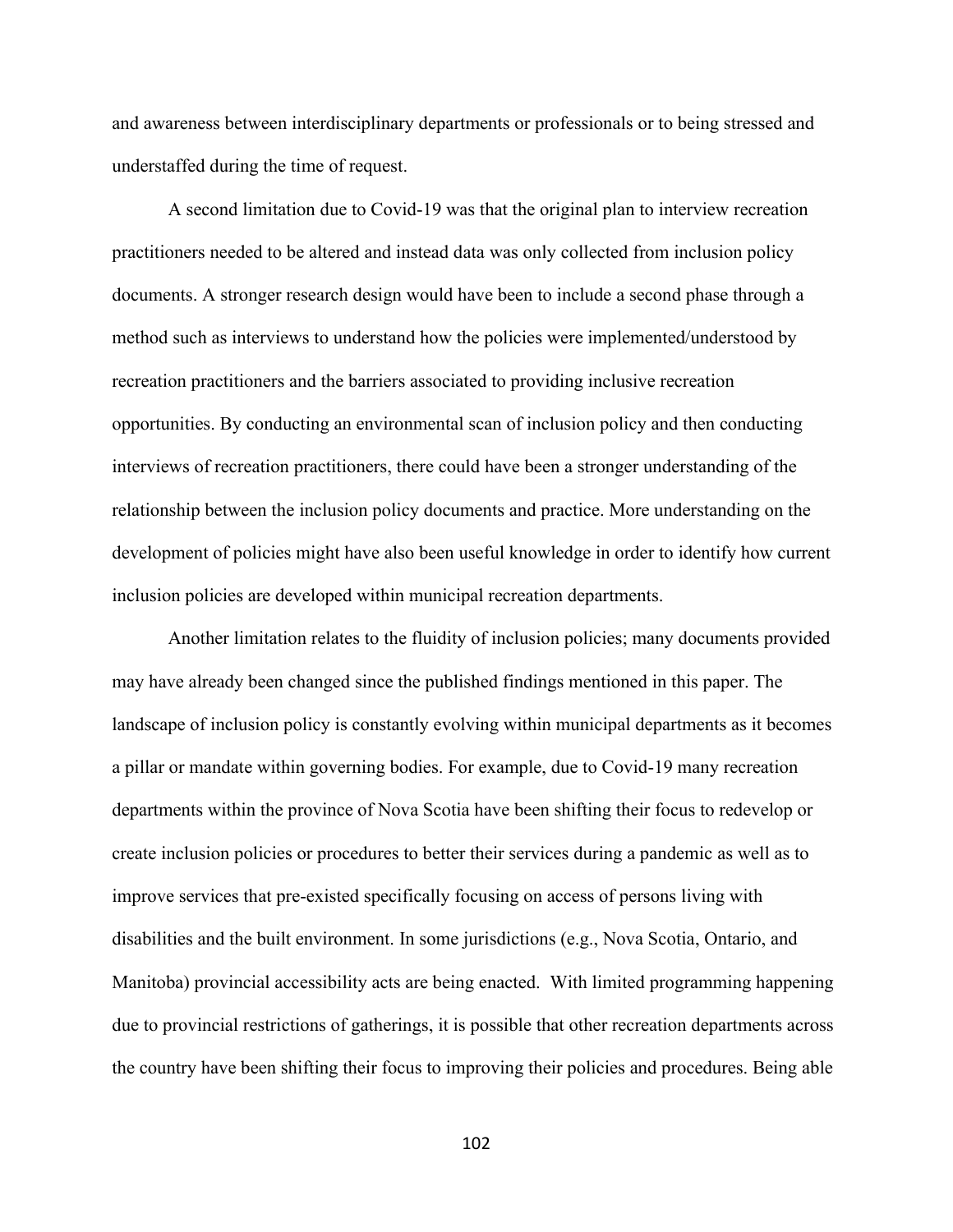and awareness between interdisciplinary departments or professionals or to being stressed and understaffed during the time of request.

A second limitation due to Covid-19 was that the original plan to interview recreation practitioners needed to be altered and instead data was only collected from inclusion policy documents. A stronger research design would have been to include a second phase through a method such as interviews to understand how the policies were implemented/understood by recreation practitioners and the barriers associated to providing inclusive recreation opportunities. By conducting an environmental scan of inclusion policy and then conducting interviews of recreation practitioners, there could have been a stronger understanding of the relationship between the inclusion policy documents and practice. More understanding on the development of policies might have also been useful knowledge in order to identify how current inclusion policies are developed within municipal recreation departments.

Another limitation relates to the fluidity of inclusion policies; many documents provided may have already been changed since the published findings mentioned in this paper. The landscape of inclusion policy is constantly evolving within municipal departments as it becomes a pillar or mandate within governing bodies. For example, due to Covid-19 many recreation departments within the province of Nova Scotia have been shifting their focus to redevelop or create inclusion policies or procedures to better their services during a pandemic as well as to improve services that pre-existed specifically focusing on access of persons living with disabilities and the built environment. In some jurisdictions (e.g., Nova Scotia, Ontario, and Manitoba) provincial accessibility acts are being enacted. With limited programming happening due to provincial restrictions of gatherings, it is possible that other recreation departments across the country have been shifting their focus to improving their policies and procedures. Being able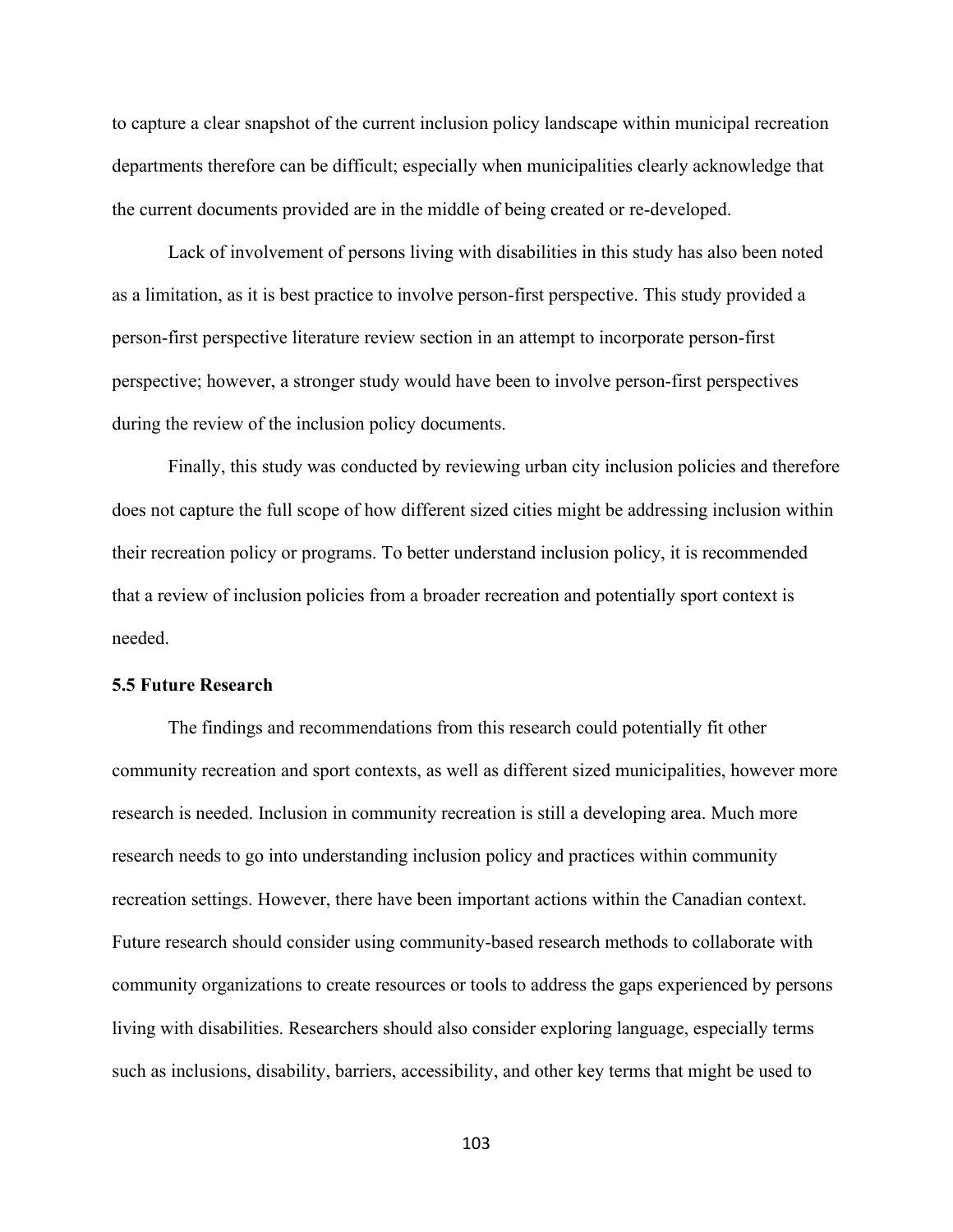to capture a clear snapshot of the current inclusion policy landscape within municipal recreation departments therefore can be difficult; especially when municipalities clearly acknowledge that the current documents provided are in the middle of being created or re-developed.

Lack of involvement of persons living with disabilities in this study has also been noted as a limitation, as it is best practice to involve person-first perspective. This study provided a person-first perspective literature review section in an attempt to incorporate person-first perspective; however, a stronger study would have been to involve person-first perspectives during the review of the inclusion policy documents.

Finally, this study was conducted by reviewing urban city inclusion policies and therefore does not capture the full scope of how different sized cities might be addressing inclusion within their recreation policy or programs. To better understand inclusion policy, it is recommended that a review of inclusion policies from a broader recreation and potentially sport context is needed.

### **5.5 Future Research**

The findings and recommendations from this research could potentially fit other community recreation and sport contexts, as well as different sized municipalities, however more research is needed. Inclusion in community recreation is still a developing area. Much more research needs to go into understanding inclusion policy and practices within community recreation settings. However, there have been important actions within the Canadian context. Future research should consider using community-based research methods to collaborate with community organizations to create resources or tools to address the gaps experienced by persons living with disabilities. Researchers should also consider exploring language, especially terms such as inclusions, disability, barriers, accessibility, and other key terms that might be used to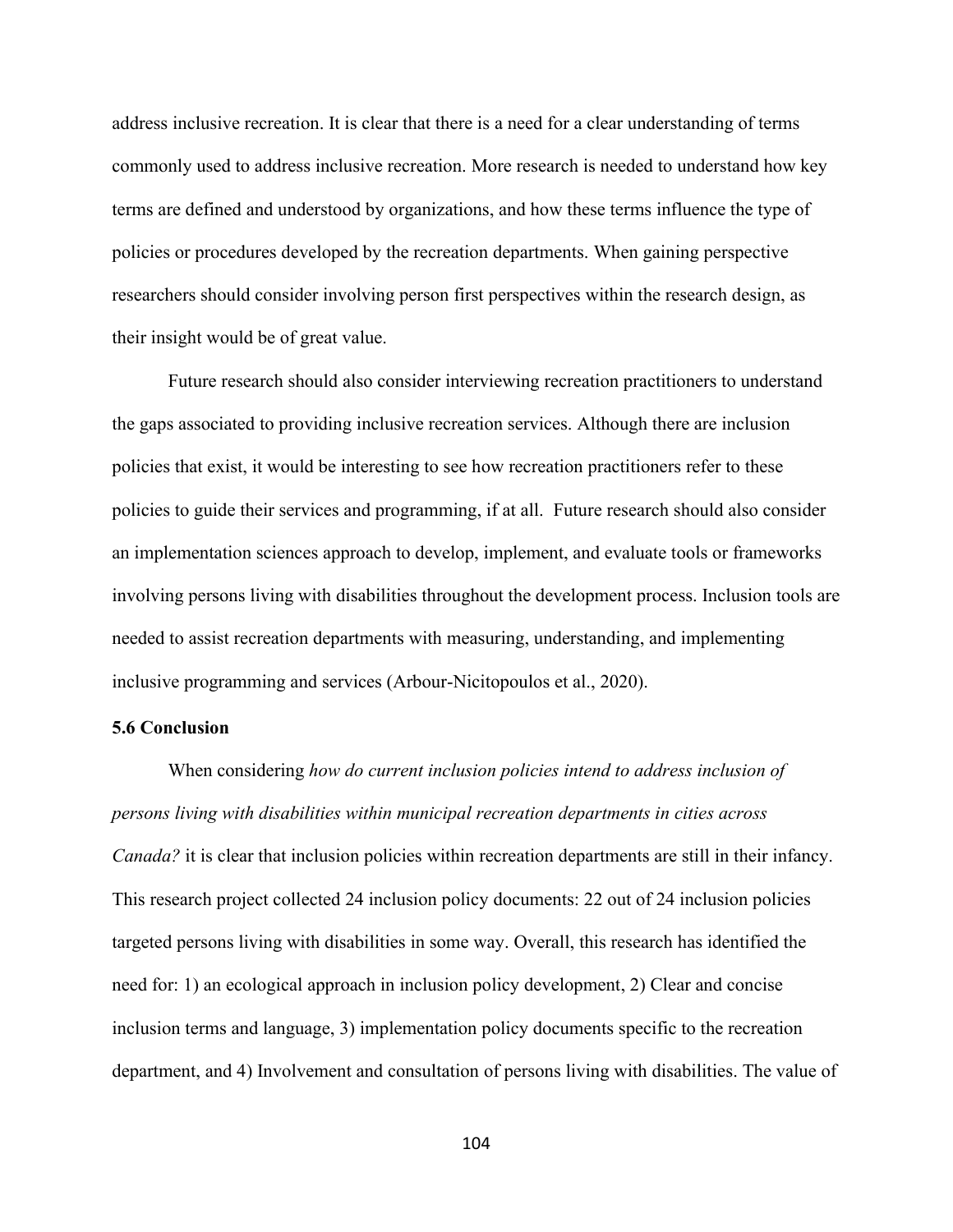address inclusive recreation. It is clear that there is a need for a clear understanding of terms commonly used to address inclusive recreation. More research is needed to understand how key terms are defined and understood by organizations, and how these terms influence the type of policies or procedures developed by the recreation departments. When gaining perspective researchers should consider involving person first perspectives within the research design, as their insight would be of great value.

Future research should also consider interviewing recreation practitioners to understand the gaps associated to providing inclusive recreation services. Although there are inclusion policies that exist, it would be interesting to see how recreation practitioners refer to these policies to guide their services and programming, if at all. Future research should also consider an implementation sciences approach to develop, implement, and evaluate tools or frameworks involving persons living with disabilities throughout the development process. Inclusion tools are needed to assist recreation departments with measuring, understanding, and implementing inclusive programming and services (Arbour-Nicitopoulos et al., 2020).

#### **5.6 Conclusion**

When considering *how do current inclusion policies intend to address inclusion of persons living with disabilities within municipal recreation departments in cities across Canada?* it is clear that inclusion policies within recreation departments are still in their infancy. This research project collected 24 inclusion policy documents: 22 out of 24 inclusion policies targeted persons living with disabilities in some way. Overall, this research has identified the need for: 1) an ecological approach in inclusion policy development, 2) Clear and concise inclusion terms and language, 3) implementation policy documents specific to the recreation department, and 4) Involvement and consultation of persons living with disabilities. The value of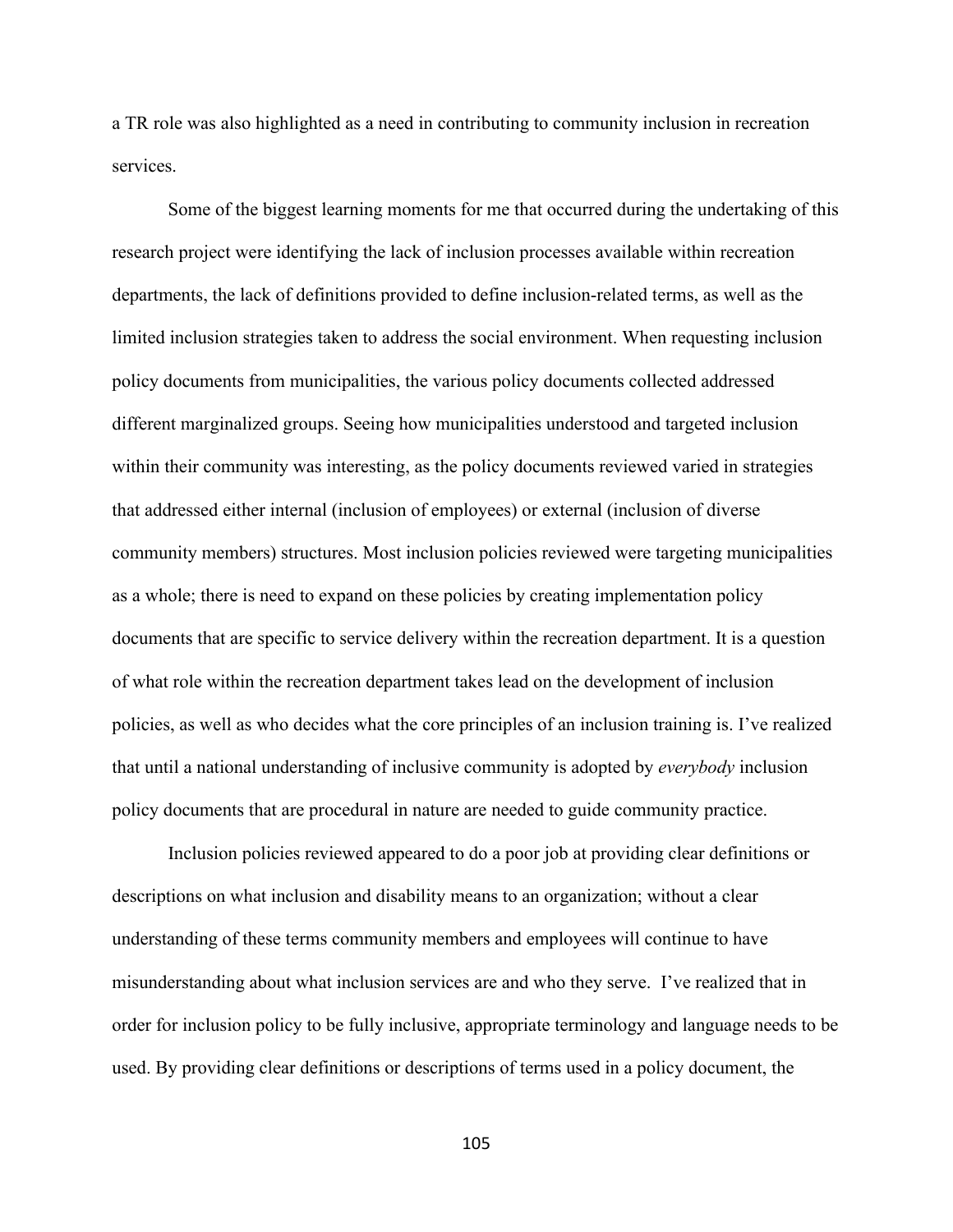a TR role was also highlighted as a need in contributing to community inclusion in recreation services.

Some of the biggest learning moments for me that occurred during the undertaking of this research project were identifying the lack of inclusion processes available within recreation departments, the lack of definitions provided to define inclusion-related terms, as well as the limited inclusion strategies taken to address the social environment. When requesting inclusion policy documents from municipalities, the various policy documents collected addressed different marginalized groups. Seeing how municipalities understood and targeted inclusion within their community was interesting, as the policy documents reviewed varied in strategies that addressed either internal (inclusion of employees) or external (inclusion of diverse community members) structures. Most inclusion policies reviewed were targeting municipalities as a whole; there is need to expand on these policies by creating implementation policy documents that are specific to service delivery within the recreation department. It is a question of what role within the recreation department takes lead on the development of inclusion policies, as well as who decides what the core principles of an inclusion training is. I've realized that until a national understanding of inclusive community is adopted by *everybody* inclusion policy documents that are procedural in nature are needed to guide community practice.

Inclusion policies reviewed appeared to do a poor job at providing clear definitions or descriptions on what inclusion and disability means to an organization; without a clear understanding of these terms community members and employees will continue to have misunderstanding about what inclusion services are and who they serve. I've realized that in order for inclusion policy to be fully inclusive, appropriate terminology and language needs to be used. By providing clear definitions or descriptions of terms used in a policy document, the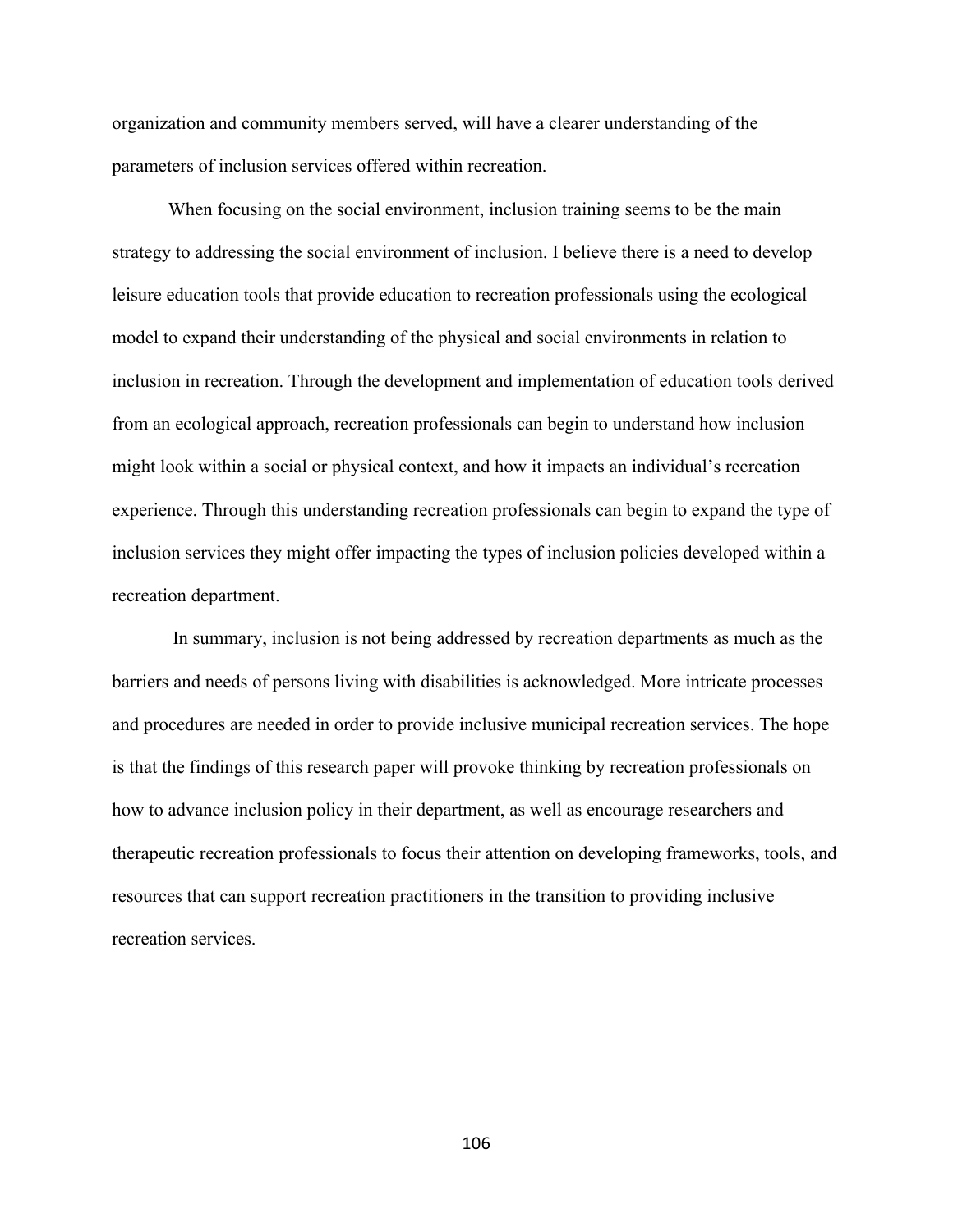organization and community members served, will have a clearer understanding of the parameters of inclusion services offered within recreation.

When focusing on the social environment, inclusion training seems to be the main strategy to addressing the social environment of inclusion. I believe there is a need to develop leisure education tools that provide education to recreation professionals using the ecological model to expand their understanding of the physical and social environments in relation to inclusion in recreation. Through the development and implementation of education tools derived from an ecological approach, recreation professionals can begin to understand how inclusion might look within a social or physical context, and how it impacts an individual's recreation experience. Through this understanding recreation professionals can begin to expand the type of inclusion services they might offer impacting the types of inclusion policies developed within a recreation department.

In summary, inclusion is not being addressed by recreation departments as much as the barriers and needs of persons living with disabilities is acknowledged. More intricate processes and procedures are needed in order to provide inclusive municipal recreation services. The hope is that the findings of this research paper will provoke thinking by recreation professionals on how to advance inclusion policy in their department, as well as encourage researchers and therapeutic recreation professionals to focus their attention on developing frameworks, tools, and resources that can support recreation practitioners in the transition to providing inclusive recreation services.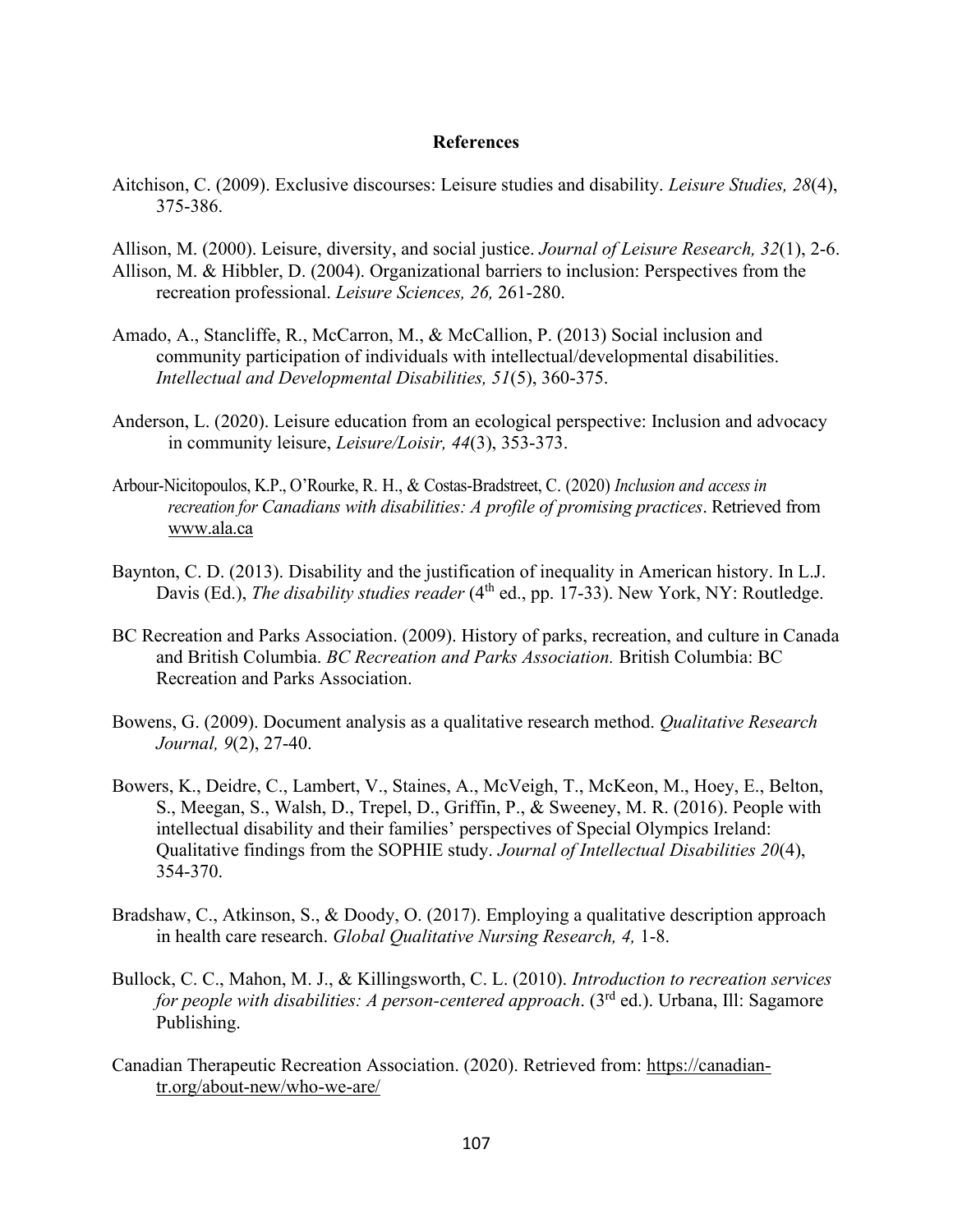#### **References**

- Aitchison, C. (2009). Exclusive discourses: Leisure studies and disability. *Leisure Studies, 28*(4), 375-386.
- Allison, M. (2000). Leisure, diversity, and social justice. *Journal of Leisure Research, 32*(1), 2-6. Allison, M. & Hibbler, D. (2004). Organizational barriers to inclusion: Perspectives from the recreation professional. *Leisure Sciences, 26,* 261-280.
- Amado, A., Stancliffe, R., McCarron, M., & McCallion, P. (2013) Social inclusion and community participation of individuals with intellectual/developmental disabilities. *Intellectual and Developmental Disabilities, 51*(5), 360-375.
- Anderson, L. (2020). Leisure education from an ecological perspective: Inclusion and advocacy in community leisure, *Leisure/Loisir, 44*(3), 353-373.
- Arbour-Nicitopoulos, K.P., O'Rourke, R. H., & Costas-Bradstreet, C. (2020) *Inclusion and access in recreation for Canadians with disabilities: A profile of promising practices*. Retrieved from [www.ala.ca](http://www.ala.ca/)
- Baynton, C. D. (2013). Disability and the justification of inequality in American history. In L.J. Davis (Ed.), *The disability studies reader* (4<sup>th</sup> ed., pp. 17-33). New York, NY: Routledge.
- BC Recreation and Parks Association. (2009). History of parks, recreation, and culture in Canada and British Columbia. *BC Recreation and Parks Association.* British Columbia: BC Recreation and Parks Association.
- Bowens, G. (2009). Document analysis as a qualitative research method. *Qualitative Research Journal, 9*(2), 27-40.
- Bowers, K., Deidre, C., Lambert, V., Staines, A., McVeigh, T., McKeon, M., Hoey, E., Belton, S., Meegan, S., Walsh, D., Trepel, D., Griffin, P., & Sweeney, M. R. (2016). People with intellectual disability and their families' perspectives of Special Olympics Ireland: Qualitative findings from the SOPHIE study. *Journal of Intellectual Disabilities 20*(4), 354-370.
- Bradshaw, C., Atkinson, S., & Doody, O. (2017). Employing a qualitative description approach in health care research. *Global Qualitative Nursing Research, 4,* 1-8.
- Bullock, C. C., Mahon, M. J., & Killingsworth, C. L. (2010). *Introduction to recreation services for people with disabilities: A person-centered approach.* (3<sup>rd</sup> ed.). Urbana, Ill: Sagamore Publishing.
- Canadian Therapeutic Recreation Association. (2020). Retrieved from: [https://canadian](https://canadian-tr.org/about-new/who-we-are/)[tr.org/about-new/who-we-are/](https://canadian-tr.org/about-new/who-we-are/)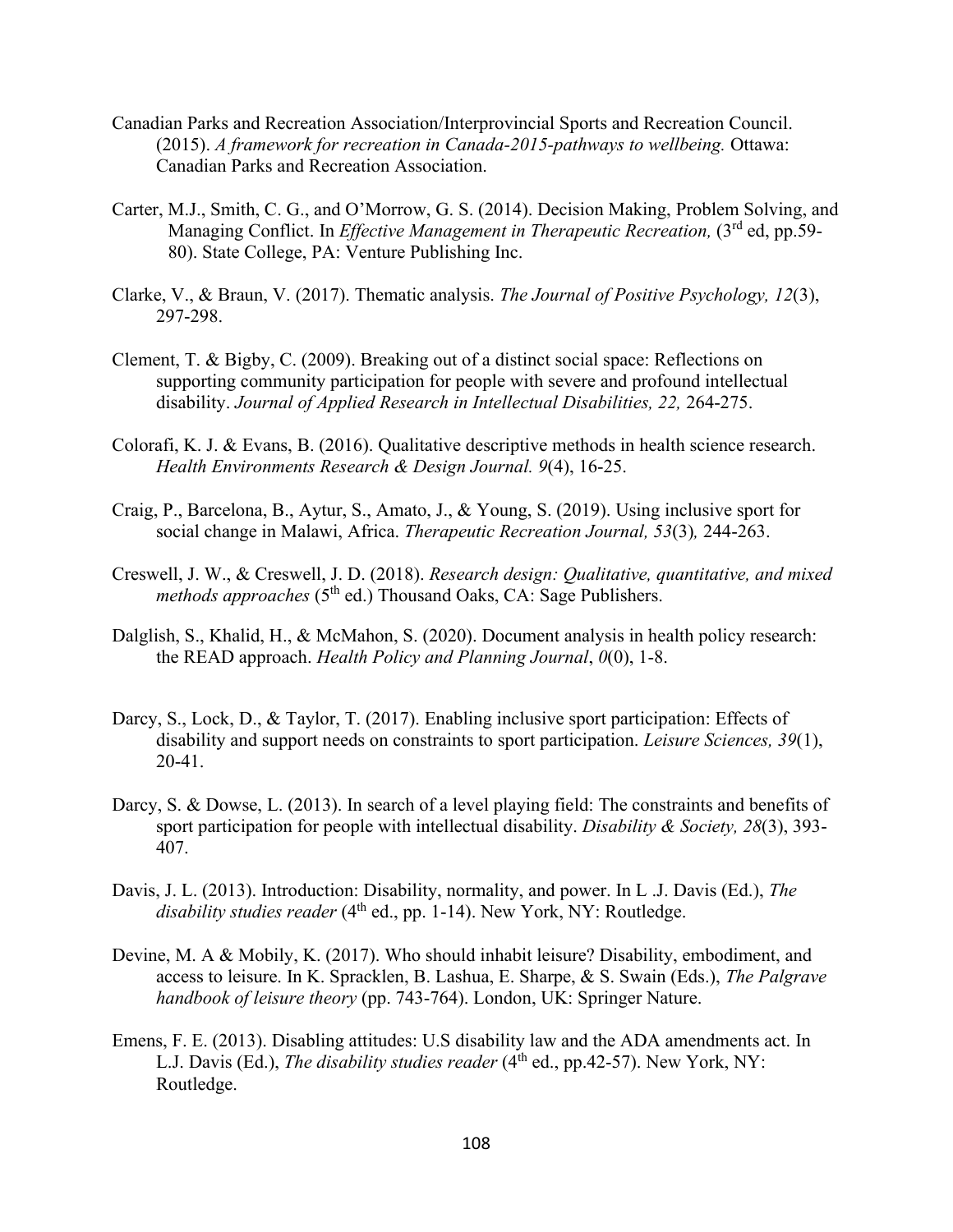- Canadian Parks and Recreation Association/Interprovincial Sports and Recreation Council. (2015). *A framework for recreation in Canada-2015-pathways to wellbeing.* Ottawa: Canadian Parks and Recreation Association.
- Carter, M.J., Smith, C. G., and O'Morrow, G. S. (2014). Decision Making, Problem Solving, and Managing Conflict. In *Effective Management in Therapeutic Recreation*, (3<sup>rd</sup> ed, pp.59-80). State College, PA: Venture Publishing Inc.
- Clarke, V., & Braun, V. (2017). Thematic analysis. *The Journal of Positive Psychology, 12*(3), 297-298.
- Clement, T. & Bigby, C. (2009). Breaking out of a distinct social space: Reflections on supporting community participation for people with severe and profound intellectual disability. *Journal of Applied Research in Intellectual Disabilities, 22,* 264-275.
- Colorafi, K. J. & Evans, B. (2016). Qualitative descriptive methods in health science research. *Health Environments Research & Design Journal. 9*(4), 16-25.
- Craig, P., Barcelona, B., Aytur, S., Amato, J., & Young, S. (2019). Using inclusive sport for social change in Malawi, Africa. *Therapeutic Recreation Journal, 53*(3)*,* 244-263.
- Creswell, J. W., & Creswell, J. D. (2018). *Research design: Qualitative, quantitative, and mixed methods approaches* (5<sup>th</sup> ed.) Thousand Oaks, CA: Sage Publishers.
- Dalglish, S., Khalid, H., & McMahon, S. (2020). Document analysis in health policy research: the READ approach. *Health Policy and Planning Journal*, *0*(0), 1-8.
- Darcy, S., Lock, D., & Taylor, T. (2017). Enabling inclusive sport participation: Effects of disability and support needs on constraints to sport participation. *Leisure Sciences, 39*(1), 20-41.
- Darcy, S. & Dowse, L. (2013). In search of a level playing field: The constraints and benefits of sport participation for people with intellectual disability. *Disability & Society, 28*(3), 393- 407.
- Davis, J. L. (2013). Introduction: Disability, normality, and power. In L .J. Davis (Ed.), *The*  disability studies reader (4<sup>th</sup> ed., pp. 1-14). New York, NY: Routledge.
- Devine, M. A & Mobily, K. (2017). Who should inhabit leisure? Disability, embodiment, and access to leisure. In K. Spracklen, B. Lashua, E. Sharpe, & S. Swain (Eds.), *The Palgrave handbook of leisure theory* (pp. 743-764). London, UK: Springer Nature.
- Emens, F. E. (2013). Disabling attitudes: U.S disability law and the ADA amendments act. In L.J. Davis (Ed.), *The disability studies reader* (4<sup>th</sup> ed., pp.42-57). New York, NY: Routledge.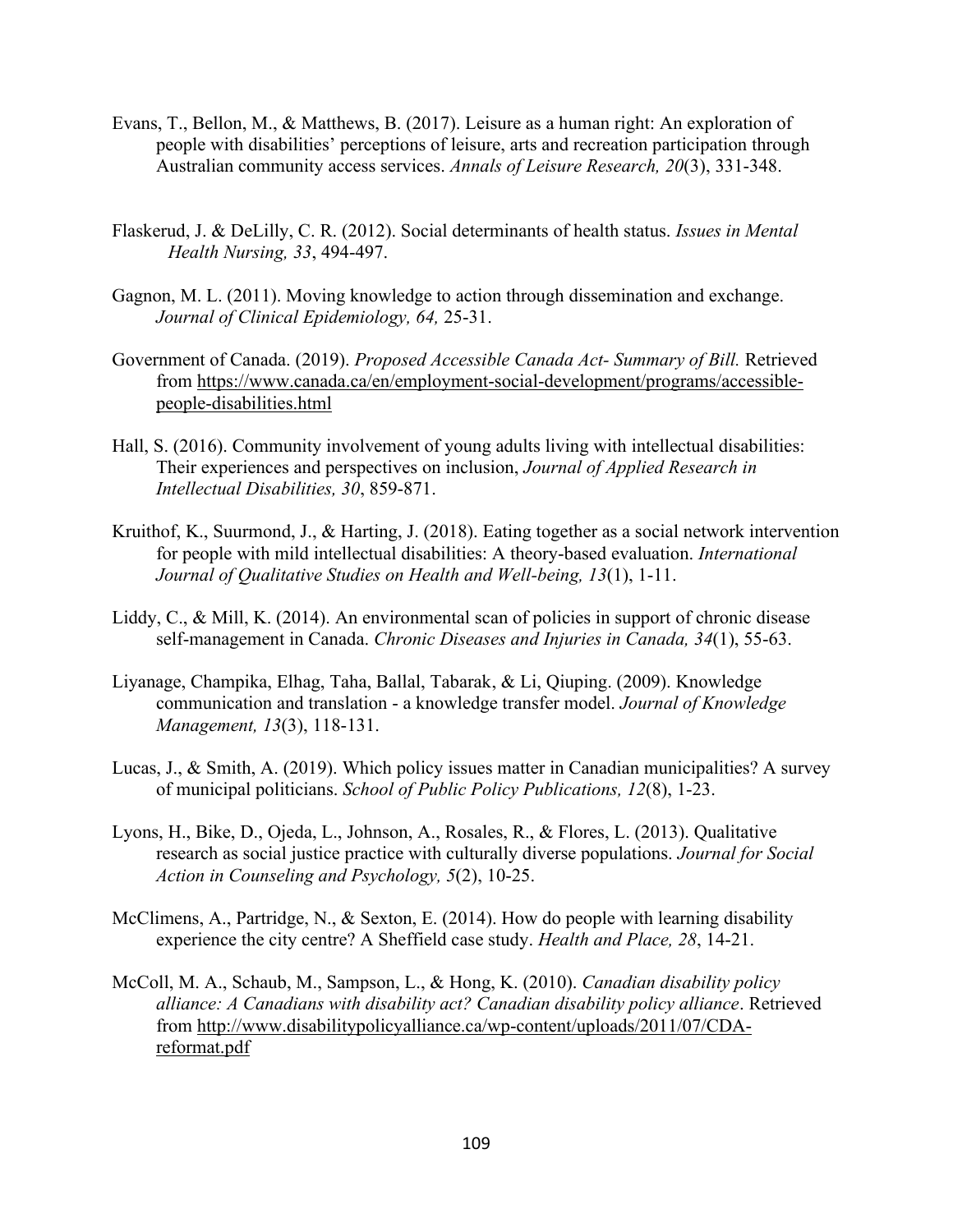- Evans, T., Bellon, M., & Matthews, B. (2017). Leisure as a human right: An exploration of people with disabilities' perceptions of leisure, arts and recreation participation through Australian community access services. *Annals of Leisure Research, 20*(3), 331-348.
- Flaskerud, J. & DeLilly, C. R. (2012). Social determinants of health status. *Issues in Mental Health Nursing, 33*, 494-497.
- Gagnon, M. L. (2011). Moving knowledge to action through dissemination and exchange. *Journal of Clinical Epidemiology, 64,* 25-31.
- Government of Canada. (2019). *Proposed Accessible Canada Act- Summary of Bill.* Retrieved from [https://www.canada.ca/en/employment-social-development/programs/accessible](https://www.canada.ca/en/employment-social-development/programs/accessible-people-disabilities.html)[people-disabilities.html](https://www.canada.ca/en/employment-social-development/programs/accessible-people-disabilities.html)
- Hall, S. (2016). Community involvement of young adults living with intellectual disabilities: Their experiences and perspectives on inclusion, *Journal of Applied Research in Intellectual Disabilities, 30*, 859-871.
- Kruithof, K., Suurmond, J., & Harting, J. (2018). Eating together as a social network intervention for people with mild intellectual disabilities: A theory-based evaluation. *International Journal of Qualitative Studies on Health and Well-being, 13*(1), 1-11.
- Liddy, C., & Mill, K. (2014). An environmental scan of policies in support of chronic disease self-management in Canada. *Chronic Diseases and Injuries in Canada, 34*(1), 55-63.
- Liyanage, Champika, Elhag, Taha, Ballal, Tabarak, & Li, Qiuping. (2009). Knowledge communication and translation - a knowledge transfer model. *Journal of Knowledge Management, 13*(3), 118-131.
- Lucas, J., & Smith, A. (2019). Which policy issues matter in Canadian municipalities? A survey of municipal politicians. *School of Public Policy Publications, 12*(8), 1-23.
- Lyons, H., Bike, D., Ojeda, L., Johnson, A., Rosales, R., & Flores, L. (2013). Qualitative research as social justice practice with culturally diverse populations. *Journal for Social Action in Counseling and Psychology, 5*(2), 10-25.
- McClimens, A., Partridge, N., & Sexton, E. (2014). How do people with learning disability experience the city centre? A Sheffield case study. *Health and Place, 28*, 14-21.
- McColl, M. A., Schaub, M., Sampson, L., & Hong, K. (2010). *Canadian disability policy alliance: A Canadians with disability act? Canadian disability policy alliance*. Retrieved from [http://www.disabilitypolicyalliance.ca/wp-content/uploads/2011/07/CDA](http://www.disabilitypolicyalliance.ca/wp-content/uploads/2011/07/CDA-reformat.pdf)[reformat.pdf](http://www.disabilitypolicyalliance.ca/wp-content/uploads/2011/07/CDA-reformat.pdf)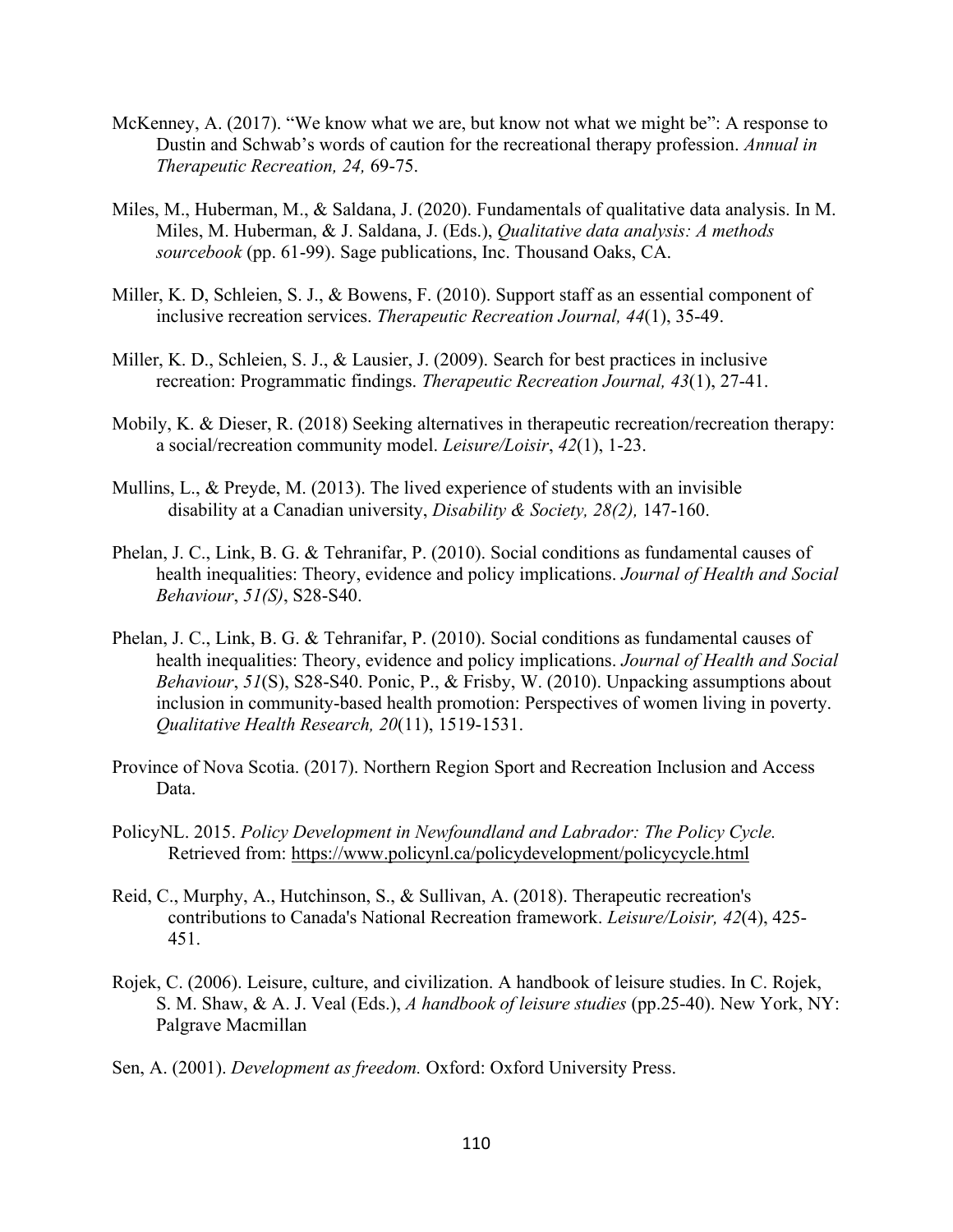- McKenney, A. (2017). "We know what we are, but know not what we might be": A response to Dustin and Schwab's words of caution for the recreational therapy profession. *Annual in Therapeutic Recreation, 24,* 69-75.
- Miles, M., Huberman, M., & Saldana, J. (2020). Fundamentals of qualitative data analysis. In M. Miles, M. Huberman, & J. Saldana, J. (Eds.), *Qualitative data analysis: A methods sourcebook* (pp. 61-99). Sage publications, Inc. Thousand Oaks, CA.
- Miller, K. D, Schleien, S. J., & Bowens, F. (2010). Support staff as an essential component of inclusive recreation services. *Therapeutic Recreation Journal, 44*(1), 35-49.
- Miller, K. D., Schleien, S. J., & Lausier, J. (2009). Search for best practices in inclusive recreation: Programmatic findings. *Therapeutic Recreation Journal, 43*(1), 27-41.
- Mobily, K. & Dieser, R. (2018) Seeking alternatives in therapeutic recreation/recreation therapy: a social/recreation community model. *Leisure/Loisir*, *42*(1), 1-23.
- Mullins, L., & Preyde, M. (2013). The lived experience of students with an invisible disability at a Canadian university, *Disability & Society, 28(2),* 147-160.
- Phelan, J. C., Link, B. G. & Tehranifar, P. (2010). Social conditions as fundamental causes of health inequalities: Theory, evidence and policy implications. *Journal of Health and Social Behaviour*, *51(S)*, S28-S40.
- Phelan, J. C., Link, B. G. & Tehranifar, P. (2010). Social conditions as fundamental causes of health inequalities: Theory, evidence and policy implications. *Journal of Health and Social Behaviour*, *51*(S), S28-S40. Ponic, P., & Frisby, W. (2010). Unpacking assumptions about inclusion in community-based health promotion: Perspectives of women living in poverty. *Qualitative Health Research, 20*(11), 1519-1531.
- Province of Nova Scotia. (2017). Northern Region Sport and Recreation Inclusion and Access Data.
- PolicyNL. 2015. *Policy Development in Newfoundland and Labrador: The Policy Cycle.*  Retrieved from:<https://www.policynl.ca/policydevelopment/policycycle.html>
- Reid, C., Murphy, A., Hutchinson, S., & Sullivan, A. (2018). Therapeutic recreation's contributions to Canada's National Recreation framework. *Leisure/Loisir, 42*(4), 425- 451.
- Rojek, C. (2006). Leisure, culture, and civilization. A handbook of leisure studies. In C. Rojek, S. M. Shaw, & A. J. Veal (Eds.), *A handbook of leisure studies* (pp.25-40). New York, NY: Palgrave Macmillan
- Sen, A. (2001). *Development as freedom.* Oxford: Oxford University Press.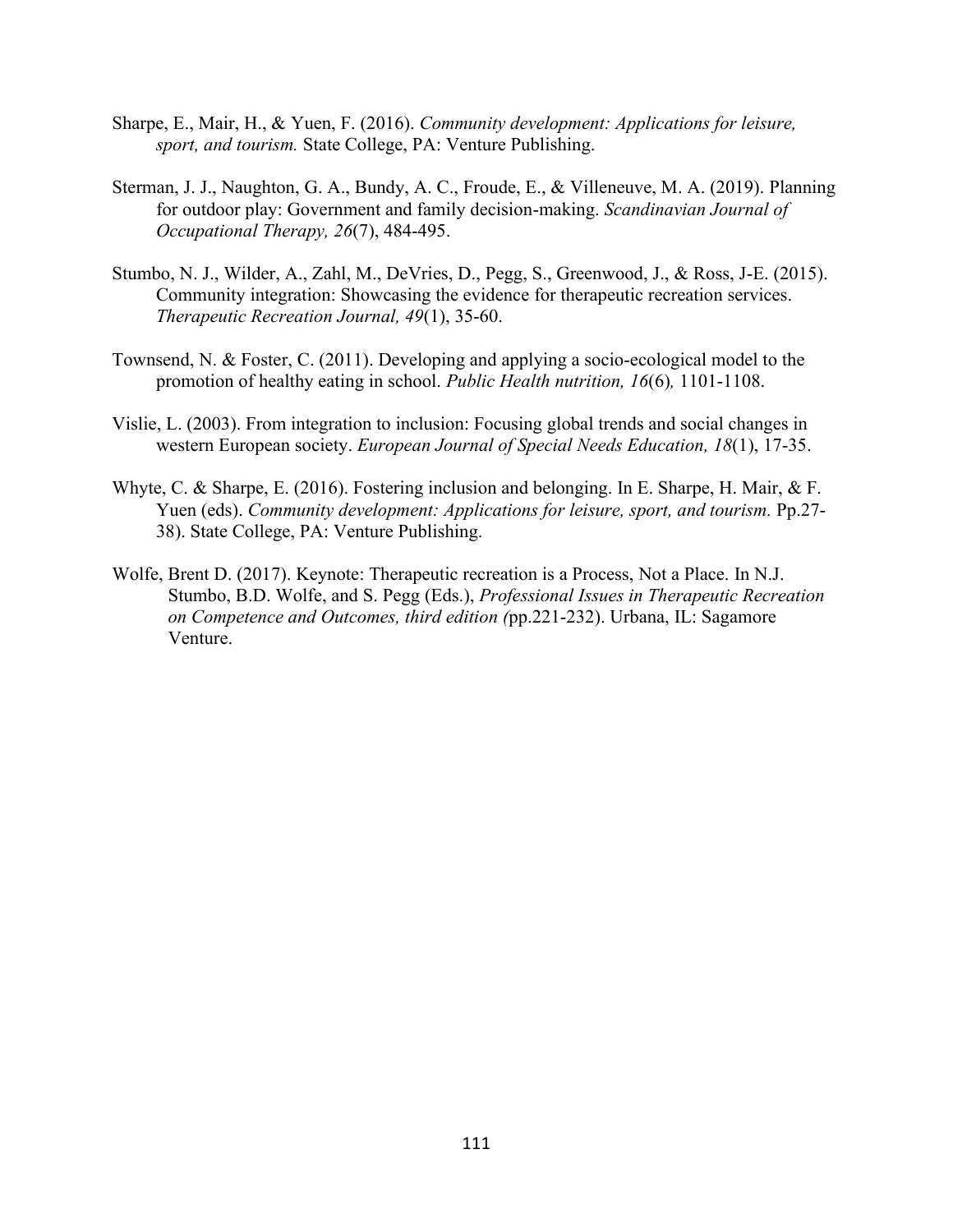- Sharpe, E., Mair, H., & Yuen, F. (2016). *Community development: Applications for leisure, sport, and tourism.* State College, PA: Venture Publishing.
- Sterman, J. J., Naughton, G. A., Bundy, A. C., Froude, E., & Villeneuve, M. A. (2019). Planning for outdoor play: Government and family decision-making. *Scandinavian Journal of Occupational Therapy, 26*(7), 484-495.
- Stumbo, N. J., Wilder, A., Zahl, M., DeVries, D., Pegg, S., Greenwood, J., & Ross, J-E. (2015). Community integration: Showcasing the evidence for therapeutic recreation services. *Therapeutic Recreation Journal, 49*(1), 35-60.
- Townsend, N. & Foster, C. (2011). Developing and applying a socio-ecological model to the promotion of healthy eating in school. *Public Health nutrition, 16*(6)*,* 1101-1108.
- Vislie, L. (2003). From integration to inclusion: Focusing global trends and social changes in western European society. *European Journal of Special Needs Education, 18*(1), 17-35.
- Whyte, C. & Sharpe, E. (2016). Fostering inclusion and belonging. In E. Sharpe, H. Mair, & F. Yuen (eds). *Community development: Applications for leisure, sport, and tourism.* Pp.27- 38). State College, PA: Venture Publishing.
- Wolfe, Brent D. (2017). Keynote: Therapeutic recreation is a Process, Not a Place. In N.J. Stumbo, B.D. Wolfe, and S. Pegg (Eds.), *Professional Issues in Therapeutic Recreation on Competence and Outcomes, third edition (*pp.221-232). Urbana, IL: Sagamore Venture.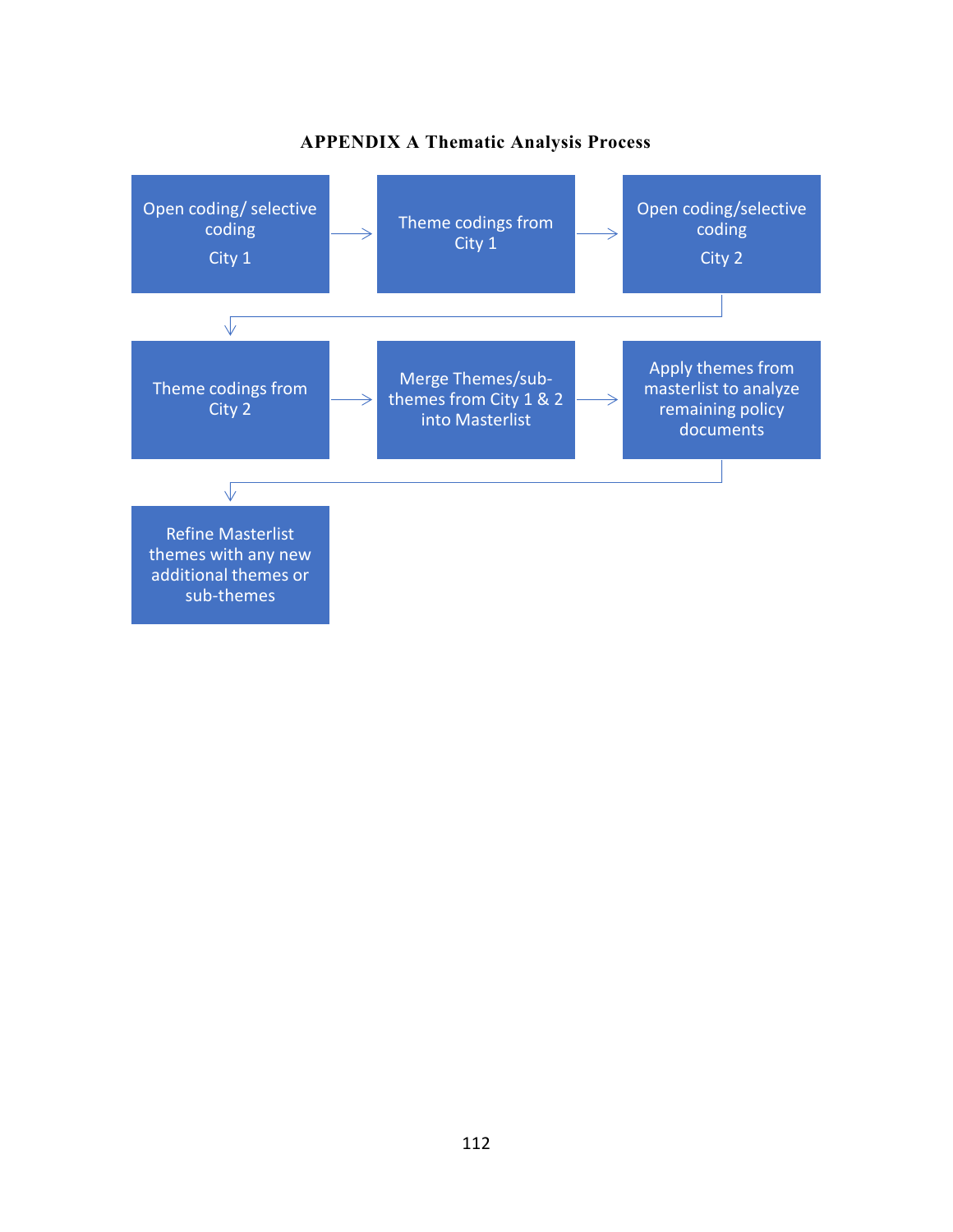

## **APPENDIX A Thematic Analysis Process**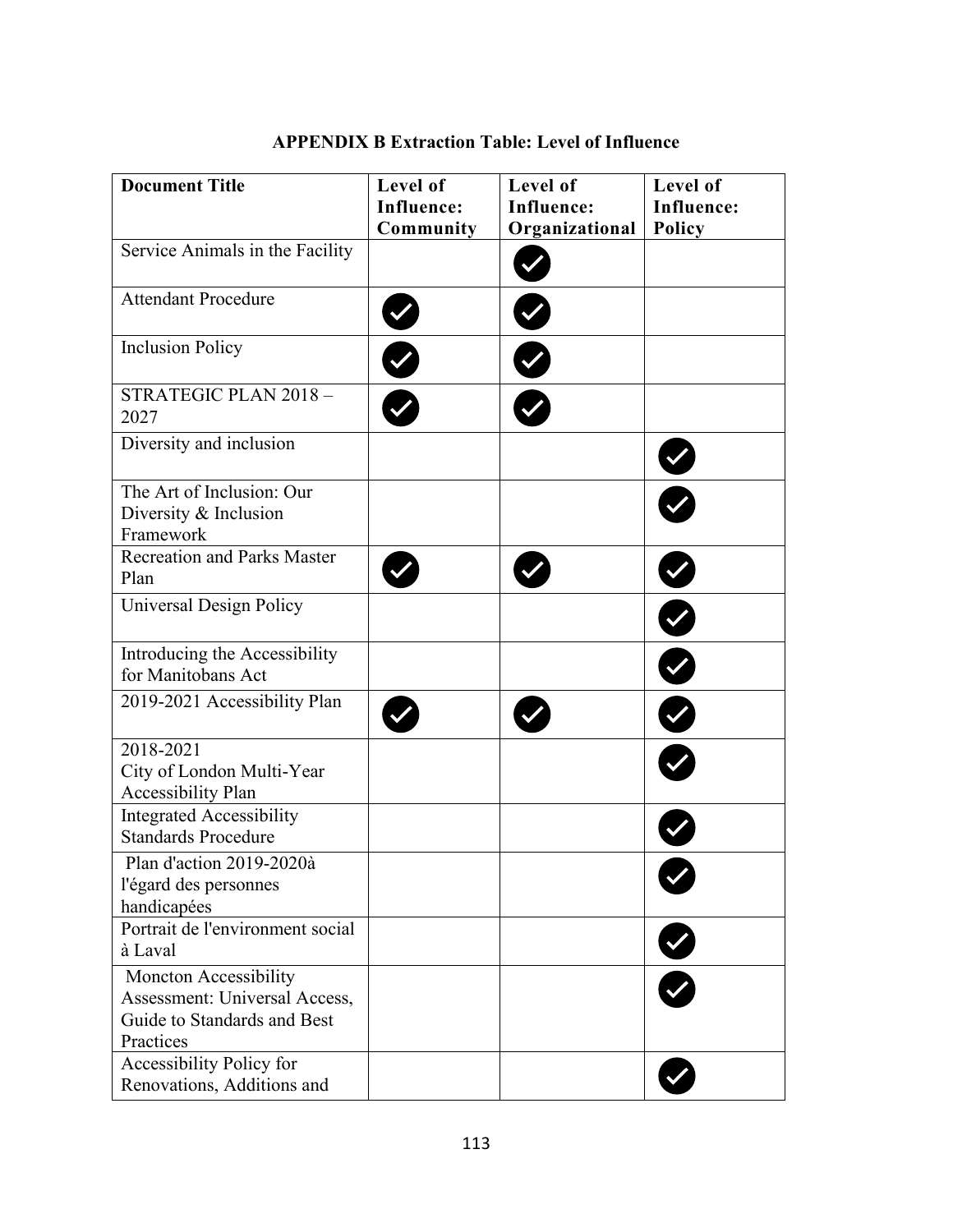| <b>Document Title</b>                                                                              | Level of<br><b>Influence:</b><br>Community | Level of<br><b>Influence:</b><br>Organizational | Level of<br><b>Influence:</b><br>Policy |
|----------------------------------------------------------------------------------------------------|--------------------------------------------|-------------------------------------------------|-----------------------------------------|
| Service Animals in the Facility                                                                    |                                            |                                                 |                                         |
| <b>Attendant Procedure</b>                                                                         |                                            |                                                 |                                         |
| <b>Inclusion Policy</b>                                                                            | Ø                                          |                                                 |                                         |
| STRATEGIC PLAN 2018 -<br>2027                                                                      |                                            |                                                 |                                         |
| Diversity and inclusion                                                                            |                                            |                                                 |                                         |
| The Art of Inclusion: Our<br>Diversity & Inclusion<br>Framework                                    |                                            |                                                 |                                         |
| <b>Recreation and Parks Master</b><br>Plan                                                         |                                            |                                                 |                                         |
| Universal Design Policy                                                                            |                                            |                                                 |                                         |
| Introducing the Accessibility<br>for Manitobans Act                                                |                                            |                                                 | $\overline{\bullet}$                    |
| 2019-2021 Accessibility Plan                                                                       |                                            |                                                 | $\overline{\mathbf{C}}$                 |
| 2018-2021<br>City of London Multi-Year<br>Accessibility Plan                                       |                                            |                                                 |                                         |
| <b>Integrated Accessibility</b><br><b>Standards Procedure</b>                                      |                                            |                                                 |                                         |
| Plan d'action 2019-2020à<br>l'égard des personnes<br>handicapées                                   |                                            |                                                 |                                         |
| Portrait de l'environment social<br>à Laval                                                        |                                            |                                                 | Ø                                       |
| Moncton Accessibility<br>Assessment: Universal Access,<br>Guide to Standards and Best<br>Practices |                                            |                                                 |                                         |
| Accessibility Policy for<br>Renovations, Additions and                                             |                                            |                                                 |                                         |

## **APPENDIX B Extraction Table: Level of Influence**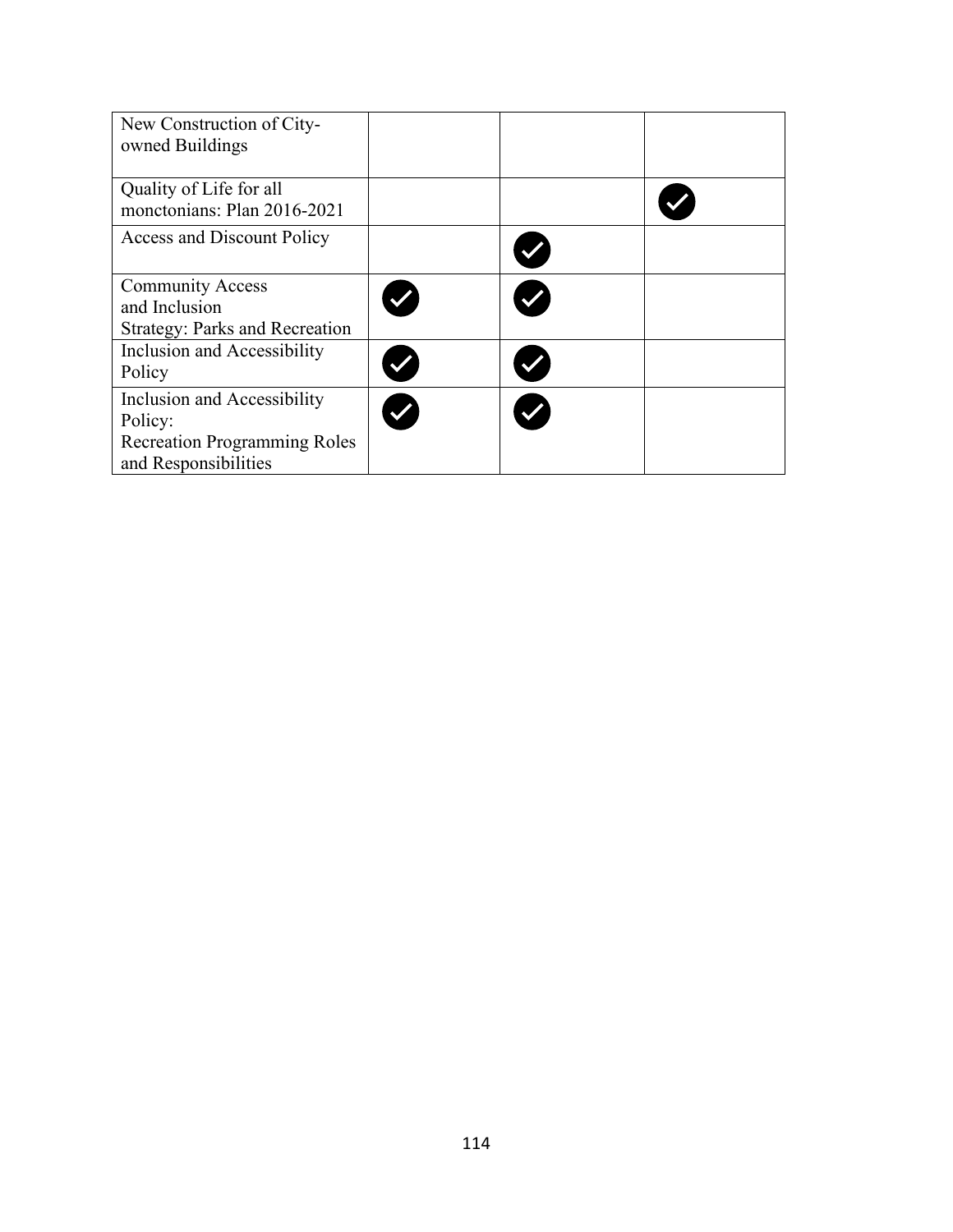| New Construction of City-<br>owned Buildings                                                          |  |  |
|-------------------------------------------------------------------------------------------------------|--|--|
| Quality of Life for all<br>monctonians: Plan 2016-2021                                                |  |  |
| <b>Access and Discount Policy</b>                                                                     |  |  |
| <b>Community Access</b><br>and Inclusion<br>Strategy: Parks and Recreation                            |  |  |
| Inclusion and Accessibility<br>Policy                                                                 |  |  |
| Inclusion and Accessibility<br>Policy:<br><b>Recreation Programming Roles</b><br>and Responsibilities |  |  |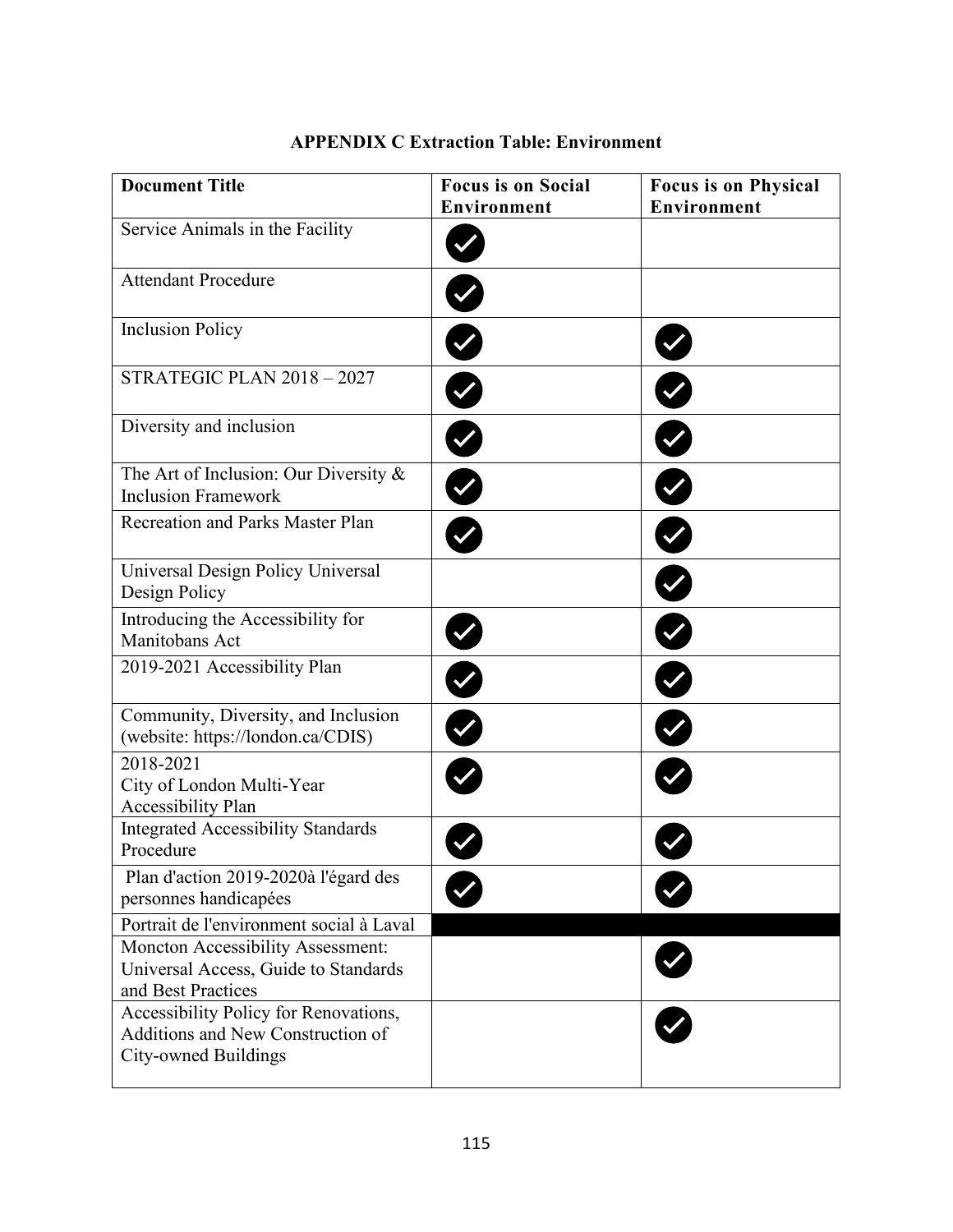| <b>Document Title</b>                                                                              | <b>Focus is on Social</b><br>Environment | <b>Focus is on Physical</b><br><b>Environment</b> |
|----------------------------------------------------------------------------------------------------|------------------------------------------|---------------------------------------------------|
| Service Animals in the Facility                                                                    |                                          |                                                   |
| <b>Attendant Procedure</b>                                                                         |                                          |                                                   |
| <b>Inclusion Policy</b>                                                                            | Ø                                        |                                                   |
| STRATEGIC PLAN 2018 - 2027                                                                         | Ø                                        | V                                                 |
| Diversity and inclusion                                                                            | K                                        |                                                   |
| The Art of Inclusion: Our Diversity $\&$<br><b>Inclusion Framework</b>                             | Ø                                        | $\bullet$                                         |
| Recreation and Parks Master Plan                                                                   |                                          | Ø                                                 |
| Universal Design Policy Universal<br>Design Policy                                                 |                                          |                                                   |
| Introducing the Accessibility for<br>Manitobans Act                                                |                                          | V                                                 |
| 2019-2021 Accessibility Plan                                                                       | Ø                                        |                                                   |
| Community, Diversity, and Inclusion<br>(website: https://london.ca/CDIS)                           | Ø                                        |                                                   |
| 2018-2021<br>City of London Multi-Year<br><b>Accessibility Plan</b>                                |                                          |                                                   |
| <b>Integrated Accessibility Standards</b><br>Procedure                                             |                                          |                                                   |
| Plan d'action 2019-2020à l'égard des<br>personnes handicapées                                      |                                          |                                                   |
| Portrait de l'environment social à Laval                                                           |                                          |                                                   |
| Moncton Accessibility Assessment:<br>Universal Access, Guide to Standards<br>and Best Practices    |                                          |                                                   |
| Accessibility Policy for Renovations,<br>Additions and New Construction of<br>City-owned Buildings |                                          |                                                   |

## **APPENDIX C Extraction Table: Environment**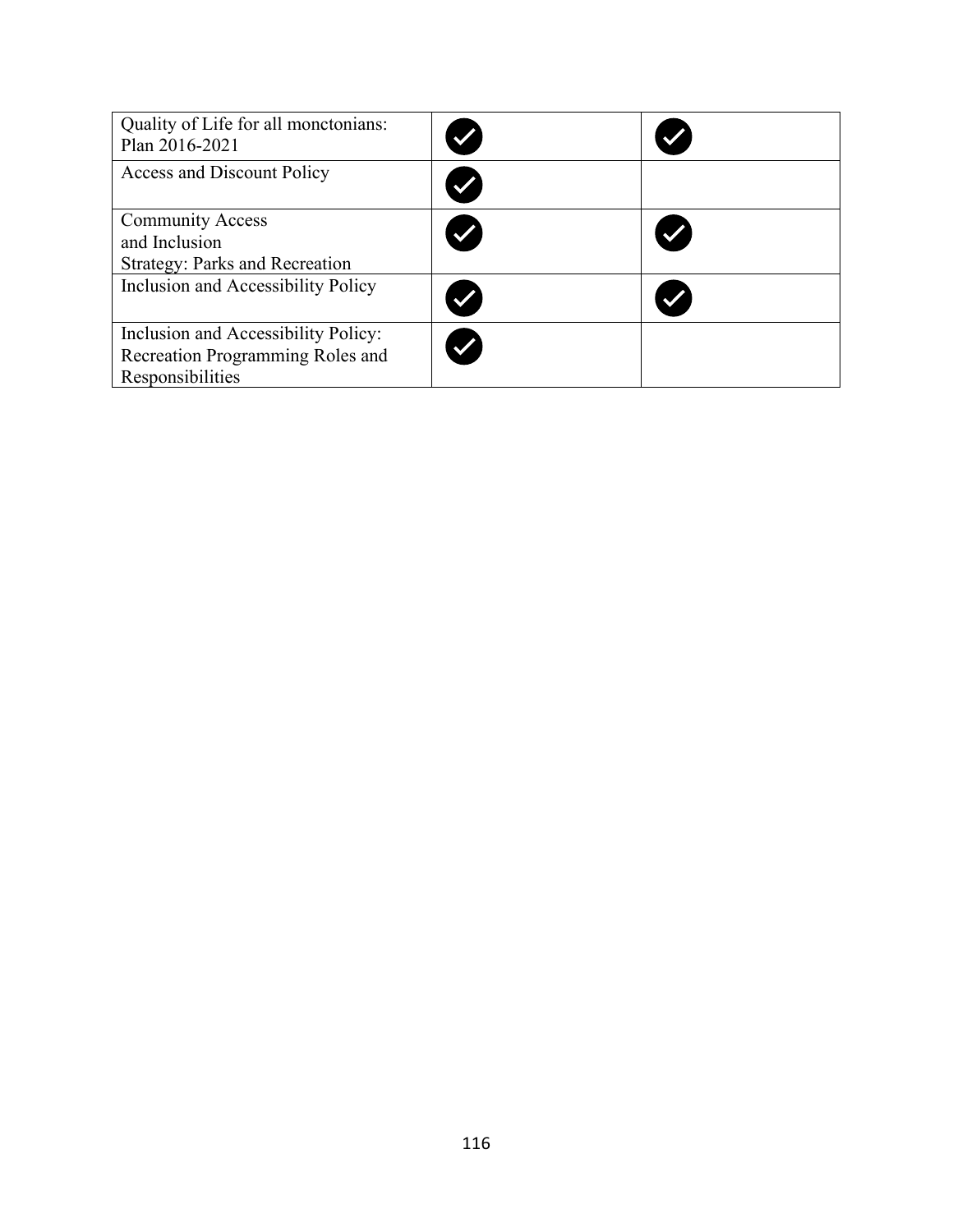| Quality of Life for all monctonians:<br>Plan 2016-2021                                      |  |
|---------------------------------------------------------------------------------------------|--|
| <b>Access and Discount Policy</b>                                                           |  |
| <b>Community Access</b><br>and Inclusion<br><b>Strategy: Parks and Recreation</b>           |  |
| Inclusion and Accessibility Policy                                                          |  |
| Inclusion and Accessibility Policy:<br>Recreation Programming Roles and<br>Responsibilities |  |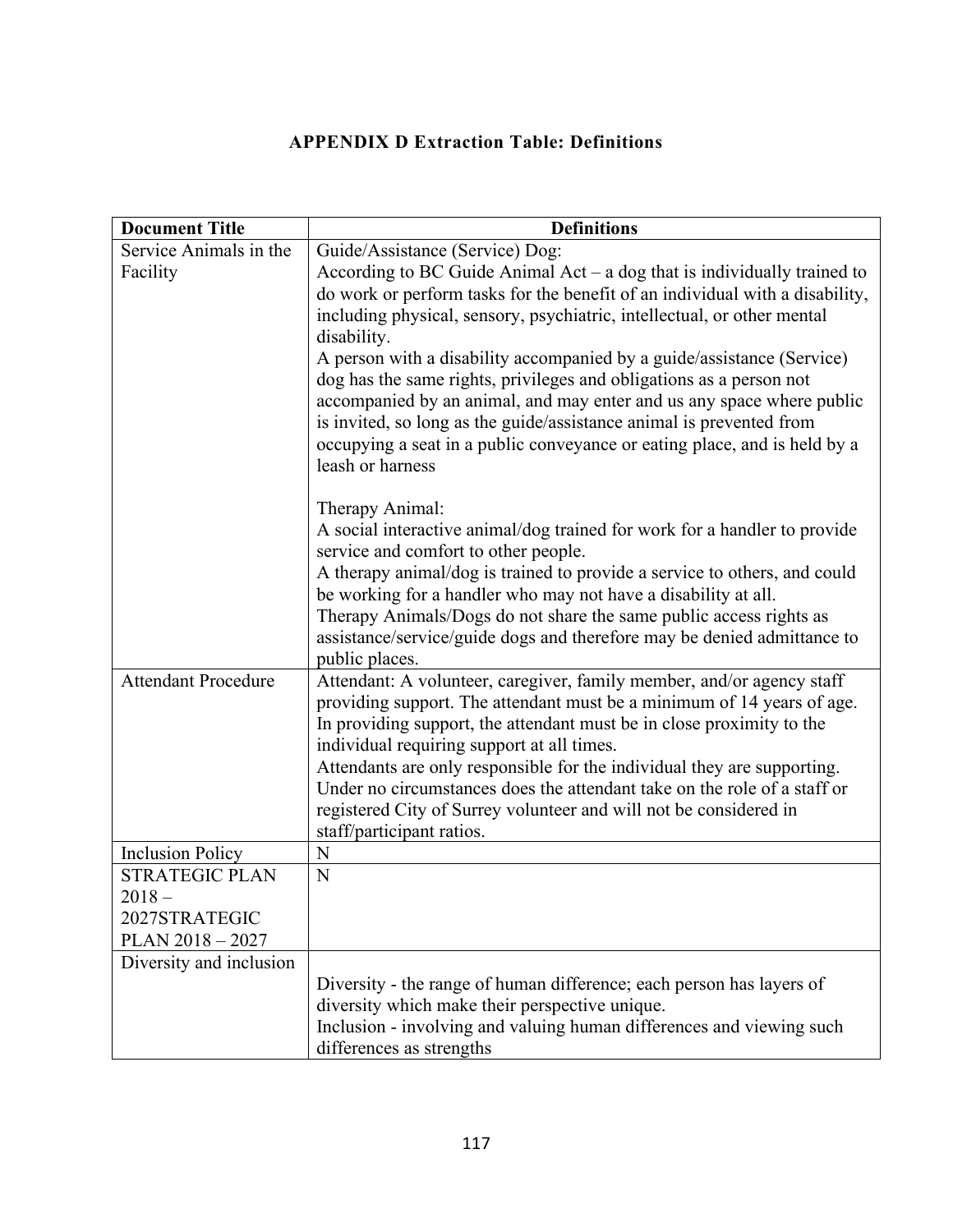# **APPENDIX D Extraction Table: Definitions**

| <b>Document Title</b>      | <b>Definitions</b>                                                                                                |
|----------------------------|-------------------------------------------------------------------------------------------------------------------|
| Service Animals in the     | Guide/Assistance (Service) Dog:                                                                                   |
| Facility                   | According to BC Guide Animal $Act - a$ dog that is individually trained to                                        |
|                            | do work or perform tasks for the benefit of an individual with a disability,                                      |
|                            | including physical, sensory, psychiatric, intellectual, or other mental                                           |
|                            | disability.                                                                                                       |
|                            | A person with a disability accompanied by a guide/assistance (Service)                                            |
|                            | dog has the same rights, privileges and obligations as a person not                                               |
|                            | accompanied by an animal, and may enter and us any space where public                                             |
|                            | is invited, so long as the guide/assistance animal is prevented from                                              |
|                            | occupying a seat in a public conveyance or eating place, and is held by a                                         |
|                            | leash or harness                                                                                                  |
|                            |                                                                                                                   |
|                            | Therapy Animal:                                                                                                   |
|                            | A social interactive animal/dog trained for work for a handler to provide<br>service and comfort to other people. |
|                            | A therapy animal/dog is trained to provide a service to others, and could                                         |
|                            | be working for a handler who may not have a disability at all.                                                    |
|                            | Therapy Animals/Dogs do not share the same public access rights as                                                |
|                            | assistance/service/guide dogs and therefore may be denied admittance to                                           |
|                            | public places.                                                                                                    |
| <b>Attendant Procedure</b> | Attendant: A volunteer, caregiver, family member, and/or agency staff                                             |
|                            | providing support. The attendant must be a minimum of 14 years of age.                                            |
|                            | In providing support, the attendant must be in close proximity to the                                             |
|                            | individual requiring support at all times.                                                                        |
|                            | Attendants are only responsible for the individual they are supporting.                                           |
|                            | Under no circumstances does the attendant take on the role of a staff or                                          |
|                            | registered City of Surrey volunteer and will not be considered in                                                 |
| <b>Inclusion Policy</b>    | staff/participant ratios.<br>N                                                                                    |
| <b>STRATEGIC PLAN</b>      | N                                                                                                                 |
| $2018 -$                   |                                                                                                                   |
| 2027STRATEGIC              |                                                                                                                   |
| PLAN $2018 - 2027$         |                                                                                                                   |
| Diversity and inclusion    |                                                                                                                   |
|                            | Diversity - the range of human difference; each person has layers of                                              |
|                            | diversity which make their perspective unique.                                                                    |
|                            | Inclusion - involving and valuing human differences and viewing such                                              |
|                            | differences as strengths                                                                                          |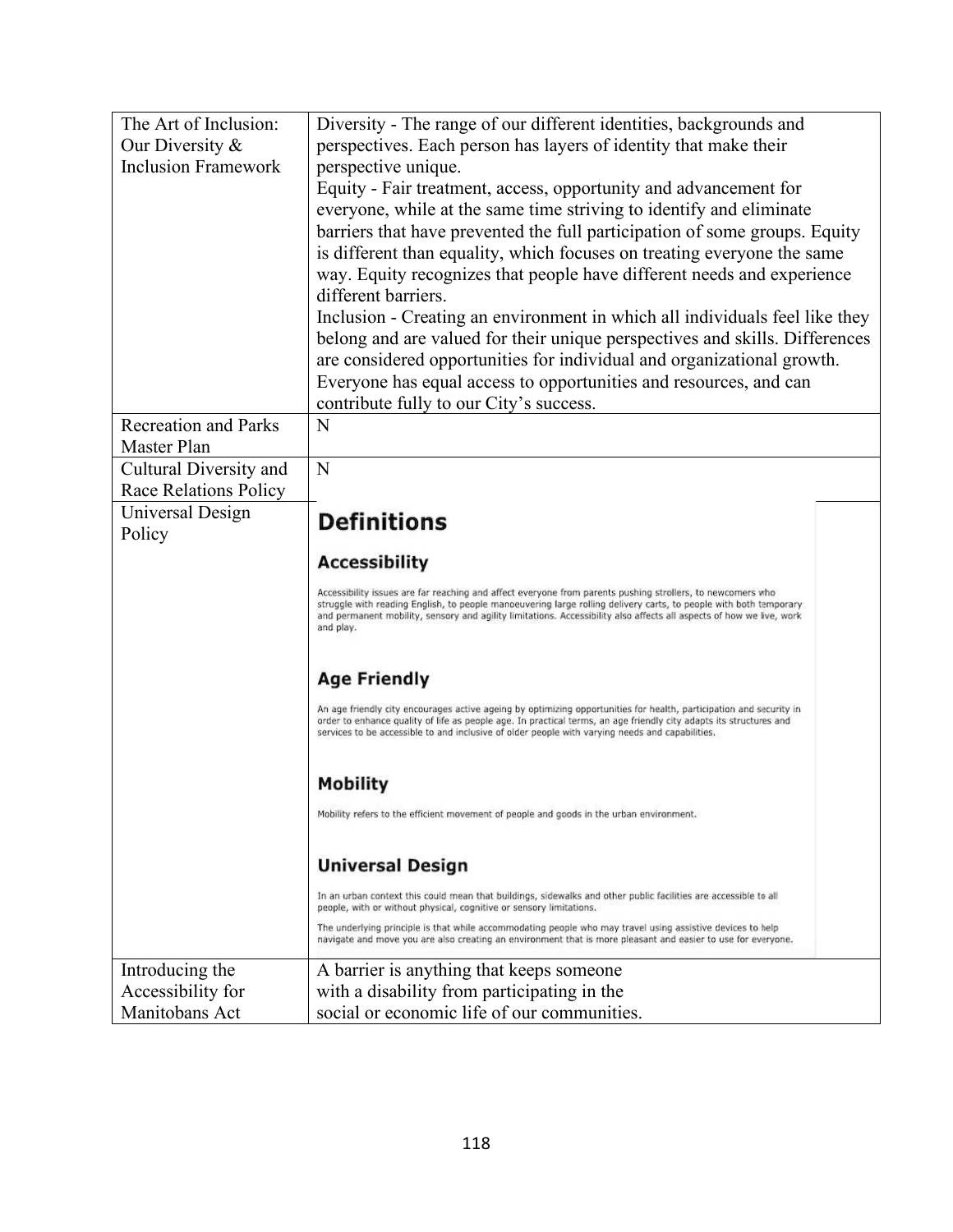| The Art of Inclusion:        | Diversity - The range of our different identities, backgrounds and                                                                                                                                                                        |  |  |
|------------------------------|-------------------------------------------------------------------------------------------------------------------------------------------------------------------------------------------------------------------------------------------|--|--|
| Our Diversity &              | perspectives. Each person has layers of identity that make their                                                                                                                                                                          |  |  |
| <b>Inclusion Framework</b>   | perspective unique.                                                                                                                                                                                                                       |  |  |
|                              | Equity - Fair treatment, access, opportunity and advancement for                                                                                                                                                                          |  |  |
|                              | everyone, while at the same time striving to identify and eliminate                                                                                                                                                                       |  |  |
|                              | barriers that have prevented the full participation of some groups. Equity                                                                                                                                                                |  |  |
|                              | is different than equality, which focuses on treating everyone the same                                                                                                                                                                   |  |  |
|                              | way. Equity recognizes that people have different needs and experience                                                                                                                                                                    |  |  |
|                              | different barriers.                                                                                                                                                                                                                       |  |  |
|                              | Inclusion - Creating an environment in which all individuals feel like they                                                                                                                                                               |  |  |
|                              | belong and are valued for their unique perspectives and skills. Differences                                                                                                                                                               |  |  |
|                              | are considered opportunities for individual and organizational growth.                                                                                                                                                                    |  |  |
|                              | Everyone has equal access to opportunities and resources, and can                                                                                                                                                                         |  |  |
|                              | contribute fully to our City's success.                                                                                                                                                                                                   |  |  |
| <b>Recreation and Parks</b>  | N                                                                                                                                                                                                                                         |  |  |
| Master Plan                  |                                                                                                                                                                                                                                           |  |  |
| Cultural Diversity and       | N                                                                                                                                                                                                                                         |  |  |
| <b>Race Relations Policy</b> |                                                                                                                                                                                                                                           |  |  |
| Universal Design             | <b>Definitions</b>                                                                                                                                                                                                                        |  |  |
| Policy                       |                                                                                                                                                                                                                                           |  |  |
|                              | <b>Accessibility</b>                                                                                                                                                                                                                      |  |  |
|                              | Accessibility issues are far reaching and affect everyone from parents pushing strollers, to newcomers who                                                                                                                                |  |  |
|                              | struggle with reading English, to people manoeuvering large rolling delivery carts, to people with both temporary<br>and permanent mobility, sensory and agility limitations. Accessibility also affects all aspects of how we live, work |  |  |
|                              | and play.                                                                                                                                                                                                                                 |  |  |
|                              |                                                                                                                                                                                                                                           |  |  |
|                              | <b>Age Friendly</b>                                                                                                                                                                                                                       |  |  |
|                              |                                                                                                                                                                                                                                           |  |  |
|                              | An age friendly city encourages active ageing by optimizing opportunities for health, participation and security in<br>order to enhance quality of life as people age. In practical terms, an age friendly city adapts its structures and |  |  |
|                              | services to be accessible to and inclusive of older people with varying needs and capabilities.                                                                                                                                           |  |  |
|                              |                                                                                                                                                                                                                                           |  |  |
|                              | <b>Mobility</b>                                                                                                                                                                                                                           |  |  |
|                              | Mobility refers to the efficient movement of people and goods in the urban environment.                                                                                                                                                   |  |  |
|                              |                                                                                                                                                                                                                                           |  |  |
|                              | <b>Universal Design</b>                                                                                                                                                                                                                   |  |  |
|                              | In an urban context this could mean that buildings, sidewalks and other public facilities are accessible to all<br>people, with or without physical, cognitive or sensory limitations.                                                    |  |  |
|                              | The underlying principle is that while accommodating people who may travel using assistive devices to help<br>navigate and move you are also creating an environment that is more pleasant and easier to use for everyone.                |  |  |
| Introducing the              | A barrier is anything that keeps someone                                                                                                                                                                                                  |  |  |
| Accessibility for            | with a disability from participating in the                                                                                                                                                                                               |  |  |
| Manitobans Act               | social or economic life of our communities.                                                                                                                                                                                               |  |  |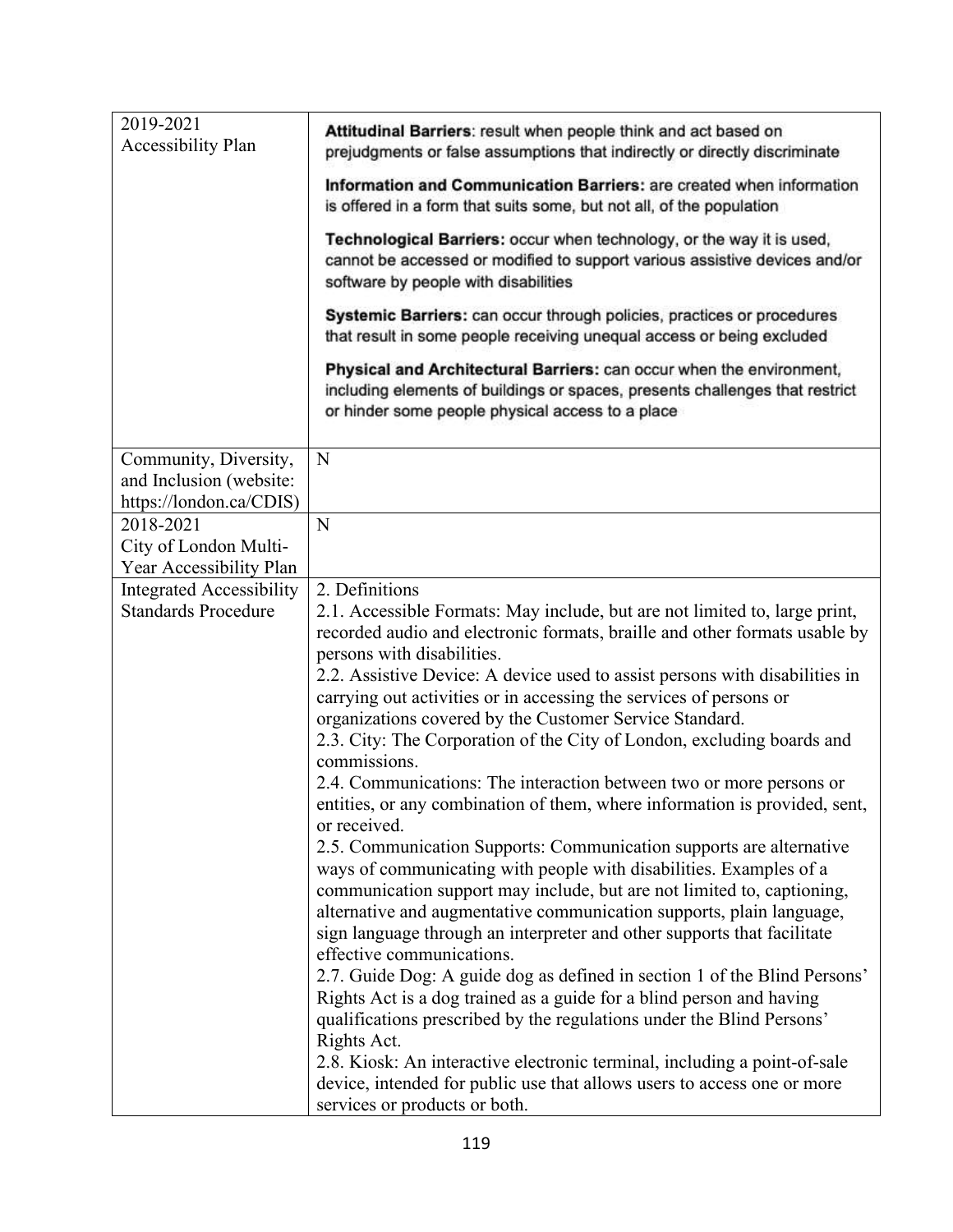| Attitudinal Barriers: result when people think and act based on<br>prejudgments or false assumptions that indirectly or directly discriminate                                                                                                                                                                                                                                                                                                                                                                                                                                                                                                                                                                                                                                                                                             |
|-------------------------------------------------------------------------------------------------------------------------------------------------------------------------------------------------------------------------------------------------------------------------------------------------------------------------------------------------------------------------------------------------------------------------------------------------------------------------------------------------------------------------------------------------------------------------------------------------------------------------------------------------------------------------------------------------------------------------------------------------------------------------------------------------------------------------------------------|
| Information and Communication Barriers: are created when information<br>is offered in a form that suits some, but not all, of the population                                                                                                                                                                                                                                                                                                                                                                                                                                                                                                                                                                                                                                                                                              |
| Technological Barriers: occur when technology, or the way it is used,<br>cannot be accessed or modified to support various assistive devices and/or<br>software by people with disabilities                                                                                                                                                                                                                                                                                                                                                                                                                                                                                                                                                                                                                                               |
| Systemic Barriers: can occur through policies, practices or procedures<br>that result in some people receiving unequal access or being excluded                                                                                                                                                                                                                                                                                                                                                                                                                                                                                                                                                                                                                                                                                           |
| Physical and Architectural Barriers: can occur when the environment,<br>including elements of buildings or spaces, presents challenges that restrict<br>or hinder some people physical access to a place                                                                                                                                                                                                                                                                                                                                                                                                                                                                                                                                                                                                                                  |
| N                                                                                                                                                                                                                                                                                                                                                                                                                                                                                                                                                                                                                                                                                                                                                                                                                                         |
|                                                                                                                                                                                                                                                                                                                                                                                                                                                                                                                                                                                                                                                                                                                                                                                                                                           |
|                                                                                                                                                                                                                                                                                                                                                                                                                                                                                                                                                                                                                                                                                                                                                                                                                                           |
| N                                                                                                                                                                                                                                                                                                                                                                                                                                                                                                                                                                                                                                                                                                                                                                                                                                         |
|                                                                                                                                                                                                                                                                                                                                                                                                                                                                                                                                                                                                                                                                                                                                                                                                                                           |
| 2. Definitions                                                                                                                                                                                                                                                                                                                                                                                                                                                                                                                                                                                                                                                                                                                                                                                                                            |
| 2.1. Accessible Formats: May include, but are not limited to, large print,<br>recorded audio and electronic formats, braille and other formats usable by<br>persons with disabilities.<br>2.2. Assistive Device: A device used to assist persons with disabilities in<br>carrying out activities or in accessing the services of persons or<br>organizations covered by the Customer Service Standard.<br>2.3. City: The Corporation of the City of London, excluding boards and<br>commissions.                                                                                                                                                                                                                                                                                                                                          |
| 2.4. Communications: The interaction between two or more persons or<br>entities, or any combination of them, where information is provided, sent,<br>or received.                                                                                                                                                                                                                                                                                                                                                                                                                                                                                                                                                                                                                                                                         |
| 2.5. Communication Supports: Communication supports are alternative<br>ways of communicating with people with disabilities. Examples of a<br>communication support may include, but are not limited to, captioning,<br>alternative and augmentative communication supports, plain language,<br>sign language through an interpreter and other supports that facilitate<br>effective communications.<br>2.7. Guide Dog: A guide dog as defined in section 1 of the Blind Persons'<br>Rights Act is a dog trained as a guide for a blind person and having<br>qualifications prescribed by the regulations under the Blind Persons'<br>Rights Act.<br>2.8. Kiosk: An interactive electronic terminal, including a point-of-sale<br>device, intended for public use that allows users to access one or more<br>services or products or both. |
|                                                                                                                                                                                                                                                                                                                                                                                                                                                                                                                                                                                                                                                                                                                                                                                                                                           |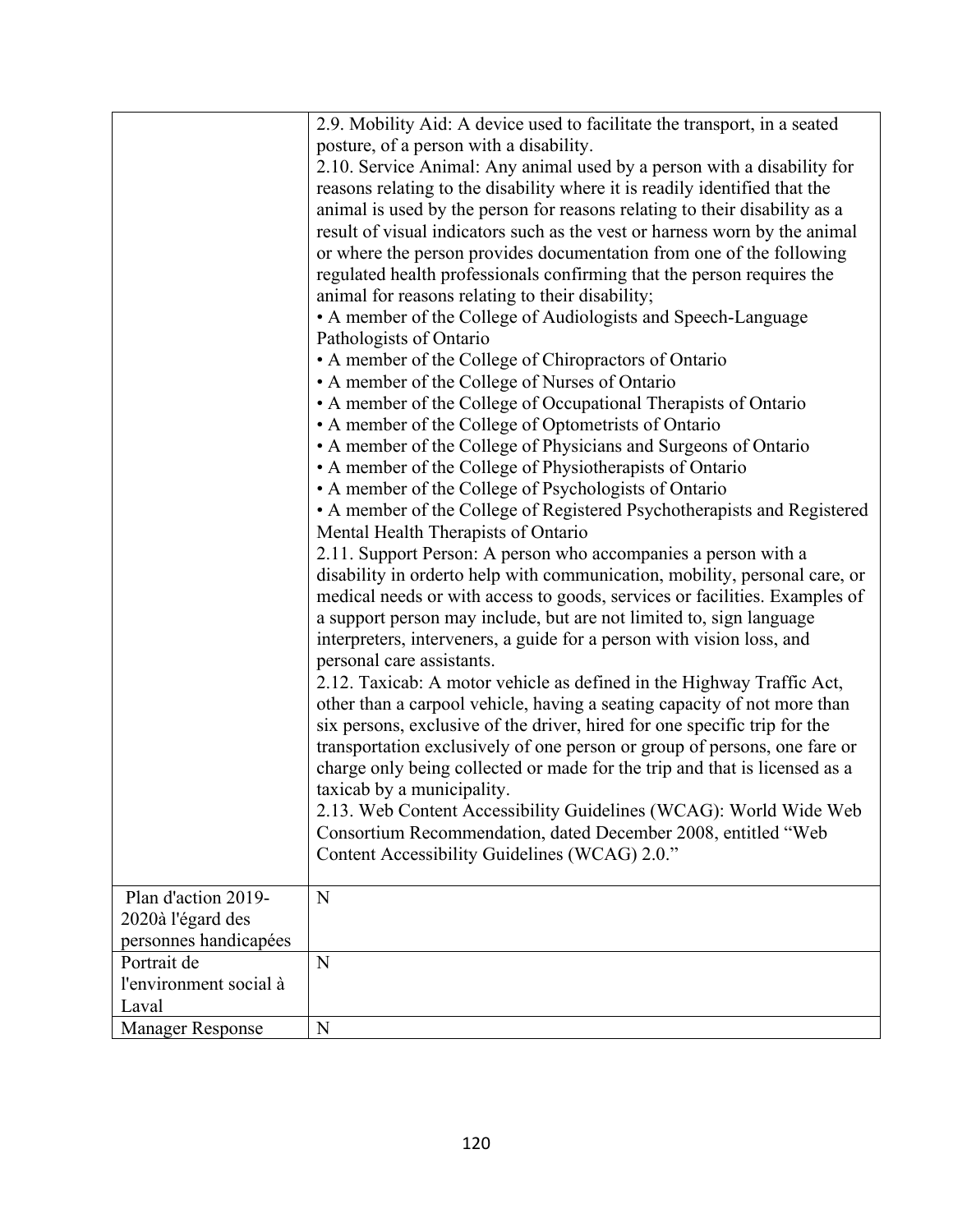|                         | 2.9. Mobility Aid: A device used to facilitate the transport, in a seated   |
|-------------------------|-----------------------------------------------------------------------------|
|                         | posture, of a person with a disability.                                     |
|                         | 2.10. Service Animal: Any animal used by a person with a disability for     |
|                         | reasons relating to the disability where it is readily identified that the  |
|                         | animal is used by the person for reasons relating to their disability as a  |
|                         | result of visual indicators such as the vest or harness worn by the animal  |
|                         | or where the person provides documentation from one of the following        |
|                         | regulated health professionals confirming that the person requires the      |
|                         | animal for reasons relating to their disability;                            |
|                         | • A member of the College of Audiologists and Speech-Language               |
|                         | Pathologists of Ontario                                                     |
|                         | • A member of the College of Chiropractors of Ontario                       |
|                         | • A member of the College of Nurses of Ontario                              |
|                         | • A member of the College of Occupational Therapists of Ontario             |
|                         | • A member of the College of Optometrists of Ontario                        |
|                         | • A member of the College of Physicians and Surgeons of Ontario             |
|                         | • A member of the College of Physiotherapists of Ontario                    |
|                         | • A member of the College of Psychologists of Ontario                       |
|                         | • A member of the College of Registered Psychotherapists and Registered     |
|                         | Mental Health Therapists of Ontario                                         |
|                         | 2.11. Support Person: A person who accompanies a person with a              |
|                         | disability in order to help with communication, mobility, personal care, or |
|                         | medical needs or with access to goods, services or facilities. Examples of  |
|                         | a support person may include, but are not limited to, sign language         |
|                         | interpreters, interveners, a guide for a person with vision loss, and       |
|                         | personal care assistants.                                                   |
|                         | 2.12. Taxicab: A motor vehicle as defined in the Highway Traffic Act,       |
|                         | other than a carpool vehicle, having a seating capacity of not more than    |
|                         | six persons, exclusive of the driver, hired for one specific trip for the   |
|                         | transportation exclusively of one person or group of persons, one fare or   |
|                         | charge only being collected or made for the trip and that is licensed as a  |
|                         | taxicab by a municipality.                                                  |
|                         | 2.13. Web Content Accessibility Guidelines (WCAG): World Wide Web           |
|                         | Consortium Recommendation, dated December 2008, entitled "Web               |
|                         | Content Accessibility Guidelines (WCAG) 2.0."                               |
|                         |                                                                             |
| Plan d'action 2019-     | N                                                                           |
| 2020à l'égard des       |                                                                             |
| personnes handicapées   |                                                                             |
| Portrait de             | N                                                                           |
| l'environment social à  |                                                                             |
| Laval                   |                                                                             |
| <b>Manager Response</b> | $\mathbf N$                                                                 |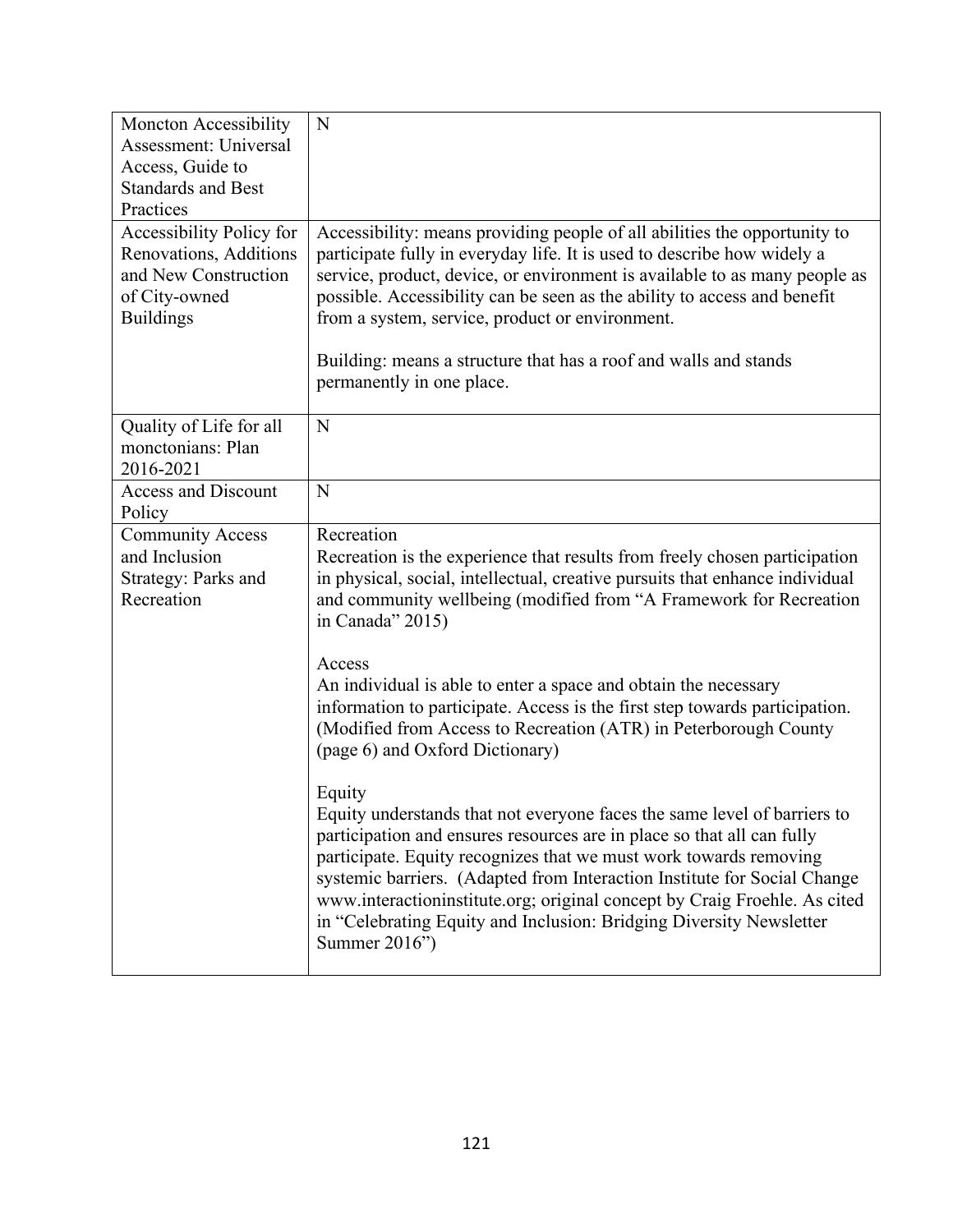| <b>Moncton Accessibility</b><br>Assessment: Universal<br>Access, Guide to<br><b>Standards and Best</b><br>Practices | N                                                                                                                                                                                                                                                                                                                                                                                                                                                                                  |
|---------------------------------------------------------------------------------------------------------------------|------------------------------------------------------------------------------------------------------------------------------------------------------------------------------------------------------------------------------------------------------------------------------------------------------------------------------------------------------------------------------------------------------------------------------------------------------------------------------------|
| Accessibility Policy for                                                                                            | Accessibility: means providing people of all abilities the opportunity to                                                                                                                                                                                                                                                                                                                                                                                                          |
| Renovations, Additions<br>and New Construction<br>of City-owned<br><b>Buildings</b>                                 | participate fully in everyday life. It is used to describe how widely a<br>service, product, device, or environment is available to as many people as<br>possible. Accessibility can be seen as the ability to access and benefit<br>from a system, service, product or environment.                                                                                                                                                                                               |
|                                                                                                                     | Building: means a structure that has a roof and walls and stands<br>permanently in one place.                                                                                                                                                                                                                                                                                                                                                                                      |
| Quality of Life for all<br>monctonians: Plan<br>2016-2021                                                           | N                                                                                                                                                                                                                                                                                                                                                                                                                                                                                  |
| <b>Access and Discount</b><br>Policy                                                                                | N                                                                                                                                                                                                                                                                                                                                                                                                                                                                                  |
| <b>Community Access</b><br>and Inclusion<br><b>Strategy: Parks and</b><br>Recreation                                | Recreation<br>Recreation is the experience that results from freely chosen participation<br>in physical, social, intellectual, creative pursuits that enhance individual<br>and community wellbeing (modified from "A Framework for Recreation<br>in Canada" 2015)                                                                                                                                                                                                                 |
|                                                                                                                     | Access<br>An individual is able to enter a space and obtain the necessary<br>information to participate. Access is the first step towards participation.<br>(Modified from Access to Recreation (ATR) in Peterborough County<br>(page 6) and Oxford Dictionary)                                                                                                                                                                                                                    |
|                                                                                                                     | Equity<br>Equity understands that not everyone faces the same level of barriers to<br>participation and ensures resources are in place so that all can fully<br>participate. Equity recognizes that we must work towards removing<br>systemic barriers. (Adapted from Interaction Institute for Social Change<br>www.interactioninstitute.org; original concept by Craig Froehle. As cited<br>in "Celebrating Equity and Inclusion: Bridging Diversity Newsletter<br>Summer 2016") |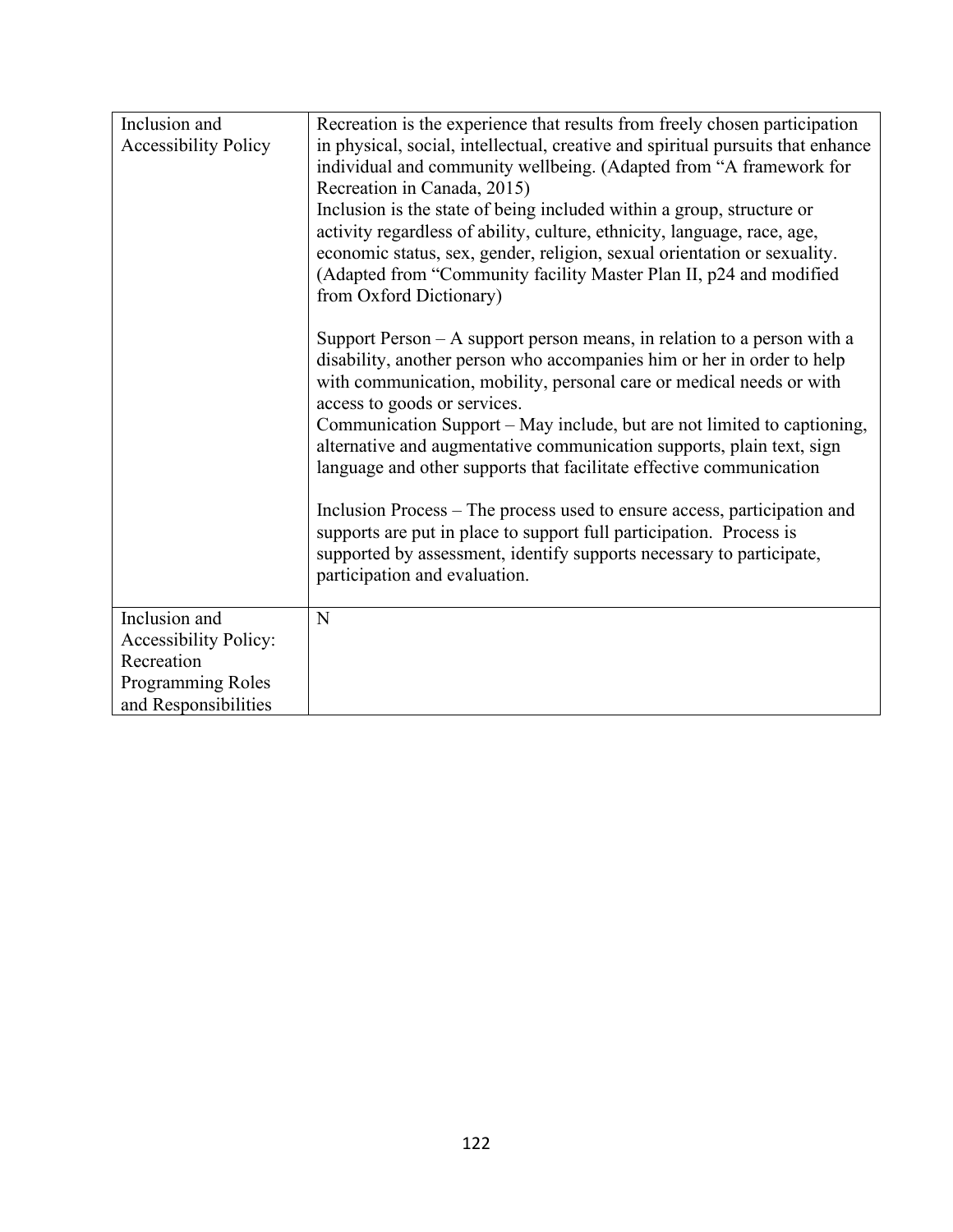| Inclusion and<br><b>Accessibility Policy</b>                                                             | Recreation is the experience that results from freely chosen participation<br>in physical, social, intellectual, creative and spiritual pursuits that enhance<br>individual and community wellbeing. (Adapted from "A framework for<br>Recreation in Canada, 2015)<br>Inclusion is the state of being included within a group, structure or<br>activity regardless of ability, culture, ethnicity, language, race, age,<br>economic status, sex, gender, religion, sexual orientation or sexuality.<br>(Adapted from "Community facility Master Plan II, p24 and modified<br>from Oxford Dictionary)<br>Support Person $- A$ support person means, in relation to a person with a<br>disability, another person who accompanies him or her in order to help<br>with communication, mobility, personal care or medical needs or with<br>access to goods or services.<br>Communication Support – May include, but are not limited to captioning,<br>alternative and augmentative communication supports, plain text, sign<br>language and other supports that facilitate effective communication<br>Inclusion Process – The process used to ensure access, participation and<br>supports are put in place to support full participation. Process is |
|----------------------------------------------------------------------------------------------------------|---------------------------------------------------------------------------------------------------------------------------------------------------------------------------------------------------------------------------------------------------------------------------------------------------------------------------------------------------------------------------------------------------------------------------------------------------------------------------------------------------------------------------------------------------------------------------------------------------------------------------------------------------------------------------------------------------------------------------------------------------------------------------------------------------------------------------------------------------------------------------------------------------------------------------------------------------------------------------------------------------------------------------------------------------------------------------------------------------------------------------------------------------------------------------------------------------------------------------------------------------|
|                                                                                                          | supported by assessment, identify supports necessary to participate,<br>participation and evaluation.                                                                                                                                                                                                                                                                                                                                                                                                                                                                                                                                                                                                                                                                                                                                                                                                                                                                                                                                                                                                                                                                                                                                             |
| Inclusion and<br><b>Accessibility Policy:</b><br>Recreation<br>Programming Roles<br>and Responsibilities | N                                                                                                                                                                                                                                                                                                                                                                                                                                                                                                                                                                                                                                                                                                                                                                                                                                                                                                                                                                                                                                                                                                                                                                                                                                                 |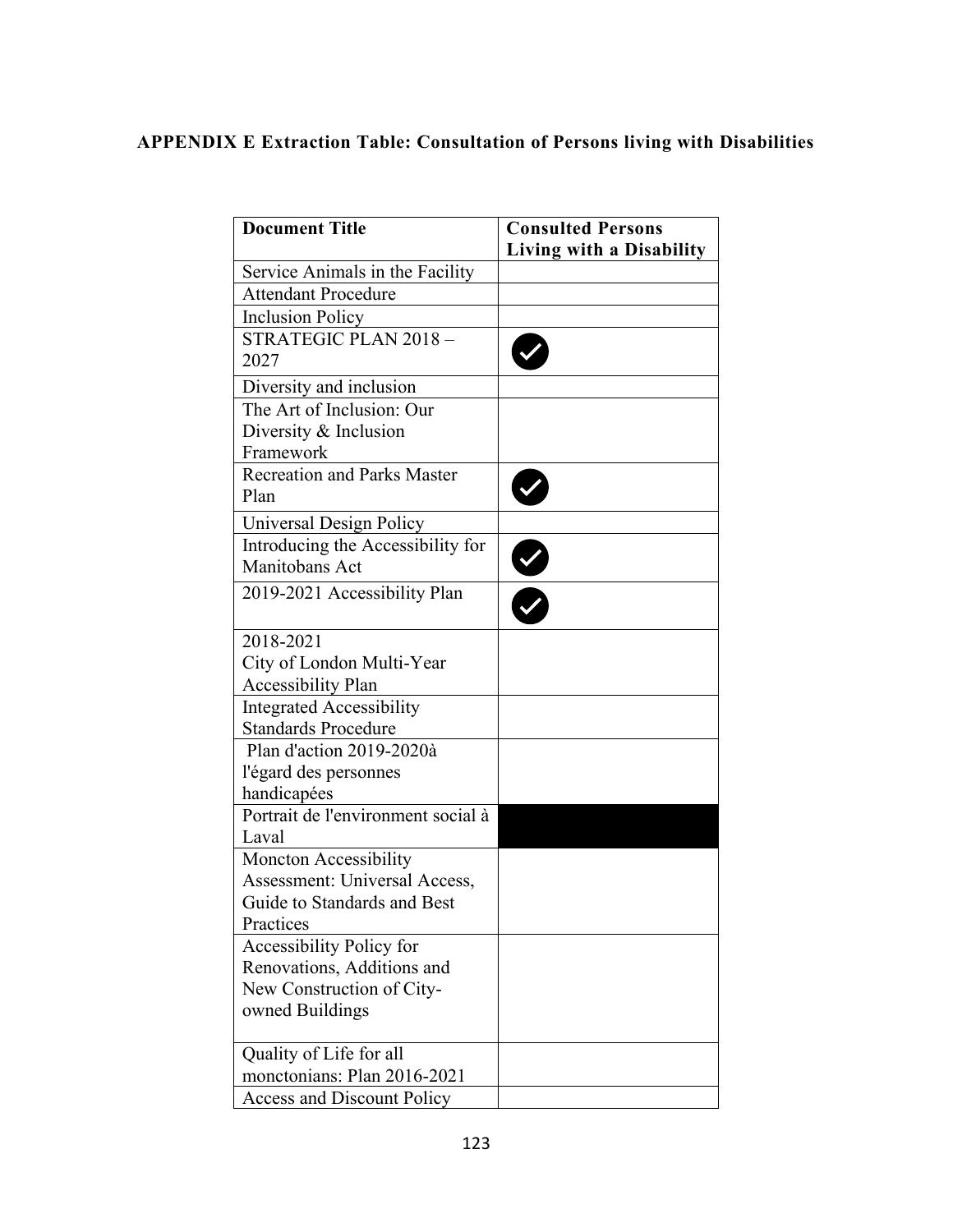# **APPENDIX E Extraction Table: Consultation of Persons living with Disabilities**

| <b>Document Title</b>                      | <b>Consulted Persons</b> |
|--------------------------------------------|--------------------------|
|                                            | Living with a Disability |
| Service Animals in the Facility            |                          |
| <b>Attendant Procedure</b>                 |                          |
| <b>Inclusion Policy</b>                    |                          |
| STRATEGIC PLAN 2018 -<br>2027              |                          |
| Diversity and inclusion                    |                          |
| The Art of Inclusion: Our                  |                          |
| Diversity & Inclusion                      |                          |
| Framework                                  |                          |
| <b>Recreation and Parks Master</b><br>Plan |                          |
| Universal Design Policy                    |                          |
| Introducing the Accessibility for          |                          |
| Manitobans Act                             |                          |
| 2019-2021 Accessibility Plan               |                          |
| 2018-2021                                  |                          |
| City of London Multi-Year                  |                          |
| <b>Accessibility Plan</b>                  |                          |
| <b>Integrated Accessibility</b>            |                          |
| <b>Standards Procedure</b>                 |                          |
| Plan d'action 2019-2020à                   |                          |
| l'égard des personnes                      |                          |
| handicapées                                |                          |
| Portrait de l'environment social à         |                          |
| Laval                                      |                          |
| Moncton Accessibility                      |                          |
| Assessment: Universal Access,              |                          |
| Guide to Standards and Best                |                          |
| Practices                                  |                          |
| Accessibility Policy for                   |                          |
| Renovations, Additions and                 |                          |
| New Construction of City-                  |                          |
| owned Buildings                            |                          |
| Quality of Life for all                    |                          |
| monctonians: Plan 2016-2021                |                          |
| <b>Access and Discount Policy</b>          |                          |